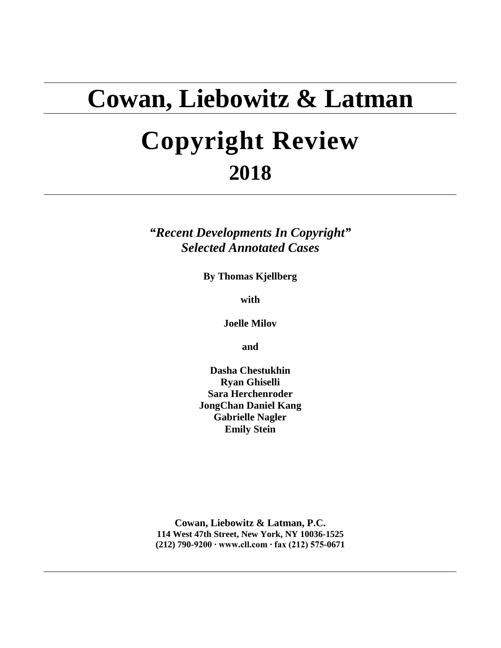## **Cowan, Liebowitz & Latman**

# **Copyright Review 2018**

*"Recent Developments In Copyright" Selected Annotated Cases*

**By Thomas Kjellberg**

**with**

**Joelle Milov**

**and**

**Dasha Chestukhin Ryan Ghiselli Sara Herchenroder JongChan Daniel Kang Gabrielle Nagler Emily Stein**

**Cowan, Liebowitz & Latman, P.C. 114 West 47th Street, New York, NY 10036-1525 (212) 790-9200 ∙ www.cll.com ∙ fax (212) 575-0671**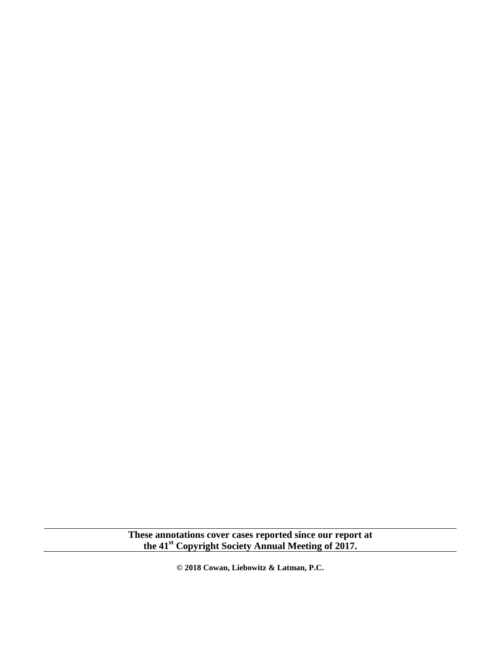**These annotations cover cases reported since our report at the 41st Copyright Society Annual Meeting of 2017.**

**© 2018 Cowan, Liebowitz & Latman, P.C.**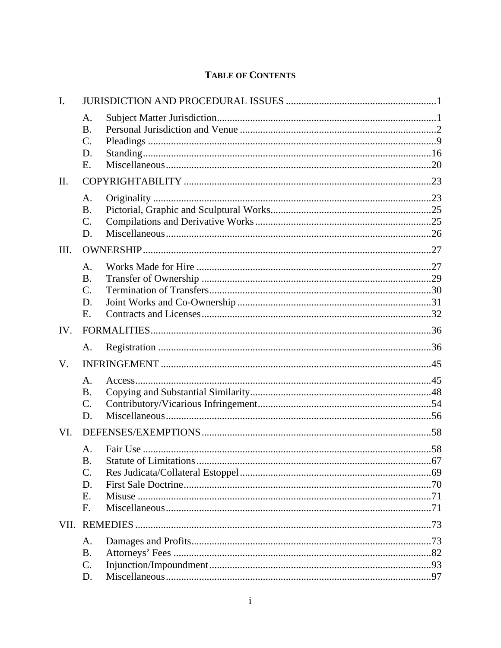## **TABLE OF CONTENTS**

| $\mathbf{I}$ . |                       |  |
|----------------|-----------------------|--|
|                | A.<br><b>B.</b>       |  |
|                | $\mathcal{C}$ .<br>D. |  |
|                | Ε.                    |  |
| $\mathbf{I}$   |                       |  |
|                | A.                    |  |
|                | <b>B.</b>             |  |
|                | $\mathcal{C}$ .       |  |
|                | D.                    |  |
| Ш.             |                       |  |
|                | A.                    |  |
|                | <b>B.</b>             |  |
|                | $\mathcal{C}$ .       |  |
|                | D.                    |  |
|                | Ε.                    |  |
| IV.            |                       |  |
|                | A.                    |  |
| V.             |                       |  |
|                | A.                    |  |
|                | <b>B.</b>             |  |
|                | $\mathcal{C}$ .       |  |
|                | D.                    |  |
| VI.            |                       |  |
|                | A.                    |  |
|                | <b>B.</b>             |  |
|                | $\mathcal{C}$ .       |  |
|                | D.                    |  |
|                | E.<br>$F_{\cdot}$     |  |
|                |                       |  |
|                |                       |  |
|                | A.                    |  |
|                | <b>B.</b><br>C.       |  |
|                | D.                    |  |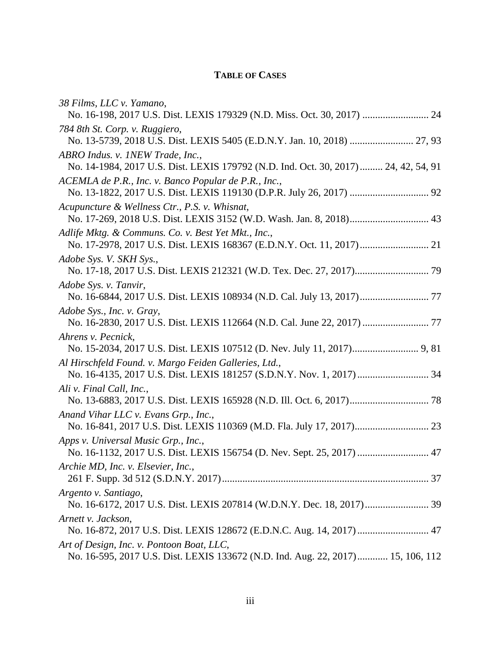## **TABLE OF CASES**

| 38 Films, LLC v. Yamano,                                                                                      |
|---------------------------------------------------------------------------------------------------------------|
| No. 16-198, 2017 U.S. Dist. LEXIS 179329 (N.D. Miss. Oct. 30, 2017)  24                                       |
| 784 8th St. Corp. v. Ruggiero,                                                                                |
|                                                                                                               |
| ABRO Indus. v. 1NEW Trade, Inc.,                                                                              |
| No. 14-1984, 2017 U.S. Dist. LEXIS 179792 (N.D. Ind. Oct. 30, 2017) 24, 42, 54, 91                            |
| ACEMLA de P.R., Inc. v. Banco Popular de P.R., Inc.,                                                          |
| Acupuncture & Wellness Ctr., P.S. v. Whisnat,                                                                 |
|                                                                                                               |
| Adlife Mktg. & Communs. Co. v. Best Yet Mkt., Inc.,                                                           |
| Adobe Sys. V. SKH Sys.,                                                                                       |
|                                                                                                               |
| Adobe Sys. v. Tanvir,                                                                                         |
|                                                                                                               |
| Adobe Sys., Inc. v. Gray,<br>No. 16-2830, 2017 U.S. Dist. LEXIS 112664 (N.D. Cal. June 22, 2017)  77          |
| Ahrens v. Pecnick,                                                                                            |
|                                                                                                               |
| Al Hirschfeld Found. v. Margo Feiden Galleries, Ltd.,                                                         |
|                                                                                                               |
| Ali v. Final Call, Inc.,                                                                                      |
| Anand Vihar LLC v. Evans Grp., Inc.,                                                                          |
|                                                                                                               |
| Apps v. Universal Music Grp., Inc.,<br>No. 16-1132, 2017 U.S. Dist. LEXIS 156754 (D. Nev. Sept. 25, 2017)  47 |
| Archie MD, Inc. v. Elsevier, Inc.,                                                                            |
|                                                                                                               |
| Argento v. Santiago,                                                                                          |
|                                                                                                               |
| Arnett v. Jackson,                                                                                            |
| No. 16-872, 2017 U.S. Dist. LEXIS 128672 (E.D.N.C. Aug. 14, 2017)  47                                         |
| Art of Design, Inc. v. Pontoon Boat, LLC,                                                                     |
| No. 16-595, 2017 U.S. Dist. LEXIS 133672 (N.D. Ind. Aug. 22, 2017) 15, 106, 112                               |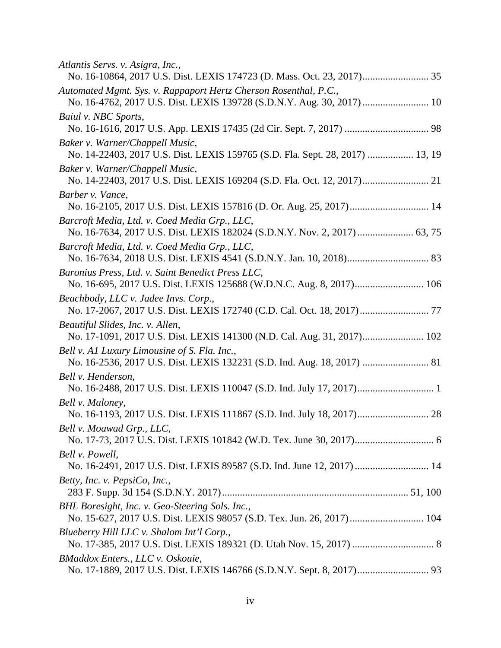| Atlantis Servs. v. Asigra, Inc.,                                                                                                           |
|--------------------------------------------------------------------------------------------------------------------------------------------|
| Automated Mgmt. Sys. v. Rappaport Hertz Cherson Rosenthal, P.C.,<br>No. 16-4762, 2017 U.S. Dist. LEXIS 139728 (S.D.N.Y. Aug. 30, 2017)  10 |
| Baiul v. NBC Sports,                                                                                                                       |
|                                                                                                                                            |
| Baker v. Warner/Chappell Music,<br>No. 14-22403, 2017 U.S. Dist. LEXIS 159765 (S.D. Fla. Sept. 28, 2017)  13, 19                           |
| Baker v. Warner/Chappell Music,                                                                                                            |
| Barber v. Vance,                                                                                                                           |
|                                                                                                                                            |
| Barcroft Media, Ltd. v. Coed Media Grp., LLC,                                                                                              |
| Barcroft Media, Ltd. v. Coed Media Grp., LLC,                                                                                              |
|                                                                                                                                            |
| Baronius Press, Ltd. v. Saint Benedict Press LLC,<br>No. 16-695, 2017 U.S. Dist. LEXIS 125688 (W.D.N.C. Aug. 8, 2017) 106                  |
| Beachbody, LLC v. Jadee Invs. Corp.,                                                                                                       |
| Beautiful Slides, Inc. v. Allen,<br>No. 17-1091, 2017 U.S. Dist. LEXIS 141300 (N.D. Cal. Aug. 31, 2017) 102                                |
| Bell v. A1 Luxury Limousine of S. Fla. Inc.,                                                                                               |
| Bell v. Henderson,                                                                                                                         |
| Bell v. Maloney,                                                                                                                           |
| No. 16-1193, 2017 U.S. Dist. LEXIS 111867 (S.D. Ind. July 18, 2017) 28                                                                     |
| Bell v. Moawad Grp., LLC,                                                                                                                  |
| Bell v. Powell,                                                                                                                            |
| No. 16-2491, 2017 U.S. Dist. LEXIS 89587 (S.D. Ind. June 12, 2017)  14                                                                     |
| Betty, Inc. v. PepsiCo, Inc.,                                                                                                              |
| BHL Boresight, Inc. v. Geo-Steering Sols. Inc.,<br>No. 15-627, 2017 U.S. Dist. LEXIS 98057 (S.D. Tex. Jun. 26, 2017) 104                   |
| Blueberry Hill LLC v. Shalom Int'l Corp.,                                                                                                  |
|                                                                                                                                            |
| BMaddox Enters., LLC v. Oskouie,                                                                                                           |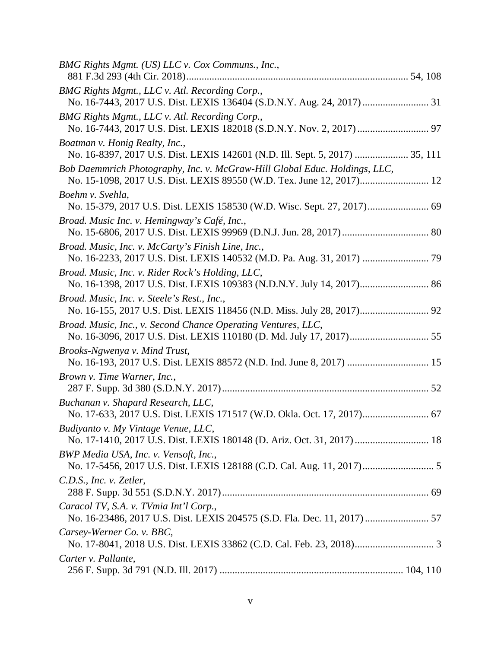| BMG Rights Mgmt. (US) LLC v. Cox Communs., Inc.,                                                                   |  |
|--------------------------------------------------------------------------------------------------------------------|--|
| BMG Rights Mgmt., LLC v. Atl. Recording Corp.,                                                                     |  |
| BMG Rights Mgmt., LLC v. Atl. Recording Corp.,                                                                     |  |
| Boatman v. Honig Realty, Inc.,<br>No. 16-8397, 2017 U.S. Dist. LEXIS 142601 (N.D. Ill. Sept. 5, 2017)  35, 111     |  |
| Bob Daemmrich Photography, Inc. v. McGraw-Hill Global Educ. Holdings, LLC,                                         |  |
| Boehm v. Svehla,<br>No. 15-379, 2017 U.S. Dist. LEXIS 158530 (W.D. Wisc. Sept. 27, 2017) 69                        |  |
| Broad. Music Inc. v. Hemingway's Café, Inc.,                                                                       |  |
| Broad. Music, Inc. v. McCarty's Finish Line, Inc.,                                                                 |  |
| Broad. Music, Inc. v. Rider Rock's Holding, LLC,                                                                   |  |
| Broad. Music, Inc. v. Steele's Rest., Inc.,                                                                        |  |
| Broad. Music, Inc., v. Second Chance Operating Ventures, LLC,                                                      |  |
| Brooks-Ngwenya v. Mind Trust,<br>No. 16-193, 2017 U.S. Dist. LEXIS 88572 (N.D. Ind. June 8, 2017)  15              |  |
| Brown v. Time Warner, Inc.,                                                                                        |  |
| Buchanan v. Shapard Research, LLC,                                                                                 |  |
| Budiyanto v. My Vintage Venue, LLC,<br>No. 17-1410, 2017 U.S. Dist. LEXIS 180148 (D. Ariz. Oct. 31, 2017)  18      |  |
| BWP Media USA, Inc. v. Vensoft, Inc.,                                                                              |  |
| C.D.S., Inc. v. Zetler,                                                                                            |  |
| Caracol TV, S.A. v. TVmia Int'l Corp.,<br>No. 16-23486, 2017 U.S. Dist. LEXIS 204575 (S.D. Fla. Dec. 11, 2017)  57 |  |
| Carsey-Werner Co. v. BBC,                                                                                          |  |
| Carter v. Pallante,                                                                                                |  |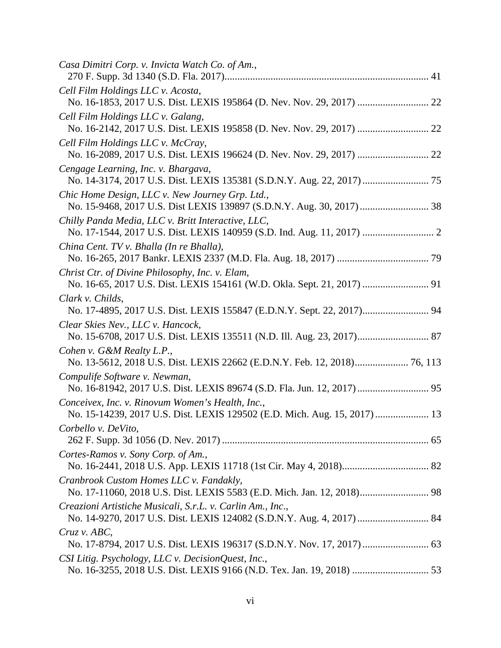| Casa Dimitri Corp. v. Invicta Watch Co. of Am.,                                                                               |  |
|-------------------------------------------------------------------------------------------------------------------------------|--|
| Cell Film Holdings LLC v. Acosta,                                                                                             |  |
| Cell Film Holdings LLC v. Galang,                                                                                             |  |
| Cell Film Holdings LLC v. McCray,                                                                                             |  |
| Cengage Learning, Inc. v. Bhargava,                                                                                           |  |
| Chic Home Design, LLC v. New Journey Grp. Ltd.,                                                                               |  |
| Chilly Panda Media, LLC v. Britt Interactive, LLC,                                                                            |  |
| China Cent. TV v. Bhalla (In re Bhalla),                                                                                      |  |
| Christ Ctr. of Divine Philosophy, Inc. v. Elam,                                                                               |  |
| Clark v. Childs,<br>No. 17-4895, 2017 U.S. Dist. LEXIS 155847 (E.D.N.Y. Sept. 22, 2017) 94                                    |  |
| Clear Skies Nev., LLC v. Hancock,<br>No. 15-6708, 2017 U.S. Dist. LEXIS 135511 (N.D. Ill. Aug. 23, 2017) 87                   |  |
| Cohen v. G&M Realty L.P.,                                                                                                     |  |
| Compulife Software v. Newman,                                                                                                 |  |
| Conceivex, Inc. v. Rinovum Women's Health, Inc.,<br>No. 15-14239, 2017 U.S. Dist. LEXIS 129502 (E.D. Mich. Aug. 15, 2017)  13 |  |
| Corbello v. DeVito,                                                                                                           |  |
| Cortes-Ramos v. Sony Corp. of Am.,                                                                                            |  |
| Cranbrook Custom Homes LLC v. Fandakly,                                                                                       |  |
| Creazioni Artistiche Musicali, S.r.L. v. Carlin Am., Inc.,                                                                    |  |
| Cruz v. ABC                                                                                                                   |  |
| CSI Litig. Psychology, LLC v. DecisionQuest, Inc.,                                                                            |  |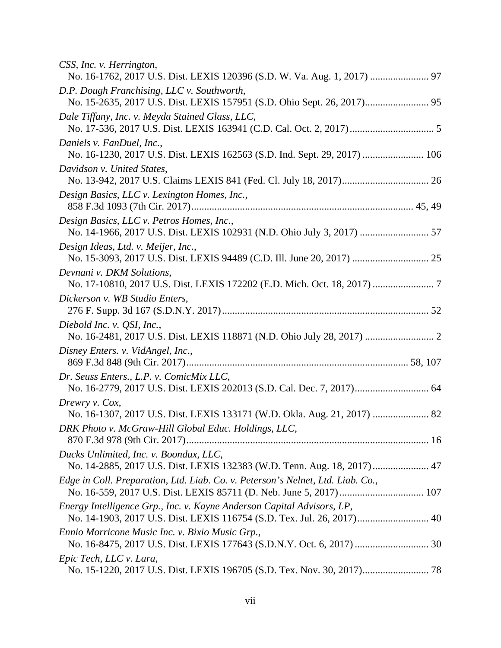| CSS, Inc. v. Herrington,<br>No. 16-1762, 2017 U.S. Dist. LEXIS 120396 (S.D. W. Va. Aug. 1, 2017)  97                                             |  |
|--------------------------------------------------------------------------------------------------------------------------------------------------|--|
| D.P. Dough Franchising, LLC v. Southworth,                                                                                                       |  |
| Dale Tiffany, Inc. v. Meyda Stained Glass, LLC,                                                                                                  |  |
| Daniels v. FanDuel, Inc.,<br>No. 16-1230, 2017 U.S. Dist. LEXIS 162563 (S.D. Ind. Sept. 29, 2017)  106                                           |  |
| Davidson v. United States,                                                                                                                       |  |
| Design Basics, LLC v. Lexington Homes, Inc.,                                                                                                     |  |
| Design Basics, LLC v. Petros Homes, Inc.,<br>No. 14-1966, 2017 U.S. Dist. LEXIS 102931 (N.D. Ohio July 3, 2017)  57                              |  |
| Design Ideas, Ltd. v. Meijer, Inc.,                                                                                                              |  |
| Devnani v. DKM Solutions,                                                                                                                        |  |
| Dickerson v. WB Studio Enters,                                                                                                                   |  |
| Diebold Inc. v. QSI, Inc.,                                                                                                                       |  |
| Disney Enters. v. VidAngel, Inc.,                                                                                                                |  |
| Dr. Seuss Enters., L.P. v. ComicMix LLC,                                                                                                         |  |
| Drewry v. Cox,<br>No. 16-1307, 2017 U.S. Dist. LEXIS 133171 (W.D. Okla. Aug. 21, 2017)  82                                                       |  |
| DRK Photo v. McGraw-Hill Global Educ. Holdings, LLC,                                                                                             |  |
| Ducks Unlimited, Inc. v. Boondux, LLC,<br>No. 14-2885, 2017 U.S. Dist. LEXIS 132383 (W.D. Tenn. Aug. 18, 2017) 47                                |  |
| Edge in Coll. Preparation, Ltd. Liab. Co. v. Peterson's Nelnet, Ltd. Liab. Co.,                                                                  |  |
| Energy Intelligence Grp., Inc. v. Kayne Anderson Capital Advisors, LP,<br>No. 14-1903, 2017 U.S. Dist. LEXIS 116754 (S.D. Tex. Jul. 26, 2017) 40 |  |
| Ennio Morricone Music Inc. v. Bixio Music Grp.,                                                                                                  |  |
| Epic Tech, LLC v. Lara,                                                                                                                          |  |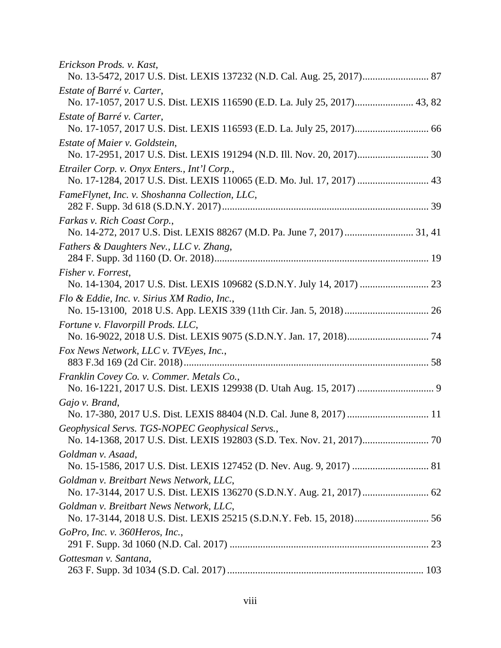| Erickson Prods. v. Kast,<br>No. 13-5472, 2017 U.S. Dist. LEXIS 137232 (N.D. Cal. Aug. 25, 2017) 87                     |
|------------------------------------------------------------------------------------------------------------------------|
| Estate of Barré v. Carter,<br>No. 17-1057, 2017 U.S. Dist. LEXIS 116590 (E.D. La. July 25, 2017) 43, 82                |
| Estate of Barré v. Carter,                                                                                             |
| Estate of Maier v. Goldstein,<br>No. 17-2951, 2017 U.S. Dist. LEXIS 191294 (N.D. Ill. Nov. 20, 2017) 30                |
| Etrailer Corp. v. Onyx Enters., Int'l Corp.,<br>No. 17-1284, 2017 U.S. Dist. LEXIS 110065 (E.D. Mo. Jul. 17, 2017)  43 |
| FameFlynet, Inc. v. Shoshanna Collection, LLC,                                                                         |
| Farkas v. Rich Coast Corp.,                                                                                            |
| Fathers & Daughters Nev., LLC v. Zhang,                                                                                |
| Fisher v. Forrest,<br>No. 14-1304, 2017 U.S. Dist. LEXIS 109682 (S.D.N.Y. July 14, 2017)  23                           |
| Flo & Eddie, Inc. v. Sirius XM Radio, Inc.,                                                                            |
| Fortune v. Flavorpill Prods. LLC,                                                                                      |
| Fox News Network, LLC v. TVEyes, Inc.,                                                                                 |
| Franklin Covey Co. v. Commer. Metals Co.,                                                                              |
| Gajo v. Brand,<br>No. 17-380, 2017 U.S. Dist. LEXIS 88404 (N.D. Cal. June 8, 2017)  11                                 |
| Geophysical Servs. TGS-NOPEC Geophysical Servs.,                                                                       |
| Goldman v. Asaad,                                                                                                      |
| Goldman v. Breitbart News Network, LLC,                                                                                |
| Goldman v. Breitbart News Network, LLC,                                                                                |
| GoPro, Inc. v. 360Heros, Inc.,                                                                                         |
| Gottesman v. Santana,                                                                                                  |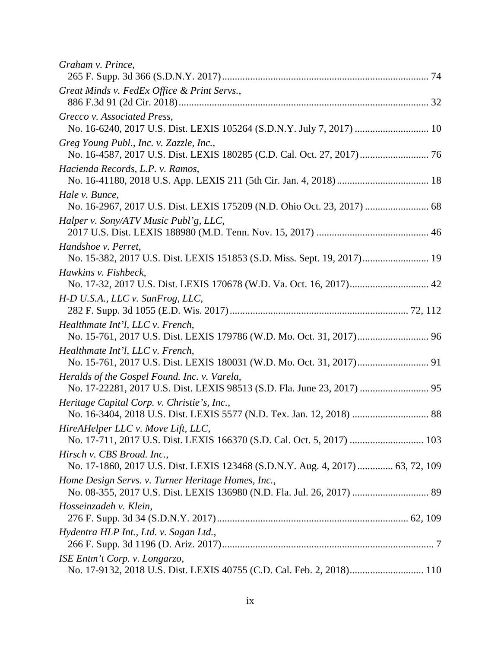| Graham v. Prince,                                                                                                       |  |
|-------------------------------------------------------------------------------------------------------------------------|--|
| Great Minds v. FedEx Office & Print Servs.,                                                                             |  |
| Grecco v. Associated Press,<br>No. 16-6240, 2017 U.S. Dist. LEXIS 105264 (S.D.N.Y. July 7, 2017)  10                    |  |
| Greg Young Publ., Inc. v. Zazzle, Inc.,                                                                                 |  |
| Hacienda Records, L.P. v. Ramos,                                                                                        |  |
| Hale v. Bunce,                                                                                                          |  |
| Halper v. Sony/ATV Music Publ'g, LLC,                                                                                   |  |
| Handshoe v. Perret,<br>No. 15-382, 2017 U.S. Dist. LEXIS 151853 (S.D. Miss. Sept. 19, 2017) 19                          |  |
| Hawkins v. Fishbeck,                                                                                                    |  |
| H-D U.S.A., LLC v. SunFrog, LLC,                                                                                        |  |
| Healthmate Int'l, LLC v. French,                                                                                        |  |
| Healthmate Int'l, LLC v. French,                                                                                        |  |
| Heralds of the Gospel Found. Inc. v. Varela,<br>No. 17-22281, 2017 U.S. Dist. LEXIS 98513 (S.D. Fla. June 23, 2017)  95 |  |
| Heritage Capital Corp. v. Christie's, Inc.,                                                                             |  |
| HireAHelper LLC v. Move Lift, LLC,                                                                                      |  |
| Hirsch v. CBS Broad. Inc.,<br>No. 17-1860, 2017 U.S. Dist. LEXIS 123468 (S.D.N.Y. Aug. 4, 2017)  63, 72, 109            |  |
| Home Design Servs. v. Turner Heritage Homes, Inc.,                                                                      |  |
| Hosseinzadeh v. Klein,                                                                                                  |  |
| Hydentra HLP Int., Ltd. v. Sagan Ltd.,                                                                                  |  |
| ISE Entm't Corp. v. Longarzo,                                                                                           |  |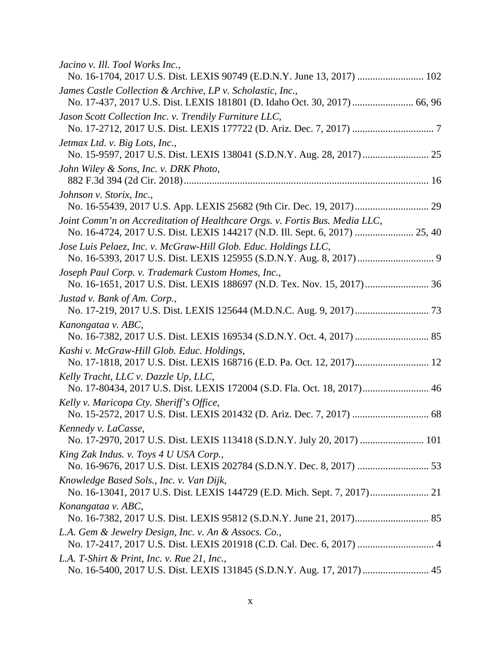| Jacino v. Ill. Tool Works Inc.,<br>No. 16-1704, 2017 U.S. Dist. LEXIS 90749 (E.D.N.Y. June 13, 2017)  102           |
|---------------------------------------------------------------------------------------------------------------------|
| James Castle Collection & Archive, LP v. Scholastic, Inc.,                                                          |
| Jason Scott Collection Inc. v. Trendily Furniture LLC,                                                              |
| Jetmax Ltd. v. Big Lots, Inc.,                                                                                      |
| John Wiley & Sons, Inc. v. DRK Photo,                                                                               |
| Johnson v. Storix, Inc.,                                                                                            |
| Joint Comm'n on Accreditation of Healthcare Orgs. v. Fortis Bus. Media LLC,                                         |
| Jose Luis Pelaez, Inc. v. McGraw-Hill Glob. Educ. Holdings LLC,                                                     |
| Joseph Paul Corp. v. Trademark Custom Homes, Inc.,                                                                  |
| Justad v. Bank of Am. Corp.,                                                                                        |
| Kanongataa v. ABC,                                                                                                  |
| Kashi v. McGraw-Hill Glob. Educ. Holdings,<br>No. 17-1818, 2017 U.S. Dist. LEXIS 168716 (E.D. Pa. Oct. 12, 2017) 12 |
| Kelly Tracht, LLC v. Dazzle Up, LLC,<br>No. 17-80434, 2017 U.S. Dist. LEXIS 172004 (S.D. Fla. Oct. 18, 2017) 46     |
| Kelly v. Maricopa Cty. Sheriff's Office,                                                                            |
| Kennedy v. LaCasse,<br>No. 17-2970, 2017 U.S. Dist. LEXIS 113418 (S.D.N.Y. July 20, 2017)  101                      |
| King Zak Indus. v. Toys 4 U USA Corp.,                                                                              |
| Knowledge Based Sols., Inc. v. Van Dijk,                                                                            |
| Konangataa v. ABC,                                                                                                  |
| L.A. Gem & Jewelry Design, Inc. v. An & Assocs. Co.,                                                                |
| L.A. T-Shirt & Print, Inc. v. Rue 21, Inc.,                                                                         |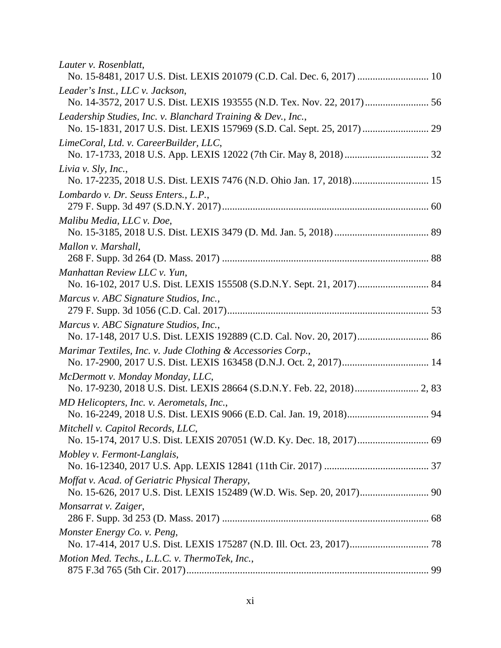| Lauter v. Rosenblatt,                                                                                           |  |
|-----------------------------------------------------------------------------------------------------------------|--|
| Leader's Inst., LLC v. Jackson,<br>No. 14-3572, 2017 U.S. Dist. LEXIS 193555 (N.D. Tex. Nov. 22, 2017) 56       |  |
| Leadership Studies, Inc. v. Blanchard Training & Dev., Inc.,                                                    |  |
| LimeCoral, Ltd. v. CareerBuilder, LLC,                                                                          |  |
| Livia v. Sly, Inc.,<br>No. 17-2235, 2018 U.S. Dist. LEXIS 7476 (N.D. Ohio Jan. 17, 2018) 15                     |  |
| Lombardo v. Dr. Seuss Enters., L.P.,                                                                            |  |
| Malibu Media, LLC v. Doe,                                                                                       |  |
| Mallon v. Marshall,                                                                                             |  |
| Manhattan Review LLC v. Yun,                                                                                    |  |
| Marcus v. ABC Signature Studios, Inc.,                                                                          |  |
| Marcus v. ABC Signature Studios, Inc.,<br>No. 17-148, 2017 U.S. Dist. LEXIS 192889 (C.D. Cal. Nov. 20, 2017) 86 |  |
| Marimar Textiles, Inc. v. Jude Clothing & Accessories Corp.,                                                    |  |
| McDermott v. Monday Monday, LLC,                                                                                |  |
| MD Helicopters, Inc. v. Aerometals, Inc.,                                                                       |  |
| Mitchell v. Capitol Records, LLC,                                                                               |  |
| Mobley v. Fermont-Langlais,                                                                                     |  |
| Moffat v. Acad. of Geriatric Physical Therapy,                                                                  |  |
| Monsarrat v. Zaiger,                                                                                            |  |
| Monster Energy Co. v. Peng,                                                                                     |  |
| Motion Med. Techs., L.L.C. v. ThermoTek, Inc.,                                                                  |  |
|                                                                                                                 |  |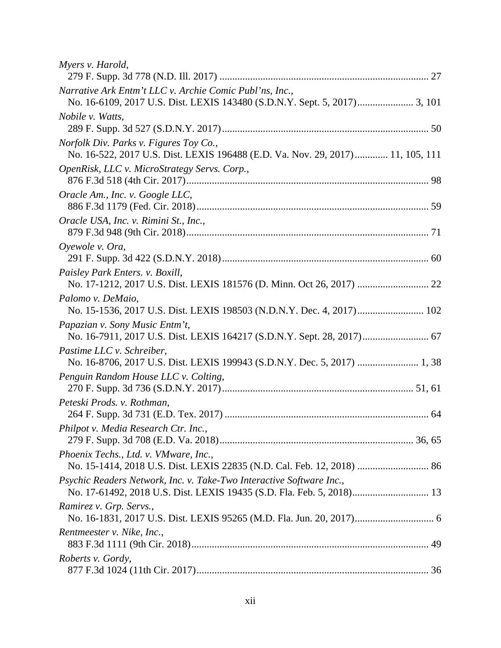| Myers v. Harold,                                                                                                                              |  |
|-----------------------------------------------------------------------------------------------------------------------------------------------|--|
| Narrative Ark Entm't LLC v. Archie Comic Publ'ns, Inc.,                                                                                       |  |
| Nobile v. Watts,                                                                                                                              |  |
| Norfolk Div. Parks v. Figures Toy Co.,<br>No. 16-522, 2017 U.S. Dist. LEXIS 196488 (E.D. Va. Nov. 29, 2017) 11, 105, 111                      |  |
| OpenRisk, LLC v. MicroStrategy Servs. Corp.,                                                                                                  |  |
| Oracle Am., Inc. v. Google LLC,                                                                                                               |  |
| Oracle USA, Inc. v. Rimini St., Inc.,                                                                                                         |  |
| Oyewole v. Ora,                                                                                                                               |  |
| Paisley Park Enters. v. Boxill,                                                                                                               |  |
| Palomo v. DeMaio,                                                                                                                             |  |
| Papazian v. Sony Music Entm't,<br>No. 16-7911, 2017 U.S. Dist. LEXIS 164217 (S.D.N.Y. Sept. 28, 2017) 67                                      |  |
| Pastime LLC v. Schreiber,<br>No. 16-8706, 2017 U.S. Dist. LEXIS 199943 (S.D.N.Y. Dec. 5, 2017)  1, 38                                         |  |
| Penguin Random House LLC v. Colting,                                                                                                          |  |
| Peteski Prods. v. Rothman,                                                                                                                    |  |
| Philpot v. Media Research Ctr. Inc.,                                                                                                          |  |
| Phoenix Techs., Ltd. v. VMware, Inc.,                                                                                                         |  |
| Psychic Readers Network, Inc. v. Take-Two Interactive Software Inc.,<br>No. 17-61492, 2018 U.S. Dist. LEXIS 19435 (S.D. Fla. Feb. 5, 2018) 13 |  |
| Ramirez v. Grp. Servs.,                                                                                                                       |  |
| Rentmeester v. Nike, Inc.,                                                                                                                    |  |
| Roberts v. Gordy,                                                                                                                             |  |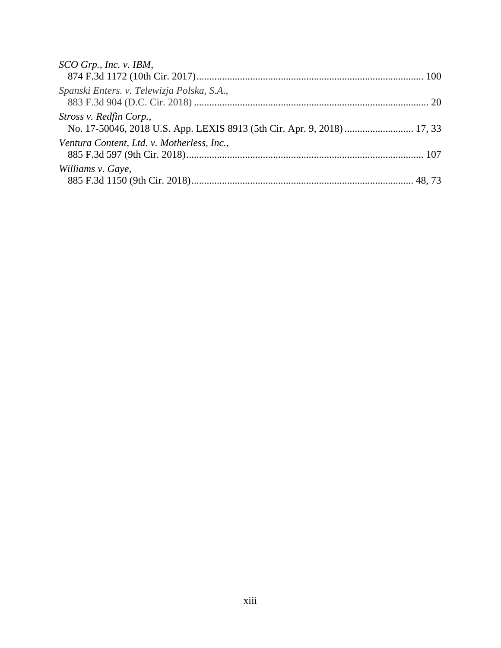| SCO Grp., Inc. v. IBM,                     |
|--------------------------------------------|
|                                            |
| Spanski Enters. v. Telewizja Polska, S.A., |
| Stross v. Redfin Corp.,                    |
| Ventura Content, Ltd. v. Motherless, Inc., |
| Williams v. Gaye,                          |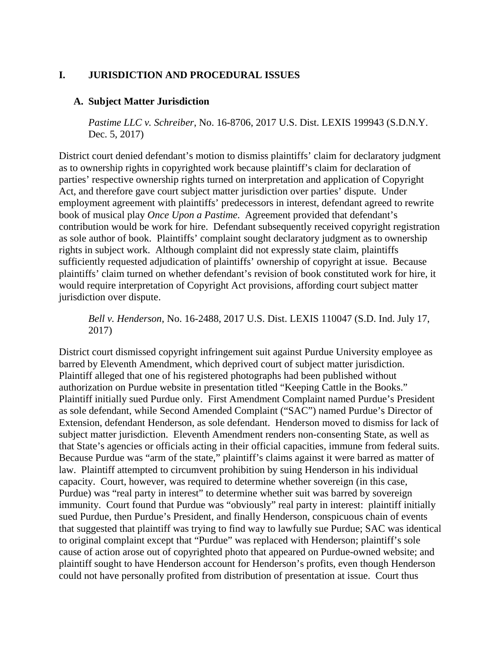## <span id="page-16-0"></span>**I. JURISDICTION AND PROCEDURAL ISSUES**

#### <span id="page-16-1"></span>**A. Subject Matter Jurisdiction**

*Pastime LLC v. Schreiber*, No. 16-8706, 2017 U.S. Dist. LEXIS 199943 (S.D.N.Y. Dec. 5, 2017)

District court denied defendant's motion to dismiss plaintiffs' claim for declaratory judgment as to ownership rights in copyrighted work because plaintiff's claim for declaration of parties' respective ownership rights turned on interpretation and application of Copyright Act, and therefore gave court subject matter jurisdiction over parties' dispute. Under employment agreement with plaintiffs' predecessors in interest, defendant agreed to rewrite book of musical play *Once Upon a Pastime*. Agreement provided that defendant's contribution would be work for hire. Defendant subsequently received copyright registration as sole author of book. Plaintiffs' complaint sought declaratory judgment as to ownership rights in subject work. Although complaint did not expressly state claim, plaintiffs sufficiently requested adjudication of plaintiffs' ownership of copyright at issue. Because plaintiffs' claim turned on whether defendant's revision of book constituted work for hire, it would require interpretation of Copyright Act provisions, affording court subject matter jurisdiction over dispute.

*Bell v. Henderson*, No. 16-2488, 2017 U.S. Dist. LEXIS 110047 (S.D. Ind. July 17, 2017)

District court dismissed copyright infringement suit against Purdue University employee as barred by Eleventh Amendment, which deprived court of subject matter jurisdiction. Plaintiff alleged that one of his registered photographs had been published without authorization on Purdue website in presentation titled "Keeping Cattle in the Books." Plaintiff initially sued Purdue only. First Amendment Complaint named Purdue's President as sole defendant, while Second Amended Complaint ("SAC") named Purdue's Director of Extension, defendant Henderson, as sole defendant. Henderson moved to dismiss for lack of subject matter jurisdiction. Eleventh Amendment renders non-consenting State, as well as that State's agencies or officials acting in their official capacities, immune from federal suits. Because Purdue was "arm of the state," plaintiff's claims against it were barred as matter of law. Plaintiff attempted to circumvent prohibition by suing Henderson in his individual capacity. Court, however, was required to determine whether sovereign (in this case, Purdue) was "real party in interest" to determine whether suit was barred by sovereign immunity. Court found that Purdue was "obviously" real party in interest: plaintiff initially sued Purdue, then Purdue's President, and finally Henderson, conspicuous chain of events that suggested that plaintiff was trying to find way to lawfully sue Purdue; SAC was identical to original complaint except that "Purdue" was replaced with Henderson; plaintiff's sole cause of action arose out of copyrighted photo that appeared on Purdue-owned website; and plaintiff sought to have Henderson account for Henderson's profits, even though Henderson could not have personally profited from distribution of presentation at issue. Court thus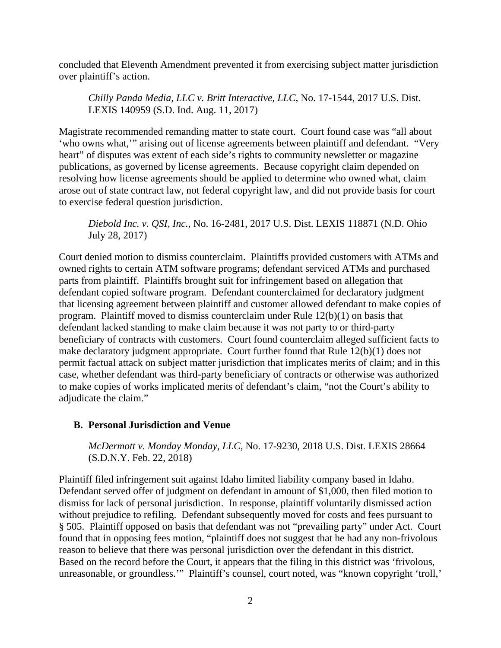concluded that Eleventh Amendment prevented it from exercising subject matter jurisdiction over plaintiff's action.

*Chilly Panda Media, LLC v. Britt Interactive, LLC*, No. 17-1544, 2017 U.S. Dist. LEXIS 140959 (S.D. Ind. Aug. 11, 2017)

Magistrate recommended remanding matter to state court. Court found case was "all about 'who owns what,'" arising out of license agreements between plaintiff and defendant. "Very heart" of disputes was extent of each side's rights to community newsletter or magazine publications, as governed by license agreements. Because copyright claim depended on resolving how license agreements should be applied to determine who owned what, claim arose out of state contract law, not federal copyright law, and did not provide basis for court to exercise federal question jurisdiction.

*Diebold Inc. v. QSI, Inc.*, No. 16-2481, 2017 U.S. Dist. LEXIS 118871 (N.D. Ohio July 28, 2017)

Court denied motion to dismiss counterclaim. Plaintiffs provided customers with ATMs and owned rights to certain ATM software programs; defendant serviced ATMs and purchased parts from plaintiff. Plaintiffs brought suit for infringement based on allegation that defendant copied software program. Defendant counterclaimed for declaratory judgment that licensing agreement between plaintiff and customer allowed defendant to make copies of program. Plaintiff moved to dismiss counterclaim under Rule 12(b)(1) on basis that defendant lacked standing to make claim because it was not party to or third-party beneficiary of contracts with customers. Court found counterclaim alleged sufficient facts to make declaratory judgment appropriate. Court further found that Rule 12(b)(1) does not permit factual attack on subject matter jurisdiction that implicates merits of claim; and in this case, whether defendant was third-party beneficiary of contracts or otherwise was authorized to make copies of works implicated merits of defendant's claim, "not the Court's ability to adjudicate the claim."

## <span id="page-17-0"></span>**B. Personal Jurisdiction and Venue**

*McDermott v. Monday Monday, LLC*, No. 17-9230, 2018 U.S. Dist. LEXIS 28664 (S.D.N.Y. Feb. 22, 2018)

Plaintiff filed infringement suit against Idaho limited liability company based in Idaho. Defendant served offer of judgment on defendant in amount of \$1,000, then filed motion to dismiss for lack of personal jurisdiction. In response, plaintiff voluntarily dismissed action without prejudice to refiling. Defendant subsequently moved for costs and fees pursuant to § 505. Plaintiff opposed on basis that defendant was not "prevailing party" under Act. Court found that in opposing fees motion, "plaintiff does not suggest that he had any non-frivolous reason to believe that there was personal jurisdiction over the defendant in this district. Based on the record before the Court, it appears that the filing in this district was 'frivolous, unreasonable, or groundless.'" Plaintiff's counsel, court noted, was "known copyright 'troll,'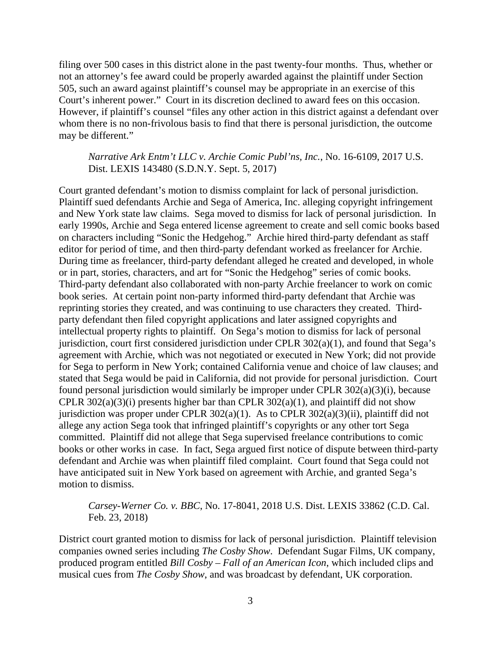filing over 500 cases in this district alone in the past twenty-four months. Thus, whether or not an attorney's fee award could be properly awarded against the plaintiff under Section 505, such an award against plaintiff's counsel may be appropriate in an exercise of this Court's inherent power." Court in its discretion declined to award fees on this occasion. However, if plaintiff's counsel "files any other action in this district against a defendant over whom there is no non-frivolous basis to find that there is personal jurisdiction, the outcome may be different."

*Narrative Ark Entm't LLC v. Archie Comic Publ'ns, Inc.*, No. 16-6109, 2017 U.S. Dist. LEXIS 143480 (S.D.N.Y. Sept. 5, 2017)

Court granted defendant's motion to dismiss complaint for lack of personal jurisdiction. Plaintiff sued defendants Archie and Sega of America, Inc. alleging copyright infringement and New York state law claims. Sega moved to dismiss for lack of personal jurisdiction. In early 1990s, Archie and Sega entered license agreement to create and sell comic books based on characters including "Sonic the Hedgehog." Archie hired third-party defendant as staff editor for period of time, and then third-party defendant worked as freelancer for Archie. During time as freelancer, third-party defendant alleged he created and developed, in whole or in part, stories, characters, and art for "Sonic the Hedgehog" series of comic books. Third-party defendant also collaborated with non-party Archie freelancer to work on comic book series. At certain point non-party informed third-party defendant that Archie was reprinting stories they created, and was continuing to use characters they created. Thirdparty defendant then filed copyright applications and later assigned copyrights and intellectual property rights to plaintiff. On Sega's motion to dismiss for lack of personal jurisdiction, court first considered jurisdiction under CPLR  $302(a)(1)$ , and found that Sega's agreement with Archie, which was not negotiated or executed in New York; did not provide for Sega to perform in New York; contained California venue and choice of law clauses; and stated that Sega would be paid in California, did not provide for personal jurisdiction. Court found personal jurisdiction would similarly be improper under CPLR 302(a)(3)(i), because CPLR  $302(a)(3)(i)$  presents higher bar than CPLR  $302(a)(1)$ , and plaintiff did not show jurisdiction was proper under CPLR 302(a)(1). As to CPLR 302(a)(3)(ii), plaintiff did not allege any action Sega took that infringed plaintiff's copyrights or any other tort Sega committed. Plaintiff did not allege that Sega supervised freelance contributions to comic books or other works in case. In fact, Sega argued first notice of dispute between third-party defendant and Archie was when plaintiff filed complaint. Court found that Sega could not have anticipated suit in New York based on agreement with Archie, and granted Sega's motion to dismiss.

*Carsey-Werner Co. v. BBC*, No. 17-8041, 2018 U.S. Dist. LEXIS 33862 (C.D. Cal. Feb. 23, 2018)

District court granted motion to dismiss for lack of personal jurisdiction. Plaintiff television companies owned series including *The Cosby Show*. Defendant Sugar Films, UK company, produced program entitled *Bill Cosby – Fall of an American Icon*, which included clips and musical cues from *The Cosby Show*, and was broadcast by defendant, UK corporation.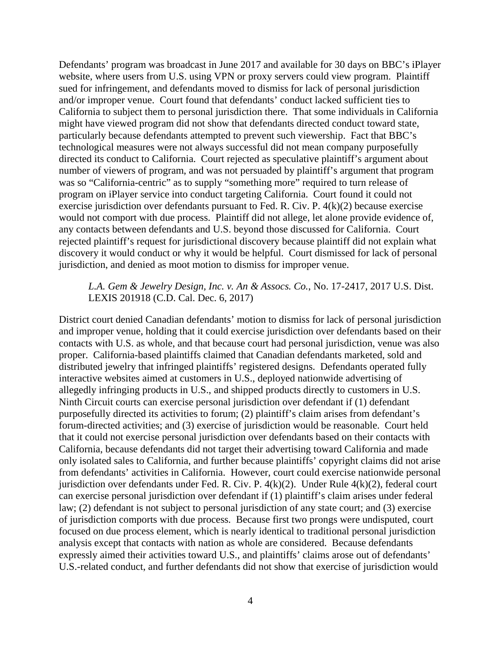Defendants' program was broadcast in June 2017 and available for 30 days on BBC's iPlayer website, where users from U.S. using VPN or proxy servers could view program. Plaintiff sued for infringement, and defendants moved to dismiss for lack of personal jurisdiction and/or improper venue. Court found that defendants' conduct lacked sufficient ties to California to subject them to personal jurisdiction there. That some individuals in California might have viewed program did not show that defendants directed conduct toward state, particularly because defendants attempted to prevent such viewership. Fact that BBC's technological measures were not always successful did not mean company purposefully directed its conduct to California. Court rejected as speculative plaintiff's argument about number of viewers of program, and was not persuaded by plaintiff's argument that program was so "California-centric" as to supply "something more" required to turn release of program on iPlayer service into conduct targeting California. Court found it could not exercise jurisdiction over defendants pursuant to Fed. R. Civ. P. 4(k)(2) because exercise would not comport with due process. Plaintiff did not allege, let alone provide evidence of, any contacts between defendants and U.S. beyond those discussed for California. Court rejected plaintiff's request for jurisdictional discovery because plaintiff did not explain what discovery it would conduct or why it would be helpful. Court dismissed for lack of personal jurisdiction, and denied as moot motion to dismiss for improper venue.

#### *L.A. Gem & Jewelry Design, Inc. v. An & Assocs. Co.*, No. 17-2417, 2017 U.S. Dist. LEXIS 201918 (C.D. Cal. Dec. 6, 2017)

District court denied Canadian defendants' motion to dismiss for lack of personal jurisdiction and improper venue, holding that it could exercise jurisdiction over defendants based on their contacts with U.S. as whole, and that because court had personal jurisdiction, venue was also proper. California-based plaintiffs claimed that Canadian defendants marketed, sold and distributed jewelry that infringed plaintiffs' registered designs. Defendants operated fully interactive websites aimed at customers in U.S., deployed nationwide advertising of allegedly infringing products in U.S., and shipped products directly to customers in U.S. Ninth Circuit courts can exercise personal jurisdiction over defendant if (1) defendant purposefully directed its activities to forum; (2) plaintiff's claim arises from defendant's forum-directed activities; and (3) exercise of jurisdiction would be reasonable. Court held that it could not exercise personal jurisdiction over defendants based on their contacts with California, because defendants did not target their advertising toward California and made only isolated sales to California, and further because plaintiffs' copyright claims did not arise from defendants' activities in California. However, court could exercise nationwide personal jurisdiction over defendants under Fed. R. Civ. P. 4(k)(2). Under Rule 4(k)(2), federal court can exercise personal jurisdiction over defendant if (1) plaintiff's claim arises under federal law; (2) defendant is not subject to personal jurisdiction of any state court; and (3) exercise of jurisdiction comports with due process. Because first two prongs were undisputed, court focused on due process element, which is nearly identical to traditional personal jurisdiction analysis except that contacts with nation as whole are considered. Because defendants expressly aimed their activities toward U.S., and plaintiffs' claims arose out of defendants' U.S.-related conduct, and further defendants did not show that exercise of jurisdiction would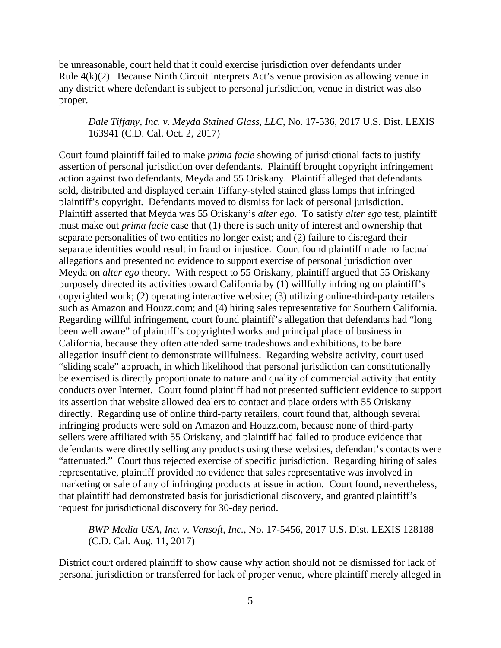be unreasonable, court held that it could exercise jurisdiction over defendants under Rule 4(k)(2). Because Ninth Circuit interprets Act's venue provision as allowing venue in any district where defendant is subject to personal jurisdiction, venue in district was also proper.

## *Dale Tiffany, Inc. v. Meyda Stained Glass, LLC*, No. 17-536, 2017 U.S. Dist. LEXIS 163941 (C.D. Cal. Oct. 2, 2017)

Court found plaintiff failed to make *prima facie* showing of jurisdictional facts to justify assertion of personal jurisdiction over defendants. Plaintiff brought copyright infringement action against two defendants, Meyda and 55 Oriskany. Plaintiff alleged that defendants sold, distributed and displayed certain Tiffany-styled stained glass lamps that infringed plaintiff's copyright. Defendants moved to dismiss for lack of personal jurisdiction. Plaintiff asserted that Meyda was 55 Oriskany's *alter ego*. To satisfy *alter ego* test, plaintiff must make out *prima facie* case that (1) there is such unity of interest and ownership that separate personalities of two entities no longer exist; and (2) failure to disregard their separate identities would result in fraud or injustice. Court found plaintiff made no factual allegations and presented no evidence to support exercise of personal jurisdiction over Meyda on *alter ego* theory. With respect to 55 Oriskany, plaintiff argued that 55 Oriskany purposely directed its activities toward California by (1) willfully infringing on plaintiff's copyrighted work; (2) operating interactive website; (3) utilizing online-third-party retailers such as Amazon and Houzz.com; and (4) hiring sales representative for Southern California. Regarding willful infringement, court found plaintiff's allegation that defendants had "long been well aware" of plaintiff's copyrighted works and principal place of business in California, because they often attended same tradeshows and exhibitions, to be bare allegation insufficient to demonstrate willfulness. Regarding website activity, court used "sliding scale" approach, in which likelihood that personal jurisdiction can constitutionally be exercised is directly proportionate to nature and quality of commercial activity that entity conducts over Internet. Court found plaintiff had not presented sufficient evidence to support its assertion that website allowed dealers to contact and place orders with 55 Oriskany directly. Regarding use of online third-party retailers, court found that, although several infringing products were sold on Amazon and Houzz.com, because none of third-party sellers were affiliated with 55 Oriskany, and plaintiff had failed to produce evidence that defendants were directly selling any products using these websites, defendant's contacts were "attenuated." Court thus rejected exercise of specific jurisdiction. Regarding hiring of sales representative, plaintiff provided no evidence that sales representative was involved in marketing or sale of any of infringing products at issue in action. Court found, nevertheless, that plaintiff had demonstrated basis for jurisdictional discovery, and granted plaintiff's request for jurisdictional discovery for 30-day period.

*BWP Media USA, Inc. v. Vensoft, Inc.*, No. 17-5456, 2017 U.S. Dist. LEXIS 128188 (C.D. Cal. Aug. 11, 2017)

District court ordered plaintiff to show cause why action should not be dismissed for lack of personal jurisdiction or transferred for lack of proper venue, where plaintiff merely alleged in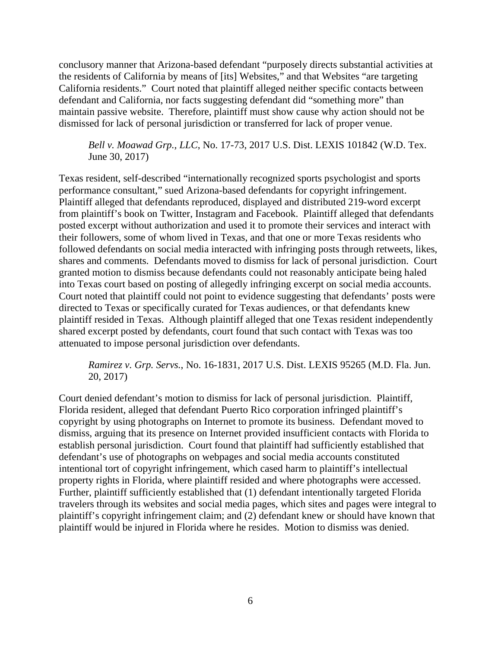conclusory manner that Arizona-based defendant "purposely directs substantial activities at the residents of California by means of [its] Websites," and that Websites "are targeting California residents." Court noted that plaintiff alleged neither specific contacts between defendant and California, nor facts suggesting defendant did "something more" than maintain passive website. Therefore, plaintiff must show cause why action should not be dismissed for lack of personal jurisdiction or transferred for lack of proper venue.

*Bell v. Moawad Grp., LLC*, No. 17-73, 2017 U.S. Dist. LEXIS 101842 (W.D. Tex. June 30, 2017)

Texas resident, self-described "internationally recognized sports psychologist and sports performance consultant," sued Arizona-based defendants for copyright infringement. Plaintiff alleged that defendants reproduced, displayed and distributed 219-word excerpt from plaintiff's book on Twitter, Instagram and Facebook. Plaintiff alleged that defendants posted excerpt without authorization and used it to promote their services and interact with their followers, some of whom lived in Texas, and that one or more Texas residents who followed defendants on social media interacted with infringing posts through retweets, likes, shares and comments. Defendants moved to dismiss for lack of personal jurisdiction. Court granted motion to dismiss because defendants could not reasonably anticipate being haled into Texas court based on posting of allegedly infringing excerpt on social media accounts. Court noted that plaintiff could not point to evidence suggesting that defendants' posts were directed to Texas or specifically curated for Texas audiences, or that defendants knew plaintiff resided in Texas. Although plaintiff alleged that one Texas resident independently shared excerpt posted by defendants, court found that such contact with Texas was too attenuated to impose personal jurisdiction over defendants.

*Ramirez v. Grp. Servs.*, No. 16-1831, 2017 U.S. Dist. LEXIS 95265 (M.D. Fla. Jun. 20, 2017)

Court denied defendant's motion to dismiss for lack of personal jurisdiction. Plaintiff, Florida resident, alleged that defendant Puerto Rico corporation infringed plaintiff's copyright by using photographs on Internet to promote its business. Defendant moved to dismiss, arguing that its presence on Internet provided insufficient contacts with Florida to establish personal jurisdiction. Court found that plaintiff had sufficiently established that defendant's use of photographs on webpages and social media accounts constituted intentional tort of copyright infringement, which cased harm to plaintiff's intellectual property rights in Florida, where plaintiff resided and where photographs were accessed. Further, plaintiff sufficiently established that (1) defendant intentionally targeted Florida travelers through its websites and social media pages, which sites and pages were integral to plaintiff's copyright infringement claim; and (2) defendant knew or should have known that plaintiff would be injured in Florida where he resides. Motion to dismiss was denied.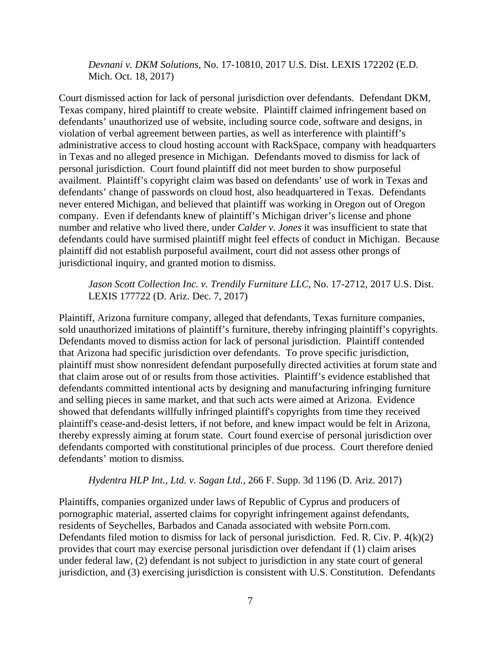*Devnani v. DKM Solutions*, No. 17-10810, 2017 U.S. Dist. LEXIS 172202 (E.D. Mich. Oct. 18, 2017)

Court dismissed action for lack of personal jurisdiction over defendants. Defendant DKM, Texas company, hired plaintiff to create website. Plaintiff claimed infringement based on defendants' unauthorized use of website, including source code, software and designs, in violation of verbal agreement between parties, as well as interference with plaintiff's administrative access to cloud hosting account with RackSpace, company with headquarters in Texas and no alleged presence in Michigan. Defendants moved to dismiss for lack of personal jurisdiction. Court found plaintiff did not meet burden to show purposeful availment. Plaintiff's copyright claim was based on defendants' use of work in Texas and defendants' change of passwords on cloud host, also headquartered in Texas. Defendants never entered Michigan, and believed that plaintiff was working in Oregon out of Oregon company. Even if defendants knew of plaintiff's Michigan driver's license and phone number and relative who lived there, under *Calder v. Jones* it was insufficient to state that defendants could have surmised plaintiff might feel effects of conduct in Michigan. Because plaintiff did not establish purposeful availment, court did not assess other prongs of jurisdictional inquiry, and granted motion to dismiss.

*Jason Scott Collection Inc. v. Trendily Furniture LLC*, No. 17-2712, 2017 U.S. Dist. LEXIS 177722 (D. Ariz. Dec. 7, 2017)

Plaintiff, Arizona furniture company, alleged that defendants, Texas furniture companies, sold unauthorized imitations of plaintiff's furniture, thereby infringing plaintiff's copyrights. Defendants moved to dismiss action for lack of personal jurisdiction. Plaintiff contended that Arizona had specific jurisdiction over defendants. To prove specific jurisdiction, plaintiff must show nonresident defendant purposefully directed activities at forum state and that claim arose out of or results from those activities. Plaintiff's evidence established that defendants committed intentional acts by designing and manufacturing infringing furniture and selling pieces in same market, and that such acts were aimed at Arizona. Evidence showed that defendants willfully infringed plaintiff's copyrights from time they received plaintiff's cease-and-desist letters, if not before, and knew impact would be felt in Arizona, thereby expressly aiming at forum state. Court found exercise of personal jurisdiction over defendants comported with constitutional principles of due process. Court therefore denied defendants' motion to dismiss.

#### *Hydentra HLP Int., Ltd. v. Sagan Ltd.*, 266 F. Supp. 3d 1196 (D. Ariz. 2017)

Plaintiffs, companies organized under laws of Republic of Cyprus and producers of pornographic material, asserted claims for copyright infringement against defendants, residents of Seychelles, Barbados and Canada associated with website Porn.com. Defendants filed motion to dismiss for lack of personal jurisdiction. Fed. R. Civ. P. 4(k)(2) provides that court may exercise personal jurisdiction over defendant if (1) claim arises under federal law, (2) defendant is not subject to jurisdiction in any state court of general jurisdiction, and (3) exercising jurisdiction is consistent with U.S. Constitution. Defendants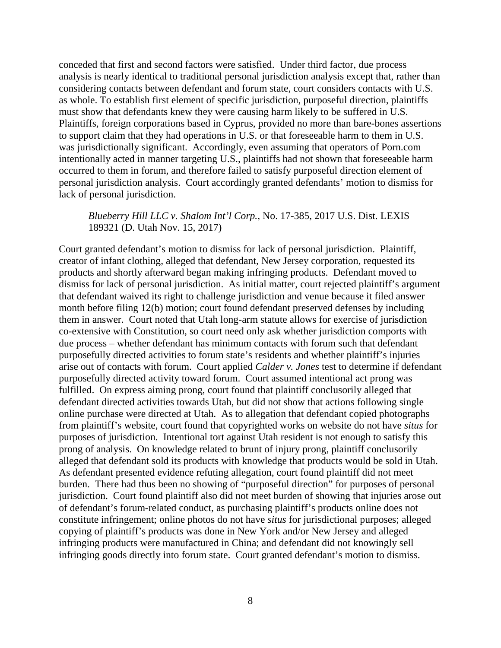conceded that first and second factors were satisfied. Under third factor, due process analysis is nearly identical to traditional personal jurisdiction analysis except that, rather than considering contacts between defendant and forum state, court considers contacts with U.S. as whole. To establish first element of specific jurisdiction, purposeful direction, plaintiffs must show that defendants knew they were causing harm likely to be suffered in U.S. Plaintiffs, foreign corporations based in Cyprus, provided no more than bare-bones assertions to support claim that they had operations in U.S. or that foreseeable harm to them in U.S. was jurisdictionally significant. Accordingly, even assuming that operators of Porn.com intentionally acted in manner targeting U.S., plaintiffs had not shown that foreseeable harm occurred to them in forum, and therefore failed to satisfy purposeful direction element of personal jurisdiction analysis. Court accordingly granted defendants' motion to dismiss for lack of personal jurisdiction.

#### *Blueberry Hill LLC v. Shalom Int'l Corp.*, No. 17-385, 2017 U.S. Dist. LEXIS 189321 (D. Utah Nov. 15, 2017)

Court granted defendant's motion to dismiss for lack of personal jurisdiction. Plaintiff, creator of infant clothing, alleged that defendant, New Jersey corporation, requested its products and shortly afterward began making infringing products. Defendant moved to dismiss for lack of personal jurisdiction. As initial matter, court rejected plaintiff's argument that defendant waived its right to challenge jurisdiction and venue because it filed answer month before filing 12(b) motion; court found defendant preserved defenses by including them in answer. Court noted that Utah long-arm statute allows for exercise of jurisdiction co-extensive with Constitution, so court need only ask whether jurisdiction comports with due process – whether defendant has minimum contacts with forum such that defendant purposefully directed activities to forum state's residents and whether plaintiff's injuries arise out of contacts with forum. Court applied *Calder v. Jones* test to determine if defendant purposefully directed activity toward forum. Court assumed intentional act prong was fulfilled. On express aiming prong, court found that plaintiff conclusorily alleged that defendant directed activities towards Utah, but did not show that actions following single online purchase were directed at Utah. As to allegation that defendant copied photographs from plaintiff's website, court found that copyrighted works on website do not have *situs* for purposes of jurisdiction. Intentional tort against Utah resident is not enough to satisfy this prong of analysis. On knowledge related to brunt of injury prong, plaintiff conclusorily alleged that defendant sold its products with knowledge that products would be sold in Utah. As defendant presented evidence refuting allegation, court found plaintiff did not meet burden. There had thus been no showing of "purposeful direction" for purposes of personal jurisdiction. Court found plaintiff also did not meet burden of showing that injuries arose out of defendant's forum-related conduct, as purchasing plaintiff's products online does not constitute infringement; online photos do not have *situs* for jurisdictional purposes; alleged copying of plaintiff's products was done in New York and/or New Jersey and alleged infringing products were manufactured in China; and defendant did not knowingly sell infringing goods directly into forum state. Court granted defendant's motion to dismiss.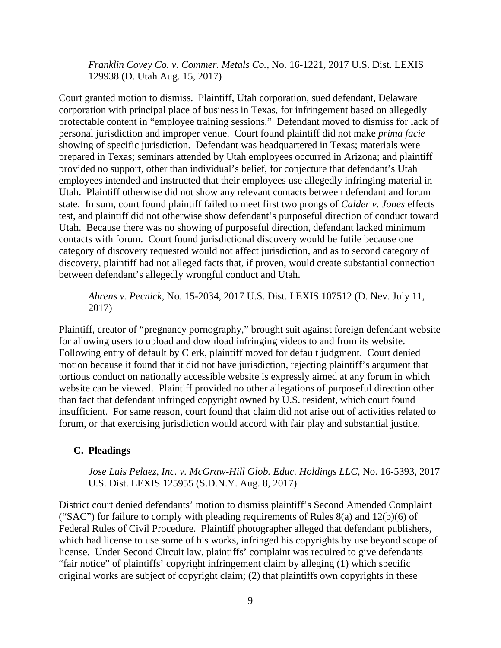*Franklin Covey Co. v. Commer. Metals Co.*, No. 16-1221, 2017 U.S. Dist. LEXIS 129938 (D. Utah Aug. 15, 2017)

Court granted motion to dismiss. Plaintiff, Utah corporation, sued defendant, Delaware corporation with principal place of business in Texas, for infringement based on allegedly protectable content in "employee training sessions." Defendant moved to dismiss for lack of personal jurisdiction and improper venue. Court found plaintiff did not make *prima facie* showing of specific jurisdiction. Defendant was headquartered in Texas; materials were prepared in Texas; seminars attended by Utah employees occurred in Arizona; and plaintiff provided no support, other than individual's belief, for conjecture that defendant's Utah employees intended and instructed that their employees use allegedly infringing material in Utah. Plaintiff otherwise did not show any relevant contacts between defendant and forum state. In sum, court found plaintiff failed to meet first two prongs of *Calder v. Jones* effects test, and plaintiff did not otherwise show defendant's purposeful direction of conduct toward Utah. Because there was no showing of purposeful direction, defendant lacked minimum contacts with forum. Court found jurisdictional discovery would be futile because one category of discovery requested would not affect jurisdiction, and as to second category of discovery, plaintiff had not alleged facts that, if proven, would create substantial connection between defendant's allegedly wrongful conduct and Utah.

*Ahrens v. Pecnick*, No. 15-2034, 2017 U.S. Dist. LEXIS 107512 (D. Nev. July 11, 2017)

Plaintiff, creator of "pregnancy pornography," brought suit against foreign defendant website for allowing users to upload and download infringing videos to and from its website. Following entry of default by Clerk, plaintiff moved for default judgment. Court denied motion because it found that it did not have jurisdiction, rejecting plaintiff's argument that tortious conduct on nationally accessible website is expressly aimed at any forum in which website can be viewed. Plaintiff provided no other allegations of purposeful direction other than fact that defendant infringed copyright owned by U.S. resident, which court found insufficient. For same reason, court found that claim did not arise out of activities related to forum, or that exercising jurisdiction would accord with fair play and substantial justice.

#### <span id="page-24-0"></span>**C. Pleadings**

*Jose Luis Pelaez, Inc. v. McGraw-Hill Glob. Educ. Holdings LLC*, No. 16-5393, 2017 U.S. Dist. LEXIS 125955 (S.D.N.Y. Aug. 8, 2017)

District court denied defendants' motion to dismiss plaintiff's Second Amended Complaint ("SAC") for failure to comply with pleading requirements of Rules  $8(a)$  and  $12(b)(6)$  of Federal Rules of Civil Procedure. Plaintiff photographer alleged that defendant publishers, which had license to use some of his works, infringed his copyrights by use beyond scope of license. Under Second Circuit law, plaintiffs' complaint was required to give defendants "fair notice" of plaintiffs' copyright infringement claim by alleging (1) which specific original works are subject of copyright claim; (2) that plaintiffs own copyrights in these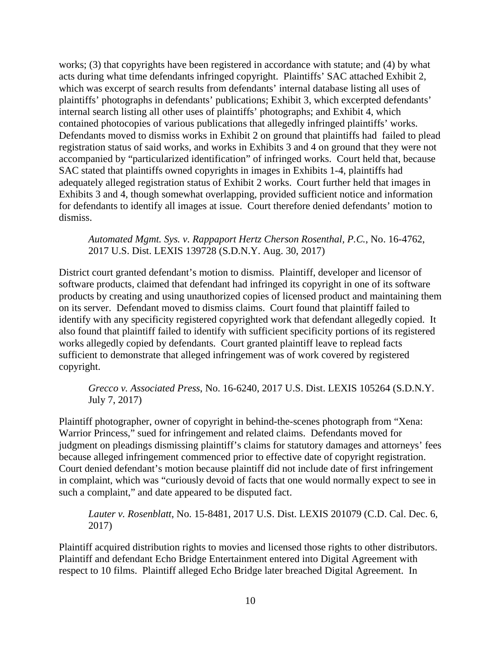works; (3) that copyrights have been registered in accordance with statute; and (4) by what acts during what time defendants infringed copyright. Plaintiffs' SAC attached Exhibit 2, which was excerpt of search results from defendants' internal database listing all uses of plaintiffs' photographs in defendants' publications; Exhibit 3, which excerpted defendants' internal search listing all other uses of plaintiffs' photographs; and Exhibit 4, which contained photocopies of various publications that allegedly infringed plaintiffs' works. Defendants moved to dismiss works in Exhibit 2 on ground that plaintiffs had failed to plead registration status of said works, and works in Exhibits 3 and 4 on ground that they were not accompanied by "particularized identification" of infringed works. Court held that, because SAC stated that plaintiffs owned copyrights in images in Exhibits 1-4, plaintiffs had adequately alleged registration status of Exhibit 2 works. Court further held that images in Exhibits 3 and 4, though somewhat overlapping, provided sufficient notice and information for defendants to identify all images at issue. Court therefore denied defendants' motion to dismiss.

*Automated Mgmt. Sys. v. Rappaport Hertz Cherson Rosenthal, P.C.*, No. 16-4762, 2017 U.S. Dist. LEXIS 139728 (S.D.N.Y. Aug. 30, 2017)

District court granted defendant's motion to dismiss. Plaintiff, developer and licensor of software products, claimed that defendant had infringed its copyright in one of its software products by creating and using unauthorized copies of licensed product and maintaining them on its server. Defendant moved to dismiss claims. Court found that plaintiff failed to identify with any specificity registered copyrighted work that defendant allegedly copied. It also found that plaintiff failed to identify with sufficient specificity portions of its registered works allegedly copied by defendants. Court granted plaintiff leave to replead facts sufficient to demonstrate that alleged infringement was of work covered by registered copyright.

*Grecco v. Associated Press*, No. 16-6240, 2017 U.S. Dist. LEXIS 105264 (S.D.N.Y. July 7, 2017)

Plaintiff photographer, owner of copyright in behind-the-scenes photograph from "Xena: Warrior Princess," sued for infringement and related claims. Defendants moved for judgment on pleadings dismissing plaintiff's claims for statutory damages and attorneys' fees because alleged infringement commenced prior to effective date of copyright registration. Court denied defendant's motion because plaintiff did not include date of first infringement in complaint, which was "curiously devoid of facts that one would normally expect to see in such a complaint," and date appeared to be disputed fact.

*Lauter v. Rosenblatt*, No. 15-8481, 2017 U.S. Dist. LEXIS 201079 (C.D. Cal. Dec. 6, 2017)

Plaintiff acquired distribution rights to movies and licensed those rights to other distributors. Plaintiff and defendant Echo Bridge Entertainment entered into Digital Agreement with respect to 10 films. Plaintiff alleged Echo Bridge later breached Digital Agreement. In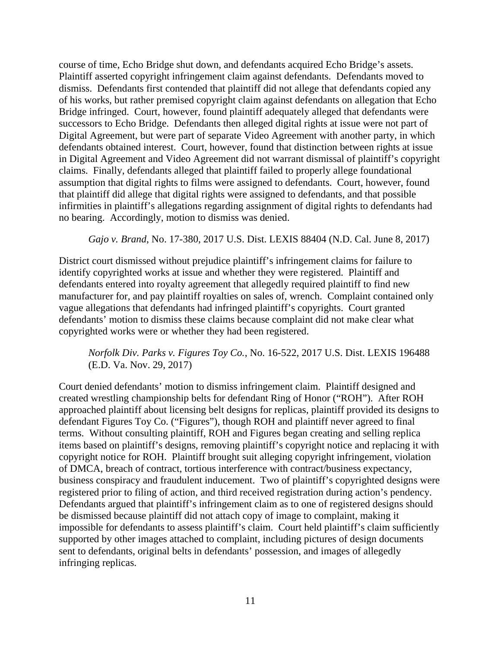course of time, Echo Bridge shut down, and defendants acquired Echo Bridge's assets. Plaintiff asserted copyright infringement claim against defendants. Defendants moved to dismiss. Defendants first contended that plaintiff did not allege that defendants copied any of his works, but rather premised copyright claim against defendants on allegation that Echo Bridge infringed. Court, however, found plaintiff adequately alleged that defendants were successors to Echo Bridge. Defendants then alleged digital rights at issue were not part of Digital Agreement, but were part of separate Video Agreement with another party, in which defendants obtained interest. Court, however, found that distinction between rights at issue in Digital Agreement and Video Agreement did not warrant dismissal of plaintiff's copyright claims. Finally, defendants alleged that plaintiff failed to properly allege foundational assumption that digital rights to films were assigned to defendants. Court, however, found that plaintiff did allege that digital rights were assigned to defendants, and that possible infirmities in plaintiff's allegations regarding assignment of digital rights to defendants had no bearing. Accordingly, motion to dismiss was denied.

*Gajo v. Brand*, No. 17-380, 2017 U.S. Dist. LEXIS 88404 (N.D. Cal. June 8, 2017)

District court dismissed without prejudice plaintiff's infringement claims for failure to identify copyrighted works at issue and whether they were registered. Plaintiff and defendants entered into royalty agreement that allegedly required plaintiff to find new manufacturer for, and pay plaintiff royalties on sales of, wrench. Complaint contained only vague allegations that defendants had infringed plaintiff's copyrights. Court granted defendants' motion to dismiss these claims because complaint did not make clear what copyrighted works were or whether they had been registered.

## *Norfolk Div. Parks v. Figures Toy Co.*, No. 16-522, 2017 U.S. Dist. LEXIS 196488 (E.D. Va. Nov. 29, 2017)

Court denied defendants' motion to dismiss infringement claim. Plaintiff designed and created wrestling championship belts for defendant Ring of Honor ("ROH"). After ROH approached plaintiff about licensing belt designs for replicas, plaintiff provided its designs to defendant Figures Toy Co. ("Figures"), though ROH and plaintiff never agreed to final terms. Without consulting plaintiff, ROH and Figures began creating and selling replica items based on plaintiff's designs, removing plaintiff's copyright notice and replacing it with copyright notice for ROH. Plaintiff brought suit alleging copyright infringement, violation of DMCA, breach of contract, tortious interference with contract/business expectancy, business conspiracy and fraudulent inducement. Two of plaintiff's copyrighted designs were registered prior to filing of action, and third received registration during action's pendency. Defendants argued that plaintiff's infringement claim as to one of registered designs should be dismissed because plaintiff did not attach copy of image to complaint, making it impossible for defendants to assess plaintiff's claim. Court held plaintiff's claim sufficiently supported by other images attached to complaint, including pictures of design documents sent to defendants, original belts in defendants' possession, and images of allegedly infringing replicas.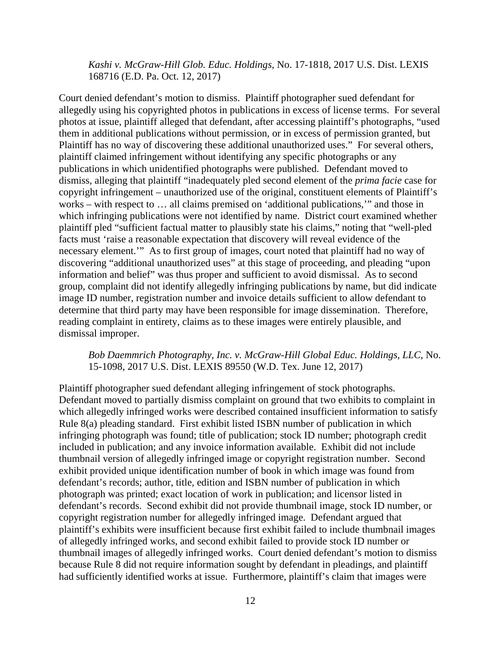*Kashi v. McGraw-Hill Glob. Educ. Holdings*, No. 17-1818, 2017 U.S. Dist. LEXIS 168716 (E.D. Pa. Oct. 12, 2017)

Court denied defendant's motion to dismiss. Plaintiff photographer sued defendant for allegedly using his copyrighted photos in publications in excess of license terms. For several photos at issue, plaintiff alleged that defendant, after accessing plaintiff's photographs, "used them in additional publications without permission, or in excess of permission granted, but Plaintiff has no way of discovering these additional unauthorized uses." For several others, plaintiff claimed infringement without identifying any specific photographs or any publications in which unidentified photographs were published. Defendant moved to dismiss, alleging that plaintiff "inadequately pled second element of the *prima facie* case for copyright infringement – unauthorized use of the original, constituent elements of Plaintiff's works – with respect to … all claims premised on 'additional publications,'" and those in which infringing publications were not identified by name. District court examined whether plaintiff pled "sufficient factual matter to plausibly state his claims," noting that "well-pled facts must 'raise a reasonable expectation that discovery will reveal evidence of the necessary element.'" As to first group of images, court noted that plaintiff had no way of discovering "additional unauthorized uses" at this stage of proceeding, and pleading "upon information and belief" was thus proper and sufficient to avoid dismissal. As to second group, complaint did not identify allegedly infringing publications by name, but did indicate image ID number, registration number and invoice details sufficient to allow defendant to determine that third party may have been responsible for image dissemination. Therefore, reading complaint in entirety, claims as to these images were entirely plausible, and dismissal improper.

#### *Bob Daemmrich Photography, Inc. v. McGraw-Hill Global Educ. Holdings, LLC*, No. 15-1098, 2017 U.S. Dist. LEXIS 89550 (W.D. Tex. June 12, 2017)

Plaintiff photographer sued defendant alleging infringement of stock photographs. Defendant moved to partially dismiss complaint on ground that two exhibits to complaint in which allegedly infringed works were described contained insufficient information to satisfy Rule 8(a) pleading standard. First exhibit listed ISBN number of publication in which infringing photograph was found; title of publication; stock ID number; photograph credit included in publication; and any invoice information available. Exhibit did not include thumbnail version of allegedly infringed image or copyright registration number. Second exhibit provided unique identification number of book in which image was found from defendant's records; author, title, edition and ISBN number of publication in which photograph was printed; exact location of work in publication; and licensor listed in defendant's records. Second exhibit did not provide thumbnail image, stock ID number, or copyright registration number for allegedly infringed image. Defendant argued that plaintiff's exhibits were insufficient because first exhibit failed to include thumbnail images of allegedly infringed works, and second exhibit failed to provide stock ID number or thumbnail images of allegedly infringed works. Court denied defendant's motion to dismiss because Rule 8 did not require information sought by defendant in pleadings, and plaintiff had sufficiently identified works at issue. Furthermore, plaintiff's claim that images were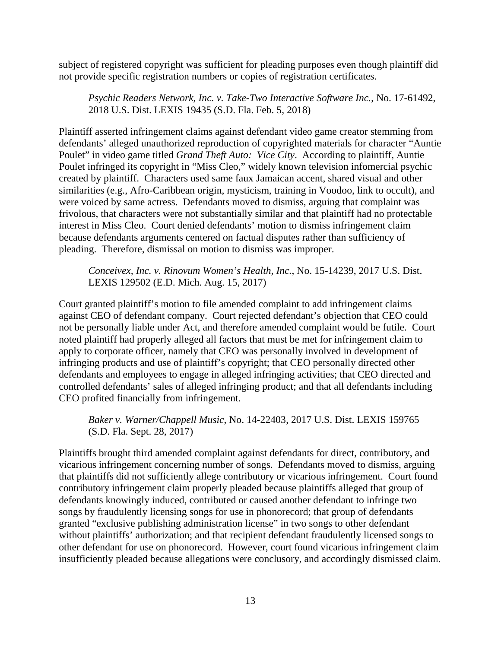subject of registered copyright was sufficient for pleading purposes even though plaintiff did not provide specific registration numbers or copies of registration certificates.

*Psychic Readers Network, Inc. v. Take-Two Interactive Software Inc.*, No. 17-61492, 2018 U.S. Dist. LEXIS 19435 (S.D. Fla. Feb. 5, 2018)

Plaintiff asserted infringement claims against defendant video game creator stemming from defendants' alleged unauthorized reproduction of copyrighted materials for character "Auntie Poulet" in video game titled *Grand Theft Auto: Vice City*. According to plaintiff, Auntie Poulet infringed its copyright in "Miss Cleo," widely known television infomercial psychic created by plaintiff. Characters used same faux Jamaican accent, shared visual and other similarities (e.g., Afro-Caribbean origin, mysticism, training in Voodoo, link to occult), and were voiced by same actress. Defendants moved to dismiss, arguing that complaint was frivolous, that characters were not substantially similar and that plaintiff had no protectable interest in Miss Cleo. Court denied defendants' motion to dismiss infringement claim because defendants arguments centered on factual disputes rather than sufficiency of pleading. Therefore, dismissal on motion to dismiss was improper.

*Conceivex, Inc. v. Rinovum Women's Health, Inc.*, No. 15-14239, 2017 U.S. Dist. LEXIS 129502 (E.D. Mich. Aug. 15, 2017)

Court granted plaintiff's motion to file amended complaint to add infringement claims against CEO of defendant company. Court rejected defendant's objection that CEO could not be personally liable under Act, and therefore amended complaint would be futile. Court noted plaintiff had properly alleged all factors that must be met for infringement claim to apply to corporate officer, namely that CEO was personally involved in development of infringing products and use of plaintiff's copyright; that CEO personally directed other defendants and employees to engage in alleged infringing activities; that CEO directed and controlled defendants' sales of alleged infringing product; and that all defendants including CEO profited financially from infringement.

*Baker v. Warner/Chappell Music*, No. 14-22403, 2017 U.S. Dist. LEXIS 159765 (S.D. Fla. Sept. 28, 2017)

Plaintiffs brought third amended complaint against defendants for direct, contributory, and vicarious infringement concerning number of songs. Defendants moved to dismiss, arguing that plaintiffs did not sufficiently allege contributory or vicarious infringement. Court found contributory infringement claim properly pleaded because plaintiffs alleged that group of defendants knowingly induced, contributed or caused another defendant to infringe two songs by fraudulently licensing songs for use in phonorecord; that group of defendants granted "exclusive publishing administration license" in two songs to other defendant without plaintiffs' authorization; and that recipient defendant fraudulently licensed songs to other defendant for use on phonorecord. However, court found vicarious infringement claim insufficiently pleaded because allegations were conclusory, and accordingly dismissed claim.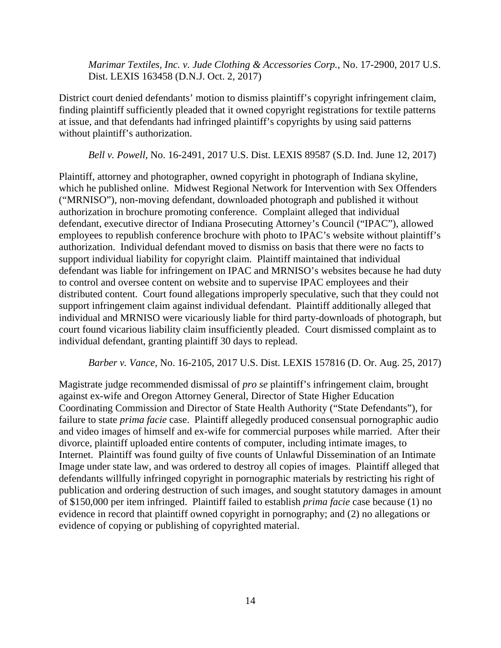*Marimar Textiles, Inc. v. Jude Clothing & Accessories Corp.*, No. 17-2900, 2017 U.S. Dist. LEXIS 163458 (D.N.J. Oct. 2, 2017)

District court denied defendants' motion to dismiss plaintiff's copyright infringement claim, finding plaintiff sufficiently pleaded that it owned copyright registrations for textile patterns at issue, and that defendants had infringed plaintiff's copyrights by using said patterns without plaintiff's authorization.

*Bell v. Powell*, No. 16-2491, 2017 U.S. Dist. LEXIS 89587 (S.D. Ind. June 12, 2017)

Plaintiff, attorney and photographer, owned copyright in photograph of Indiana skyline, which he published online. Midwest Regional Network for Intervention with Sex Offenders ("MRNISO"), non-moving defendant, downloaded photograph and published it without authorization in brochure promoting conference. Complaint alleged that individual defendant, executive director of Indiana Prosecuting Attorney's Council ("IPAC"), allowed employees to republish conference brochure with photo to IPAC's website without plaintiff's authorization. Individual defendant moved to dismiss on basis that there were no facts to support individual liability for copyright claim. Plaintiff maintained that individual defendant was liable for infringement on IPAC and MRNISO's websites because he had duty to control and oversee content on website and to supervise IPAC employees and their distributed content. Court found allegations improperly speculative, such that they could not support infringement claim against individual defendant. Plaintiff additionally alleged that individual and MRNISO were vicariously liable for third party-downloads of photograph, but court found vicarious liability claim insufficiently pleaded. Court dismissed complaint as to individual defendant, granting plaintiff 30 days to replead.

*Barber v. Vance,* No. 16-2105, 2017 U.S. Dist. LEXIS 157816 (D. Or. Aug. 25, 2017)

Magistrate judge recommended dismissal of *pro se* plaintiff's infringement claim, brought against ex-wife and Oregon Attorney General, Director of State Higher Education Coordinating Commission and Director of State Health Authority ("State Defendants"), for failure to state *prima facie* case. Plaintiff allegedly produced consensual pornographic audio and video images of himself and ex-wife for commercial purposes while married. After their divorce, plaintiff uploaded entire contents of computer, including intimate images, to Internet. Plaintiff was found guilty of five counts of Unlawful Dissemination of an Intimate Image under state law, and was ordered to destroy all copies of images. Plaintiff alleged that defendants willfully infringed copyright in pornographic materials by restricting his right of publication and ordering destruction of such images, and sought statutory damages in amount of \$150,000 per item infringed. Plaintiff failed to establish *prima facie* case because (1) no evidence in record that plaintiff owned copyright in pornography; and (2) no allegations or evidence of copying or publishing of copyrighted material.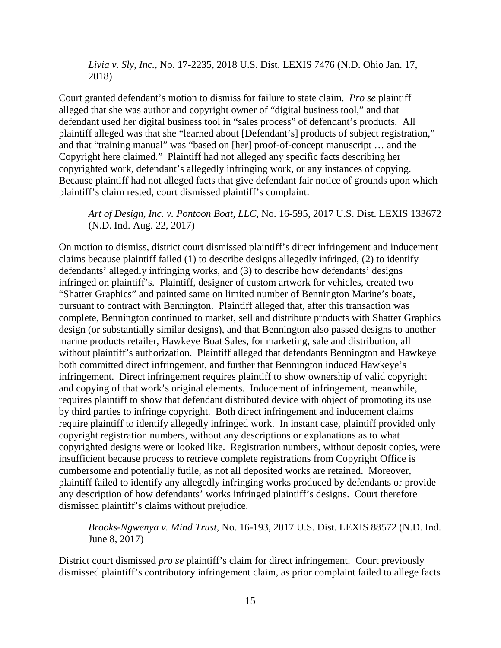*Livia v. Sly, Inc.*, No. 17-2235, 2018 U.S. Dist. LEXIS 7476 (N.D. Ohio Jan. 17, 2018)

Court granted defendant's motion to dismiss for failure to state claim. *Pro se* plaintiff alleged that she was author and copyright owner of "digital business tool," and that defendant used her digital business tool in "sales process" of defendant's products. All plaintiff alleged was that she "learned about [Defendant's] products of subject registration," and that "training manual" was "based on [her] proof-of-concept manuscript … and the Copyright here claimed." Plaintiff had not alleged any specific facts describing her copyrighted work, defendant's allegedly infringing work, or any instances of copying. Because plaintiff had not alleged facts that give defendant fair notice of grounds upon which plaintiff's claim rested, court dismissed plaintiff's complaint.

*Art of Design, Inc. v. Pontoon Boat, LLC*, No. 16-595, 2017 U.S. Dist. LEXIS 133672 (N.D. Ind. Aug. 22, 2017)

On motion to dismiss, district court dismissed plaintiff's direct infringement and inducement claims because plaintiff failed (1) to describe designs allegedly infringed, (2) to identify defendants' allegedly infringing works, and (3) to describe how defendants' designs infringed on plaintiff's. Plaintiff, designer of custom artwork for vehicles, created two "Shatter Graphics" and painted same on limited number of Bennington Marine's boats, pursuant to contract with Bennington. Plaintiff alleged that, after this transaction was complete, Bennington continued to market, sell and distribute products with Shatter Graphics design (or substantially similar designs), and that Bennington also passed designs to another marine products retailer, Hawkeye Boat Sales, for marketing, sale and distribution, all without plaintiff's authorization. Plaintiff alleged that defendants Bennington and Hawkeye both committed direct infringement, and further that Bennington induced Hawkeye's infringement. Direct infringement requires plaintiff to show ownership of valid copyright and copying of that work's original elements. Inducement of infringement, meanwhile, requires plaintiff to show that defendant distributed device with object of promoting its use by third parties to infringe copyright. Both direct infringement and inducement claims require plaintiff to identify allegedly infringed work. In instant case, plaintiff provided only copyright registration numbers, without any descriptions or explanations as to what copyrighted designs were or looked like. Registration numbers, without deposit copies, were insufficient because process to retrieve complete registrations from Copyright Office is cumbersome and potentially futile, as not all deposited works are retained. Moreover, plaintiff failed to identify any allegedly infringing works produced by defendants or provide any description of how defendants' works infringed plaintiff's designs. Court therefore dismissed plaintiff's claims without prejudice.

*Brooks-Ngwenya v. Mind Trust*, No. 16-193, 2017 U.S. Dist. LEXIS 88572 (N.D. Ind. June 8, 2017)

District court dismissed *pro se* plaintiff's claim for direct infringement. Court previously dismissed plaintiff's contributory infringement claim, as prior complaint failed to allege facts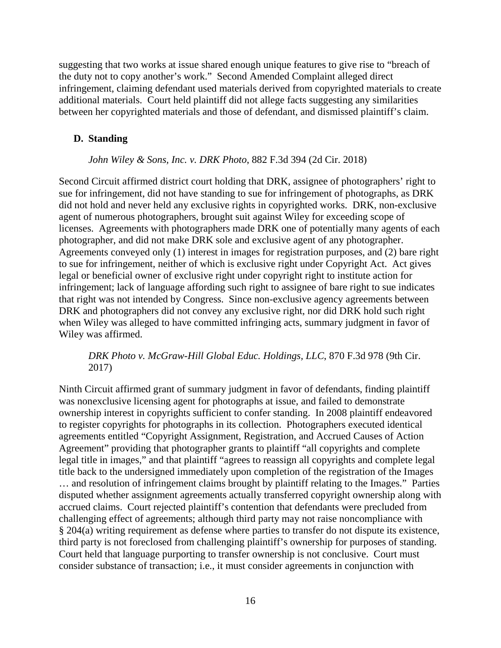suggesting that two works at issue shared enough unique features to give rise to "breach of the duty not to copy another's work." Second Amended Complaint alleged direct infringement, claiming defendant used materials derived from copyrighted materials to create additional materials. Court held plaintiff did not allege facts suggesting any similarities between her copyrighted materials and those of defendant, and dismissed plaintiff's claim.

## <span id="page-31-0"></span>**D. Standing**

### *John Wiley & Sons, Inc. v. DRK Photo*, 882 F.3d 394 (2d Cir. 2018)

Second Circuit affirmed district court holding that DRK, assignee of photographers' right to sue for infringement, did not have standing to sue for infringement of photographs, as DRK did not hold and never held any exclusive rights in copyrighted works. DRK, non-exclusive agent of numerous photographers, brought suit against Wiley for exceeding scope of licenses. Agreements with photographers made DRK one of potentially many agents of each photographer, and did not make DRK sole and exclusive agent of any photographer. Agreements conveyed only (1) interest in images for registration purposes, and (2) bare right to sue for infringement, neither of which is exclusive right under Copyright Act. Act gives legal or beneficial owner of exclusive right under copyright right to institute action for infringement; lack of language affording such right to assignee of bare right to sue indicates that right was not intended by Congress. Since non-exclusive agency agreements between DRK and photographers did not convey any exclusive right, nor did DRK hold such right when Wiley was alleged to have committed infringing acts, summary judgment in favor of Wiley was affirmed.

## *DRK Photo v. McGraw-Hill Global Educ. Holdings, LLC*, 870 F.3d 978 (9th Cir. 2017)

Ninth Circuit affirmed grant of summary judgment in favor of defendants, finding plaintiff was nonexclusive licensing agent for photographs at issue, and failed to demonstrate ownership interest in copyrights sufficient to confer standing. In 2008 plaintiff endeavored to register copyrights for photographs in its collection. Photographers executed identical agreements entitled "Copyright Assignment, Registration, and Accrued Causes of Action Agreement" providing that photographer grants to plaintiff "all copyrights and complete legal title in images," and that plaintiff "agrees to reassign all copyrights and complete legal title back to the undersigned immediately upon completion of the registration of the Images … and resolution of infringement claims brought by plaintiff relating to the Images." Parties disputed whether assignment agreements actually transferred copyright ownership along with accrued claims. Court rejected plaintiff's contention that defendants were precluded from challenging effect of agreements; although third party may not raise noncompliance with § 204(a) writing requirement as defense where parties to transfer do not dispute its existence, third party is not foreclosed from challenging plaintiff's ownership for purposes of standing. Court held that language purporting to transfer ownership is not conclusive. Court must consider substance of transaction; i.e., it must consider agreements in conjunction with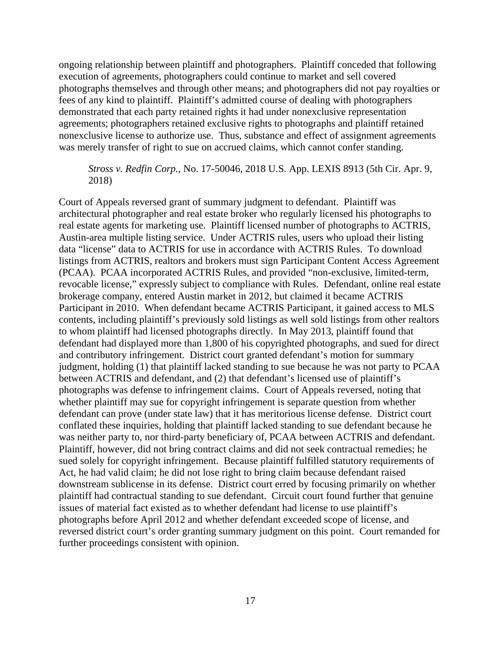ongoing relationship between plaintiff and photographers. Plaintiff conceded that following execution of agreements, photographers could continue to market and sell covered photographs themselves and through other means; and photographers did not pay royalties or fees of any kind to plaintiff. Plaintiff's admitted course of dealing with photographers demonstrated that each party retained rights it had under nonexclusive representation agreements; photographers retained exclusive rights to photographs and plaintiff retained nonexclusive license to authorize use. Thus, substance and effect of assignment agreements was merely transfer of right to sue on accrued claims, which cannot confer standing.

## *Stross v. Redfin Corp.*, No. 17-50046, 2018 U.S. App. LEXIS 8913 (5th Cir. Apr. 9, 2018)

Court of Appeals reversed grant of summary judgment to defendant. Plaintiff was architectural photographer and real estate broker who regularly licensed his photographs to real estate agents for marketing use. Plaintiff licensed number of photographs to ACTRIS, Austin-area multiple listing service. Under ACTRIS rules, users who upload their listing data "license" data to ACTRIS for use in accordance with ACTRIS Rules. To download listings from ACTRIS, realtors and brokers must sign Participant Content Access Agreement (PCAA). PCAA incorporated ACTRIS Rules, and provided "non-exclusive, limited-term, revocable license," expressly subject to compliance with Rules. Defendant, online real estate brokerage company, entered Austin market in 2012, but claimed it became ACTRIS Participant in 2010. When defendant became ACTRIS Participant, it gained access to MLS contents, including plaintiff's previously sold listings as well sold listings from other realtors to whom plaintiff had licensed photographs directly. In May 2013, plaintiff found that defendant had displayed more than 1,800 of his copyrighted photographs, and sued for direct and contributory infringement. District court granted defendant's motion for summary judgment, holding (1) that plaintiff lacked standing to sue because he was not party to PCAA between ACTRIS and defendant, and (2) that defendant's licensed use of plaintiff's photographs was defense to infringement claims. Court of Appeals reversed, noting that whether plaintiff may sue for copyright infringement is separate question from whether defendant can prove (under state law) that it has meritorious license defense. District court conflated these inquiries, holding that plaintiff lacked standing to sue defendant because he was neither party to, nor third-party beneficiary of, PCAA between ACTRIS and defendant. Plaintiff, however, did not bring contract claims and did not seek contractual remedies; he sued solely for copyright infringement. Because plaintiff fulfilled statutory requirements of Act, he had valid claim; he did not lose right to bring claim because defendant raised downstream sublicense in its defense. District court erred by focusing primarily on whether plaintiff had contractual standing to sue defendant. Circuit court found further that genuine issues of material fact existed as to whether defendant had license to use plaintiff's photographs before April 2012 and whether defendant exceeded scope of license, and reversed district court's order granting summary judgment on this point. Court remanded for further proceedings consistent with opinion.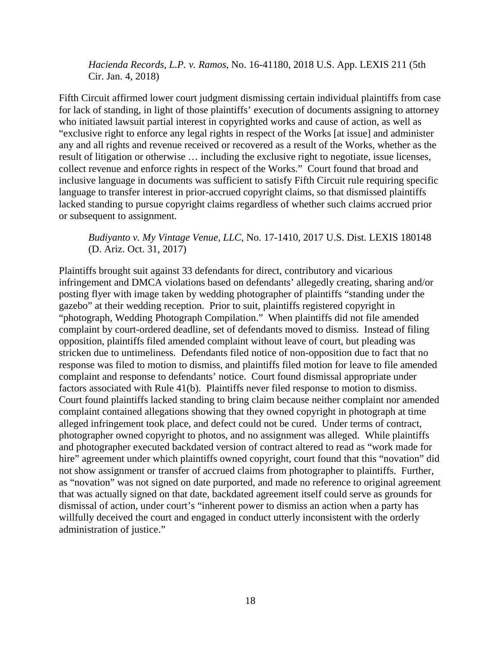*Hacienda Records, L.P. v. Ramos*, No. 16-41180, 2018 U.S. App. LEXIS 211 (5th Cir. Jan. 4, 2018)

Fifth Circuit affirmed lower court judgment dismissing certain individual plaintiffs from case for lack of standing, in light of those plaintiffs' execution of documents assigning to attorney who initiated lawsuit partial interest in copyrighted works and cause of action, as well as "exclusive right to enforce any legal rights in respect of the Works [at issue] and administer any and all rights and revenue received or recovered as a result of the Works, whether as the result of litigation or otherwise … including the exclusive right to negotiate, issue licenses, collect revenue and enforce rights in respect of the Works." Court found that broad and inclusive language in documents was sufficient to satisfy Fifth Circuit rule requiring specific language to transfer interest in prior-accrued copyright claims, so that dismissed plaintiffs lacked standing to pursue copyright claims regardless of whether such claims accrued prior or subsequent to assignment.

## *Budiyanto v. My Vintage Venue, LLC*, No. 17-1410, 2017 U.S. Dist. LEXIS 180148 (D. Ariz. Oct. 31, 2017)

Plaintiffs brought suit against 33 defendants for direct, contributory and vicarious infringement and DMCA violations based on defendants' allegedly creating, sharing and/or posting flyer with image taken by wedding photographer of plaintiffs "standing under the gazebo" at their wedding reception. Prior to suit, plaintiffs registered copyright in "photograph, Wedding Photograph Compilation." When plaintiffs did not file amended complaint by court-ordered deadline, set of defendants moved to dismiss. Instead of filing opposition, plaintiffs filed amended complaint without leave of court, but pleading was stricken due to untimeliness. Defendants filed notice of non-opposition due to fact that no response was filed to motion to dismiss, and plaintiffs filed motion for leave to file amended complaint and response to defendants' notice. Court found dismissal appropriate under factors associated with Rule 41(b). Plaintiffs never filed response to motion to dismiss. Court found plaintiffs lacked standing to bring claim because neither complaint nor amended complaint contained allegations showing that they owned copyright in photograph at time alleged infringement took place, and defect could not be cured. Under terms of contract, photographer owned copyright to photos, and no assignment was alleged. While plaintiffs and photographer executed backdated version of contract altered to read as "work made for hire" agreement under which plaintiffs owned copyright, court found that this "novation" did not show assignment or transfer of accrued claims from photographer to plaintiffs. Further, as "novation" was not signed on date purported, and made no reference to original agreement that was actually signed on that date, backdated agreement itself could serve as grounds for dismissal of action, under court's "inherent power to dismiss an action when a party has willfully deceived the court and engaged in conduct utterly inconsistent with the orderly administration of justice."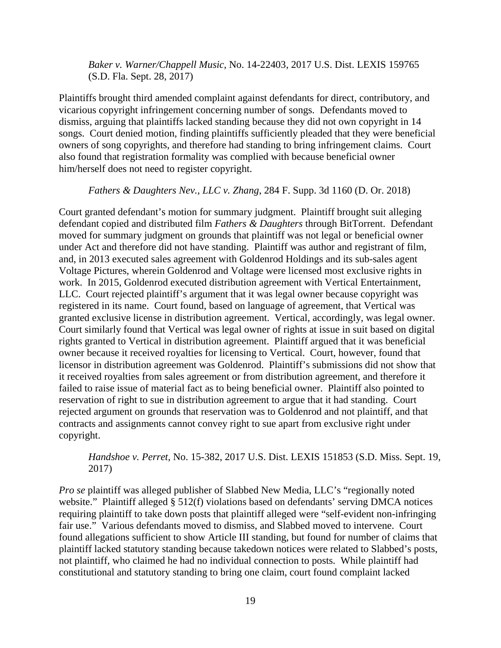*Baker v. Warner/Chappell Music*, No. 14-22403, 2017 U.S. Dist. LEXIS 159765 (S.D. Fla. Sept. 28, 2017)

Plaintiffs brought third amended complaint against defendants for direct, contributory, and vicarious copyright infringement concerning number of songs. Defendants moved to dismiss, arguing that plaintiffs lacked standing because they did not own copyright in 14 songs. Court denied motion, finding plaintiffs sufficiently pleaded that they were beneficial owners of song copyrights, and therefore had standing to bring infringement claims. Court also found that registration formality was complied with because beneficial owner him/herself does not need to register copyright.

#### *Fathers & Daughters Nev., LLC v. Zhang*, 284 F. Supp. 3d 1160 (D. Or. 2018)

Court granted defendant's motion for summary judgment. Plaintiff brought suit alleging defendant copied and distributed film *Fathers & Daughters* through BitTorrent. Defendant moved for summary judgment on grounds that plaintiff was not legal or beneficial owner under Act and therefore did not have standing. Plaintiff was author and registrant of film, and, in 2013 executed sales agreement with Goldenrod Holdings and its sub-sales agent Voltage Pictures, wherein Goldenrod and Voltage were licensed most exclusive rights in work. In 2015, Goldenrod executed distribution agreement with Vertical Entertainment, LLC. Court rejected plaintiff's argument that it was legal owner because copyright was registered in its name. Court found, based on language of agreement, that Vertical was granted exclusive license in distribution agreement. Vertical, accordingly, was legal owner. Court similarly found that Vertical was legal owner of rights at issue in suit based on digital rights granted to Vertical in distribution agreement. Plaintiff argued that it was beneficial owner because it received royalties for licensing to Vertical. Court, however, found that licensor in distribution agreement was Goldenrod. Plaintiff's submissions did not show that it received royalties from sales agreement or from distribution agreement, and therefore it failed to raise issue of material fact as to being beneficial owner. Plaintiff also pointed to reservation of right to sue in distribution agreement to argue that it had standing. Court rejected argument on grounds that reservation was to Goldenrod and not plaintiff, and that contracts and assignments cannot convey right to sue apart from exclusive right under copyright.

*Handshoe v. Perret*, No. 15-382, 2017 U.S. Dist. LEXIS 151853 (S.D. Miss. Sept. 19, 2017)

*Pro se* plaintiff was alleged publisher of Slabbed New Media, LLC's "regionally noted website." Plaintiff alleged § 512(f) violations based on defendants' serving DMCA notices requiring plaintiff to take down posts that plaintiff alleged were "self-evident non-infringing fair use." Various defendants moved to dismiss, and Slabbed moved to intervene. Court found allegations sufficient to show Article III standing, but found for number of claims that plaintiff lacked statutory standing because takedown notices were related to Slabbed's posts, not plaintiff, who claimed he had no individual connection to posts. While plaintiff had constitutional and statutory standing to bring one claim, court found complaint lacked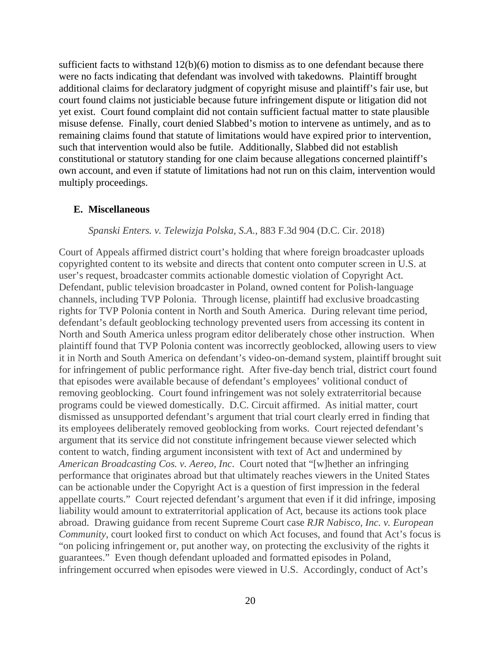sufficient facts to withstand  $12(b)(6)$  motion to dismiss as to one defendant because there were no facts indicating that defendant was involved with takedowns. Plaintiff brought additional claims for declaratory judgment of copyright misuse and plaintiff's fair use, but court found claims not justiciable because future infringement dispute or litigation did not yet exist. Court found complaint did not contain sufficient factual matter to state plausible misuse defense. Finally, court denied Slabbed's motion to intervene as untimely, and as to remaining claims found that statute of limitations would have expired prior to intervention, such that intervention would also be futile. Additionally, Slabbed did not establish constitutional or statutory standing for one claim because allegations concerned plaintiff's own account, and even if statute of limitations had not run on this claim, intervention would multiply proceedings.

#### <span id="page-35-0"></span>**E. Miscellaneous**

#### *Spanski Enters. v. Telewizja Polska, S.A.*, 883 F.3d 904 (D.C. Cir. 2018)

Court of Appeals affirmed district court's holding that where foreign broadcaster uploads copyrighted content to its website and directs that content onto computer screen in U.S. at user's request, broadcaster commits actionable domestic violation of Copyright Act. Defendant, public television broadcaster in Poland, owned content for Polish-language channels, including TVP Polonia. Through license, plaintiff had exclusive broadcasting rights for TVP Polonia content in North and South America. During relevant time period, defendant's default geoblocking technology prevented users from accessing its content in North and South America unless program editor deliberately chose other instruction. When plaintiff found that TVP Polonia content was incorrectly geoblocked, allowing users to view it in North and South America on defendant's video-on-demand system, plaintiff brought suit for infringement of public performance right. After five-day bench trial, district court found that episodes were available because of defendant's employees' volitional conduct of removing geoblocking. Court found infringement was not solely extraterritorial because programs could be viewed domestically. D.C. Circuit affirmed. As initial matter, court dismissed as unsupported defendant's argument that trial court clearly erred in finding that its employees deliberately removed geoblocking from works. Court rejected defendant's argument that its service did not constitute infringement because viewer selected which content to watch, finding argument inconsistent with text of Act and undermined by *American Broadcasting Cos. v. Aereo, Inc*. Court noted that "[w]hether an infringing performance that originates abroad but that ultimately reaches viewers in the United States can be actionable under the Copyright Act is a question of first impression in the federal appellate courts." Court rejected defendant's argument that even if it did infringe, imposing liability would amount to extraterritorial application of Act, because its actions took place abroad. Drawing guidance from recent Supreme Court case *RJR Nabisco, Inc. v. European Community*, court looked first to conduct on which Act focuses, and found that Act's focus is "on policing infringement or, put another way, on protecting the exclusivity of the rights it guarantees." Even though defendant uploaded and formatted episodes in Poland, infringement occurred when episodes were viewed in U.S. Accordingly, conduct of Act's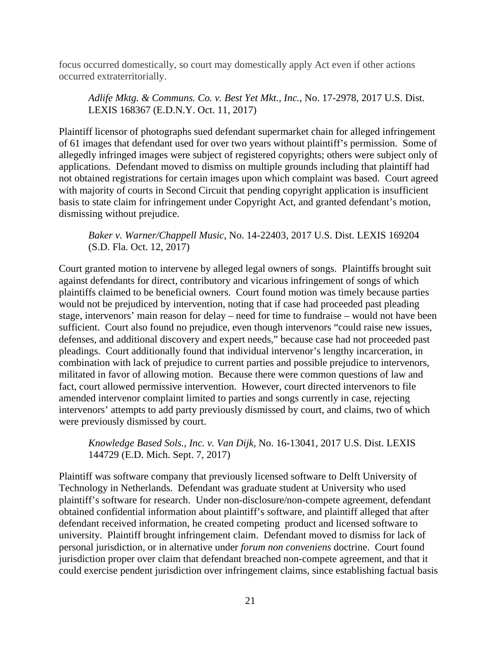focus occurred domestically, so court may domestically apply Act even if other actions occurred extraterritorially.

*Adlife Mktg. & Communs. Co. v. Best Yet Mkt., Inc.*, No. 17-2978, 2017 U.S. Dist. LEXIS 168367 (E.D.N.Y. Oct. 11, 2017)

Plaintiff licensor of photographs sued defendant supermarket chain for alleged infringement of 61 images that defendant used for over two years without plaintiff's permission. Some of allegedly infringed images were subject of registered copyrights; others were subject only of applications. Defendant moved to dismiss on multiple grounds including that plaintiff had not obtained registrations for certain images upon which complaint was based. Court agreed with majority of courts in Second Circuit that pending copyright application is insufficient basis to state claim for infringement under Copyright Act, and granted defendant's motion, dismissing without prejudice.

# *Baker v. Warner/Chappell Music*, No. 14-22403, 2017 U.S. Dist. LEXIS 169204 (S.D. Fla. Oct. 12, 2017)

Court granted motion to intervene by alleged legal owners of songs. Plaintiffs brought suit against defendants for direct, contributory and vicarious infringement of songs of which plaintiffs claimed to be beneficial owners. Court found motion was timely because parties would not be prejudiced by intervention, noting that if case had proceeded past pleading stage, intervenors' main reason for delay – need for time to fundraise – would not have been sufficient. Court also found no prejudice, even though intervenors "could raise new issues, defenses, and additional discovery and expert needs," because case had not proceeded past pleadings. Court additionally found that individual intervenor's lengthy incarceration, in combination with lack of prejudice to current parties and possible prejudice to intervenors, militated in favor of allowing motion. Because there were common questions of law and fact, court allowed permissive intervention. However, court directed intervenors to file amended intervenor complaint limited to parties and songs currently in case, rejecting intervenors' attempts to add party previously dismissed by court, and claims, two of which were previously dismissed by court.

# *Knowledge Based Sols., Inc. v. Van Dijk*, No. 16-13041, 2017 U.S. Dist. LEXIS 144729 (E.D. Mich. Sept. 7, 2017)

Plaintiff was software company that previously licensed software to Delft University of Technology in Netherlands. Defendant was graduate student at University who used plaintiff's software for research. Under non-disclosure/non-compete agreement, defendant obtained confidential information about plaintiff's software, and plaintiff alleged that after defendant received information, he created competing product and licensed software to university. Plaintiff brought infringement claim. Defendant moved to dismiss for lack of personal jurisdiction, or in alternative under *forum non conveniens* doctrine. Court found jurisdiction proper over claim that defendant breached non-compete agreement, and that it could exercise pendent jurisdiction over infringement claims, since establishing factual basis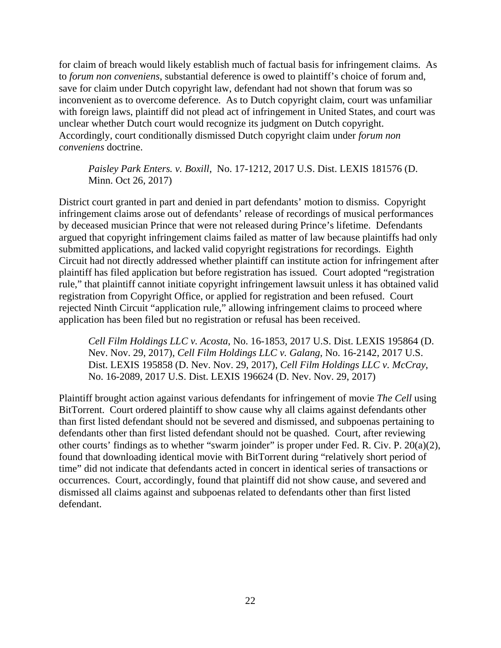for claim of breach would likely establish much of factual basis for infringement claims. As to *forum non conveniens*, substantial deference is owed to plaintiff's choice of forum and, save for claim under Dutch copyright law, defendant had not shown that forum was so inconvenient as to overcome deference. As to Dutch copyright claim, court was unfamiliar with foreign laws, plaintiff did not plead act of infringement in United States, and court was unclear whether Dutch court would recognize its judgment on Dutch copyright. Accordingly, court conditionally dismissed Dutch copyright claim under *forum non conveniens* doctrine.

# *Paisley Park Enters. v. Boxill*, No. 17-1212, 2017 U.S. Dist. LEXIS 181576 (D. Minn. Oct 26, 2017)

District court granted in part and denied in part defendants' motion to dismiss. Copyright infringement claims arose out of defendants' release of recordings of musical performances by deceased musician Prince that were not released during Prince's lifetime. Defendants argued that copyright infringement claims failed as matter of law because plaintiffs had only submitted applications, and lacked valid copyright registrations for recordings. Eighth Circuit had not directly addressed whether plaintiff can institute action for infringement after plaintiff has filed application but before registration has issued. Court adopted "registration rule," that plaintiff cannot initiate copyright infringement lawsuit unless it has obtained valid registration from Copyright Office, or applied for registration and been refused. Court rejected Ninth Circuit "application rule," allowing infringement claims to proceed where application has been filed but no registration or refusal has been received.

*Cell Film Holdings LLC v. Acosta*, No. 16-1853, 2017 U.S. Dist. LEXIS 195864 (D. Nev. Nov. 29, 2017), *Cell Film Holdings LLC v. Galang*, No. 16-2142, 2017 U.S. Dist. LEXIS 195858 (D. Nev. Nov. 29, 2017), *Cell Film Holdings LLC v. McCray*, No. 16-2089, 2017 U.S. Dist. LEXIS 196624 (D. Nev. Nov. 29, 2017)

Plaintiff brought action against various defendants for infringement of movie *The Cell* using BitTorrent. Court ordered plaintiff to show cause why all claims against defendants other than first listed defendant should not be severed and dismissed, and subpoenas pertaining to defendants other than first listed defendant should not be quashed. Court, after reviewing other courts' findings as to whether "swarm joinder" is proper under Fed. R. Civ. P. 20(a)(2), found that downloading identical movie with BitTorrent during "relatively short period of time" did not indicate that defendants acted in concert in identical series of transactions or occurrences. Court, accordingly, found that plaintiff did not show cause, and severed and dismissed all claims against and subpoenas related to defendants other than first listed defendant.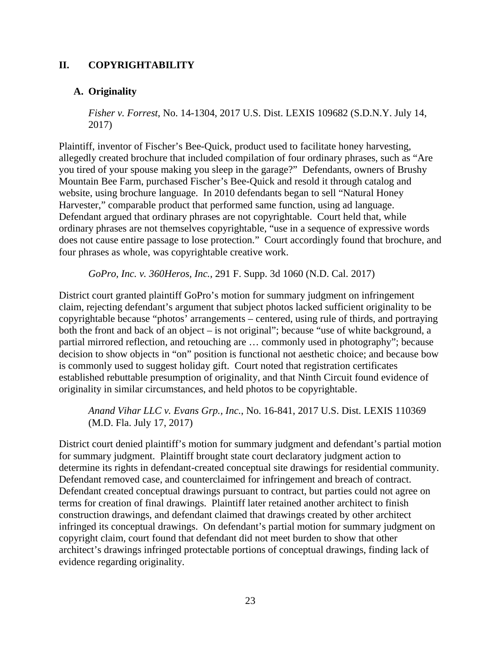# **II. COPYRIGHTABILITY**

# **A. Originality**

*Fisher v. Forrest*, No. 14-1304, 2017 U.S. Dist. LEXIS 109682 (S.D.N.Y. July 14, 2017)

Plaintiff, inventor of Fischer's Bee-Quick, product used to facilitate honey harvesting, allegedly created brochure that included compilation of four ordinary phrases, such as "Are you tired of your spouse making you sleep in the garage?" Defendants, owners of Brushy Mountain Bee Farm, purchased Fischer's Bee-Quick and resold it through catalog and website, using brochure language. In 2010 defendants began to sell "Natural Honey Harvester," comparable product that performed same function, using ad language. Defendant argued that ordinary phrases are not copyrightable. Court held that, while ordinary phrases are not themselves copyrightable, "use in a sequence of expressive words does not cause entire passage to lose protection." Court accordingly found that brochure, and four phrases as whole, was copyrightable creative work.

*GoPro, Inc. v. 360Heros, Inc.*, 291 F. Supp. 3d 1060 (N.D. Cal. 2017)

District court granted plaintiff GoPro's motion for summary judgment on infringement claim, rejecting defendant's argument that subject photos lacked sufficient originality to be copyrightable because "photos' arrangements – centered, using rule of thirds, and portraying both the front and back of an object – is not original"; because "use of white background, a partial mirrored reflection, and retouching are … commonly used in photography"; because decision to show objects in "on" position is functional not aesthetic choice; and because bow is commonly used to suggest holiday gift. Court noted that registration certificates established rebuttable presumption of originality, and that Ninth Circuit found evidence of originality in similar circumstances, and held photos to be copyrightable.

*Anand Vihar LLC v. Evans Grp., Inc.*, No. 16-841, 2017 U.S. Dist. LEXIS 110369 (M.D. Fla. July 17, 2017)

District court denied plaintiff's motion for summary judgment and defendant's partial motion for summary judgment. Plaintiff brought state court declaratory judgment action to determine its rights in defendant-created conceptual site drawings for residential community. Defendant removed case, and counterclaimed for infringement and breach of contract. Defendant created conceptual drawings pursuant to contract, but parties could not agree on terms for creation of final drawings. Plaintiff later retained another architect to finish construction drawings, and defendant claimed that drawings created by other architect infringed its conceptual drawings. On defendant's partial motion for summary judgment on copyright claim, court found that defendant did not meet burden to show that other architect's drawings infringed protectable portions of conceptual drawings, finding lack of evidence regarding originality.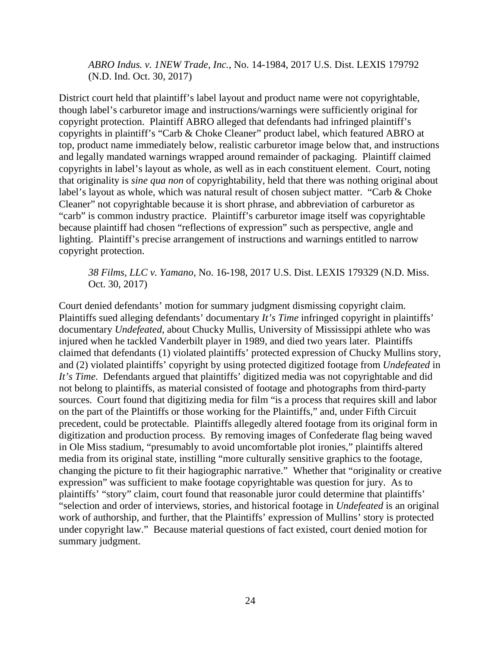*ABRO Indus. v. 1NEW Trade, Inc.*, No. 14-1984, 2017 U.S. Dist. LEXIS 179792 (N.D. Ind. Oct. 30, 2017)

District court held that plaintiff's label layout and product name were not copyrightable, though label's carburetor image and instructions/warnings were sufficiently original for copyright protection. Plaintiff ABRO alleged that defendants had infringed plaintiff's copyrights in plaintiff's "Carb & Choke Cleaner" product label, which featured ABRO at top, product name immediately below, realistic carburetor image below that, and instructions and legally mandated warnings wrapped around remainder of packaging. Plaintiff claimed copyrights in label's layout as whole, as well as in each constituent element. Court, noting that originality is *sine qua non* of copyrightability, held that there was nothing original about label's layout as whole, which was natural result of chosen subject matter. "Carb & Choke Cleaner" not copyrightable because it is short phrase, and abbreviation of carburetor as "carb" is common industry practice. Plaintiff's carburetor image itself was copyrightable because plaintiff had chosen "reflections of expression" such as perspective, angle and lighting. Plaintiff's precise arrangement of instructions and warnings entitled to narrow copyright protection.

### *38 Films, LLC v. Yamano*, No. 16-198, 2017 U.S. Dist. LEXIS 179329 (N.D. Miss. Oct. 30, 2017)

Court denied defendants' motion for summary judgment dismissing copyright claim. Plaintiffs sued alleging defendants' documentary *It's Time* infringed copyright in plaintiffs' documentary *Undefeated*, about Chucky Mullis, University of Mississippi athlete who was injured when he tackled Vanderbilt player in 1989, and died two years later. Plaintiffs claimed that defendants (1) violated plaintiffs' protected expression of Chucky Mullins story, and (2) violated plaintiffs' copyright by using protected digitized footage from *Undefeated* in *It's Time*. Defendants argued that plaintiffs' digitized media was not copyrightable and did not belong to plaintiffs, as material consisted of footage and photographs from third-party sources. Court found that digitizing media for film "is a process that requires skill and labor on the part of the Plaintiffs or those working for the Plaintiffs," and, under Fifth Circuit precedent, could be protectable. Plaintiffs allegedly altered footage from its original form in digitization and production process. By removing images of Confederate flag being waved in Ole Miss stadium, "presumably to avoid uncomfortable plot ironies," plaintiffs altered media from its original state, instilling "more culturally sensitive graphics to the footage, changing the picture to fit their hagiographic narrative." Whether that "originality or creative expression" was sufficient to make footage copyrightable was question for jury. As to plaintiffs' "story" claim, court found that reasonable juror could determine that plaintiffs' "selection and order of interviews, stories, and historical footage in *Undefeated* is an original work of authorship, and further, that the Plaintiffs' expression of Mullins' story is protected under copyright law." Because material questions of fact existed, court denied motion for summary judgment.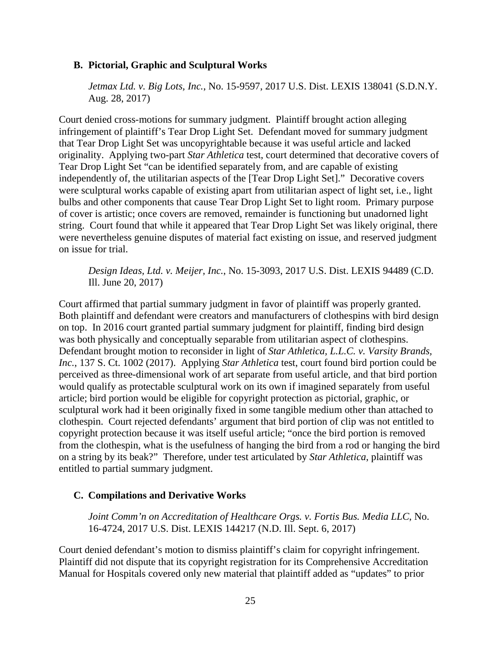### **B. Pictorial, Graphic and Sculptural Works**

*Jetmax Ltd. v. Big Lots, Inc.*, No. 15-9597, 2017 U.S. Dist. LEXIS 138041 (S.D.N.Y. Aug. 28, 2017)

Court denied cross-motions for summary judgment. Plaintiff brought action alleging infringement of plaintiff's Tear Drop Light Set. Defendant moved for summary judgment that Tear Drop Light Set was uncopyrightable because it was useful article and lacked originality. Applying two-part *Star Athletica* test, court determined that decorative covers of Tear Drop Light Set "can be identified separately from, and are capable of existing independently of, the utilitarian aspects of the [Tear Drop Light Set]." Decorative covers were sculptural works capable of existing apart from utilitarian aspect of light set, i.e., light bulbs and other components that cause Tear Drop Light Set to light room. Primary purpose of cover is artistic; once covers are removed, remainder is functioning but unadorned light string. Court found that while it appeared that Tear Drop Light Set was likely original, there were nevertheless genuine disputes of material fact existing on issue, and reserved judgment on issue for trial.

*Design Ideas, Ltd. v. Meijer, Inc.*, No. 15-3093, 2017 U.S. Dist. LEXIS 94489 (C.D. Ill. June 20, 2017)

Court affirmed that partial summary judgment in favor of plaintiff was properly granted. Both plaintiff and defendant were creators and manufacturers of clothespins with bird design on top. In 2016 court granted partial summary judgment for plaintiff, finding bird design was both physically and conceptually separable from utilitarian aspect of clothespins. Defendant brought motion to reconsider in light of *Star Athletica, L.L.C. v. Varsity Brands, Inc.*, 137 S. Ct. 1002 (2017). Applying *Star Athletica* test, court found bird portion could be perceived as three-dimensional work of art separate from useful article, and that bird portion would qualify as protectable sculptural work on its own if imagined separately from useful article; bird portion would be eligible for copyright protection as pictorial, graphic, or sculptural work had it been originally fixed in some tangible medium other than attached to clothespin. Court rejected defendants' argument that bird portion of clip was not entitled to copyright protection because it was itself useful article; "once the bird portion is removed from the clothespin, what is the usefulness of hanging the bird from a rod or hanging the bird on a string by its beak?" Therefore, under test articulated by *Star Athletica*, plaintiff was entitled to partial summary judgment.

#### **C. Compilations and Derivative Works**

*Joint Comm'n on Accreditation of Healthcare Orgs. v. Fortis Bus. Media LLC*, No. 16-4724, 2017 U.S. Dist. LEXIS 144217 (N.D. Ill. Sept. 6, 2017)

Court denied defendant's motion to dismiss plaintiff's claim for copyright infringement. Plaintiff did not dispute that its copyright registration for its Comprehensive Accreditation Manual for Hospitals covered only new material that plaintiff added as "updates" to prior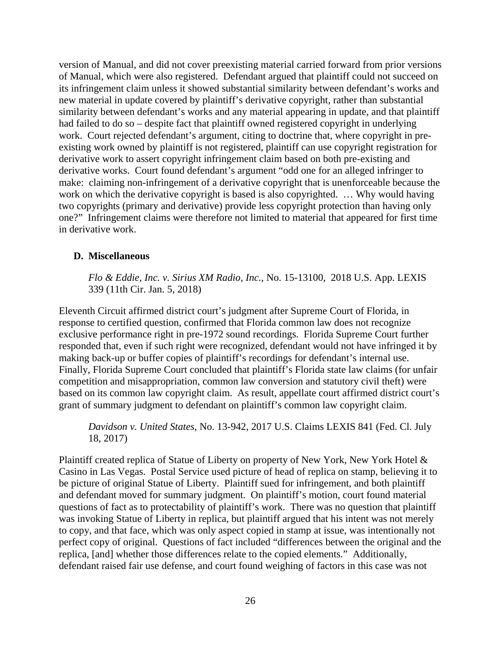version of Manual, and did not cover preexisting material carried forward from prior versions of Manual, which were also registered. Defendant argued that plaintiff could not succeed on its infringement claim unless it showed substantial similarity between defendant's works and new material in update covered by plaintiff's derivative copyright, rather than substantial similarity between defendant's works and any material appearing in update, and that plaintiff had failed to do so – despite fact that plaintiff owned registered copyright in underlying work. Court rejected defendant's argument, citing to doctrine that, where copyright in preexisting work owned by plaintiff is not registered, plaintiff can use copyright registration for derivative work to assert copyright infringement claim based on both pre-existing and derivative works. Court found defendant's argument "odd one for an alleged infringer to make: claiming non-infringement of a derivative copyright that is unenforceable because the work on which the derivative copyright is based is also copyrighted. ... Why would having two copyrights (primary and derivative) provide less copyright protection than having only one?" Infringement claims were therefore not limited to material that appeared for first time in derivative work.

# **D. Miscellaneous**

*Flo & Eddie, Inc. v. Sirius XM Radio, Inc.*, No. 15-13100, 2018 U.S. App. LEXIS 339 (11th Cir. Jan. 5, 2018)

Eleventh Circuit affirmed district court's judgment after Supreme Court of Florida, in response to certified question, confirmed that Florida common law does not recognize exclusive performance right in pre-1972 sound recordings. Florida Supreme Court further responded that, even if such right were recognized, defendant would not have infringed it by making back-up or buffer copies of plaintiff's recordings for defendant's internal use. Finally, Florida Supreme Court concluded that plaintiff's Florida state law claims (for unfair competition and misappropriation, common law conversion and statutory civil theft) were based on its common law copyright claim. As result, appellate court affirmed district court's grant of summary judgment to defendant on plaintiff's common law copyright claim.

*Davidson v. United States*, No. 13-942, 2017 U.S. Claims LEXIS 841 (Fed. Cl. July 18, 2017)

Plaintiff created replica of Statue of Liberty on property of New York, New York Hotel & Casino in Las Vegas. Postal Service used picture of head of replica on stamp, believing it to be picture of original Statue of Liberty. Plaintiff sued for infringement, and both plaintiff and defendant moved for summary judgment. On plaintiff's motion, court found material questions of fact as to protectability of plaintiff's work. There was no question that plaintiff was invoking Statue of Liberty in replica, but plaintiff argued that his intent was not merely to copy, and that face, which was only aspect copied in stamp at issue, was intentionally not perfect copy of original. Questions of fact included "differences between the original and the replica, [and] whether those differences relate to the copied elements." Additionally, defendant raised fair use defense, and court found weighing of factors in this case was not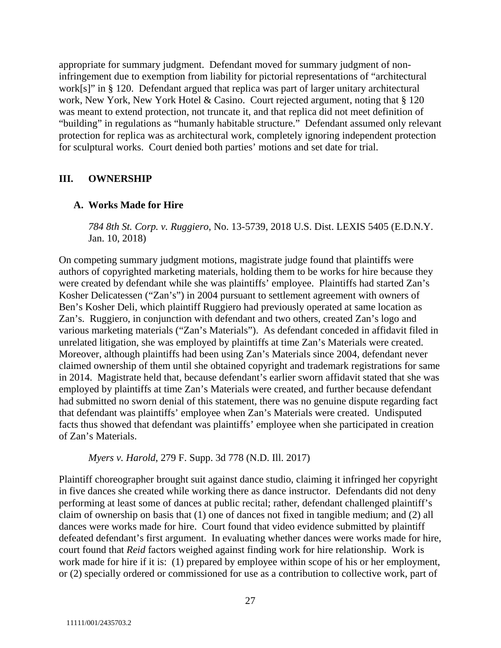appropriate for summary judgment. Defendant moved for summary judgment of noninfringement due to exemption from liability for pictorial representations of "architectural work[s]" in § 120. Defendant argued that replica was part of larger unitary architectural work, New York, New York Hotel & Casino. Court rejected argument, noting that § 120 was meant to extend protection, not truncate it, and that replica did not meet definition of "building" in regulations as "humanly habitable structure." Defendant assumed only relevant protection for replica was as architectural work, completely ignoring independent protection for sculptural works. Court denied both parties' motions and set date for trial.

# **III. OWNERSHIP**

### **A. Works Made for Hire**

*784 8th St. Corp. v. Ruggiero*, No. 13-5739, 2018 U.S. Dist. LEXIS 5405 (E.D.N.Y. Jan. 10, 2018)

On competing summary judgment motions, magistrate judge found that plaintiffs were authors of copyrighted marketing materials, holding them to be works for hire because they were created by defendant while she was plaintiffs' employee. Plaintiffs had started Zan's Kosher Delicatessen ("Zan's") in 2004 pursuant to settlement agreement with owners of Ben's Kosher Deli, which plaintiff Ruggiero had previously operated at same location as Zan's. Ruggiero, in conjunction with defendant and two others, created Zan's logo and various marketing materials ("Zan's Materials"). As defendant conceded in affidavit filed in unrelated litigation, she was employed by plaintiffs at time Zan's Materials were created. Moreover, although plaintiffs had been using Zan's Materials since 2004, defendant never claimed ownership of them until she obtained copyright and trademark registrations for same in 2014. Magistrate held that, because defendant's earlier sworn affidavit stated that she was employed by plaintiffs at time Zan's Materials were created, and further because defendant had submitted no sworn denial of this statement, there was no genuine dispute regarding fact that defendant was plaintiffs' employee when Zan's Materials were created. Undisputed facts thus showed that defendant was plaintiffs' employee when she participated in creation of Zan's Materials.

*Myers v. Harold*, 279 F. Supp. 3d 778 (N.D. Ill. 2017)

Plaintiff choreographer brought suit against dance studio, claiming it infringed her copyright in five dances she created while working there as dance instructor. Defendants did not deny performing at least some of dances at public recital; rather, defendant challenged plaintiff's claim of ownership on basis that (1) one of dances not fixed in tangible medium; and (2) all dances were works made for hire. Court found that video evidence submitted by plaintiff defeated defendant's first argument. In evaluating whether dances were works made for hire, court found that *Reid* factors weighed against finding work for hire relationship. Work is work made for hire if it is: (1) prepared by employee within scope of his or her employment, or (2) specially ordered or commissioned for use as a contribution to collective work, part of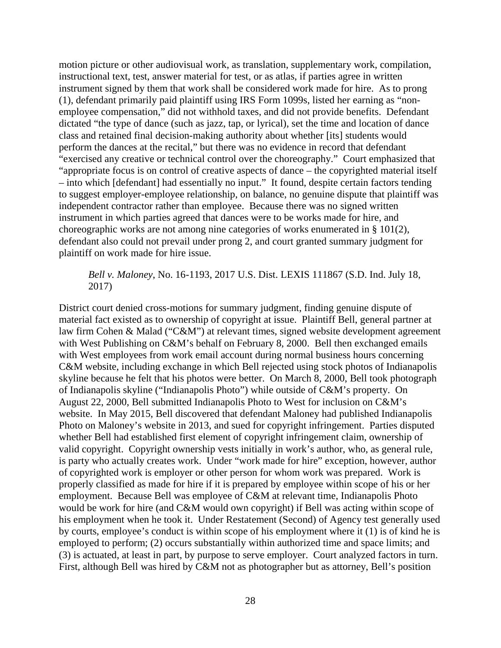motion picture or other audiovisual work, as translation, supplementary work, compilation, instructional text, test, answer material for test, or as atlas, if parties agree in written instrument signed by them that work shall be considered work made for hire. As to prong (1), defendant primarily paid plaintiff using IRS Form 1099s, listed her earning as "nonemployee compensation," did not withhold taxes, and did not provide benefits. Defendant dictated "the type of dance (such as jazz, tap, or lyrical), set the time and location of dance class and retained final decision-making authority about whether [its] students would perform the dances at the recital," but there was no evidence in record that defendant "exercised any creative or technical control over the choreography." Court emphasized that "appropriate focus is on control of creative aspects of dance – the copyrighted material itself – into which [defendant] had essentially no input." It found, despite certain factors tending to suggest employer-employee relationship, on balance, no genuine dispute that plaintiff was independent contractor rather than employee. Because there was no signed written instrument in which parties agreed that dances were to be works made for hire, and choreographic works are not among nine categories of works enumerated in § 101(2), defendant also could not prevail under prong 2, and court granted summary judgment for plaintiff on work made for hire issue.

# *Bell v. Maloney*, No. 16-1193, 2017 U.S. Dist. LEXIS 111867 (S.D. Ind. July 18, 2017)

District court denied cross-motions for summary judgment, finding genuine dispute of material fact existed as to ownership of copyright at issue. Plaintiff Bell, general partner at law firm Cohen & Malad ("C&M") at relevant times, signed website development agreement with West Publishing on C&M's behalf on February 8, 2000. Bell then exchanged emails with West employees from work email account during normal business hours concerning C&M website, including exchange in which Bell rejected using stock photos of Indianapolis skyline because he felt that his photos were better. On March 8, 2000, Bell took photograph of Indianapolis skyline ("Indianapolis Photo") while outside of C&M's property. On August 22, 2000, Bell submitted Indianapolis Photo to West for inclusion on C&M's website. In May 2015, Bell discovered that defendant Maloney had published Indianapolis Photo on Maloney's website in 2013, and sued for copyright infringement. Parties disputed whether Bell had established first element of copyright infringement claim, ownership of valid copyright. Copyright ownership vests initially in work's author, who, as general rule, is party who actually creates work. Under "work made for hire" exception, however, author of copyrighted work is employer or other person for whom work was prepared. Work is properly classified as made for hire if it is prepared by employee within scope of his or her employment. Because Bell was employee of C&M at relevant time, Indianapolis Photo would be work for hire (and C&M would own copyright) if Bell was acting within scope of his employment when he took it. Under Restatement (Second) of Agency test generally used by courts, employee's conduct is within scope of his employment where it (1) is of kind he is employed to perform; (2) occurs substantially within authorized time and space limits; and (3) is actuated, at least in part, by purpose to serve employer. Court analyzed factors in turn. First, although Bell was hired by C&M not as photographer but as attorney, Bell's position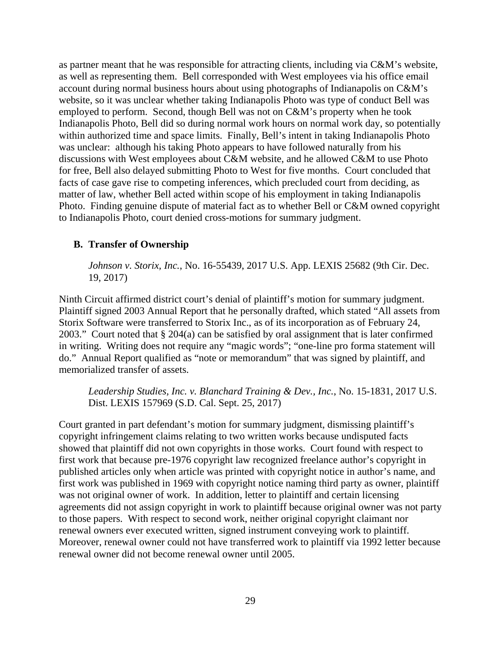as partner meant that he was responsible for attracting clients, including via C&M's website, as well as representing them. Bell corresponded with West employees via his office email account during normal business hours about using photographs of Indianapolis on C&M's website, so it was unclear whether taking Indianapolis Photo was type of conduct Bell was employed to perform. Second, though Bell was not on C&M's property when he took Indianapolis Photo, Bell did so during normal work hours on normal work day, so potentially within authorized time and space limits. Finally, Bell's intent in taking Indianapolis Photo was unclear: although his taking Photo appears to have followed naturally from his discussions with West employees about C&M website, and he allowed C&M to use Photo for free, Bell also delayed submitting Photo to West for five months. Court concluded that facts of case gave rise to competing inferences, which precluded court from deciding, as matter of law, whether Bell acted within scope of his employment in taking Indianapolis Photo. Finding genuine dispute of material fact as to whether Bell or C&M owned copyright to Indianapolis Photo, court denied cross-motions for summary judgment.

# **B. Transfer of Ownership**

*Johnson v. Storix, Inc.*, No. 16-55439, 2017 U.S. App. LEXIS 25682 (9th Cir. Dec. 19, 2017)

Ninth Circuit affirmed district court's denial of plaintiff's motion for summary judgment. Plaintiff signed 2003 Annual Report that he personally drafted, which stated "All assets from Storix Software were transferred to Storix Inc., as of its incorporation as of February 24, 2003." Court noted that § 204(a) can be satisfied by oral assignment that is later confirmed in writing. Writing does not require any "magic words"; "one-line pro forma statement will do." Annual Report qualified as "note or memorandum" that was signed by plaintiff, and memorialized transfer of assets.

*Leadership Studies, Inc. v. Blanchard Training & Dev., Inc.*, No. 15-1831, 2017 U.S. Dist. LEXIS 157969 (S.D. Cal. Sept. 25, 2017)

Court granted in part defendant's motion for summary judgment, dismissing plaintiff's copyright infringement claims relating to two written works because undisputed facts showed that plaintiff did not own copyrights in those works. Court found with respect to first work that because pre-1976 copyright law recognized freelance author's copyright in published articles only when article was printed with copyright notice in author's name, and first work was published in 1969 with copyright notice naming third party as owner, plaintiff was not original owner of work. In addition, letter to plaintiff and certain licensing agreements did not assign copyright in work to plaintiff because original owner was not party to those papers. With respect to second work, neither original copyright claimant nor renewal owners ever executed written, signed instrument conveying work to plaintiff. Moreover, renewal owner could not have transferred work to plaintiff via 1992 letter because renewal owner did not become renewal owner until 2005.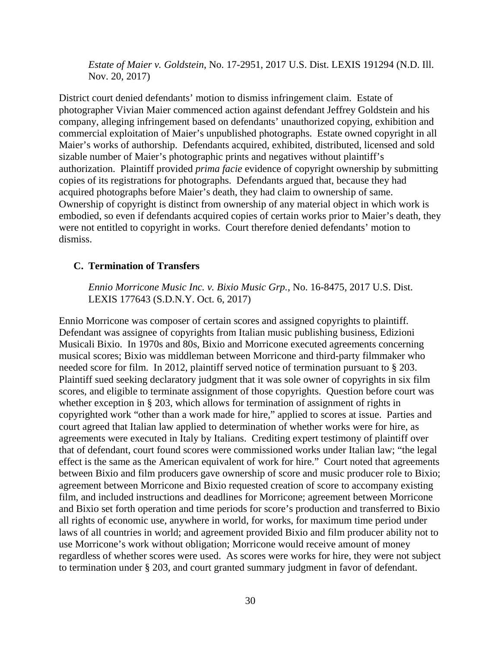*Estate of Maier v. Goldstein*, No. 17-2951, 2017 U.S. Dist. LEXIS 191294 (N.D. Ill. Nov. 20, 2017)

District court denied defendants' motion to dismiss infringement claim. Estate of photographer Vivian Maier commenced action against defendant Jeffrey Goldstein and his company, alleging infringement based on defendants' unauthorized copying, exhibition and commercial exploitation of Maier's unpublished photographs. Estate owned copyright in all Maier's works of authorship. Defendants acquired, exhibited, distributed, licensed and sold sizable number of Maier's photographic prints and negatives without plaintiff's authorization. Plaintiff provided *prima facie* evidence of copyright ownership by submitting copies of its registrations for photographs. Defendants argued that, because they had acquired photographs before Maier's death, they had claim to ownership of same. Ownership of copyright is distinct from ownership of any material object in which work is embodied, so even if defendants acquired copies of certain works prior to Maier's death, they were not entitled to copyright in works. Court therefore denied defendants' motion to dismiss.

### **C. Termination of Transfers**

*Ennio Morricone Music Inc. v. Bixio Music Grp.*, No. 16-8475, 2017 U.S. Dist. LEXIS 177643 (S.D.N.Y. Oct. 6, 2017)

Ennio Morricone was composer of certain scores and assigned copyrights to plaintiff. Defendant was assignee of copyrights from Italian music publishing business, Edizioni Musicali Bixio. In 1970s and 80s, Bixio and Morricone executed agreements concerning musical scores; Bixio was middleman between Morricone and third-party filmmaker who needed score for film. In 2012, plaintiff served notice of termination pursuant to § 203. Plaintiff sued seeking declaratory judgment that it was sole owner of copyrights in six film scores, and eligible to terminate assignment of those copyrights. Question before court was whether exception in § 203, which allows for termination of assignment of rights in copyrighted work "other than a work made for hire," applied to scores at issue. Parties and court agreed that Italian law applied to determination of whether works were for hire, as agreements were executed in Italy by Italians. Crediting expert testimony of plaintiff over that of defendant, court found scores were commissioned works under Italian law; "the legal effect is the same as the American equivalent of work for hire." Court noted that agreements between Bixio and film producers gave ownership of score and music producer role to Bixio; agreement between Morricone and Bixio requested creation of score to accompany existing film, and included instructions and deadlines for Morricone; agreement between Morricone and Bixio set forth operation and time periods for score's production and transferred to Bixio all rights of economic use, anywhere in world, for works, for maximum time period under laws of all countries in world; and agreement provided Bixio and film producer ability not to use Morricone's work without obligation; Morricone would receive amount of money regardless of whether scores were used. As scores were works for hire, they were not subject to termination under § 203, and court granted summary judgment in favor of defendant.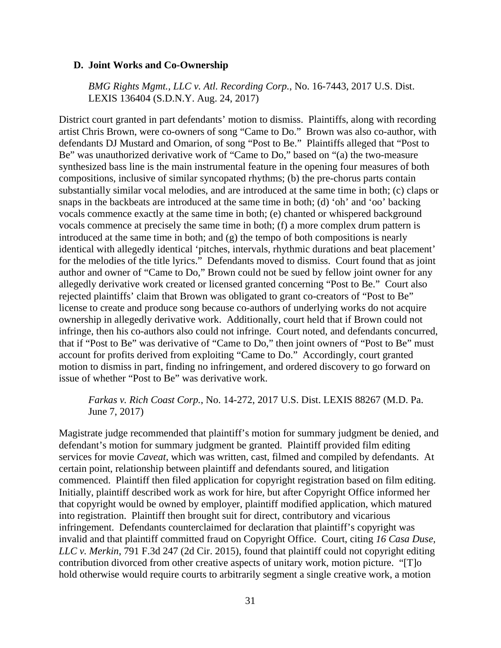#### **D. Joint Works and Co-Ownership**

*BMG Rights Mgmt., LLC v. Atl. Recording Corp.*, No. 16-7443, 2017 U.S. Dist. LEXIS 136404 (S.D.N.Y. Aug. 24, 2017)

District court granted in part defendants' motion to dismiss. Plaintiffs, along with recording artist Chris Brown, were co-owners of song "Came to Do." Brown was also co-author, with defendants DJ Mustard and Omarion, of song "Post to Be." Plaintiffs alleged that "Post to Be" was unauthorized derivative work of "Came to Do," based on "(a) the two-measure synthesized bass line is the main instrumental feature in the opening four measures of both compositions, inclusive of similar syncopated rhythms; (b) the pre-chorus parts contain substantially similar vocal melodies, and are introduced at the same time in both; (c) claps or snaps in the backbeats are introduced at the same time in both; (d) 'oh' and 'oo' backing vocals commence exactly at the same time in both; (e) chanted or whispered background vocals commence at precisely the same time in both; (f) a more complex drum pattern is introduced at the same time in both; and (g) the tempo of both compositions is nearly identical with allegedly identical 'pitches, intervals, rhythmic durations and beat placement' for the melodies of the title lyrics." Defendants moved to dismiss. Court found that as joint author and owner of "Came to Do," Brown could not be sued by fellow joint owner for any allegedly derivative work created or licensed granted concerning "Post to Be." Court also rejected plaintiffs' claim that Brown was obligated to grant co-creators of "Post to Be" license to create and produce song because co-authors of underlying works do not acquire ownership in allegedly derivative work. Additionally, court held that if Brown could not infringe, then his co-authors also could not infringe. Court noted, and defendants concurred, that if "Post to Be" was derivative of "Came to Do," then joint owners of "Post to Be" must account for profits derived from exploiting "Came to Do." Accordingly, court granted motion to dismiss in part, finding no infringement, and ordered discovery to go forward on issue of whether "Post to Be" was derivative work.

#### *Farkas v. Rich Coast Corp.*, No. 14-272, 2017 U.S. Dist. LEXIS 88267 (M.D. Pa. June 7, 2017)

Magistrate judge recommended that plaintiff's motion for summary judgment be denied, and defendant's motion for summary judgment be granted. Plaintiff provided film editing services for movie *Caveat*, which was written, cast, filmed and compiled by defendants. At certain point, relationship between plaintiff and defendants soured, and litigation commenced. Plaintiff then filed application for copyright registration based on film editing. Initially, plaintiff described work as work for hire, but after Copyright Office informed her that copyright would be owned by employer, plaintiff modified application, which matured into registration. Plaintiff then brought suit for direct, contributory and vicarious infringement. Defendants counterclaimed for declaration that plaintiff's copyright was invalid and that plaintiff committed fraud on Copyright Office. Court, citing *16 Casa Duse, LLC v. Merkin*, 791 F.3d 247 (2d Cir. 2015), found that plaintiff could not copyright editing contribution divorced from other creative aspects of unitary work, motion picture. "[T]o hold otherwise would require courts to arbitrarily segment a single creative work, a motion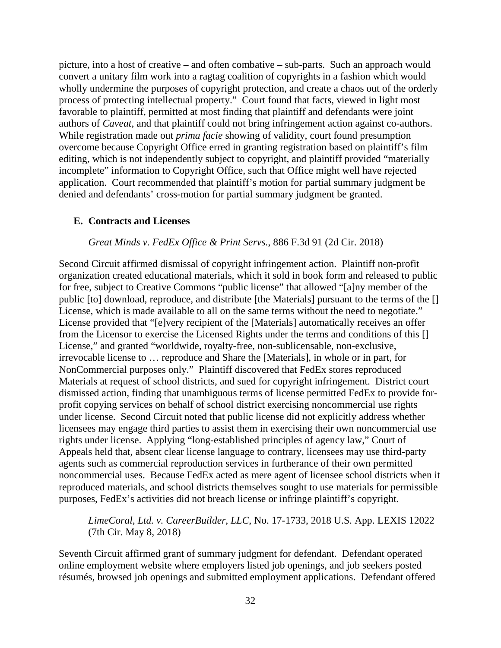picture, into a host of creative – and often combative – sub-parts. Such an approach would convert a unitary film work into a ragtag coalition of copyrights in a fashion which would wholly undermine the purposes of copyright protection, and create a chaos out of the orderly process of protecting intellectual property." Court found that facts, viewed in light most favorable to plaintiff, permitted at most finding that plaintiff and defendants were joint authors of *Caveat*, and that plaintiff could not bring infringement action against co-authors. While registration made out *prima facie* showing of validity, court found presumption overcome because Copyright Office erred in granting registration based on plaintiff's film editing, which is not independently subject to copyright, and plaintiff provided "materially incomplete" information to Copyright Office, such that Office might well have rejected application. Court recommended that plaintiff's motion for partial summary judgment be denied and defendants' cross-motion for partial summary judgment be granted.

### **E. Contracts and Licenses**

#### *Great Minds v. FedEx Office & Print Servs.*, 886 F.3d 91 (2d Cir. 2018)

Second Circuit affirmed dismissal of copyright infringement action. Plaintiff non-profit organization created educational materials, which it sold in book form and released to public for free, subject to Creative Commons "public license" that allowed "[a]ny member of the public [to] download, reproduce, and distribute [the Materials] pursuant to the terms of the [] License, which is made available to all on the same terms without the need to negotiate." License provided that "[e]very recipient of the [Materials] automatically receives an offer from the Licensor to exercise the Licensed Rights under the terms and conditions of this [] License," and granted "worldwide, royalty-free, non-sublicensable, non-exclusive, irrevocable license to … reproduce and Share the [Materials], in whole or in part, for NonCommercial purposes only." Plaintiff discovered that FedEx stores reproduced Materials at request of school districts, and sued for copyright infringement. District court dismissed action, finding that unambiguous terms of license permitted FedEx to provide forprofit copying services on behalf of school district exercising noncommercial use rights under license. Second Circuit noted that public license did not explicitly address whether licensees may engage third parties to assist them in exercising their own noncommercial use rights under license. Applying "long-established principles of agency law," Court of Appeals held that, absent clear license language to contrary, licensees may use third-party agents such as commercial reproduction services in furtherance of their own permitted noncommercial uses. Because FedEx acted as mere agent of licensee school districts when it reproduced materials, and school districts themselves sought to use materials for permissible purposes, FedEx's activities did not breach license or infringe plaintiff's copyright.

# *LimeCoral, Ltd. v. CareerBuilder, LLC*, No. 17-1733, 2018 U.S. App. LEXIS 12022 (7th Cir. May 8, 2018)

Seventh Circuit affirmed grant of summary judgment for defendant. Defendant operated online employment website where employers listed job openings, and job seekers posted résumés, browsed job openings and submitted employment applications. Defendant offered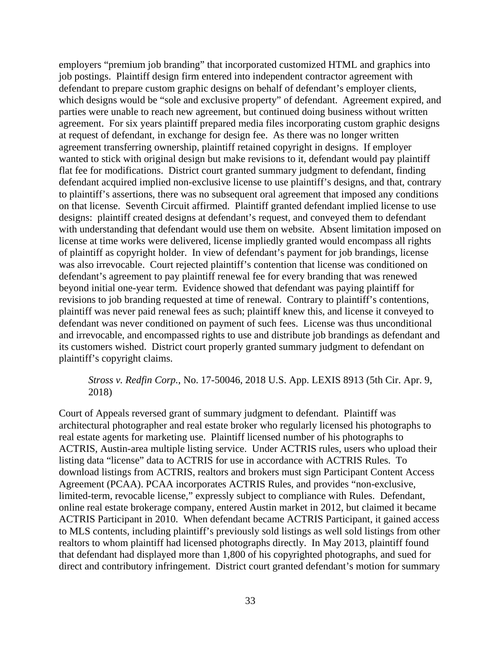employers "premium job branding" that incorporated customized HTML and graphics into job postings. Plaintiff design firm entered into independent contractor agreement with defendant to prepare custom graphic designs on behalf of defendant's employer clients, which designs would be "sole and exclusive property" of defendant. Agreement expired, and parties were unable to reach new agreement, but continued doing business without written agreement. For six years plaintiff prepared media files incorporating custom graphic designs at request of defendant, in exchange for design fee. As there was no longer written agreement transferring ownership, plaintiff retained copyright in designs. If employer wanted to stick with original design but make revisions to it, defendant would pay plaintiff flat fee for modifications. District court granted summary judgment to defendant, finding defendant acquired implied non-exclusive license to use plaintiff's designs, and that, contrary to plaintiff's assertions, there was no subsequent oral agreement that imposed any conditions on that license. Seventh Circuit affirmed. Plaintiff granted defendant implied license to use designs: plaintiff created designs at defendant's request, and conveyed them to defendant with understanding that defendant would use them on website. Absent limitation imposed on license at time works were delivered, license impliedly granted would encompass all rights of plaintiff as copyright holder. In view of defendant's payment for job brandings, license was also irrevocable. Court rejected plaintiff's contention that license was conditioned on defendant's agreement to pay plaintiff renewal fee for every branding that was renewed beyond initial one-year term. Evidence showed that defendant was paying plaintiff for revisions to job branding requested at time of renewal. Contrary to plaintiff's contentions, plaintiff was never paid renewal fees as such; plaintiff knew this, and license it conveyed to defendant was never conditioned on payment of such fees. License was thus unconditional and irrevocable, and encompassed rights to use and distribute job brandings as defendant and its customers wished. District court properly granted summary judgment to defendant on plaintiff's copyright claims.

## *Stross v. Redfin Corp.*, No. 17-50046, 2018 U.S. App. LEXIS 8913 (5th Cir. Apr. 9, 2018)

Court of Appeals reversed grant of summary judgment to defendant. Plaintiff was architectural photographer and real estate broker who regularly licensed his photographs to real estate agents for marketing use. Plaintiff licensed number of his photographs to ACTRIS, Austin-area multiple listing service. Under ACTRIS rules, users who upload their listing data "license" data to ACTRIS for use in accordance with ACTRIS Rules. To download listings from ACTRIS, realtors and brokers must sign Participant Content Access Agreement (PCAA). PCAA incorporates ACTRIS Rules, and provides "non-exclusive, limited-term, revocable license," expressly subject to compliance with Rules. Defendant, online real estate brokerage company, entered Austin market in 2012, but claimed it became ACTRIS Participant in 2010. When defendant became ACTRIS Participant, it gained access to MLS contents, including plaintiff's previously sold listings as well sold listings from other realtors to whom plaintiff had licensed photographs directly. In May 2013, plaintiff found that defendant had displayed more than 1,800 of his copyrighted photographs, and sued for direct and contributory infringement. District court granted defendant's motion for summary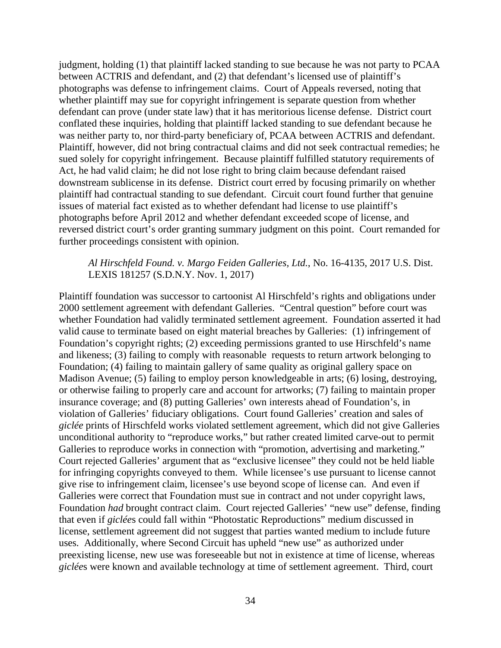judgment, holding (1) that plaintiff lacked standing to sue because he was not party to PCAA between ACTRIS and defendant, and (2) that defendant's licensed use of plaintiff's photographs was defense to infringement claims. Court of Appeals reversed, noting that whether plaintiff may sue for copyright infringement is separate question from whether defendant can prove (under state law) that it has meritorious license defense. District court conflated these inquiries, holding that plaintiff lacked standing to sue defendant because he was neither party to, nor third-party beneficiary of, PCAA between ACTRIS and defendant. Plaintiff, however, did not bring contractual claims and did not seek contractual remedies; he sued solely for copyright infringement. Because plaintiff fulfilled statutory requirements of Act, he had valid claim; he did not lose right to bring claim because defendant raised downstream sublicense in its defense. District court erred by focusing primarily on whether plaintiff had contractual standing to sue defendant. Circuit court found further that genuine issues of material fact existed as to whether defendant had license to use plaintiff's photographs before April 2012 and whether defendant exceeded scope of license, and reversed district court's order granting summary judgment on this point. Court remanded for further proceedings consistent with opinion.

# *Al Hirschfeld Found. v. Margo Feiden Galleries, Ltd.*, No. 16-4135, 2017 U.S. Dist. LEXIS 181257 (S.D.N.Y. Nov. 1, 2017)

Plaintiff foundation was successor to cartoonist Al Hirschfeld's rights and obligations under 2000 settlement agreement with defendant Galleries. "Central question" before court was whether Foundation had validly terminated settlement agreement. Foundation asserted it had valid cause to terminate based on eight material breaches by Galleries: (1) infringement of Foundation's copyright rights; (2) exceeding permissions granted to use Hirschfeld's name and likeness; (3) failing to comply with reasonable requests to return artwork belonging to Foundation; (4) failing to maintain gallery of same quality as original gallery space on Madison Avenue; (5) failing to employ person knowledgeable in arts; (6) losing, destroying, or otherwise failing to properly care and account for artworks; (7) failing to maintain proper insurance coverage; and (8) putting Galleries' own interests ahead of Foundation's, in violation of Galleries' fiduciary obligations. Court found Galleries' creation and sales of *giclée* prints of Hirschfeld works violated settlement agreement, which did not give Galleries unconditional authority to "reproduce works," but rather created limited carve-out to permit Galleries to reproduce works in connection with "promotion, advertising and marketing." Court rejected Galleries' argument that as "exclusive licensee" they could not be held liable for infringing copyrights conveyed to them. While licensee's use pursuant to license cannot give rise to infringement claim, licensee's use beyond scope of license can. And even if Galleries were correct that Foundation must sue in contract and not under copyright laws, Foundation *had* brought contract claim. Court rejected Galleries' "new use" defense, finding that even if *giclée*s could fall within "Photostatic Reproductions" medium discussed in license, settlement agreement did not suggest that parties wanted medium to include future uses. Additionally, where Second Circuit has upheld "new use" as authorized under preexisting license, new use was foreseeable but not in existence at time of license, whereas *giclée*s were known and available technology at time of settlement agreement. Third, court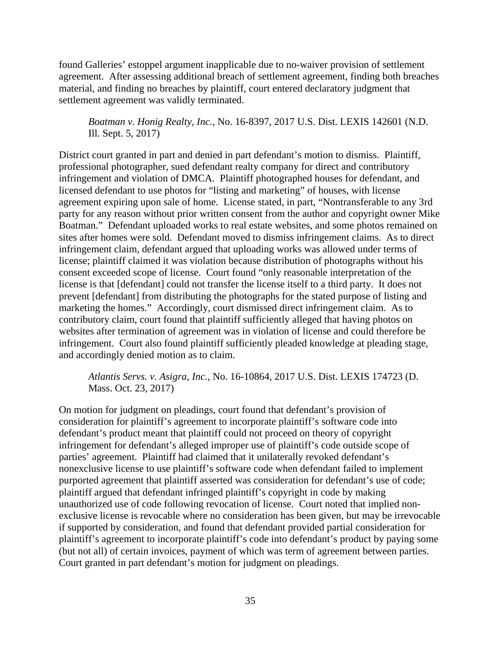found Galleries' estoppel argument inapplicable due to no-waiver provision of settlement agreement. After assessing additional breach of settlement agreement, finding both breaches material, and finding no breaches by plaintiff, court entered declaratory judgment that settlement agreement was validly terminated.

*Boatman v. Honig Realty, Inc.*, No. 16-8397, 2017 U.S. Dist. LEXIS 142601 (N.D. Ill. Sept. 5, 2017)

District court granted in part and denied in part defendant's motion to dismiss. Plaintiff, professional photographer, sued defendant realty company for direct and contributory infringement and violation of DMCA. Plaintiff photographed houses for defendant, and licensed defendant to use photos for "listing and marketing" of houses, with license agreement expiring upon sale of home. License stated, in part, "Nontransferable to any 3rd party for any reason without prior written consent from the author and copyright owner Mike Boatman." Defendant uploaded works to real estate websites, and some photos remained on sites after homes were sold. Defendant moved to dismiss infringement claims. As to direct infringement claim, defendant argued that uploading works was allowed under terms of license; plaintiff claimed it was violation because distribution of photographs without his consent exceeded scope of license. Court found "only reasonable interpretation of the license is that [defendant] could not transfer the license itself to a third party. It does not prevent [defendant] from distributing the photographs for the stated purpose of listing and marketing the homes." Accordingly, court dismissed direct infringement claim. As to contributory claim, court found that plaintiff sufficiently alleged that having photos on websites after termination of agreement was in violation of license and could therefore be infringement. Court also found plaintiff sufficiently pleaded knowledge at pleading stage, and accordingly denied motion as to claim.

*Atlantis Servs. v. Asigra, Inc.*, No. 16-10864, 2017 U.S. Dist. LEXIS 174723 (D. Mass. Oct. 23, 2017)

On motion for judgment on pleadings, court found that defendant's provision of consideration for plaintiff's agreement to incorporate plaintiff's software code into defendant's product meant that plaintiff could not proceed on theory of copyright infringement for defendant's alleged improper use of plaintiff's code outside scope of parties' agreement. Plaintiff had claimed that it unilaterally revoked defendant's nonexclusive license to use plaintiff's software code when defendant failed to implement purported agreement that plaintiff asserted was consideration for defendant's use of code; plaintiff argued that defendant infringed plaintiff's copyright in code by making unauthorized use of code following revocation of license. Court noted that implied nonexclusive license is revocable where no consideration has been given, but may be irrevocable if supported by consideration, and found that defendant provided partial consideration for plaintiff's agreement to incorporate plaintiff's code into defendant's product by paying some (but not all) of certain invoices, payment of which was term of agreement between parties. Court granted in part defendant's motion for judgment on pleadings.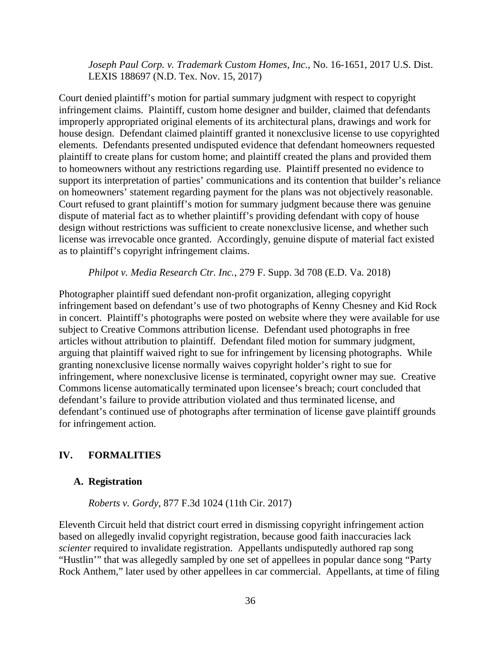*Joseph Paul Corp. v. Trademark Custom Homes, Inc.*, No. 16-1651, 2017 U.S. Dist. LEXIS 188697 (N.D. Tex. Nov. 15, 2017)

Court denied plaintiff's motion for partial summary judgment with respect to copyright infringement claims. Plaintiff, custom home designer and builder, claimed that defendants improperly appropriated original elements of its architectural plans, drawings and work for house design. Defendant claimed plaintiff granted it nonexclusive license to use copyrighted elements. Defendants presented undisputed evidence that defendant homeowners requested plaintiff to create plans for custom home; and plaintiff created the plans and provided them to homeowners without any restrictions regarding use. Plaintiff presented no evidence to support its interpretation of parties' communications and its contention that builder's reliance on homeowners' statement regarding payment for the plans was not objectively reasonable. Court refused to grant plaintiff's motion for summary judgment because there was genuine dispute of material fact as to whether plaintiff's providing defendant with copy of house design without restrictions was sufficient to create nonexclusive license, and whether such license was irrevocable once granted. Accordingly, genuine dispute of material fact existed as to plaintiff's copyright infringement claims.

*Philpot v. Media Research Ctr. Inc.*, 279 F. Supp. 3d 708 (E.D. Va. 2018)

Photographer plaintiff sued defendant non-profit organization, alleging copyright infringement based on defendant's use of two photographs of Kenny Chesney and Kid Rock in concert. Plaintiff's photographs were posted on website where they were available for use subject to Creative Commons attribution license. Defendant used photographs in free articles without attribution to plaintiff. Defendant filed motion for summary judgment, arguing that plaintiff waived right to sue for infringement by licensing photographs. While granting nonexclusive license normally waives copyright holder's right to sue for infringement, where nonexclusive license is terminated, copyright owner may sue. Creative Commons license automatically terminated upon licensee's breach; court concluded that defendant's failure to provide attribution violated and thus terminated license, and defendant's continued use of photographs after termination of license gave plaintiff grounds for infringement action.

# **IV. FORMALITIES**

# **A. Registration**

*Roberts v. Gordy*, 877 F.3d 1024 (11th Cir. 2017)

Eleventh Circuit held that district court erred in dismissing copyright infringement action based on allegedly invalid copyright registration, because good faith inaccuracies lack *scienter* required to invalidate registration. Appellants undisputedly authored rap song "Hustlin'" that was allegedly sampled by one set of appellees in popular dance song "Party Rock Anthem," later used by other appellees in car commercial. Appellants, at time of filing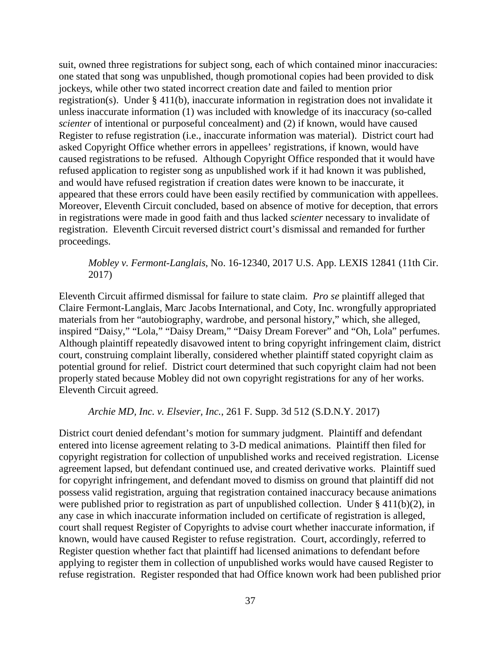suit, owned three registrations for subject song, each of which contained minor inaccuracies: one stated that song was unpublished, though promotional copies had been provided to disk jockeys, while other two stated incorrect creation date and failed to mention prior registration(s). Under § 411(b), inaccurate information in registration does not invalidate it unless inaccurate information (1) was included with knowledge of its inaccuracy (so-called *scienter* of intentional or purposeful concealment) and (2) if known, would have caused Register to refuse registration (i.e., inaccurate information was material). District court had asked Copyright Office whether errors in appellees' registrations, if known, would have caused registrations to be refused. Although Copyright Office responded that it would have refused application to register song as unpublished work if it had known it was published, and would have refused registration if creation dates were known to be inaccurate, it appeared that these errors could have been easily rectified by communication with appellees. Moreover, Eleventh Circuit concluded, based on absence of motive for deception, that errors in registrations were made in good faith and thus lacked *scienter* necessary to invalidate of registration. Eleventh Circuit reversed district court's dismissal and remanded for further proceedings.

# *Mobley v. Fermont-Langlais*, No. 16-12340, 2017 U.S. App. LEXIS 12841 (11th Cir. 2017)

Eleventh Circuit affirmed dismissal for failure to state claim. *Pro se* plaintiff alleged that Claire Fermont-Langlais, Marc Jacobs International, and Coty, Inc. wrongfully appropriated materials from her "autobiography, wardrobe, and personal history," which, she alleged, inspired "Daisy," "Lola," "Daisy Dream," "Daisy Dream Forever" and "Oh, Lola" perfumes. Although plaintiff repeatedly disavowed intent to bring copyright infringement claim, district court, construing complaint liberally, considered whether plaintiff stated copyright claim as potential ground for relief. District court determined that such copyright claim had not been properly stated because Mobley did not own copyright registrations for any of her works. Eleventh Circuit agreed.

*Archie MD, Inc. v. Elsevier, Inc.*, 261 F. Supp. 3d 512 (S.D.N.Y. 2017)

District court denied defendant's motion for summary judgment. Plaintiff and defendant entered into license agreement relating to 3-D medical animations. Plaintiff then filed for copyright registration for collection of unpublished works and received registration. License agreement lapsed, but defendant continued use, and created derivative works. Plaintiff sued for copyright infringement, and defendant moved to dismiss on ground that plaintiff did not possess valid registration, arguing that registration contained inaccuracy because animations were published prior to registration as part of unpublished collection. Under  $\S 411(b)(2)$ , in any case in which inaccurate information included on certificate of registration is alleged, court shall request Register of Copyrights to advise court whether inaccurate information, if known, would have caused Register to refuse registration. Court, accordingly, referred to Register question whether fact that plaintiff had licensed animations to defendant before applying to register them in collection of unpublished works would have caused Register to refuse registration. Register responded that had Office known work had been published prior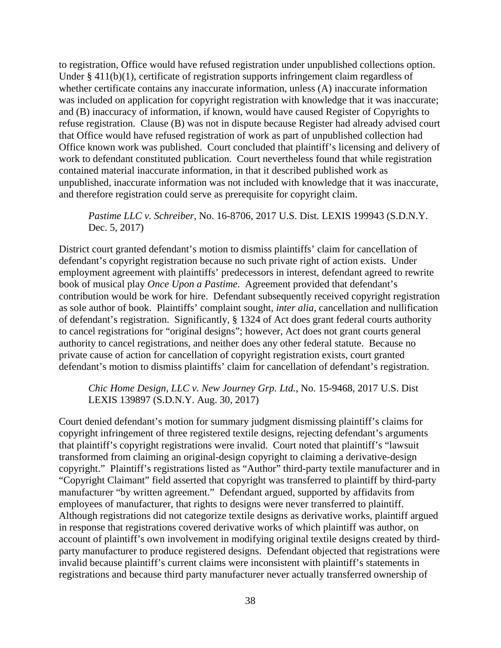to registration, Office would have refused registration under unpublished collections option. Under § 411(b)(1), certificate of registration supports infringement claim regardless of whether certificate contains any inaccurate information, unless (A) inaccurate information was included on application for copyright registration with knowledge that it was inaccurate; and (B) inaccuracy of information, if known, would have caused Register of Copyrights to refuse registration. Clause (B) was not in dispute because Register had already advised court that Office would have refused registration of work as part of unpublished collection had Office known work was published. Court concluded that plaintiff's licensing and delivery of work to defendant constituted publication. Court nevertheless found that while registration contained material inaccurate information, in that it described published work as unpublished, inaccurate information was not included with knowledge that it was inaccurate, and therefore registration could serve as prerequisite for copyright claim.

*Pastime LLC v. Schreiber*, No. 16-8706, 2017 U.S. Dist. LEXIS 199943 (S.D.N.Y. Dec. 5, 2017)

District court granted defendant's motion to dismiss plaintiffs' claim for cancellation of defendant's copyright registration because no such private right of action exists. Under employment agreement with plaintiffs' predecessors in interest, defendant agreed to rewrite book of musical play *Once Upon a Pastime*. Agreement provided that defendant's contribution would be work for hire. Defendant subsequently received copyright registration as sole author of book. Plaintiffs' complaint sought, *inter alia*, cancellation and nullification of defendant's registration. Significantly, § 1324 of Act does grant federal courts authority to cancel registrations for "original designs"; however, Act does not grant courts general authority to cancel registrations, and neither does any other federal statute. Because no private cause of action for cancellation of copyright registration exists, court granted defendant's motion to dismiss plaintiffs' claim for cancellation of defendant's registration.

*Chic Home Design, LLC v. New Journey Grp. Ltd.*, No. 15-9468, 2017 U.S. Dist LEXIS 139897 (S.D.N.Y. Aug. 30, 2017)

Court denied defendant's motion for summary judgment dismissing plaintiff's claims for copyright infringement of three registered textile designs, rejecting defendant's arguments that plaintiff's copyright registrations were invalid. Court noted that plaintiff's "lawsuit transformed from claiming an original-design copyright to claiming a derivative-design copyright." Plaintiff's registrations listed as "Author" third-party textile manufacturer and in "Copyright Claimant" field asserted that copyright was transferred to plaintiff by third-party manufacturer "by written agreement." Defendant argued, supported by affidavits from employees of manufacturer, that rights to designs were never transferred to plaintiff. Although registrations did not categorize textile designs as derivative works, plaintiff argued in response that registrations covered derivative works of which plaintiff was author, on account of plaintiff's own involvement in modifying original textile designs created by thirdparty manufacturer to produce registered designs. Defendant objected that registrations were invalid because plaintiff's current claims were inconsistent with plaintiff's statements in registrations and because third party manufacturer never actually transferred ownership of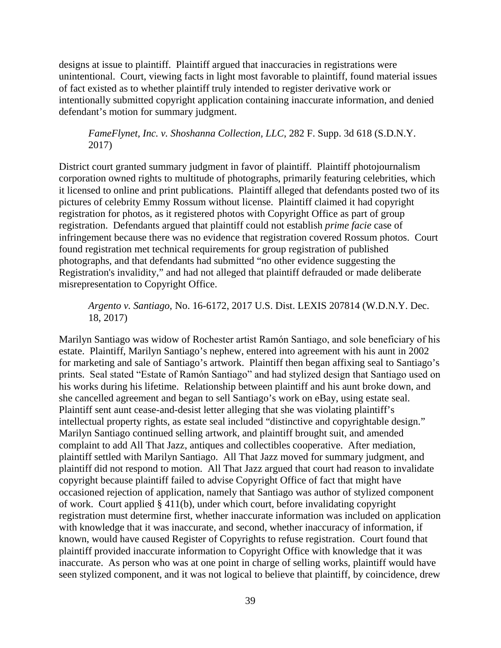designs at issue to plaintiff. Plaintiff argued that inaccuracies in registrations were unintentional. Court, viewing facts in light most favorable to plaintiff, found material issues of fact existed as to whether plaintiff truly intended to register derivative work or intentionally submitted copyright application containing inaccurate information, and denied defendant's motion for summary judgment.

*FameFlynet, Inc. v. Shoshanna Collection, LLC*, 282 F. Supp. 3d 618 (S.D.N.Y. 2017)

District court granted summary judgment in favor of plaintiff. Plaintiff photojournalism corporation owned rights to multitude of photographs, primarily featuring celebrities, which it licensed to online and print publications. Plaintiff alleged that defendants posted two of its pictures of celebrity Emmy Rossum without license. Plaintiff claimed it had copyright registration for photos, as it registered photos with Copyright Office as part of group registration. Defendants argued that plaintiff could not establish *prime facie* case of infringement because there was no evidence that registration covered Rossum photos. Court found registration met technical requirements for group registration of published photographs, and that defendants had submitted "no other evidence suggesting the Registration's invalidity," and had not alleged that plaintiff defrauded or made deliberate misrepresentation to Copyright Office.

*Argento v. Santiago*, No. 16-6172, 2017 U.S. Dist. LEXIS 207814 (W.D.N.Y. Dec. 18, 2017)

Marilyn Santiago was widow of Rochester artist Ramόn Santiago, and sole beneficiary of his estate. Plaintiff, Marilyn Santiago's nephew, entered into agreement with his aunt in 2002 for marketing and sale of Santiago's artwork. Plaintiff then began affixing seal to Santiago's prints. Seal stated "Estate of Ramόn Santiago" and had stylized design that Santiago used on his works during his lifetime. Relationship between plaintiff and his aunt broke down, and she cancelled agreement and began to sell Santiago's work on eBay, using estate seal. Plaintiff sent aunt cease-and-desist letter alleging that she was violating plaintiff's intellectual property rights, as estate seal included "distinctive and copyrightable design." Marilyn Santiago continued selling artwork, and plaintiff brought suit, and amended complaint to add All That Jazz, antiques and collectibles cooperative. After mediation, plaintiff settled with Marilyn Santiago. All That Jazz moved for summary judgment, and plaintiff did not respond to motion. All That Jazz argued that court had reason to invalidate copyright because plaintiff failed to advise Copyright Office of fact that might have occasioned rejection of application, namely that Santiago was author of stylized component of work. Court applied § 411(b), under which court, before invalidating copyright registration must determine first, whether inaccurate information was included on application with knowledge that it was inaccurate, and second, whether inaccuracy of information, if known, would have caused Register of Copyrights to refuse registration. Court found that plaintiff provided inaccurate information to Copyright Office with knowledge that it was inaccurate. As person who was at one point in charge of selling works, plaintiff would have seen stylized component, and it was not logical to believe that plaintiff, by coincidence, drew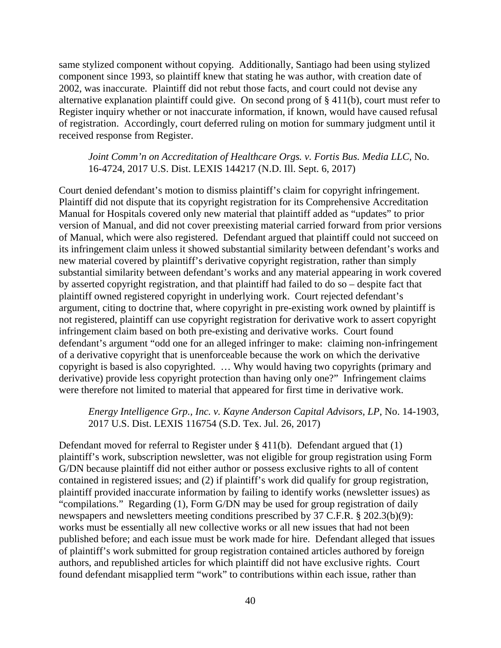same stylized component without copying. Additionally, Santiago had been using stylized component since 1993, so plaintiff knew that stating he was author, with creation date of 2002, was inaccurate. Plaintiff did not rebut those facts, and court could not devise any alternative explanation plaintiff could give. On second prong of § 411(b), court must refer to Register inquiry whether or not inaccurate information, if known, would have caused refusal of registration. Accordingly, court deferred ruling on motion for summary judgment until it received response from Register.

### *Joint Comm'n on Accreditation of Healthcare Orgs. v. Fortis Bus. Media LLC*, No. 16-4724, 2017 U.S. Dist. LEXIS 144217 (N.D. Ill. Sept. 6, 2017)

Court denied defendant's motion to dismiss plaintiff's claim for copyright infringement. Plaintiff did not dispute that its copyright registration for its Comprehensive Accreditation Manual for Hospitals covered only new material that plaintiff added as "updates" to prior version of Manual, and did not cover preexisting material carried forward from prior versions of Manual, which were also registered. Defendant argued that plaintiff could not succeed on its infringement claim unless it showed substantial similarity between defendant's works and new material covered by plaintiff's derivative copyright registration, rather than simply substantial similarity between defendant's works and any material appearing in work covered by asserted copyright registration, and that plaintiff had failed to do so – despite fact that plaintiff owned registered copyright in underlying work. Court rejected defendant's argument, citing to doctrine that, where copyright in pre-existing work owned by plaintiff is not registered, plaintiff can use copyright registration for derivative work to assert copyright infringement claim based on both pre-existing and derivative works. Court found defendant's argument "odd one for an alleged infringer to make: claiming non-infringement of a derivative copyright that is unenforceable because the work on which the derivative copyright is based is also copyrighted. … Why would having two copyrights (primary and derivative) provide less copyright protection than having only one?" Infringement claims were therefore not limited to material that appeared for first time in derivative work.

### *Energy Intelligence Grp., Inc. v. Kayne Anderson Capital Advisors, LP*, No. 14-1903, 2017 U.S. Dist. LEXIS 116754 (S.D. Tex. Jul. 26, 2017)

Defendant moved for referral to Register under § 411(b). Defendant argued that (1) plaintiff's work, subscription newsletter, was not eligible for group registration using Form G/DN because plaintiff did not either author or possess exclusive rights to all of content contained in registered issues; and (2) if plaintiff's work did qualify for group registration, plaintiff provided inaccurate information by failing to identify works (newsletter issues) as "compilations." Regarding (1), Form G/DN may be used for group registration of daily newspapers and newsletters meeting conditions prescribed by 37 C.F.R. § 202.3(b)(9): works must be essentially all new collective works or all new issues that had not been published before; and each issue must be work made for hire. Defendant alleged that issues of plaintiff's work submitted for group registration contained articles authored by foreign authors, and republished articles for which plaintiff did not have exclusive rights. Court found defendant misapplied term "work" to contributions within each issue, rather than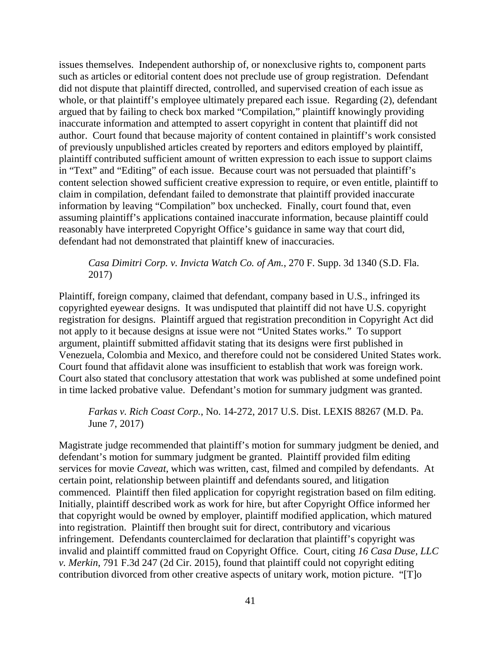issues themselves. Independent authorship of, or nonexclusive rights to, component parts such as articles or editorial content does not preclude use of group registration. Defendant did not dispute that plaintiff directed, controlled, and supervised creation of each issue as whole, or that plaintiff's employee ultimately prepared each issue. Regarding (2), defendant argued that by failing to check box marked "Compilation," plaintiff knowingly providing inaccurate information and attempted to assert copyright in content that plaintiff did not author. Court found that because majority of content contained in plaintiff's work consisted of previously unpublished articles created by reporters and editors employed by plaintiff, plaintiff contributed sufficient amount of written expression to each issue to support claims in "Text" and "Editing" of each issue. Because court was not persuaded that plaintiff's content selection showed sufficient creative expression to require, or even entitle, plaintiff to claim in compilation, defendant failed to demonstrate that plaintiff provided inaccurate information by leaving "Compilation" box unchecked. Finally, court found that, even assuming plaintiff's applications contained inaccurate information, because plaintiff could reasonably have interpreted Copyright Office's guidance in same way that court did, defendant had not demonstrated that plaintiff knew of inaccuracies.

*Casa Dimitri Corp. v. Invicta Watch Co. of Am.*, 270 F. Supp. 3d 1340 (S.D. Fla. 2017)

Plaintiff, foreign company, claimed that defendant, company based in U.S., infringed its copyrighted eyewear designs. It was undisputed that plaintiff did not have U.S. copyright registration for designs. Plaintiff argued that registration precondition in Copyright Act did not apply to it because designs at issue were not "United States works." To support argument, plaintiff submitted affidavit stating that its designs were first published in Venezuela, Colombia and Mexico, and therefore could not be considered United States work. Court found that affidavit alone was insufficient to establish that work was foreign work. Court also stated that conclusory attestation that work was published at some undefined point in time lacked probative value. Defendant's motion for summary judgment was granted.

*Farkas v. Rich Coast Corp.*, No. 14-272, 2017 U.S. Dist. LEXIS 88267 (M.D. Pa. June 7, 2017)

Magistrate judge recommended that plaintiff's motion for summary judgment be denied, and defendant's motion for summary judgment be granted. Plaintiff provided film editing services for movie *Caveat*, which was written, cast, filmed and compiled by defendants. At certain point, relationship between plaintiff and defendants soured, and litigation commenced. Plaintiff then filed application for copyright registration based on film editing. Initially, plaintiff described work as work for hire, but after Copyright Office informed her that copyright would be owned by employer, plaintiff modified application, which matured into registration. Plaintiff then brought suit for direct, contributory and vicarious infringement. Defendants counterclaimed for declaration that plaintiff's copyright was invalid and plaintiff committed fraud on Copyright Office. Court, citing *16 Casa Duse, LLC v. Merkin*, 791 F.3d 247 (2d Cir. 2015), found that plaintiff could not copyright editing contribution divorced from other creative aspects of unitary work, motion picture. "[T]o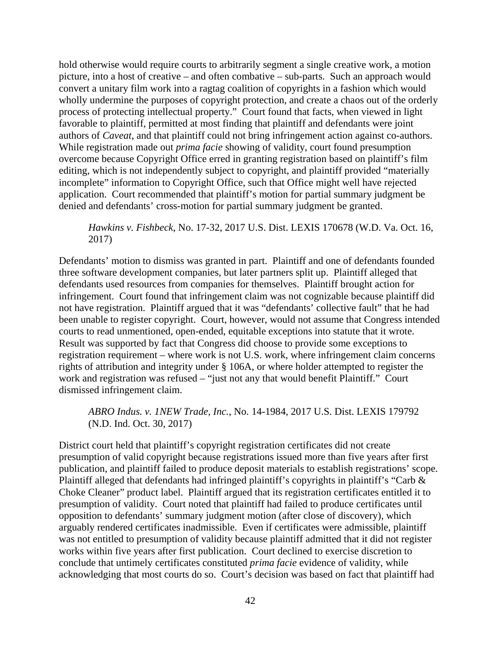hold otherwise would require courts to arbitrarily segment a single creative work, a motion picture, into a host of creative – and often combative – sub-parts. Such an approach would convert a unitary film work into a ragtag coalition of copyrights in a fashion which would wholly undermine the purposes of copyright protection, and create a chaos out of the orderly process of protecting intellectual property." Court found that facts, when viewed in light favorable to plaintiff, permitted at most finding that plaintiff and defendants were joint authors of *Caveat*, and that plaintiff could not bring infringement action against co-authors. While registration made out *prima facie* showing of validity, court found presumption overcome because Copyright Office erred in granting registration based on plaintiff's film editing, which is not independently subject to copyright, and plaintiff provided "materially incomplete" information to Copyright Office, such that Office might well have rejected application. Court recommended that plaintiff's motion for partial summary judgment be denied and defendants' cross-motion for partial summary judgment be granted.

*Hawkins v. Fishbeck*, No. 17-32, 2017 U.S. Dist. LEXIS 170678 (W.D. Va. Oct. 16, 2017)

Defendants' motion to dismiss was granted in part. Plaintiff and one of defendants founded three software development companies, but later partners split up. Plaintiff alleged that defendants used resources from companies for themselves. Plaintiff brought action for infringement. Court found that infringement claim was not cognizable because plaintiff did not have registration. Plaintiff argued that it was "defendants' collective fault" that he had been unable to register copyright. Court, however, would not assume that Congress intended courts to read unmentioned, open-ended, equitable exceptions into statute that it wrote. Result was supported by fact that Congress did choose to provide some exceptions to registration requirement – where work is not U.S. work, where infringement claim concerns rights of attribution and integrity under § 106A, or where holder attempted to register the work and registration was refused – "just not any that would benefit Plaintiff." Court dismissed infringement claim.

*ABRO Indus. v. 1NEW Trade, Inc.*, No. 14-1984, 2017 U.S. Dist. LEXIS 179792 (N.D. Ind. Oct. 30, 2017)

District court held that plaintiff's copyright registration certificates did not create presumption of valid copyright because registrations issued more than five years after first publication, and plaintiff failed to produce deposit materials to establish registrations' scope. Plaintiff alleged that defendants had infringed plaintiff's copyrights in plaintiff's "Carb & Choke Cleaner" product label. Plaintiff argued that its registration certificates entitled it to presumption of validity. Court noted that plaintiff had failed to produce certificates until opposition to defendants' summary judgment motion (after close of discovery), which arguably rendered certificates inadmissible. Even if certificates were admissible, plaintiff was not entitled to presumption of validity because plaintiff admitted that it did not register works within five years after first publication. Court declined to exercise discretion to conclude that untimely certificates constituted *prima facie* evidence of validity, while acknowledging that most courts do so. Court's decision was based on fact that plaintiff had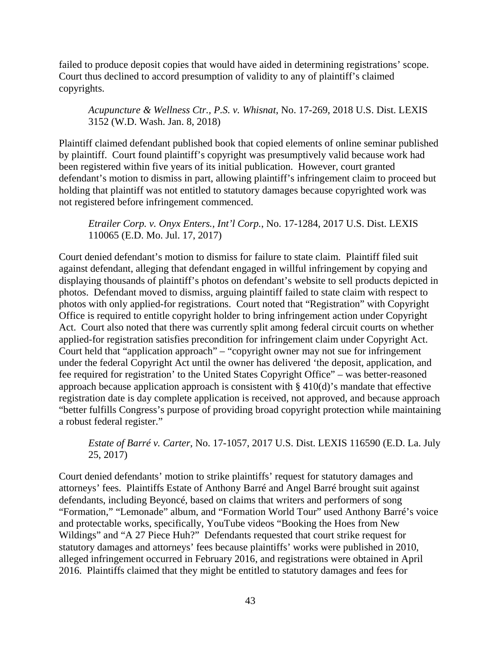failed to produce deposit copies that would have aided in determining registrations' scope. Court thus declined to accord presumption of validity to any of plaintiff's claimed copyrights.

*Acupuncture & Wellness Ctr., P.S. v. Whisnat*, No. 17-269, 2018 U.S. Dist. LEXIS 3152 (W.D. Wash. Jan. 8, 2018)

Plaintiff claimed defendant published book that copied elements of online seminar published by plaintiff. Court found plaintiff's copyright was presumptively valid because work had been registered within five years of its initial publication. However, court granted defendant's motion to dismiss in part, allowing plaintiff's infringement claim to proceed but holding that plaintiff was not entitled to statutory damages because copyrighted work was not registered before infringement commenced.

*Etrailer Corp. v. Onyx Enters., Int'l Corp.*, No. 17-1284, 2017 U.S. Dist. LEXIS 110065 (E.D. Mo. Jul. 17, 2017)

Court denied defendant's motion to dismiss for failure to state claim. Plaintiff filed suit against defendant, alleging that defendant engaged in willful infringement by copying and displaying thousands of plaintiff's photos on defendant's website to sell products depicted in photos. Defendant moved to dismiss, arguing plaintiff failed to state claim with respect to photos with only applied-for registrations. Court noted that "Registration" with Copyright Office is required to entitle copyright holder to bring infringement action under Copyright Act. Court also noted that there was currently split among federal circuit courts on whether applied-for registration satisfies precondition for infringement claim under Copyright Act. Court held that "application approach" – "copyright owner may not sue for infringement under the federal Copyright Act until the owner has delivered 'the deposit, application, and fee required for registration' to the United States Copyright Office" – was better-reasoned approach because application approach is consistent with § 410(d)'s mandate that effective registration date is day complete application is received, not approved, and because approach "better fulfills Congress's purpose of providing broad copyright protection while maintaining a robust federal register."

*Estate of Barré v. Carter*, No. 17-1057, 2017 U.S. Dist. LEXIS 116590 (E.D. La. July 25, 2017)

Court denied defendants' motion to strike plaintiffs' request for statutory damages and attorneys' fees. Plaintiffs Estate of Anthony Barré and Angel Barré brought suit against defendants, including Beyoncé, based on claims that writers and performers of song "Formation," "Lemonade" album, and "Formation World Tour" used Anthony Barré's voice and protectable works, specifically, YouTube videos "Booking the Hoes from New Wildings" and "A 27 Piece Huh?" Defendants requested that court strike request for statutory damages and attorneys' fees because plaintiffs' works were published in 2010, alleged infringement occurred in February 2016, and registrations were obtained in April 2016. Plaintiffs claimed that they might be entitled to statutory damages and fees for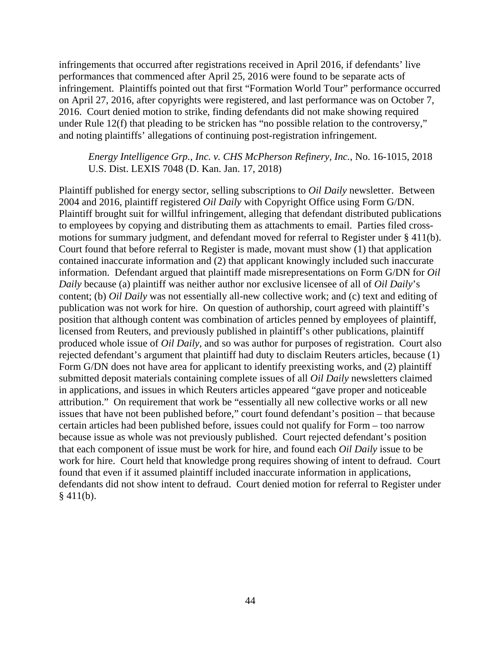infringements that occurred after registrations received in April 2016, if defendants' live performances that commenced after April 25, 2016 were found to be separate acts of infringement. Plaintiffs pointed out that first "Formation World Tour" performance occurred on April 27, 2016, after copyrights were registered, and last performance was on October 7, 2016. Court denied motion to strike, finding defendants did not make showing required under Rule 12(f) that pleading to be stricken has "no possible relation to the controversy," and noting plaintiffs' allegations of continuing post-registration infringement.

*Energy Intelligence Grp., Inc. v. CHS McPherson Refinery, Inc.*, No. 16-1015, 2018 U.S. Dist. LEXIS 7048 (D. Kan. Jan. 17, 2018)

Plaintiff published for energy sector, selling subscriptions to *Oil Daily* newsletter. Between 2004 and 2016, plaintiff registered *Oil Daily* with Copyright Office using Form G/DN. Plaintiff brought suit for willful infringement, alleging that defendant distributed publications to employees by copying and distributing them as attachments to email. Parties filed crossmotions for summary judgment, and defendant moved for referral to Register under § 411(b). Court found that before referral to Register is made, movant must show (1) that application contained inaccurate information and (2) that applicant knowingly included such inaccurate information. Defendant argued that plaintiff made misrepresentations on Form G/DN for *Oil Daily* because (a) plaintiff was neither author nor exclusive licensee of all of *Oil Daily*'s content; (b) *Oil Daily* was not essentially all-new collective work; and (c) text and editing of publication was not work for hire. On question of authorship, court agreed with plaintiff's position that although content was combination of articles penned by employees of plaintiff, licensed from Reuters, and previously published in plaintiff's other publications, plaintiff produced whole issue of *Oil Daily*, and so was author for purposes of registration. Court also rejected defendant's argument that plaintiff had duty to disclaim Reuters articles, because (1) Form G/DN does not have area for applicant to identify preexisting works, and (2) plaintiff submitted deposit materials containing complete issues of all *Oil Daily* newsletters claimed in applications, and issues in which Reuters articles appeared "gave proper and noticeable attribution." On requirement that work be "essentially all new collective works or all new issues that have not been published before," court found defendant's position – that because certain articles had been published before, issues could not qualify for Form – too narrow because issue as whole was not previously published. Court rejected defendant's position that each component of issue must be work for hire, and found each *Oil Daily* issue to be work for hire. Court held that knowledge prong requires showing of intent to defraud. Court found that even if it assumed plaintiff included inaccurate information in applications, defendants did not show intent to defraud. Court denied motion for referral to Register under  $§$  411(b).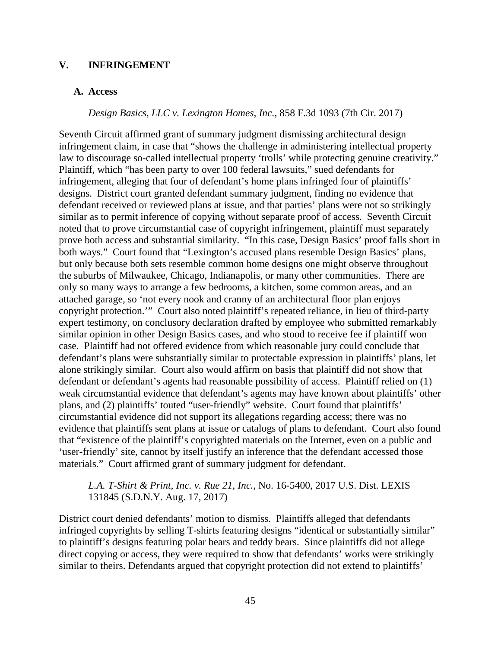#### **V. INFRINGEMENT**

#### **A. Access**

*Design Basics, LLC v. Lexington Homes, Inc.*, 858 F.3d 1093 (7th Cir. 2017)

Seventh Circuit affirmed grant of summary judgment dismissing architectural design infringement claim, in case that "shows the challenge in administering intellectual property law to discourage so-called intellectual property 'trolls' while protecting genuine creativity." Plaintiff, which "has been party to over 100 federal lawsuits," sued defendants for infringement, alleging that four of defendant's home plans infringed four of plaintiffs' designs. District court granted defendant summary judgment, finding no evidence that defendant received or reviewed plans at issue, and that parties' plans were not so strikingly similar as to permit inference of copying without separate proof of access. Seventh Circuit noted that to prove circumstantial case of copyright infringement, plaintiff must separately prove both access and substantial similarity. "In this case, Design Basics' proof falls short in both ways." Court found that "Lexington's accused plans resemble Design Basics' plans, but only because both sets resemble common home designs one might observe throughout the suburbs of Milwaukee, Chicago, Indianapolis, or many other communities. There are only so many ways to arrange a few bedrooms, a kitchen, some common areas, and an attached garage, so 'not every nook and cranny of an architectural floor plan enjoys copyright protection.'" Court also noted plaintiff's repeated reliance, in lieu of third-party expert testimony, on conclusory declaration drafted by employee who submitted remarkably similar opinion in other Design Basics cases, and who stood to receive fee if plaintiff won case. Plaintiff had not offered evidence from which reasonable jury could conclude that defendant's plans were substantially similar to protectable expression in plaintiffs' plans, let alone strikingly similar. Court also would affirm on basis that plaintiff did not show that defendant or defendant's agents had reasonable possibility of access. Plaintiff relied on (1) weak circumstantial evidence that defendant's agents may have known about plaintiffs' other plans, and (2) plaintiffs' touted "user-friendly" website. Court found that plaintiffs' circumstantial evidence did not support its allegations regarding access; there was no evidence that plaintiffs sent plans at issue or catalogs of plans to defendant. Court also found that "existence of the plaintiff's copyrighted materials on the Internet, even on a public and 'user-friendly' site, cannot by itself justify an inference that the defendant accessed those materials." Court affirmed grant of summary judgment for defendant.

*L.A. T-Shirt & Print, Inc. v. Rue 21, Inc.*, No. 16-5400, 2017 U.S. Dist. LEXIS 131845 (S.D.N.Y. Aug. 17, 2017)

District court denied defendants' motion to dismiss. Plaintiffs alleged that defendants infringed copyrights by selling T-shirts featuring designs "identical or substantially similar" to plaintiff's designs featuring polar bears and teddy bears. Since plaintiffs did not allege direct copying or access, they were required to show that defendants' works were strikingly similar to theirs. Defendants argued that copyright protection did not extend to plaintiffs'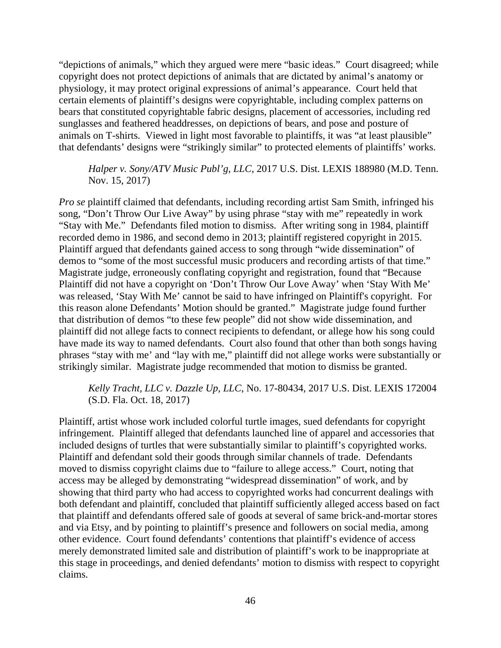"depictions of animals," which they argued were mere "basic ideas." Court disagreed; while copyright does not protect depictions of animals that are dictated by animal's anatomy or physiology, it may protect original expressions of animal's appearance. Court held that certain elements of plaintiff's designs were copyrightable, including complex patterns on bears that constituted copyrightable fabric designs, placement of accessories, including red sunglasses and feathered headdresses, on depictions of bears, and pose and posture of animals on T-shirts. Viewed in light most favorable to plaintiffs, it was "at least plausible" that defendants' designs were "strikingly similar" to protected elements of plaintiffs' works.

# *Halper v. Sony/ATV Music Publ'g, LLC*, 2017 U.S. Dist. LEXIS 188980 (M.D. Tenn. Nov. 15, 2017)

*Pro se* plaintiff claimed that defendants, including recording artist Sam Smith, infringed his song, "Don't Throw Our Live Away" by using phrase "stay with me" repeatedly in work "Stay with Me." Defendants filed motion to dismiss. After writing song in 1984, plaintiff recorded demo in 1986, and second demo in 2013; plaintiff registered copyright in 2015. Plaintiff argued that defendants gained access to song through "wide dissemination" of demos to "some of the most successful music producers and recording artists of that time." Magistrate judge, erroneously conflating copyright and registration, found that "Because Plaintiff did not have a copyright on 'Don't Throw Our Love Away' when 'Stay With Me' was released, 'Stay With Me' cannot be said to have infringed on Plaintiff's copyright. For this reason alone Defendants' Motion should be granted." Magistrate judge found further that distribution of demos "to these few people" did not show wide dissemination, and plaintiff did not allege facts to connect recipients to defendant, or allege how his song could have made its way to named defendants. Court also found that other than both songs having phrases "stay with me' and "lay with me," plaintiff did not allege works were substantially or strikingly similar. Magistrate judge recommended that motion to dismiss be granted.

# *Kelly Tracht, LLC v. Dazzle Up, LLC*, No. 17-80434, 2017 U.S. Dist. LEXIS 172004 (S.D. Fla. Oct. 18, 2017)

Plaintiff, artist whose work included colorful turtle images, sued defendants for copyright infringement. Plaintiff alleged that defendants launched line of apparel and accessories that included designs of turtles that were substantially similar to plaintiff's copyrighted works. Plaintiff and defendant sold their goods through similar channels of trade. Defendants moved to dismiss copyright claims due to "failure to allege access." Court, noting that access may be alleged by demonstrating "widespread dissemination" of work, and by showing that third party who had access to copyrighted works had concurrent dealings with both defendant and plaintiff, concluded that plaintiff sufficiently alleged access based on fact that plaintiff and defendants offered sale of goods at several of same brick-and-mortar stores and via Etsy, and by pointing to plaintiff's presence and followers on social media, among other evidence. Court found defendants' contentions that plaintiff's evidence of access merely demonstrated limited sale and distribution of plaintiff's work to be inappropriate at this stage in proceedings, and denied defendants' motion to dismiss with respect to copyright claims.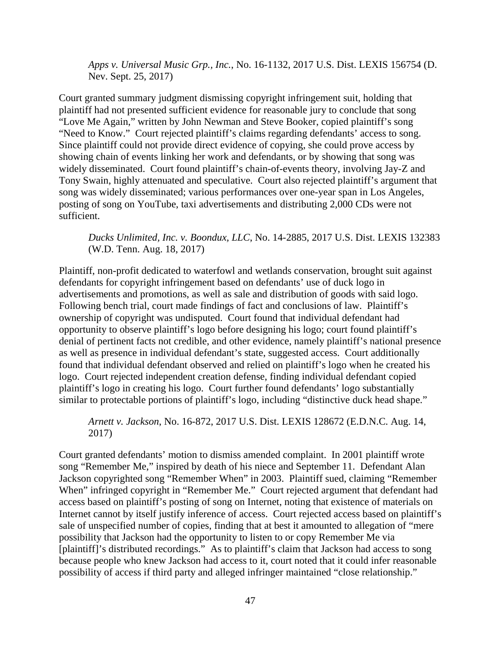*Apps v. Universal Music Grp., Inc.*, No. 16-1132, 2017 U.S. Dist. LEXIS 156754 (D. Nev. Sept. 25, 2017)

Court granted summary judgment dismissing copyright infringement suit, holding that plaintiff had not presented sufficient evidence for reasonable jury to conclude that song "Love Me Again," written by John Newman and Steve Booker, copied plaintiff's song "Need to Know." Court rejected plaintiff's claims regarding defendants' access to song. Since plaintiff could not provide direct evidence of copying, she could prove access by showing chain of events linking her work and defendants, or by showing that song was widely disseminated. Court found plaintiff's chain-of-events theory, involving Jay-Z and Tony Swain, highly attenuated and speculative. Court also rejected plaintiff's argument that song was widely disseminated; various performances over one-year span in Los Angeles, posting of song on YouTube, taxi advertisements and distributing 2,000 CDs were not sufficient.

*Ducks Unlimited, Inc. v. Boondux, LLC*, No. 14-2885, 2017 U.S. Dist. LEXIS 132383 (W.D. Tenn. Aug. 18, 2017)

Plaintiff, non-profit dedicated to waterfowl and wetlands conservation, brought suit against defendants for copyright infringement based on defendants' use of duck logo in advertisements and promotions, as well as sale and distribution of goods with said logo. Following bench trial, court made findings of fact and conclusions of law. Plaintiff's ownership of copyright was undisputed. Court found that individual defendant had opportunity to observe plaintiff's logo before designing his logo; court found plaintiff's denial of pertinent facts not credible, and other evidence, namely plaintiff's national presence as well as presence in individual defendant's state, suggested access. Court additionally found that individual defendant observed and relied on plaintiff's logo when he created his logo. Court rejected independent creation defense, finding individual defendant copied plaintiff's logo in creating his logo. Court further found defendants' logo substantially similar to protectable portions of plaintiff's logo, including "distinctive duck head shape."

*Arnett v. Jackson*, No. 16-872, 2017 U.S. Dist. LEXIS 128672 (E.D.N.C. Aug. 14, 2017)

Court granted defendants' motion to dismiss amended complaint. In 2001 plaintiff wrote song "Remember Me," inspired by death of his niece and September 11. Defendant Alan Jackson copyrighted song "Remember When" in 2003. Plaintiff sued, claiming "Remember When" infringed copyright in "Remember Me." Court rejected argument that defendant had access based on plaintiff's posting of song on Internet, noting that existence of materials on Internet cannot by itself justify inference of access. Court rejected access based on plaintiff's sale of unspecified number of copies, finding that at best it amounted to allegation of "mere possibility that Jackson had the opportunity to listen to or copy Remember Me via [plaintiff]'s distributed recordings." As to plaintiff's claim that Jackson had access to song because people who knew Jackson had access to it, court noted that it could infer reasonable possibility of access if third party and alleged infringer maintained "close relationship."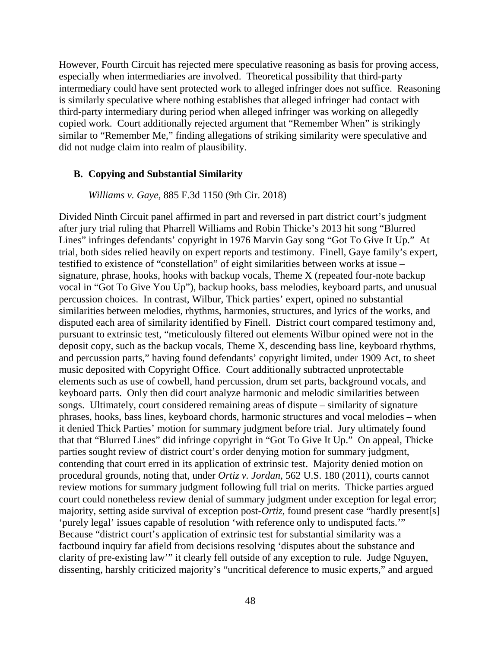However, Fourth Circuit has rejected mere speculative reasoning as basis for proving access, especially when intermediaries are involved. Theoretical possibility that third-party intermediary could have sent protected work to alleged infringer does not suffice. Reasoning is similarly speculative where nothing establishes that alleged infringer had contact with third-party intermediary during period when alleged infringer was working on allegedly copied work. Court additionally rejected argument that "Remember When" is strikingly similar to "Remember Me," finding allegations of striking similarity were speculative and did not nudge claim into realm of plausibility.

#### **B. Copying and Substantial Similarity**

*Williams v. Gaye,* 885 F.3d 1150 (9th Cir. 2018)

Divided Ninth Circuit panel affirmed in part and reversed in part district court's judgment after jury trial ruling that Pharrell Williams and Robin Thicke's 2013 hit song "Blurred Lines" infringes defendants' copyright in 1976 Marvin Gay song "Got To Give It Up." At trial, both sides relied heavily on expert reports and testimony. Finell, Gaye family's expert, testified to existence of "constellation" of eight similarities between works at issue – signature, phrase, hooks, hooks with backup vocals, Theme X (repeated four-note backup vocal in "Got To Give You Up"), backup hooks, bass melodies, keyboard parts, and unusual percussion choices. In contrast, Wilbur, Thick parties' expert, opined no substantial similarities between melodies, rhythms, harmonies, structures, and lyrics of the works, and disputed each area of similarity identified by Finell. District court compared testimony and, pursuant to extrinsic test, "meticulously filtered out elements Wilbur opined were not in the deposit copy, such as the backup vocals, Theme X, descending bass line, keyboard rhythms, and percussion parts," having found defendants' copyright limited, under 1909 Act, to sheet music deposited with Copyright Office. Court additionally subtracted unprotectable elements such as use of cowbell, hand percussion, drum set parts, background vocals, and keyboard parts. Only then did court analyze harmonic and melodic similarities between songs. Ultimately, court considered remaining areas of dispute – similarity of signature phrases, hooks, bass lines, keyboard chords, harmonic structures and vocal melodies – when it denied Thick Parties' motion for summary judgment before trial. Jury ultimately found that that "Blurred Lines" did infringe copyright in "Got To Give It Up." On appeal, Thicke parties sought review of district court's order denying motion for summary judgment, contending that court erred in its application of extrinsic test. Majority denied motion on procedural grounds, noting that, under *Ortiz v. Jordan*, 562 U.S. 180 (2011), courts cannot review motions for summary judgment following full trial on merits. Thicke parties argued court could nonetheless review denial of summary judgment under exception for legal error; majority, setting aside survival of exception post-*Ortiz*, found present case "hardly present[s] 'purely legal' issues capable of resolution 'with reference only to undisputed facts.'" Because "district court's application of extrinsic test for substantial similarity was a factbound inquiry far afield from decisions resolving 'disputes about the substance and clarity of pre-existing law'" it clearly fell outside of any exception to rule. Judge Nguyen, dissenting, harshly criticized majority's "uncritical deference to music experts," and argued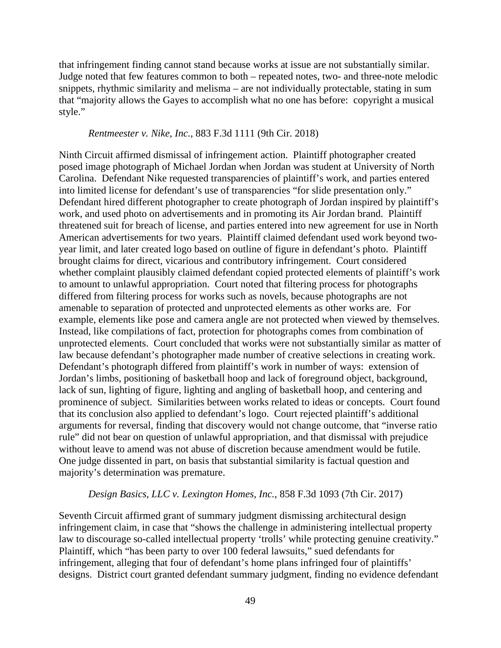that infringement finding cannot stand because works at issue are not substantially similar. Judge noted that few features common to both – repeated notes, two- and three-note melodic snippets, rhythmic similarity and melisma – are not individually protectable, stating in sum that "majority allows the Gayes to accomplish what no one has before: copyright a musical style."

#### *Rentmeester v. Nike, Inc.*, 883 F.3d 1111 (9th Cir. 2018)

Ninth Circuit affirmed dismissal of infringement action. Plaintiff photographer created posed image photograph of Michael Jordan when Jordan was student at University of North Carolina. Defendant Nike requested transparencies of plaintiff's work, and parties entered into limited license for defendant's use of transparencies "for slide presentation only." Defendant hired different photographer to create photograph of Jordan inspired by plaintiff's work, and used photo on advertisements and in promoting its Air Jordan brand. Plaintiff threatened suit for breach of license, and parties entered into new agreement for use in North American advertisements for two years. Plaintiff claimed defendant used work beyond twoyear limit, and later created logo based on outline of figure in defendant's photo. Plaintiff brought claims for direct, vicarious and contributory infringement. Court considered whether complaint plausibly claimed defendant copied protected elements of plaintiff's work to amount to unlawful appropriation. Court noted that filtering process for photographs differed from filtering process for works such as novels, because photographs are not amenable to separation of protected and unprotected elements as other works are. For example, elements like pose and camera angle are not protected when viewed by themselves. Instead, like compilations of fact, protection for photographs comes from combination of unprotected elements. Court concluded that works were not substantially similar as matter of law because defendant's photographer made number of creative selections in creating work. Defendant's photograph differed from plaintiff's work in number of ways: extension of Jordan's limbs, positioning of basketball hoop and lack of foreground object, background, lack of sun, lighting of figure, lighting and angling of basketball hoop, and centering and prominence of subject. Similarities between works related to ideas or concepts. Court found that its conclusion also applied to defendant's logo. Court rejected plaintiff's additional arguments for reversal, finding that discovery would not change outcome, that "inverse ratio rule" did not bear on question of unlawful appropriation, and that dismissal with prejudice without leave to amend was not abuse of discretion because amendment would be futile. One judge dissented in part, on basis that substantial similarity is factual question and majority's determination was premature.

#### *Design Basics, LLC v. Lexington Homes, Inc.*, 858 F.3d 1093 (7th Cir. 2017)

Seventh Circuit affirmed grant of summary judgment dismissing architectural design infringement claim, in case that "shows the challenge in administering intellectual property law to discourage so-called intellectual property 'trolls' while protecting genuine creativity." Plaintiff, which "has been party to over 100 federal lawsuits," sued defendants for infringement, alleging that four of defendant's home plans infringed four of plaintiffs' designs. District court granted defendant summary judgment, finding no evidence defendant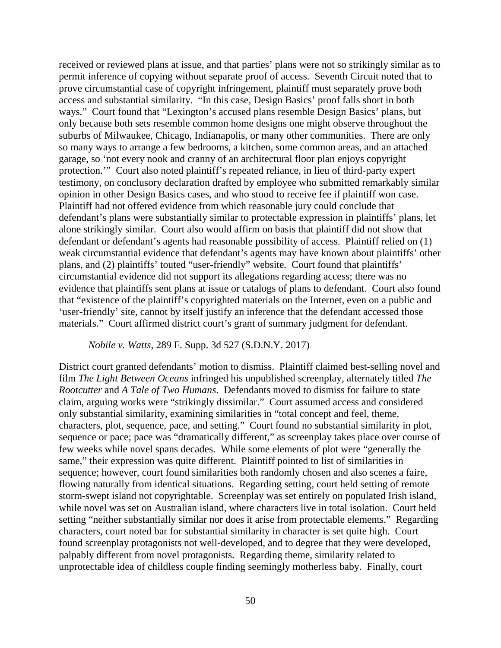received or reviewed plans at issue, and that parties' plans were not so strikingly similar as to permit inference of copying without separate proof of access. Seventh Circuit noted that to prove circumstantial case of copyright infringement, plaintiff must separately prove both access and substantial similarity. "In this case, Design Basics' proof falls short in both ways." Court found that "Lexington's accused plans resemble Design Basics' plans, but only because both sets resemble common home designs one might observe throughout the suburbs of Milwaukee, Chicago, Indianapolis, or many other communities. There are only so many ways to arrange a few bedrooms, a kitchen, some common areas, and an attached garage, so 'not every nook and cranny of an architectural floor plan enjoys copyright protection.'" Court also noted plaintiff's repeated reliance, in lieu of third-party expert testimony, on conclusory declaration drafted by employee who submitted remarkably similar opinion in other Design Basics cases, and who stood to receive fee if plaintiff won case. Plaintiff had not offered evidence from which reasonable jury could conclude that defendant's plans were substantially similar to protectable expression in plaintiffs' plans, let alone strikingly similar. Court also would affirm on basis that plaintiff did not show that defendant or defendant's agents had reasonable possibility of access. Plaintiff relied on (1) weak circumstantial evidence that defendant's agents may have known about plaintiffs' other plans, and (2) plaintiffs' touted "user-friendly" website. Court found that plaintiffs' circumstantial evidence did not support its allegations regarding access; there was no evidence that plaintiffs sent plans at issue or catalogs of plans to defendant. Court also found that "existence of the plaintiff's copyrighted materials on the Internet, even on a public and 'user-friendly' site, cannot by itself justify an inference that the defendant accessed those materials." Court affirmed district court's grant of summary judgment for defendant.

*Nobile v. Watts*, 289 F. Supp. 3d 527 (S.D.N.Y. 2017)

District court granted defendants' motion to dismiss. Plaintiff claimed best-selling novel and film *The Light Between Oceans* infringed his unpublished screenplay, alternately titled *The Rootcutter* and *A Tale of Two Humans*. Defendants moved to dismiss for failure to state claim, arguing works were "strikingly dissimilar." Court assumed access and considered only substantial similarity, examining similarities in "total concept and feel, theme, characters, plot, sequence, pace, and setting." Court found no substantial similarity in plot, sequence or pace; pace was "dramatically different," as screenplay takes place over course of few weeks while novel spans decades. While some elements of plot were "generally the same," their expression was quite different. Plaintiff pointed to list of similarities in sequence; however, court found similarities both randomly chosen and also scenes a faire, flowing naturally from identical situations. Regarding setting, court held setting of remote storm-swept island not copyrightable. Screenplay was set entirely on populated Irish island, while novel was set on Australian island, where characters live in total isolation. Court held setting "neither substantially similar nor does it arise from protectable elements." Regarding characters, court noted bar for substantial similarity in character is set quite high. Court found screenplay protagonists not well-developed, and to degree that they were developed, palpably different from novel protagonists. Regarding theme, similarity related to unprotectable idea of childless couple finding seemingly motherless baby. Finally, court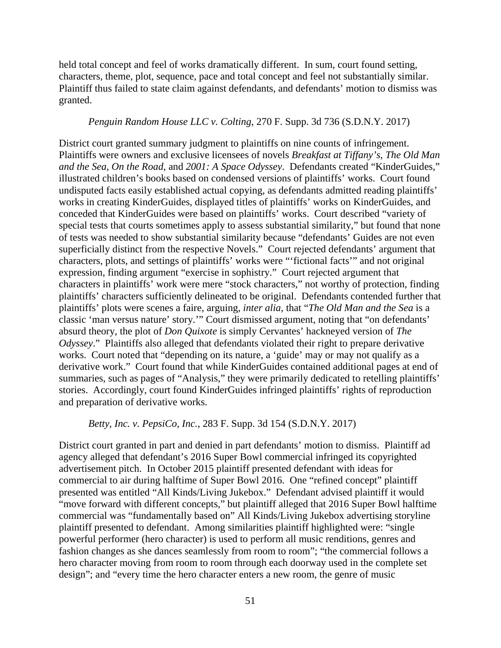held total concept and feel of works dramatically different. In sum, court found setting, characters, theme, plot, sequence, pace and total concept and feel not substantially similar. Plaintiff thus failed to state claim against defendants, and defendants' motion to dismiss was granted.

#### *Penguin Random House LLC v. Colting*, 270 F. Supp. 3d 736 (S.D.N.Y. 2017)

District court granted summary judgment to plaintiffs on nine counts of infringement. Plaintiffs were owners and exclusive licensees of novels *Breakfast at Tiffany's*, *The Old Man and the Sea*, *On the Road*, and *2001: A Space Odyssey*. Defendants created "KinderGuides," illustrated children's books based on condensed versions of plaintiffs' works. Court found undisputed facts easily established actual copying, as defendants admitted reading plaintiffs' works in creating KinderGuides, displayed titles of plaintiffs' works on KinderGuides, and conceded that KinderGuides were based on plaintiffs' works. Court described "variety of special tests that courts sometimes apply to assess substantial similarity," but found that none of tests was needed to show substantial similarity because "defendants' Guides are not even superficially distinct from the respective Novels." Court rejected defendants' argument that characters, plots, and settings of plaintiffs' works were "'fictional facts'" and not original expression, finding argument "exercise in sophistry." Court rejected argument that characters in plaintiffs' work were mere "stock characters," not worthy of protection, finding plaintiffs' characters sufficiently delineated to be original. Defendants contended further that plaintiffs' plots were scenes a faire, arguing, *inter alia*, that "*The Old Man and the Sea* is a classic 'man versus nature' story.'" Court dismissed argument, noting that "on defendants' absurd theory, the plot of *Don Quixote* is simply Cervantes' hackneyed version of *The Odyssey*." Plaintiffs also alleged that defendants violated their right to prepare derivative works. Court noted that "depending on its nature, a 'guide' may or may not qualify as a derivative work." Court found that while KinderGuides contained additional pages at end of summaries, such as pages of "Analysis," they were primarily dedicated to retelling plaintiffs' stories. Accordingly, court found KinderGuides infringed plaintiffs' rights of reproduction and preparation of derivative works.

#### *Betty, Inc. v. PepsiCo, Inc.*, 283 F. Supp. 3d 154 (S.D.N.Y. 2017)

District court granted in part and denied in part defendants' motion to dismiss. Plaintiff ad agency alleged that defendant's 2016 Super Bowl commercial infringed its copyrighted advertisement pitch. In October 2015 plaintiff presented defendant with ideas for commercial to air during halftime of Super Bowl 2016. One "refined concept" plaintiff presented was entitled "All Kinds/Living Jukebox." Defendant advised plaintiff it would "move forward with different concepts," but plaintiff alleged that 2016 Super Bowl halftime commercial was "fundamentally based on" All Kinds/Living Jukebox advertising storyline plaintiff presented to defendant. Among similarities plaintiff highlighted were: "single powerful performer (hero character) is used to perform all music renditions, genres and fashion changes as she dances seamlessly from room to room"; "the commercial follows a hero character moving from room to room through each doorway used in the complete set design"; and "every time the hero character enters a new room, the genre of music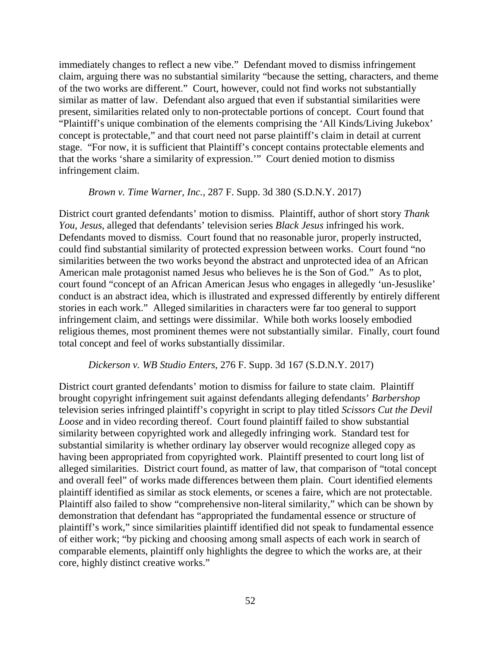immediately changes to reflect a new vibe." Defendant moved to dismiss infringement claim, arguing there was no substantial similarity "because the setting, characters, and theme of the two works are different." Court, however, could not find works not substantially similar as matter of law. Defendant also argued that even if substantial similarities were present, similarities related only to non-protectable portions of concept. Court found that "Plaintiff's unique combination of the elements comprising the 'All Kinds/Living Jukebox' concept is protectable," and that court need not parse plaintiff's claim in detail at current stage. "For now, it is sufficient that Plaintiff's concept contains protectable elements and that the works 'share a similarity of expression.'" Court denied motion to dismiss infringement claim.

#### *Brown v. Time Warner, Inc.*, 287 F. Supp. 3d 380 (S.D.N.Y. 2017)

District court granted defendants' motion to dismiss. Plaintiff, author of short story *Thank You, Jesus*, alleged that defendants' television series *Black Jesus* infringed his work. Defendants moved to dismiss. Court found that no reasonable juror, properly instructed, could find substantial similarity of protected expression between works. Court found "no similarities between the two works beyond the abstract and unprotected idea of an African American male protagonist named Jesus who believes he is the Son of God." As to plot, court found "concept of an African American Jesus who engages in allegedly 'un-Jesuslike' conduct is an abstract idea, which is illustrated and expressed differently by entirely different stories in each work." Alleged similarities in characters were far too general to support infringement claim, and settings were dissimilar. While both works loosely embodied religious themes, most prominent themes were not substantially similar. Finally, court found total concept and feel of works substantially dissimilar.

#### *Dickerson v. WB Studio Enters*, 276 F. Supp. 3d 167 (S.D.N.Y. 2017)

District court granted defendants' motion to dismiss for failure to state claim. Plaintiff brought copyright infringement suit against defendants alleging defendants' *Barbershop* television series infringed plaintiff's copyright in script to play titled *Scissors Cut the Devil Loose* and in video recording thereof. Court found plaintiff failed to show substantial similarity between copyrighted work and allegedly infringing work. Standard test for substantial similarity is whether ordinary lay observer would recognize alleged copy as having been appropriated from copyrighted work. Plaintiff presented to court long list of alleged similarities. District court found, as matter of law, that comparison of "total concept and overall feel" of works made differences between them plain. Court identified elements plaintiff identified as similar as stock elements, or scenes a faire, which are not protectable. Plaintiff also failed to show "comprehensive non-literal similarity," which can be shown by demonstration that defendant has "appropriated the fundamental essence or structure of plaintiff's work," since similarities plaintiff identified did not speak to fundamental essence of either work; "by picking and choosing among small aspects of each work in search of comparable elements, plaintiff only highlights the degree to which the works are, at their core, highly distinct creative works."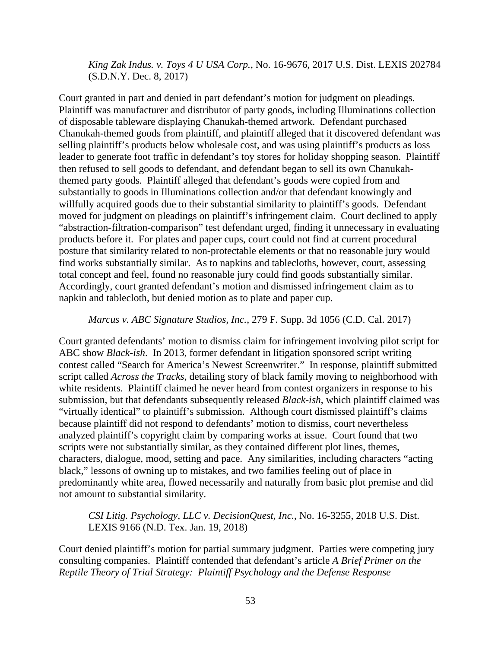*King Zak Indus. v. Toys 4 U USA Corp.*, No. 16-9676, 2017 U.S. Dist. LEXIS 202784 (S.D.N.Y. Dec. 8, 2017)

Court granted in part and denied in part defendant's motion for judgment on pleadings. Plaintiff was manufacturer and distributor of party goods, including Illuminations collection of disposable tableware displaying Chanukah-themed artwork. Defendant purchased Chanukah-themed goods from plaintiff, and plaintiff alleged that it discovered defendant was selling plaintiff's products below wholesale cost, and was using plaintiff's products as loss leader to generate foot traffic in defendant's toy stores for holiday shopping season. Plaintiff then refused to sell goods to defendant, and defendant began to sell its own Chanukahthemed party goods. Plaintiff alleged that defendant's goods were copied from and substantially to goods in Illuminations collection and/or that defendant knowingly and willfully acquired goods due to their substantial similarity to plaintiff's goods. Defendant moved for judgment on pleadings on plaintiff's infringement claim. Court declined to apply "abstraction-filtration-comparison" test defendant urged, finding it unnecessary in evaluating products before it. For plates and paper cups, court could not find at current procedural posture that similarity related to non-protectable elements or that no reasonable jury would find works substantially similar. As to napkins and tablecloths, however, court, assessing total concept and feel, found no reasonable jury could find goods substantially similar. Accordingly, court granted defendant's motion and dismissed infringement claim as to napkin and tablecloth, but denied motion as to plate and paper cup.

### *Marcus v. ABC Signature Studios, Inc.*, 279 F. Supp. 3d 1056 (C.D. Cal. 2017)

Court granted defendants' motion to dismiss claim for infringement involving pilot script for ABC show *Black-ish*. In 2013, former defendant in litigation sponsored script writing contest called "Search for America's Newest Screenwriter." In response, plaintiff submitted script called *Across the Tracks*, detailing story of black family moving to neighborhood with white residents. Plaintiff claimed he never heard from contest organizers in response to his submission, but that defendants subsequently released *Black-ish*, which plaintiff claimed was "virtually identical" to plaintiff's submission. Although court dismissed plaintiff's claims because plaintiff did not respond to defendants' motion to dismiss, court nevertheless analyzed plaintiff's copyright claim by comparing works at issue. Court found that two scripts were not substantially similar, as they contained different plot lines, themes, characters, dialogue, mood, setting and pace. Any similarities, including characters "acting black," lessons of owning up to mistakes, and two families feeling out of place in predominantly white area, flowed necessarily and naturally from basic plot premise and did not amount to substantial similarity.

*CSI Litig. Psychology, LLC v. DecisionQuest, Inc.*, No. 16-3255, 2018 U.S. Dist. LEXIS 9166 (N.D. Tex. Jan. 19, 2018)

Court denied plaintiff's motion for partial summary judgment. Parties were competing jury consulting companies. Plaintiff contended that defendant's article *A Brief Primer on the Reptile Theory of Trial Strategy: Plaintiff Psychology and the Defense Response*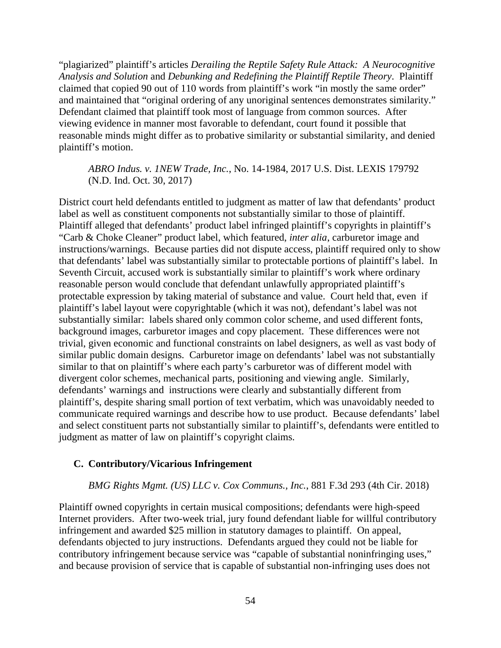"plagiarized" plaintiff's articles *Derailing the Reptile Safety Rule Attack: A Neurocognitive Analysis and Solution* and *Debunking and Redefining the Plaintiff Reptile Theory*. Plaintiff claimed that copied 90 out of 110 words from plaintiff's work "in mostly the same order" and maintained that "original ordering of any unoriginal sentences demonstrates similarity." Defendant claimed that plaintiff took most of language from common sources. After viewing evidence in manner most favorable to defendant, court found it possible that reasonable minds might differ as to probative similarity or substantial similarity, and denied plaintiff's motion.

## *ABRO Indus. v. 1NEW Trade, Inc.*, No. 14-1984, 2017 U.S. Dist. LEXIS 179792 (N.D. Ind. Oct. 30, 2017)

District court held defendants entitled to judgment as matter of law that defendants' product label as well as constituent components not substantially similar to those of plaintiff. Plaintiff alleged that defendants' product label infringed plaintiff's copyrights in plaintiff's "Carb & Choke Cleaner" product label, which featured, *inter alia*, carburetor image and instructions/warnings. Because parties did not dispute access, plaintiff required only to show that defendants' label was substantially similar to protectable portions of plaintiff's label. In Seventh Circuit, accused work is substantially similar to plaintiff's work where ordinary reasonable person would conclude that defendant unlawfully appropriated plaintiff's protectable expression by taking material of substance and value. Court held that, even if plaintiff's label layout were copyrightable (which it was not), defendant's label was not substantially similar: labels shared only common color scheme, and used different fonts, background images, carburetor images and copy placement. These differences were not trivial, given economic and functional constraints on label designers, as well as vast body of similar public domain designs. Carburetor image on defendants' label was not substantially similar to that on plaintiff's where each party's carburetor was of different model with divergent color schemes, mechanical parts, positioning and viewing angle. Similarly, defendants' warnings and instructions were clearly and substantially different from plaintiff's, despite sharing small portion of text verbatim, which was unavoidably needed to communicate required warnings and describe how to use product. Because defendants' label and select constituent parts not substantially similar to plaintiff's, defendants were entitled to judgment as matter of law on plaintiff's copyright claims.

# **C. Contributory/Vicarious Infringement**

#### *BMG Rights Mgmt. (US) LLC v. Cox Communs., Inc.*, 881 F.3d 293 (4th Cir. 2018)

Plaintiff owned copyrights in certain musical compositions; defendants were high-speed Internet providers. After two-week trial, jury found defendant liable for willful contributory infringement and awarded \$25 million in statutory damages to plaintiff. On appeal, defendants objected to jury instructions. Defendants argued they could not be liable for contributory infringement because service was "capable of substantial noninfringing uses," and because provision of service that is capable of substantial non-infringing uses does not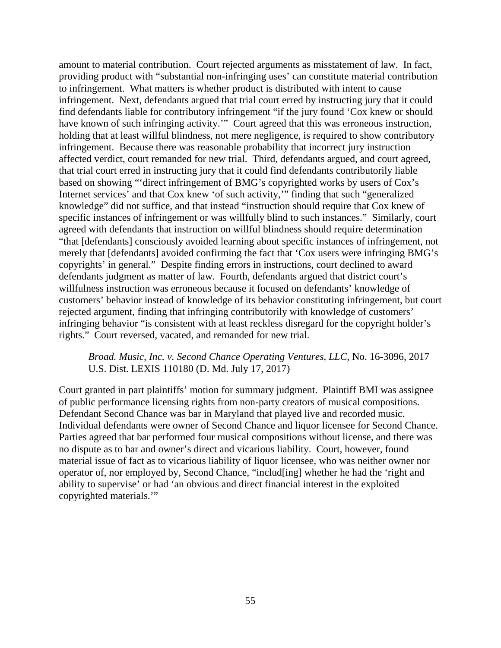amount to material contribution. Court rejected arguments as misstatement of law. In fact, providing product with "substantial non-infringing uses' can constitute material contribution to infringement. What matters is whether product is distributed with intent to cause infringement. Next, defendants argued that trial court erred by instructing jury that it could find defendants liable for contributory infringement "if the jury found 'Cox knew or should have known of such infringing activity.'" Court agreed that this was erroneous instruction, holding that at least willful blindness, not mere negligence, is required to show contributory infringement. Because there was reasonable probability that incorrect jury instruction affected verdict, court remanded for new trial. Third, defendants argued, and court agreed, that trial court erred in instructing jury that it could find defendants contributorily liable based on showing "'direct infringement of BMG's copyrighted works by users of Cox's Internet services' and that Cox knew 'of such activity,'" finding that such "generalized knowledge" did not suffice, and that instead "instruction should require that Cox knew of specific instances of infringement or was willfully blind to such instances." Similarly, court agreed with defendants that instruction on willful blindness should require determination "that [defendants] consciously avoided learning about specific instances of infringement, not merely that [defendants] avoided confirming the fact that 'Cox users were infringing BMG's copyrights' in general." Despite finding errors in instructions, court declined to award defendants judgment as matter of law. Fourth, defendants argued that district court's willfulness instruction was erroneous because it focused on defendants' knowledge of customers' behavior instead of knowledge of its behavior constituting infringement, but court rejected argument, finding that infringing contributorily with knowledge of customers' infringing behavior "is consistent with at least reckless disregard for the copyright holder's rights." Court reversed, vacated, and remanded for new trial.

### *Broad. Music, Inc. v. Second Chance Operating Ventures, LLC*, No. 16-3096, 2017 U.S. Dist. LEXIS 110180 (D. Md. July 17, 2017)

Court granted in part plaintiffs' motion for summary judgment. Plaintiff BMI was assignee of public performance licensing rights from non-party creators of musical compositions. Defendant Second Chance was bar in Maryland that played live and recorded music. Individual defendants were owner of Second Chance and liquor licensee for Second Chance. Parties agreed that bar performed four musical compositions without license, and there was no dispute as to bar and owner's direct and vicarious liability. Court, however, found material issue of fact as to vicarious liability of liquor licensee, who was neither owner nor operator of, nor employed by, Second Chance, "includ[ing] whether he had the 'right and ability to supervise' or had 'an obvious and direct financial interest in the exploited copyrighted materials.'"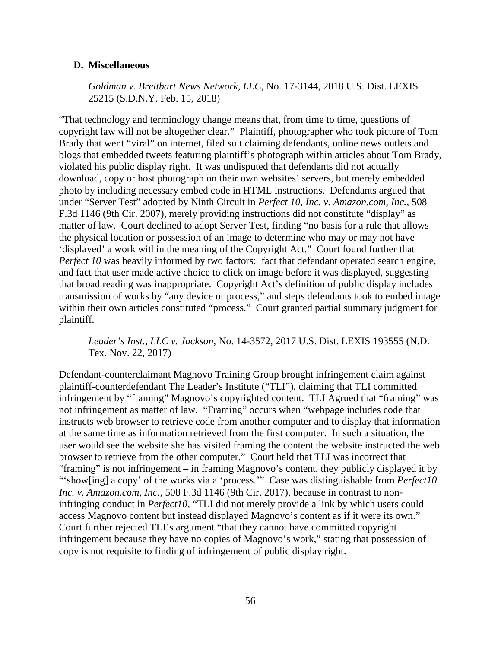# **D. Miscellaneous**

*Goldman v. Breitbart News Network, LLC*, No. 17-3144, 2018 U.S. Dist. LEXIS 25215 (S.D.N.Y. Feb. 15, 2018)

"That technology and terminology change means that, from time to time, questions of copyright law will not be altogether clear." Plaintiff, photographer who took picture of Tom Brady that went "viral" on internet, filed suit claiming defendants, online news outlets and blogs that embedded tweets featuring plaintiff's photograph within articles about Tom Brady, violated his public display right. It was undisputed that defendants did not actually download, copy or host photograph on their own websites' servers, but merely embedded photo by including necessary embed code in HTML instructions. Defendants argued that under "Server Test" adopted by Ninth Circuit in *Perfect 10, Inc. v. Amazon.com, Inc.*, 508 F.3d 1146 (9th Cir. 2007), merely providing instructions did not constitute "display" as matter of law. Court declined to adopt Server Test, finding "no basis for a rule that allows the physical location or possession of an image to determine who may or may not have 'displayed' a work within the meaning of the Copyright Act." Court found further that *Perfect 10* was heavily informed by two factors: fact that defendant operated search engine, and fact that user made active choice to click on image before it was displayed, suggesting that broad reading was inappropriate. Copyright Act's definition of public display includes transmission of works by "any device or process," and steps defendants took to embed image within their own articles constituted "process." Court granted partial summary judgment for plaintiff.

*Leader's Inst., LLC v. Jackson*, No. 14-3572, 2017 U.S. Dist. LEXIS 193555 (N.D. Tex. Nov. 22, 2017)

Defendant-counterclaimant Magnovo Training Group brought infringement claim against plaintiff-counterdefendant The Leader's Institute ("TLI"), claiming that TLI committed infringement by "framing" Magnovo's copyrighted content. TLI Agrued that "framing" was not infringement as matter of law. "Framing" occurs when "webpage includes code that instructs web browser to retrieve code from another computer and to display that information at the same time as information retrieved from the first computer. In such a situation, the user would see the website she has visited framing the content the website instructed the web browser to retrieve from the other computer." Court held that TLI was incorrect that "framing" is not infringement – in framing Magnovo's content, they publicly displayed it by "'show[ing] a copy' of the works via a 'process.'" Case was distinguishable from *Perfect10 Inc. v. Amazon.com, Inc.*, 508 F.3d 1146 (9th Cir. 2017), because in contrast to noninfringing conduct in *Perfect10*, "TLI did not merely provide a link by which users could access Magnovo content but instead displayed Magnovo's content as if it were its own." Court further rejected TLI's argument "that they cannot have committed copyright infringement because they have no copies of Magnovo's work," stating that possession of copy is not requisite to finding of infringement of public display right.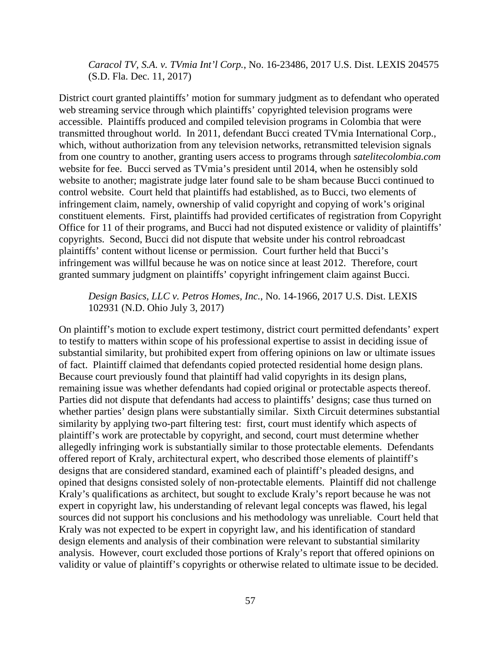*Caracol TV, S.A. v. TVmia Int'l Corp.*, No. 16-23486, 2017 U.S. Dist. LEXIS 204575 (S.D. Fla. Dec. 11, 2017)

District court granted plaintiffs' motion for summary judgment as to defendant who operated web streaming service through which plaintiffs' copyrighted television programs were accessible. Plaintiffs produced and compiled television programs in Colombia that were transmitted throughout world. In 2011, defendant Bucci created TVmia International Corp., which, without authorization from any television networks, retransmitted television signals from one country to another, granting users access to programs through *satelitecolombia.com* website for fee. Bucci served as TVmia's president until 2014, when he ostensibly sold website to another; magistrate judge later found sale to be sham because Bucci continued to control website. Court held that plaintiffs had established, as to Bucci, two elements of infringement claim, namely, ownership of valid copyright and copying of work's original constituent elements. First, plaintiffs had provided certificates of registration from Copyright Office for 11 of their programs, and Bucci had not disputed existence or validity of plaintiffs' copyrights. Second, Bucci did not dispute that website under his control rebroadcast plaintiffs' content without license or permission. Court further held that Bucci's infringement was willful because he was on notice since at least 2012. Therefore, court granted summary judgment on plaintiffs' copyright infringement claim against Bucci.

# *Design Basics, LLC v. Petros Homes, Inc.*, No. 14-1966, 2017 U.S. Dist. LEXIS 102931 (N.D. Ohio July 3, 2017)

On plaintiff's motion to exclude expert testimony, district court permitted defendants' expert to testify to matters within scope of his professional expertise to assist in deciding issue of substantial similarity, but prohibited expert from offering opinions on law or ultimate issues of fact. Plaintiff claimed that defendants copied protected residential home design plans. Because court previously found that plaintiff had valid copyrights in its design plans, remaining issue was whether defendants had copied original or protectable aspects thereof. Parties did not dispute that defendants had access to plaintiffs' designs; case thus turned on whether parties' design plans were substantially similar. Sixth Circuit determines substantial similarity by applying two-part filtering test: first, court must identify which aspects of plaintiff's work are protectable by copyright, and second, court must determine whether allegedly infringing work is substantially similar to those protectable elements. Defendants offered report of Kraly, architectural expert, who described those elements of plaintiff's designs that are considered standard, examined each of plaintiff's pleaded designs, and opined that designs consisted solely of non-protectable elements. Plaintiff did not challenge Kraly's qualifications as architect, but sought to exclude Kraly's report because he was not expert in copyright law, his understanding of relevant legal concepts was flawed, his legal sources did not support his conclusions and his methodology was unreliable. Court held that Kraly was not expected to be expert in copyright law, and his identification of standard design elements and analysis of their combination were relevant to substantial similarity analysis. However, court excluded those portions of Kraly's report that offered opinions on validity or value of plaintiff's copyrights or otherwise related to ultimate issue to be decided.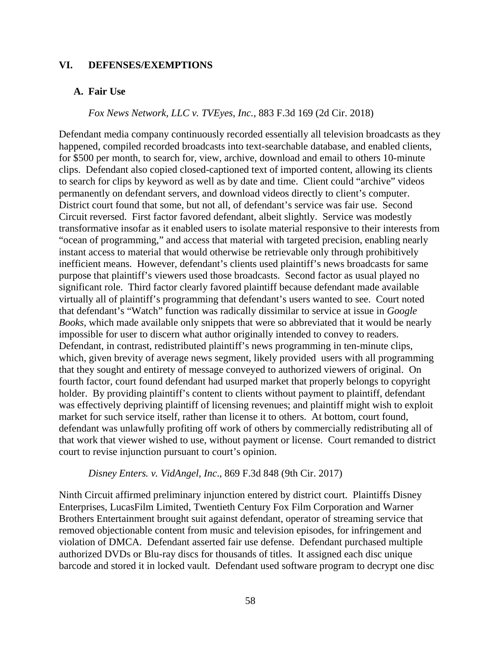## **VI. DEFENSES/EXEMPTIONS**

#### **A. Fair Use**

### *Fox News Network, LLC v. TVEyes, Inc.*, 883 F.3d 169 (2d Cir. 2018)

Defendant media company continuously recorded essentially all television broadcasts as they happened, compiled recorded broadcasts into text-searchable database, and enabled clients, for \$500 per month, to search for, view, archive, download and email to others 10-minute clips. Defendant also copied closed-captioned text of imported content, allowing its clients to search for clips by keyword as well as by date and time. Client could "archive" videos permanently on defendant servers, and download videos directly to client's computer. District court found that some, but not all, of defendant's service was fair use. Second Circuit reversed. First factor favored defendant, albeit slightly. Service was modestly transformative insofar as it enabled users to isolate material responsive to their interests from "ocean of programming," and access that material with targeted precision, enabling nearly instant access to material that would otherwise be retrievable only through prohibitively inefficient means. However, defendant's clients used plaintiff's news broadcasts for same purpose that plaintiff's viewers used those broadcasts. Second factor as usual played no significant role. Third factor clearly favored plaintiff because defendant made available virtually all of plaintiff's programming that defendant's users wanted to see. Court noted that defendant's "Watch" function was radically dissimilar to service at issue in *Google Books*, which made available only snippets that were so abbreviated that it would be nearly impossible for user to discern what author originally intended to convey to readers. Defendant, in contrast, redistributed plaintiff's news programming in ten-minute clips, which, given brevity of average news segment, likely provided users with all programming that they sought and entirety of message conveyed to authorized viewers of original. On fourth factor, court found defendant had usurped market that properly belongs to copyright holder. By providing plaintiff's content to clients without payment to plaintiff, defendant was effectively depriving plaintiff of licensing revenues; and plaintiff might wish to exploit market for such service itself, rather than license it to others. At bottom, court found, defendant was unlawfully profiting off work of others by commercially redistributing all of that work that viewer wished to use, without payment or license. Court remanded to district court to revise injunction pursuant to court's opinion.

### *Disney Enters. v. VidAngel, Inc*., 869 F.3d 848 (9th Cir. 2017)

Ninth Circuit affirmed preliminary injunction entered by district court. Plaintiffs Disney Enterprises, LucasFilm Limited, Twentieth Century Fox Film Corporation and Warner Brothers Entertainment brought suit against defendant, operator of streaming service that removed objectionable content from music and television episodes, for infringement and violation of DMCA. Defendant asserted fair use defense. Defendant purchased multiple authorized DVDs or Blu-ray discs for thousands of titles. It assigned each disc unique barcode and stored it in locked vault. Defendant used software program to decrypt one disc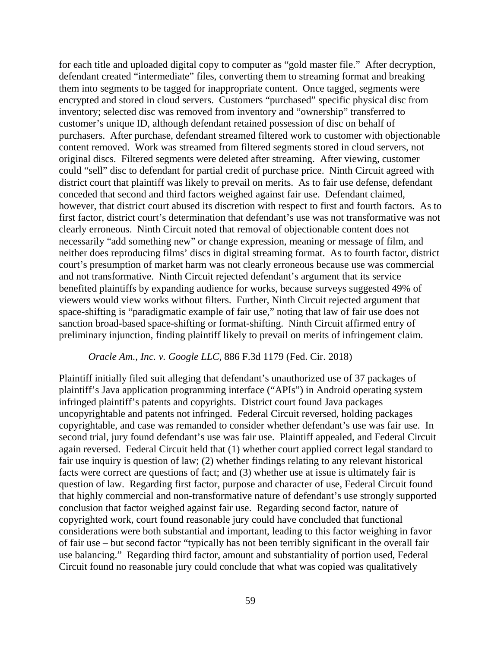for each title and uploaded digital copy to computer as "gold master file." After decryption, defendant created "intermediate" files, converting them to streaming format and breaking them into segments to be tagged for inappropriate content. Once tagged, segments were encrypted and stored in cloud servers. Customers "purchased" specific physical disc from inventory; selected disc was removed from inventory and "ownership" transferred to customer's unique ID, although defendant retained possession of disc on behalf of purchasers. After purchase, defendant streamed filtered work to customer with objectionable content removed. Work was streamed from filtered segments stored in cloud servers, not original discs. Filtered segments were deleted after streaming. After viewing, customer could "sell" disc to defendant for partial credit of purchase price. Ninth Circuit agreed with district court that plaintiff was likely to prevail on merits. As to fair use defense, defendant conceded that second and third factors weighed against fair use. Defendant claimed, however, that district court abused its discretion with respect to first and fourth factors. As to first factor, district court's determination that defendant's use was not transformative was not clearly erroneous. Ninth Circuit noted that removal of objectionable content does not necessarily "add something new" or change expression, meaning or message of film, and neither does reproducing films' discs in digital streaming format. As to fourth factor, district court's presumption of market harm was not clearly erroneous because use was commercial and not transformative. Ninth Circuit rejected defendant's argument that its service benefited plaintiffs by expanding audience for works, because surveys suggested 49% of viewers would view works without filters. Further, Ninth Circuit rejected argument that space-shifting is "paradigmatic example of fair use," noting that law of fair use does not sanction broad-based space-shifting or format-shifting. Ninth Circuit affirmed entry of preliminary injunction, finding plaintiff likely to prevail on merits of infringement claim.

### *Oracle Am., Inc. v. Google LLC*, 886 F.3d 1179 (Fed. Cir. 2018)

Plaintiff initially filed suit alleging that defendant's unauthorized use of 37 packages of plaintiff's Java application programming interface ("APIs") in Android operating system infringed plaintiff's patents and copyrights. District court found Java packages uncopyrightable and patents not infringed. Federal Circuit reversed, holding packages copyrightable, and case was remanded to consider whether defendant's use was fair use. In second trial, jury found defendant's use was fair use. Plaintiff appealed, and Federal Circuit again reversed. Federal Circuit held that (1) whether court applied correct legal standard to fair use inquiry is question of law; (2) whether findings relating to any relevant historical facts were correct are questions of fact; and (3) whether use at issue is ultimately fair is question of law. Regarding first factor, purpose and character of use, Federal Circuit found that highly commercial and non-transformative nature of defendant's use strongly supported conclusion that factor weighed against fair use. Regarding second factor, nature of copyrighted work, court found reasonable jury could have concluded that functional considerations were both substantial and important, leading to this factor weighing in favor of fair use – but second factor "typically has not been terribly significant in the overall fair use balancing." Regarding third factor, amount and substantiality of portion used, Federal Circuit found no reasonable jury could conclude that what was copied was qualitatively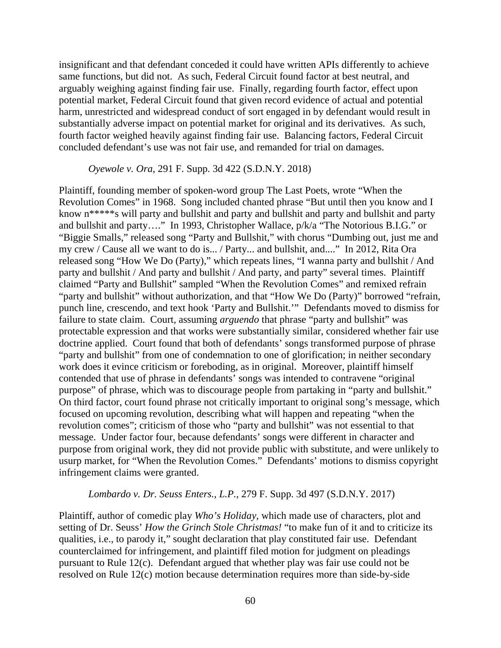insignificant and that defendant conceded it could have written APIs differently to achieve same functions, but did not. As such, Federal Circuit found factor at best neutral, and arguably weighing against finding fair use. Finally, regarding fourth factor, effect upon potential market, Federal Circuit found that given record evidence of actual and potential harm, unrestricted and widespread conduct of sort engaged in by defendant would result in substantially adverse impact on potential market for original and its derivatives. As such, fourth factor weighed heavily against finding fair use. Balancing factors, Federal Circuit concluded defendant's use was not fair use, and remanded for trial on damages.

#### *Oyewole v. Ora*, 291 F. Supp. 3d 422 (S.D.N.Y. 2018)

Plaintiff, founding member of spoken-word group The Last Poets, wrote "When the Revolution Comes" in 1968. Song included chanted phrase "But until then you know and I know n<sup>\*\*\*\*\*</sup>s will party and bullshit and party and bullshit and party and bullshit and party and bullshit and party…." In 1993, Christopher Wallace, p/k/a "The Notorious B.I.G." or "Biggie Smalls," released song "Party and Bullshit," with chorus "Dumbing out, just me and my crew / Cause all we want to do is... / Party... and bullshit, and...." In 2012, Rita Ora released song "How We Do (Party)," which repeats lines, "I wanna party and bullshit / And party and bullshit / And party and bullshit / And party, and party" several times. Plaintiff claimed "Party and Bullshit" sampled "When the Revolution Comes" and remixed refrain "party and bullshit" without authorization, and that "How We Do (Party)" borrowed "refrain, punch line, crescendo, and text hook 'Party and Bullshit.'" Defendants moved to dismiss for failure to state claim. Court, assuming *arguendo* that phrase "party and bullshit" was protectable expression and that works were substantially similar, considered whether fair use doctrine applied. Court found that both of defendants' songs transformed purpose of phrase "party and bullshit" from one of condemnation to one of glorification; in neither secondary work does it evince criticism or foreboding, as in original. Moreover, plaintiff himself contended that use of phrase in defendants' songs was intended to contravene "original purpose" of phrase, which was to discourage people from partaking in "party and bullshit." On third factor, court found phrase not critically important to original song's message, which focused on upcoming revolution, describing what will happen and repeating "when the revolution comes"; criticism of those who "party and bullshit" was not essential to that message. Under factor four, because defendants' songs were different in character and purpose from original work, they did not provide public with substitute, and were unlikely to usurp market, for "When the Revolution Comes." Defendants' motions to dismiss copyright infringement claims were granted.

### *Lombardo v. Dr. Seuss Enters., L.P.*, 279 F. Supp. 3d 497 (S.D.N.Y. 2017)

Plaintiff, author of comedic play *Who's Holiday*, which made use of characters, plot and setting of Dr. Seuss' *How the Grinch Stole Christmas!* "to make fun of it and to criticize its qualities, i.e., to parody it," sought declaration that play constituted fair use. Defendant counterclaimed for infringement, and plaintiff filed motion for judgment on pleadings pursuant to Rule 12(c). Defendant argued that whether play was fair use could not be resolved on Rule 12(c) motion because determination requires more than side-by-side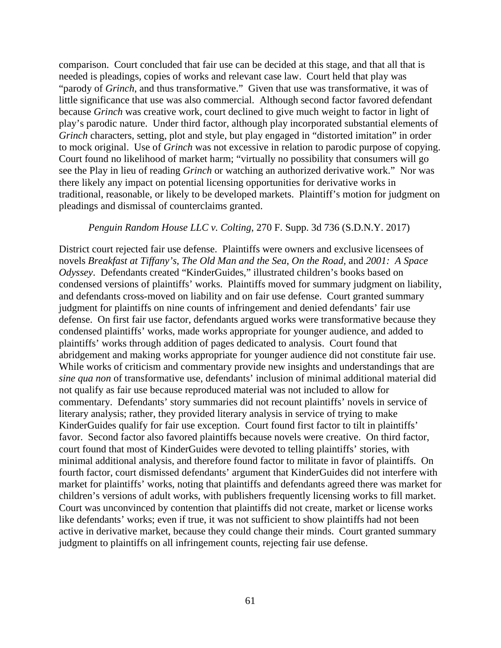comparison. Court concluded that fair use can be decided at this stage, and that all that is needed is pleadings, copies of works and relevant case law. Court held that play was "parody of *Grinch*, and thus transformative." Given that use was transformative, it was of little significance that use was also commercial. Although second factor favored defendant because *Grinch* was creative work, court declined to give much weight to factor in light of play's parodic nature. Under third factor, although play incorporated substantial elements of *Grinch* characters, setting, plot and style, but play engaged in "distorted imitation" in order to mock original. Use of *Grinch* was not excessive in relation to parodic purpose of copying. Court found no likelihood of market harm; "virtually no possibility that consumers will go see the Play in lieu of reading *Grinch* or watching an authorized derivative work." Nor was there likely any impact on potential licensing opportunities for derivative works in traditional, reasonable, or likely to be developed markets. Plaintiff's motion for judgment on pleadings and dismissal of counterclaims granted.

### *Penguin Random House LLC v. Colting*, 270 F. Supp. 3d 736 (S.D.N.Y. 2017)

District court rejected fair use defense. Plaintiffs were owners and exclusive licensees of novels *Breakfast at Tiffany's*, *The Old Man and the Sea*, *On the Road*, and *2001: A Space Odyssey*. Defendants created "KinderGuides," illustrated children's books based on condensed versions of plaintiffs' works. Plaintiffs moved for summary judgment on liability, and defendants cross-moved on liability and on fair use defense. Court granted summary judgment for plaintiffs on nine counts of infringement and denied defendants' fair use defense. On first fair use factor, defendants argued works were transformative because they condensed plaintiffs' works, made works appropriate for younger audience, and added to plaintiffs' works through addition of pages dedicated to analysis. Court found that abridgement and making works appropriate for younger audience did not constitute fair use. While works of criticism and commentary provide new insights and understandings that are *sine qua non* of transformative use, defendants' inclusion of minimal additional material did not qualify as fair use because reproduced material was not included to allow for commentary. Defendants' story summaries did not recount plaintiffs' novels in service of literary analysis; rather, they provided literary analysis in service of trying to make KinderGuides qualify for fair use exception. Court found first factor to tilt in plaintiffs' favor. Second factor also favored plaintiffs because novels were creative. On third factor, court found that most of KinderGuides were devoted to telling plaintiffs' stories, with minimal additional analysis, and therefore found factor to militate in favor of plaintiffs. On fourth factor, court dismissed defendants' argument that KinderGuides did not interfere with market for plaintiffs' works, noting that plaintiffs and defendants agreed there was market for children's versions of adult works, with publishers frequently licensing works to fill market. Court was unconvinced by contention that plaintiffs did not create, market or license works like defendants' works; even if true, it was not sufficient to show plaintiffs had not been active in derivative market, because they could change their minds. Court granted summary judgment to plaintiffs on all infringement counts, rejecting fair use defense.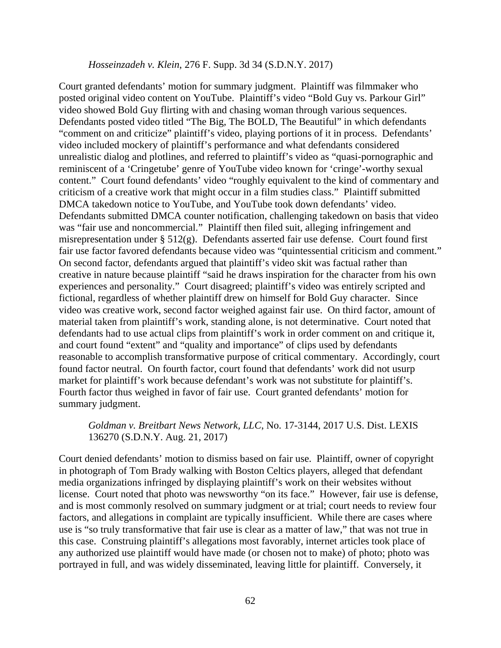### *Hosseinzadeh v. Klein*, 276 F. Supp. 3d 34 (S.D.N.Y. 2017)

Court granted defendants' motion for summary judgment. Plaintiff was filmmaker who posted original video content on YouTube. Plaintiff's video "Bold Guy vs. Parkour Girl" video showed Bold Guy flirting with and chasing woman through various sequences. Defendants posted video titled "The Big, The BOLD, The Beautiful" in which defendants "comment on and criticize" plaintiff's video, playing portions of it in process. Defendants' video included mockery of plaintiff's performance and what defendants considered unrealistic dialog and plotlines, and referred to plaintiff's video as "quasi-pornographic and reminiscent of a 'Cringetube' genre of YouTube video known for 'cringe'-worthy sexual content." Court found defendants' video "roughly equivalent to the kind of commentary and criticism of a creative work that might occur in a film studies class." Plaintiff submitted DMCA takedown notice to YouTube, and YouTube took down defendants' video. Defendants submitted DMCA counter notification, challenging takedown on basis that video was "fair use and noncommercial." Plaintiff then filed suit, alleging infringement and misrepresentation under  $\S 512(g)$ . Defendants asserted fair use defense. Court found first fair use factor favored defendants because video was "quintessential criticism and comment." On second factor, defendants argued that plaintiff's video skit was factual rather than creative in nature because plaintiff "said he draws inspiration for the character from his own experiences and personality." Court disagreed; plaintiff's video was entirely scripted and fictional, regardless of whether plaintiff drew on himself for Bold Guy character. Since video was creative work, second factor weighed against fair use. On third factor, amount of material taken from plaintiff's work, standing alone, is not determinative. Court noted that defendants had to use actual clips from plaintiff's work in order comment on and critique it, and court found "extent" and "quality and importance" of clips used by defendants reasonable to accomplish transformative purpose of critical commentary. Accordingly, court found factor neutral. On fourth factor, court found that defendants' work did not usurp market for plaintiff's work because defendant's work was not substitute for plaintiff's. Fourth factor thus weighed in favor of fair use. Court granted defendants' motion for summary judgment.

## *Goldman v. Breitbart News Network, LLC*, No. 17-3144, 2017 U.S. Dist. LEXIS 136270 (S.D.N.Y. Aug. 21, 2017)

Court denied defendants' motion to dismiss based on fair use. Plaintiff, owner of copyright in photograph of Tom Brady walking with Boston Celtics players, alleged that defendant media organizations infringed by displaying plaintiff's work on their websites without license. Court noted that photo was newsworthy "on its face." However, fair use is defense, and is most commonly resolved on summary judgment or at trial; court needs to review four factors, and allegations in complaint are typically insufficient. While there are cases where use is "so truly transformative that fair use is clear as a matter of law," that was not true in this case. Construing plaintiff's allegations most favorably, internet articles took place of any authorized use plaintiff would have made (or chosen not to make) of photo; photo was portrayed in full, and was widely disseminated, leaving little for plaintiff. Conversely, it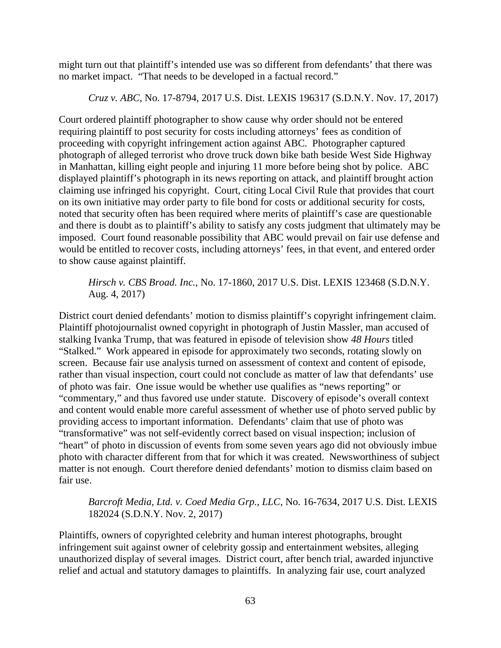might turn out that plaintiff's intended use was so different from defendants' that there was no market impact. "That needs to be developed in a factual record."

*Cruz v. ABC*, No. 17-8794, 2017 U.S. Dist. LEXIS 196317 (S.D.N.Y. Nov. 17, 2017)

Court ordered plaintiff photographer to show cause why order should not be entered requiring plaintiff to post security for costs including attorneys' fees as condition of proceeding with copyright infringement action against ABC. Photographer captured photograph of alleged terrorist who drove truck down bike bath beside West Side Highway in Manhattan, killing eight people and injuring 11 more before being shot by police. ABC displayed plaintiff's photograph in its news reporting on attack, and plaintiff brought action claiming use infringed his copyright. Court, citing Local Civil Rule that provides that court on its own initiative may order party to file bond for costs or additional security for costs, noted that security often has been required where merits of plaintiff's case are questionable and there is doubt as to plaintiff's ability to satisfy any costs judgment that ultimately may be imposed. Court found reasonable possibility that ABC would prevail on fair use defense and would be entitled to recover costs, including attorneys' fees, in that event, and entered order to show cause against plaintiff.

# *Hirsch v. CBS Broad. Inc.*, No. 17-1860, 2017 U.S. Dist. LEXIS 123468 (S.D.N.Y. Aug. 4, 2017)

District court denied defendants' motion to dismiss plaintiff's copyright infringement claim. Plaintiff photojournalist owned copyright in photograph of Justin Massler, man accused of stalking Ivanka Trump, that was featured in episode of television show *48 Hours* titled "Stalked." Work appeared in episode for approximately two seconds, rotating slowly on screen. Because fair use analysis turned on assessment of context and content of episode, rather than visual inspection, court could not conclude as matter of law that defendants' use of photo was fair. One issue would be whether use qualifies as "news reporting" or "commentary," and thus favored use under statute. Discovery of episode's overall context and content would enable more careful assessment of whether use of photo served public by providing access to important information. Defendants' claim that use of photo was "transformative" was not self-evidently correct based on visual inspection; inclusion of "heart" of photo in discussion of events from some seven years ago did not obviously imbue photo with character different from that for which it was created. Newsworthiness of subject matter is not enough. Court therefore denied defendants' motion to dismiss claim based on fair use.

# *Barcroft Media, Ltd. v. Coed Media Grp., LLC*, No. 16-7634, 2017 U.S. Dist. LEXIS 182024 (S.D.N.Y. Nov. 2, 2017)

Plaintiffs, owners of copyrighted celebrity and human interest photographs, brought infringement suit against owner of celebrity gossip and entertainment websites, alleging unauthorized display of several images. District court, after bench trial, awarded injunctive relief and actual and statutory damages to plaintiffs. In analyzing fair use, court analyzed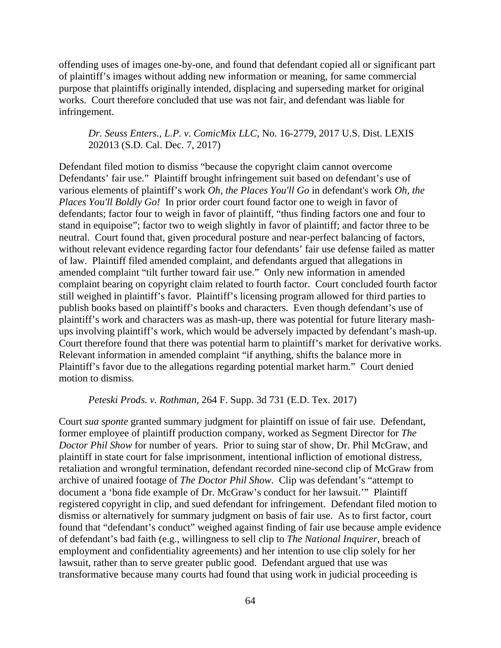offending uses of images one-by-one, and found that defendant copied all or significant part of plaintiff's images without adding new information or meaning, for same commercial purpose that plaintiffs originally intended, displacing and superseding market for original works. Court therefore concluded that use was not fair, and defendant was liable for infringement.

*Dr. Seuss Enters., L.P. v. ComicMix LLC*, No. 16-2779, 2017 U.S. Dist. LEXIS 202013 (S.D. Cal. Dec. 7, 2017)

Defendant filed motion to dismiss "because the copyright claim cannot overcome Defendants' fair use." Plaintiff brought infringement suit based on defendant's use of various elements of plaintiff's work *Oh, the Places You'll Go* in defendant's work *Oh, the Places You'll Boldly Go!* In prior order court found factor one to weigh in favor of defendants; factor four to weigh in favor of plaintiff, "thus finding factors one and four to stand in equipoise"; factor two to weigh slightly in favor of plaintiff; and factor three to be neutral. Court found that, given procedural posture and near-perfect balancing of factors, without relevant evidence regarding factor four defendants' fair use defense failed as matter of law. Plaintiff filed amended complaint, and defendants argued that allegations in amended complaint "tilt further toward fair use." Only new information in amended complaint bearing on copyright claim related to fourth factor. Court concluded fourth factor still weighed in plaintiff's favor. Plaintiff's licensing program allowed for third parties to publish books based on plaintiff's books and characters. Even though defendant's use of plaintiff's work and characters was as mash-up, there was potential for future literary mashups involving plaintiff's work, which would be adversely impacted by defendant's mash-up. Court therefore found that there was potential harm to plaintiff's market for derivative works. Relevant information in amended complaint "if anything, shifts the balance more in Plaintiff's favor due to the allegations regarding potential market harm." Court denied motion to dismiss.

*Peteski Prods. v. Rothman*, 264 F. Supp. 3d 731 (E.D. Tex. 2017)

Court *sua sponte* granted summary judgment for plaintiff on issue of fair use. Defendant, former employee of plaintiff production company, worked as Segment Director for *The Doctor Phil Show* for number of years. Prior to suing star of show, Dr. Phil McGraw, and plaintiff in state court for false imprisonment, intentional infliction of emotional distress, retaliation and wrongful termination, defendant recorded nine-second clip of McGraw from archive of unaired footage of *The Doctor Phil Show*. Clip was defendant's "attempt to document a 'bona fide example of Dr. McGraw's conduct for her lawsuit.'" Plaintiff registered copyright in clip, and sued defendant for infringement. Defendant filed motion to dismiss or alternatively for summary judgment on basis of fair use. As to first factor, court found that "defendant's conduct" weighed against finding of fair use because ample evidence of defendant's bad faith (e.g., willingness to sell clip to *The National Inquirer*, breach of employment and confidentiality agreements) and her intention to use clip solely for her lawsuit, rather than to serve greater public good. Defendant argued that use was transformative because many courts had found that using work in judicial proceeding is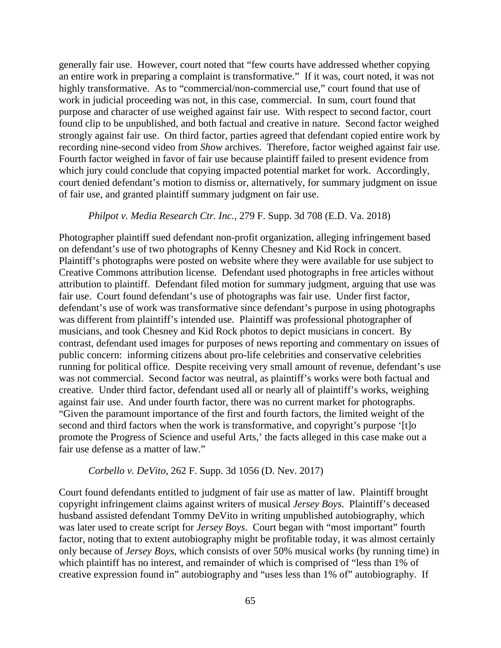generally fair use. However, court noted that "few courts have addressed whether copying an entire work in preparing a complaint is transformative." If it was, court noted, it was not highly transformative. As to "commercial/non-commercial use," court found that use of work in judicial proceeding was not, in this case, commercial. In sum, court found that purpose and character of use weighed against fair use. With respect to second factor, court found clip to be unpublished, and both factual and creative in nature. Second factor weighed strongly against fair use. On third factor, parties agreed that defendant copied entire work by recording nine-second video from *Show* archives. Therefore, factor weighed against fair use. Fourth factor weighed in favor of fair use because plaintiff failed to present evidence from which jury could conclude that copying impacted potential market for work. Accordingly, court denied defendant's motion to dismiss or, alternatively, for summary judgment on issue of fair use, and granted plaintiff summary judgment on fair use.

# *Philpot v. Media Research Ctr. Inc.*, 279 F. Supp. 3d 708 (E.D. Va. 2018)

Photographer plaintiff sued defendant non-profit organization, alleging infringement based on defendant's use of two photographs of Kenny Chesney and Kid Rock in concert. Plaintiff's photographs were posted on website where they were available for use subject to Creative Commons attribution license. Defendant used photographs in free articles without attribution to plaintiff. Defendant filed motion for summary judgment, arguing that use was fair use. Court found defendant's use of photographs was fair use. Under first factor, defendant's use of work was transformative since defendant's purpose in using photographs was different from plaintiff's intended use. Plaintiff was professional photographer of musicians, and took Chesney and Kid Rock photos to depict musicians in concert. By contrast, defendant used images for purposes of news reporting and commentary on issues of public concern: informing citizens about pro-life celebrities and conservative celebrities running for political office. Despite receiving very small amount of revenue, defendant's use was not commercial. Second factor was neutral, as plaintiff's works were both factual and creative. Under third factor, defendant used all or nearly all of plaintiff's works, weighing against fair use. And under fourth factor, there was no current market for photographs. "Given the paramount importance of the first and fourth factors, the limited weight of the second and third factors when the work is transformative, and copyright's purpose '[t]o promote the Progress of Science and useful Arts,' the facts alleged in this case make out a fair use defense as a matter of law."

#### *Corbello v. DeVito*, 262 F. Supp. 3d 1056 (D. Nev. 2017)

Court found defendants entitled to judgment of fair use as matter of law. Plaintiff brought copyright infringement claims against writers of musical *Jersey Boys*. Plaintiff's deceased husband assisted defendant Tommy DeVito in writing unpublished autobiography, which was later used to create script for *Jersey Boys*. Court began with "most important" fourth factor, noting that to extent autobiography might be profitable today, it was almost certainly only because of *Jersey Boys*, which consists of over 50% musical works (by running time) in which plaintiff has no interest, and remainder of which is comprised of "less than 1% of creative expression found in" autobiography and "uses less than 1% of" autobiography. If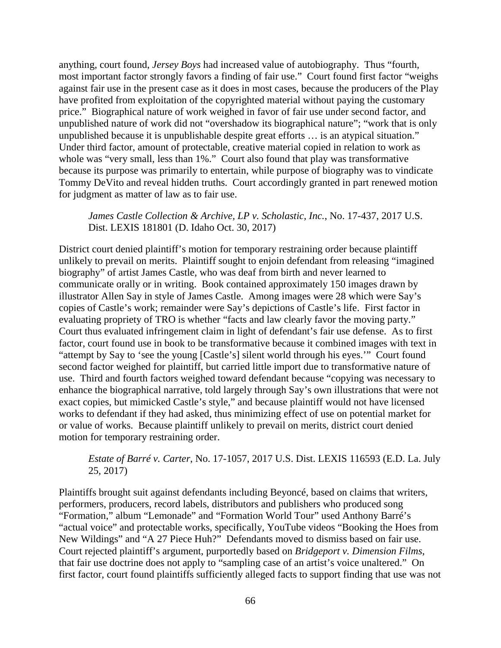anything, court found, *Jersey Boys* had increased value of autobiography. Thus "fourth, most important factor strongly favors a finding of fair use." Court found first factor "weighs against fair use in the present case as it does in most cases, because the producers of the Play have profited from exploitation of the copyrighted material without paying the customary price." Biographical nature of work weighed in favor of fair use under second factor, and unpublished nature of work did not "overshadow its biographical nature"; "work that is only unpublished because it is unpublishable despite great efforts … is an atypical situation." Under third factor, amount of protectable, creative material copied in relation to work as whole was "very small, less than 1%." Court also found that play was transformative because its purpose was primarily to entertain, while purpose of biography was to vindicate Tommy DeVito and reveal hidden truths. Court accordingly granted in part renewed motion for judgment as matter of law as to fair use.

*James Castle Collection & Archive, LP v. Scholastic, Inc.*, No. 17-437, 2017 U.S. Dist. LEXIS 181801 (D. Idaho Oct. 30, 2017)

District court denied plaintiff's motion for temporary restraining order because plaintiff unlikely to prevail on merits. Plaintiff sought to enjoin defendant from releasing "imagined biography" of artist James Castle, who was deaf from birth and never learned to communicate orally or in writing. Book contained approximately 150 images drawn by illustrator Allen Say in style of James Castle. Among images were 28 which were Say's copies of Castle's work; remainder were Say's depictions of Castle's life. First factor in evaluating propriety of TRO is whether "facts and law clearly favor the moving party." Court thus evaluated infringement claim in light of defendant's fair use defense. As to first factor, court found use in book to be transformative because it combined images with text in "attempt by Say to 'see the young [Castle's] silent world through his eyes.'" Court found second factor weighed for plaintiff, but carried little import due to transformative nature of use. Third and fourth factors weighed toward defendant because "copying was necessary to enhance the biographical narrative, told largely through Say's own illustrations that were not exact copies, but mimicked Castle's style," and because plaintiff would not have licensed works to defendant if they had asked, thus minimizing effect of use on potential market for or value of works. Because plaintiff unlikely to prevail on merits, district court denied motion for temporary restraining order.

*Estate of Barré v. Carter*, No. 17-1057, 2017 U.S. Dist. LEXIS 116593 (E.D. La. July 25, 2017)

Plaintiffs brought suit against defendants including Beyoncé, based on claims that writers, performers, producers, record labels, distributors and publishers who produced song "Formation," album "Lemonade" and "Formation World Tour" used Anthony Barré's "actual voice" and protectable works, specifically, YouTube videos "Booking the Hoes from New Wildings" and "A 27 Piece Huh?" Defendants moved to dismiss based on fair use. Court rejected plaintiff's argument, purportedly based on *Bridgeport v. Dimension Films*, that fair use doctrine does not apply to "sampling case of an artist's voice unaltered." On first factor, court found plaintiffs sufficiently alleged facts to support finding that use was not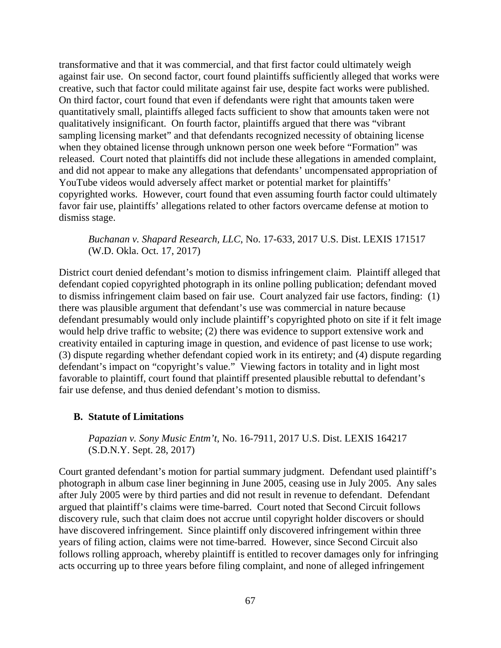transformative and that it was commercial, and that first factor could ultimately weigh against fair use. On second factor, court found plaintiffs sufficiently alleged that works were creative, such that factor could militate against fair use, despite fact works were published. On third factor, court found that even if defendants were right that amounts taken were quantitatively small, plaintiffs alleged facts sufficient to show that amounts taken were not qualitatively insignificant. On fourth factor, plaintiffs argued that there was "vibrant sampling licensing market" and that defendants recognized necessity of obtaining license when they obtained license through unknown person one week before "Formation" was released. Court noted that plaintiffs did not include these allegations in amended complaint, and did not appear to make any allegations that defendants' uncompensated appropriation of YouTube videos would adversely affect market or potential market for plaintiffs' copyrighted works. However, court found that even assuming fourth factor could ultimately favor fair use, plaintiffs' allegations related to other factors overcame defense at motion to dismiss stage.

*Buchanan v. Shapard Research, LLC*, No. 17-633, 2017 U.S. Dist. LEXIS 171517 (W.D. Okla. Oct. 17, 2017)

District court denied defendant's motion to dismiss infringement claim. Plaintiff alleged that defendant copied copyrighted photograph in its online polling publication; defendant moved to dismiss infringement claim based on fair use. Court analyzed fair use factors, finding: (1) there was plausible argument that defendant's use was commercial in nature because defendant presumably would only include plaintiff's copyrighted photo on site if it felt image would help drive traffic to website; (2) there was evidence to support extensive work and creativity entailed in capturing image in question, and evidence of past license to use work; (3) dispute regarding whether defendant copied work in its entirety; and (4) dispute regarding defendant's impact on "copyright's value." Viewing factors in totality and in light most favorable to plaintiff, court found that plaintiff presented plausible rebuttal to defendant's fair use defense, and thus denied defendant's motion to dismiss.

# **B. Statute of Limitations**

*Papazian v. Sony Music Entm't*, No. 16-7911, 2017 U.S. Dist. LEXIS 164217 (S.D.N.Y. Sept. 28, 2017)

Court granted defendant's motion for partial summary judgment. Defendant used plaintiff's photograph in album case liner beginning in June 2005, ceasing use in July 2005. Any sales after July 2005 were by third parties and did not result in revenue to defendant. Defendant argued that plaintiff's claims were time-barred. Court noted that Second Circuit follows discovery rule, such that claim does not accrue until copyright holder discovers or should have discovered infringement. Since plaintiff only discovered infringement within three years of filing action, claims were not time-barred. However, since Second Circuit also follows rolling approach, whereby plaintiff is entitled to recover damages only for infringing acts occurring up to three years before filing complaint, and none of alleged infringement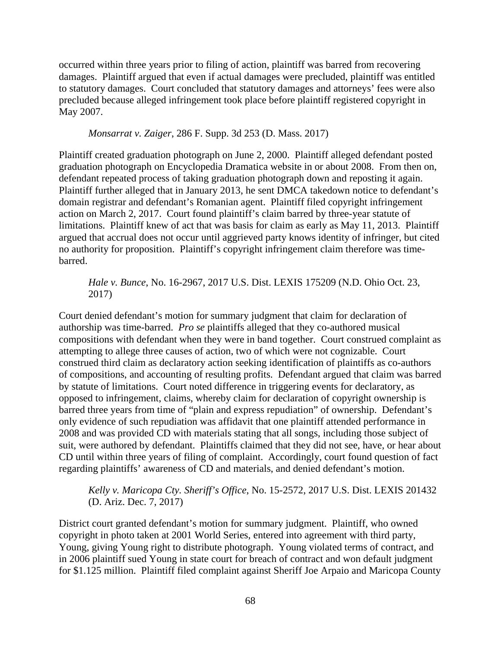occurred within three years prior to filing of action, plaintiff was barred from recovering damages. Plaintiff argued that even if actual damages were precluded, plaintiff was entitled to statutory damages. Court concluded that statutory damages and attorneys' fees were also precluded because alleged infringement took place before plaintiff registered copyright in May 2007.

*Monsarrat v. Zaiger*, 286 F. Supp. 3d 253 (D. Mass. 2017)

Plaintiff created graduation photograph on June 2, 2000. Plaintiff alleged defendant posted graduation photograph on Encyclopedia Dramatica website in or about 2008. From then on, defendant repeated process of taking graduation photograph down and reposting it again. Plaintiff further alleged that in January 2013, he sent DMCA takedown notice to defendant's domain registrar and defendant's Romanian agent. Plaintiff filed copyright infringement action on March 2, 2017. Court found plaintiff's claim barred by three-year statute of limitations. Plaintiff knew of act that was basis for claim as early as May 11, 2013. Plaintiff argued that accrual does not occur until aggrieved party knows identity of infringer, but cited no authority for proposition. Plaintiff's copyright infringement claim therefore was timebarred.

*Hale v. Bunce*, No. 16-2967, 2017 U.S. Dist. LEXIS 175209 (N.D. Ohio Oct. 23, 2017)

Court denied defendant's motion for summary judgment that claim for declaration of authorship was time-barred. *Pro se* plaintiffs alleged that they co-authored musical compositions with defendant when they were in band together. Court construed complaint as attempting to allege three causes of action, two of which were not cognizable. Court construed third claim as declaratory action seeking identification of plaintiffs as co-authors of compositions, and accounting of resulting profits. Defendant argued that claim was barred by statute of limitations. Court noted difference in triggering events for declaratory, as opposed to infringement, claims, whereby claim for declaration of copyright ownership is barred three years from time of "plain and express repudiation" of ownership. Defendant's only evidence of such repudiation was affidavit that one plaintiff attended performance in 2008 and was provided CD with materials stating that all songs, including those subject of suit, were authored by defendant. Plaintiffs claimed that they did not see, have, or hear about CD until within three years of filing of complaint. Accordingly, court found question of fact regarding plaintiffs' awareness of CD and materials, and denied defendant's motion.

# *Kelly v. Maricopa Cty. Sheriff's Office*, No. 15-2572, 2017 U.S. Dist. LEXIS 201432 (D. Ariz. Dec. 7, 2017)

District court granted defendant's motion for summary judgment. Plaintiff, who owned copyright in photo taken at 2001 World Series, entered into agreement with third party, Young, giving Young right to distribute photograph. Young violated terms of contract, and in 2006 plaintiff sued Young in state court for breach of contract and won default judgment for \$1.125 million. Plaintiff filed complaint against Sheriff Joe Arpaio and Maricopa County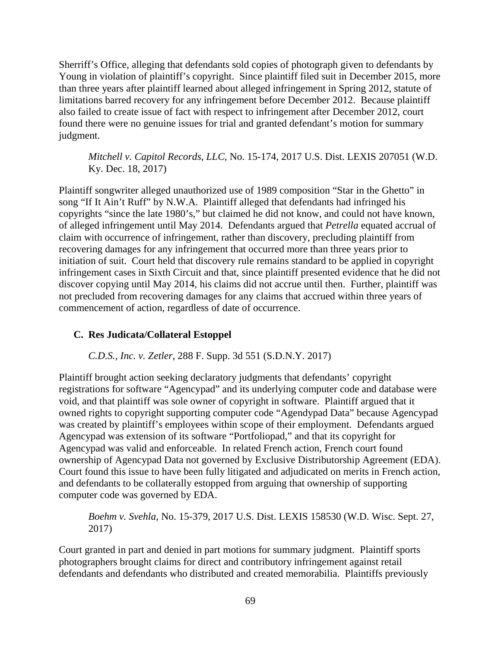Sherriff's Office, alleging that defendants sold copies of photograph given to defendants by Young in violation of plaintiff's copyright. Since plaintiff filed suit in December 2015, more than three years after plaintiff learned about alleged infringement in Spring 2012, statute of limitations barred recovery for any infringement before December 2012. Because plaintiff also failed to create issue of fact with respect to infringement after December 2012, court found there were no genuine issues for trial and granted defendant's motion for summary judgment.

*Mitchell v. Capitol Records, LLC*, No. 15-174, 2017 U.S. Dist. LEXIS 207051 (W.D. Ky. Dec. 18, 2017)

Plaintiff songwriter alleged unauthorized use of 1989 composition "Star in the Ghetto" in song "If It Ain't Ruff" by N.W.A. Plaintiff alleged that defendants had infringed his copyrights "since the late 1980's," but claimed he did not know, and could not have known, of alleged infringement until May 2014. Defendants argued that *Petrella* equated accrual of claim with occurrence of infringement, rather than discovery, precluding plaintiff from recovering damages for any infringement that occurred more than three years prior to initiation of suit. Court held that discovery rule remains standard to be applied in copyright infringement cases in Sixth Circuit and that, since plaintiff presented evidence that he did not discover copying until May 2014, his claims did not accrue until then. Further, plaintiff was not precluded from recovering damages for any claims that accrued within three years of commencement of action, regardless of date of occurrence.

# **C. Res Judicata/Collateral Estoppel**

*C.D.S., Inc. v. Zetler*, 288 F. Supp. 3d 551 (S.D.N.Y. 2017)

Plaintiff brought action seeking declaratory judgments that defendants' copyright registrations for software "Agencypad" and its underlying computer code and database were void, and that plaintiff was sole owner of copyright in software. Plaintiff argued that it owned rights to copyright supporting computer code "Agendypad Data" because Agencypad was created by plaintiff's employees within scope of their employment. Defendants argued Agencypad was extension of its software "Portfoliopad," and that its copyright for Agencypad was valid and enforceable. In related French action, French court found ownership of Agencypad Data not governed by Exclusive Distributorship Agreement (EDA). Court found this issue to have been fully litigated and adjudicated on merits in French action, and defendants to be collaterally estopped from arguing that ownership of supporting computer code was governed by EDA.

*Boehm v. Svehla*, No. 15-379, 2017 U.S. Dist. LEXIS 158530 (W.D. Wisc. Sept. 27, 2017)

Court granted in part and denied in part motions for summary judgment. Plaintiff sports photographers brought claims for direct and contributory infringement against retail defendants and defendants who distributed and created memorabilia. Plaintiffs previously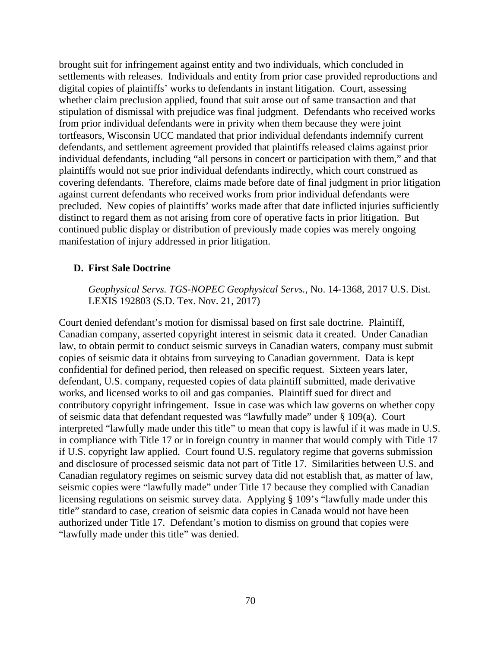brought suit for infringement against entity and two individuals, which concluded in settlements with releases. Individuals and entity from prior case provided reproductions and digital copies of plaintiffs' works to defendants in instant litigation. Court, assessing whether claim preclusion applied, found that suit arose out of same transaction and that stipulation of dismissal with prejudice was final judgment. Defendants who received works from prior individual defendants were in privity when them because they were joint tortfeasors, Wisconsin UCC mandated that prior individual defendants indemnify current defendants, and settlement agreement provided that plaintiffs released claims against prior individual defendants, including "all persons in concert or participation with them," and that plaintiffs would not sue prior individual defendants indirectly, which court construed as covering defendants. Therefore, claims made before date of final judgment in prior litigation against current defendants who received works from prior individual defendants were precluded. New copies of plaintiffs' works made after that date inflicted injuries sufficiently distinct to regard them as not arising from core of operative facts in prior litigation. But continued public display or distribution of previously made copies was merely ongoing manifestation of injury addressed in prior litigation.

# **D. First Sale Doctrine**

*Geophysical Servs. TGS-NOPEC Geophysical Servs.*, No. 14-1368, 2017 U.S. Dist. LEXIS 192803 (S.D. Tex. Nov. 21, 2017)

Court denied defendant's motion for dismissal based on first sale doctrine. Plaintiff, Canadian company, asserted copyright interest in seismic data it created. Under Canadian law, to obtain permit to conduct seismic surveys in Canadian waters, company must submit copies of seismic data it obtains from surveying to Canadian government. Data is kept confidential for defined period, then released on specific request. Sixteen years later, defendant, U.S. company, requested copies of data plaintiff submitted, made derivative works, and licensed works to oil and gas companies. Plaintiff sued for direct and contributory copyright infringement. Issue in case was which law governs on whether copy of seismic data that defendant requested was "lawfully made" under § 109(a). Court interpreted "lawfully made under this title" to mean that copy is lawful if it was made in U.S. in compliance with Title 17 or in foreign country in manner that would comply with Title 17 if U.S. copyright law applied. Court found U.S. regulatory regime that governs submission and disclosure of processed seismic data not part of Title 17. Similarities between U.S. and Canadian regulatory regimes on seismic survey data did not establish that, as matter of law, seismic copies were "lawfully made" under Title 17 because they complied with Canadian licensing regulations on seismic survey data. Applying § 109's "lawfully made under this title" standard to case, creation of seismic data copies in Canada would not have been authorized under Title 17. Defendant's motion to dismiss on ground that copies were "lawfully made under this title" was denied.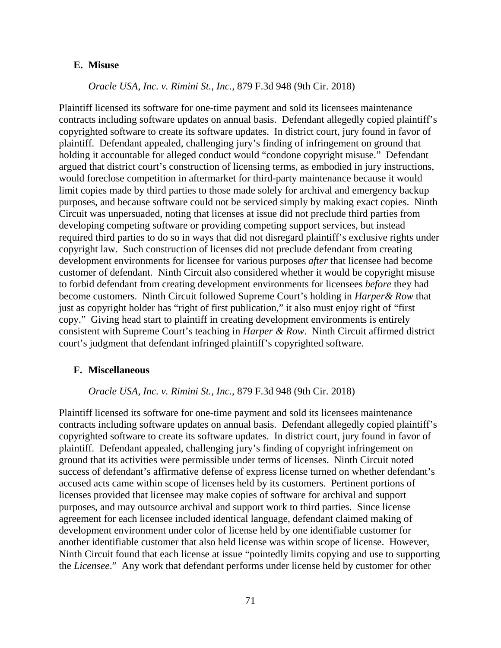#### **E. Misuse**

# *Oracle USA, Inc. v. Rimini St., Inc.*, 879 F.3d 948 (9th Cir. 2018)

Plaintiff licensed its software for one-time payment and sold its licensees maintenance contracts including software updates on annual basis. Defendant allegedly copied plaintiff's copyrighted software to create its software updates. In district court, jury found in favor of plaintiff. Defendant appealed, challenging jury's finding of infringement on ground that holding it accountable for alleged conduct would "condone copyright misuse." Defendant argued that district court's construction of licensing terms, as embodied in jury instructions, would foreclose competition in aftermarket for third-party maintenance because it would limit copies made by third parties to those made solely for archival and emergency backup purposes, and because software could not be serviced simply by making exact copies. Ninth Circuit was unpersuaded, noting that licenses at issue did not preclude third parties from developing competing software or providing competing support services, but instead required third parties to do so in ways that did not disregard plaintiff's exclusive rights under copyright law. Such construction of licenses did not preclude defendant from creating development environments for licensee for various purposes *after* that licensee had become customer of defendant. Ninth Circuit also considered whether it would be copyright misuse to forbid defendant from creating development environments for licensees *before* they had become customers. Ninth Circuit followed Supreme Court's holding in *Harper& Row* that just as copyright holder has "right of first publication," it also must enjoy right of "first copy." Giving head start to plaintiff in creating development environments is entirely consistent with Supreme Court's teaching in *Harper & Row*. Ninth Circuit affirmed district court's judgment that defendant infringed plaintiff's copyrighted software.

#### **F. Miscellaneous**

#### *Oracle USA, Inc. v. Rimini St., Inc.*, 879 F.3d 948 (9th Cir. 2018)

Plaintiff licensed its software for one-time payment and sold its licensees maintenance contracts including software updates on annual basis. Defendant allegedly copied plaintiff's copyrighted software to create its software updates. In district court, jury found in favor of plaintiff. Defendant appealed, challenging jury's finding of copyright infringement on ground that its activities were permissible under terms of licenses. Ninth Circuit noted success of defendant's affirmative defense of express license turned on whether defendant's accused acts came within scope of licenses held by its customers. Pertinent portions of licenses provided that licensee may make copies of software for archival and support purposes, and may outsource archival and support work to third parties. Since license agreement for each licensee included identical language, defendant claimed making of development environment under color of license held by one identifiable customer for another identifiable customer that also held license was within scope of license. However, Ninth Circuit found that each license at issue "pointedly limits copying and use to supporting the *Licensee*." Any work that defendant performs under license held by customer for other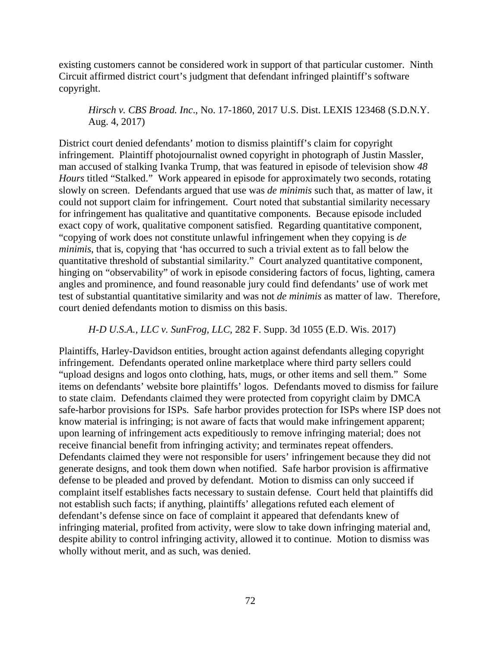existing customers cannot be considered work in support of that particular customer. Ninth Circuit affirmed district court's judgment that defendant infringed plaintiff's software copyright.

*Hirsch v. CBS Broad. Inc*., No. 17-1860, 2017 U.S. Dist. LEXIS 123468 (S.D.N.Y. Aug. 4, 2017)

District court denied defendants' motion to dismiss plaintiff's claim for copyright infringement. Plaintiff photojournalist owned copyright in photograph of Justin Massler, man accused of stalking Ivanka Trump, that was featured in episode of television show *48 Hours* titled "Stalked." Work appeared in episode for approximately two seconds, rotating slowly on screen. Defendants argued that use was *de minimis* such that, as matter of law, it could not support claim for infringement. Court noted that substantial similarity necessary for infringement has qualitative and quantitative components. Because episode included exact copy of work, qualitative component satisfied. Regarding quantitative component, "copying of work does not constitute unlawful infringement when they copying is *de minimis*, that is, copying that 'has occurred to such a trivial extent as to fall below the quantitative threshold of substantial similarity." Court analyzed quantitative component, hinging on "observability" of work in episode considering factors of focus, lighting, camera angles and prominence, and found reasonable jury could find defendants' use of work met test of substantial quantitative similarity and was not *de minimis* as matter of law. Therefore, court denied defendants motion to dismiss on this basis.

*H-D U.S.A., LLC v. SunFrog, LLC*, 282 F. Supp. 3d 1055 (E.D. Wis. 2017)

Plaintiffs, Harley-Davidson entities, brought action against defendants alleging copyright infringement. Defendants operated online marketplace where third party sellers could "upload designs and logos onto clothing, hats, mugs, or other items and sell them." Some items on defendants' website bore plaintiffs' logos. Defendants moved to dismiss for failure to state claim. Defendants claimed they were protected from copyright claim by DMCA safe-harbor provisions for ISPs. Safe harbor provides protection for ISPs where ISP does not know material is infringing; is not aware of facts that would make infringement apparent; upon learning of infringement acts expeditiously to remove infringing material; does not receive financial benefit from infringing activity; and terminates repeat offenders. Defendants claimed they were not responsible for users' infringement because they did not generate designs, and took them down when notified. Safe harbor provision is affirmative defense to be pleaded and proved by defendant. Motion to dismiss can only succeed if complaint itself establishes facts necessary to sustain defense. Court held that plaintiffs did not establish such facts; if anything, plaintiffs' allegations refuted each element of defendant's defense since on face of complaint it appeared that defendants knew of infringing material, profited from activity, were slow to take down infringing material and, despite ability to control infringing activity, allowed it to continue. Motion to dismiss was wholly without merit, and as such, was denied.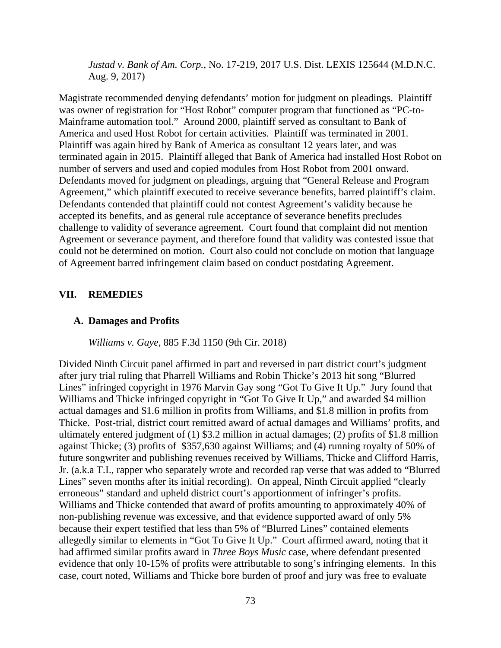*Justad v. Bank of Am. Corp.*, No. 17-219, 2017 U.S. Dist. LEXIS 125644 (M.D.N.C. Aug. 9, 2017)

Magistrate recommended denying defendants' motion for judgment on pleadings. Plaintiff was owner of registration for "Host Robot" computer program that functioned as "PC-to-Mainframe automation tool." Around 2000, plaintiff served as consultant to Bank of America and used Host Robot for certain activities. Plaintiff was terminated in 2001. Plaintiff was again hired by Bank of America as consultant 12 years later, and was terminated again in 2015. Plaintiff alleged that Bank of America had installed Host Robot on number of servers and used and copied modules from Host Robot from 2001 onward. Defendants moved for judgment on pleadings, arguing that "General Release and Program Agreement," which plaintiff executed to receive severance benefits, barred plaintiff's claim. Defendants contended that plaintiff could not contest Agreement's validity because he accepted its benefits, and as general rule acceptance of severance benefits precludes challenge to validity of severance agreement. Court found that complaint did not mention Agreement or severance payment, and therefore found that validity was contested issue that could not be determined on motion. Court also could not conclude on motion that language of Agreement barred infringement claim based on conduct postdating Agreement.

# **VII. REMEDIES**

### **A. Damages and Profits**

*Williams v. Gaye,* 885 F.3d 1150 (9th Cir. 2018)

Divided Ninth Circuit panel affirmed in part and reversed in part district court's judgment after jury trial ruling that Pharrell Williams and Robin Thicke's 2013 hit song "Blurred Lines" infringed copyright in 1976 Marvin Gay song "Got To Give It Up." Jury found that Williams and Thicke infringed copyright in "Got To Give It Up," and awarded \$4 million actual damages and \$1.6 million in profits from Williams, and \$1.8 million in profits from Thicke. Post-trial, district court remitted award of actual damages and Williams' profits, and ultimately entered judgment of (1) \$3.2 million in actual damages; (2) profits of \$1.8 million against Thicke; (3) profits of \$357,630 against Williams; and (4) running royalty of 50% of future songwriter and publishing revenues received by Williams, Thicke and Clifford Harris, Jr. (a.k.a T.I., rapper who separately wrote and recorded rap verse that was added to "Blurred Lines" seven months after its initial recording). On appeal, Ninth Circuit applied "clearly erroneous" standard and upheld district court's apportionment of infringer's profits. Williams and Thicke contended that award of profits amounting to approximately 40% of non-publishing revenue was excessive, and that evidence supported award of only 5% because their expert testified that less than 5% of "Blurred Lines" contained elements allegedly similar to elements in "Got To Give It Up." Court affirmed award, noting that it had affirmed similar profits award in *Three Boys Music* case, where defendant presented evidence that only 10-15% of profits were attributable to song's infringing elements. In this case, court noted, Williams and Thicke bore burden of proof and jury was free to evaluate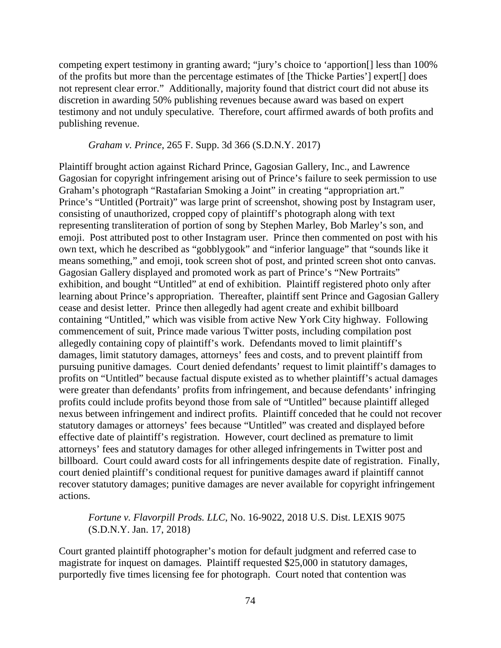competing expert testimony in granting award; "jury's choice to 'apportion[] less than 100% of the profits but more than the percentage estimates of [the Thicke Parties'] expert[] does not represent clear error." Additionally, majority found that district court did not abuse its discretion in awarding 50% publishing revenues because award was based on expert testimony and not unduly speculative. Therefore, court affirmed awards of both profits and publishing revenue.

# *Graham v. Prince*, 265 F. Supp. 3d 366 (S.D.N.Y. 2017)

Plaintiff brought action against Richard Prince, Gagosian Gallery, Inc., and Lawrence Gagosian for copyright infringement arising out of Prince's failure to seek permission to use Graham's photograph "Rastafarian Smoking a Joint" in creating "appropriation art." Prince's "Untitled (Portrait)" was large print of screenshot, showing post by Instagram user, consisting of unauthorized, cropped copy of plaintiff's photograph along with text representing transliteration of portion of song by Stephen Marley, Bob Marley's son, and emoji. Post attributed post to other Instagram user. Prince then commented on post with his own text, which he described as "gobblygook" and "inferior language" that "sounds like it means something," and emoji, took screen shot of post, and printed screen shot onto canvas. Gagosian Gallery displayed and promoted work as part of Prince's "New Portraits" exhibition, and bought "Untitled" at end of exhibition. Plaintiff registered photo only after learning about Prince's appropriation. Thereafter, plaintiff sent Prince and Gagosian Gallery cease and desist letter. Prince then allegedly had agent create and exhibit billboard containing "Untitled," which was visible from active New York City highway. Following commencement of suit, Prince made various Twitter posts, including compilation post allegedly containing copy of plaintiff's work. Defendants moved to limit plaintiff's damages, limit statutory damages, attorneys' fees and costs, and to prevent plaintiff from pursuing punitive damages. Court denied defendants' request to limit plaintiff's damages to profits on "Untitled" because factual dispute existed as to whether plaintiff's actual damages were greater than defendants' profits from infringement, and because defendants' infringing profits could include profits beyond those from sale of "Untitled" because plaintiff alleged nexus between infringement and indirect profits. Plaintiff conceded that he could not recover statutory damages or attorneys' fees because "Untitled" was created and displayed before effective date of plaintiff's registration. However, court declined as premature to limit attorneys' fees and statutory damages for other alleged infringements in Twitter post and billboard. Court could award costs for all infringements despite date of registration. Finally, court denied plaintiff's conditional request for punitive damages award if plaintiff cannot recover statutory damages; punitive damages are never available for copyright infringement actions.

# *Fortune v. Flavorpill Prods. LLC*, No. 16-9022, 2018 U.S. Dist. LEXIS 9075 (S.D.N.Y. Jan. 17, 2018)

Court granted plaintiff photographer's motion for default judgment and referred case to magistrate for inquest on damages. Plaintiff requested \$25,000 in statutory damages, purportedly five times licensing fee for photograph. Court noted that contention was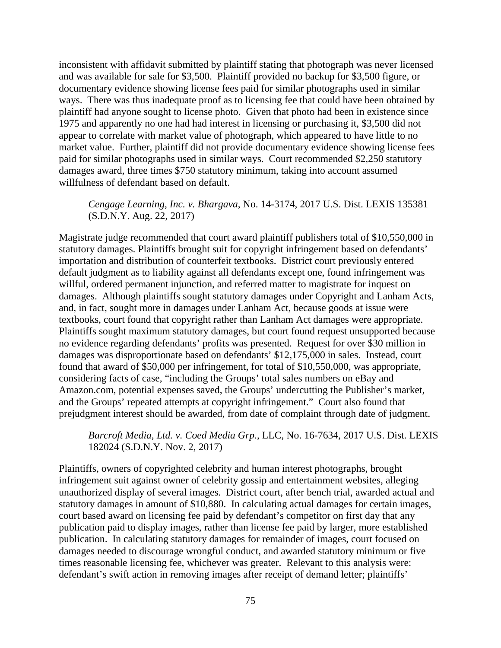inconsistent with affidavit submitted by plaintiff stating that photograph was never licensed and was available for sale for \$3,500. Plaintiff provided no backup for \$3,500 figure, or documentary evidence showing license fees paid for similar photographs used in similar ways. There was thus inadequate proof as to licensing fee that could have been obtained by plaintiff had anyone sought to license photo. Given that photo had been in existence since 1975 and apparently no one had had interest in licensing or purchasing it, \$3,500 did not appear to correlate with market value of photograph, which appeared to have little to no market value. Further, plaintiff did not provide documentary evidence showing license fees paid for similar photographs used in similar ways. Court recommended \$2,250 statutory damages award, three times \$750 statutory minimum, taking into account assumed willfulness of defendant based on default.

# *Cengage Learning, Inc. v. Bhargava*, No. 14-3174, 2017 U.S. Dist. LEXIS 135381 (S.D.N.Y. Aug. 22, 2017)

Magistrate judge recommended that court award plaintiff publishers total of \$10,550,000 in statutory damages. Plaintiffs brought suit for copyright infringement based on defendants' importation and distribution of counterfeit textbooks. District court previously entered default judgment as to liability against all defendants except one, found infringement was willful, ordered permanent injunction, and referred matter to magistrate for inquest on damages. Although plaintiffs sought statutory damages under Copyright and Lanham Acts, and, in fact, sought more in damages under Lanham Act, because goods at issue were textbooks, court found that copyright rather than Lanham Act damages were appropriate. Plaintiffs sought maximum statutory damages, but court found request unsupported because no evidence regarding defendants' profits was presented. Request for over \$30 million in damages was disproportionate based on defendants' \$12,175,000 in sales. Instead, court found that award of \$50,000 per infringement, for total of \$10,550,000, was appropriate, considering facts of case, "including the Groups' total sales numbers on eBay and Amazon.com, potential expenses saved, the Groups' undercutting the Publisher's market, and the Groups' repeated attempts at copyright infringement." Court also found that prejudgment interest should be awarded, from date of complaint through date of judgment.

# *Barcroft Media, Ltd. v. Coed Media Grp*., LLC, No. 16-7634, 2017 U.S. Dist. LEXIS 182024 (S.D.N.Y. Nov. 2, 2017)

Plaintiffs, owners of copyrighted celebrity and human interest photographs, brought infringement suit against owner of celebrity gossip and entertainment websites, alleging unauthorized display of several images. District court, after bench trial, awarded actual and statutory damages in amount of \$10,880. In calculating actual damages for certain images, court based award on licensing fee paid by defendant's competitor on first day that any publication paid to display images, rather than license fee paid by larger, more established publication. In calculating statutory damages for remainder of images, court focused on damages needed to discourage wrongful conduct, and awarded statutory minimum or five times reasonable licensing fee, whichever was greater. Relevant to this analysis were: defendant's swift action in removing images after receipt of demand letter; plaintiffs'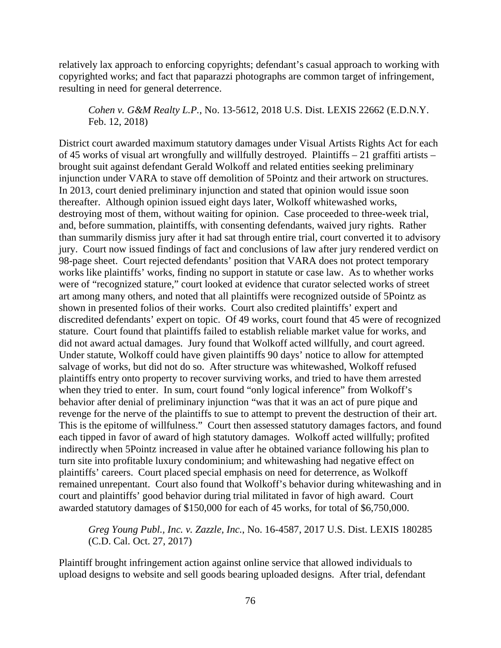relatively lax approach to enforcing copyrights; defendant's casual approach to working with copyrighted works; and fact that paparazzi photographs are common target of infringement, resulting in need for general deterrence.

*Cohen v. G&M Realty L.P.*, No. 13-5612, 2018 U.S. Dist. LEXIS 22662 (E.D.N.Y. Feb. 12, 2018)

District court awarded maximum statutory damages under Visual Artists Rights Act for each of 45 works of visual art wrongfully and willfully destroyed. Plaintiffs – 21 graffiti artists – brought suit against defendant Gerald Wolkoff and related entities seeking preliminary injunction under VARA to stave off demolition of 5Pointz and their artwork on structures. In 2013, court denied preliminary injunction and stated that opinion would issue soon thereafter. Although opinion issued eight days later, Wolkoff whitewashed works, destroying most of them, without waiting for opinion. Case proceeded to three-week trial, and, before summation, plaintiffs, with consenting defendants, waived jury rights. Rather than summarily dismiss jury after it had sat through entire trial, court converted it to advisory jury. Court now issued findings of fact and conclusions of law after jury rendered verdict on 98-page sheet. Court rejected defendants' position that VARA does not protect temporary works like plaintiffs' works, finding no support in statute or case law. As to whether works were of "recognized stature," court looked at evidence that curator selected works of street art among many others, and noted that all plaintiffs were recognized outside of 5Pointz as shown in presented folios of their works. Court also credited plaintiffs' expert and discredited defendants' expert on topic. Of 49 works, court found that 45 were of recognized stature. Court found that plaintiffs failed to establish reliable market value for works, and did not award actual damages. Jury found that Wolkoff acted willfully, and court agreed. Under statute, Wolkoff could have given plaintiffs 90 days' notice to allow for attempted salvage of works, but did not do so. After structure was whitewashed, Wolkoff refused plaintiffs entry onto property to recover surviving works, and tried to have them arrested when they tried to enter. In sum, court found "only logical inference" from Wolkoff's behavior after denial of preliminary injunction "was that it was an act of pure pique and revenge for the nerve of the plaintiffs to sue to attempt to prevent the destruction of their art. This is the epitome of willfulness." Court then assessed statutory damages factors, and found each tipped in favor of award of high statutory damages. Wolkoff acted willfully; profited indirectly when 5Pointz increased in value after he obtained variance following his plan to turn site into profitable luxury condominium; and whitewashing had negative effect on plaintiffs' careers. Court placed special emphasis on need for deterrence, as Wolkoff remained unrepentant. Court also found that Wolkoff's behavior during whitewashing and in court and plaintiffs' good behavior during trial militated in favor of high award. Court awarded statutory damages of \$150,000 for each of 45 works, for total of \$6,750,000.

*Greg Young Publ., Inc. v. Zazzle, Inc.*, No. 16-4587, 2017 U.S. Dist. LEXIS 180285 (C.D. Cal. Oct. 27, 2017)

Plaintiff brought infringement action against online service that allowed individuals to upload designs to website and sell goods bearing uploaded designs. After trial, defendant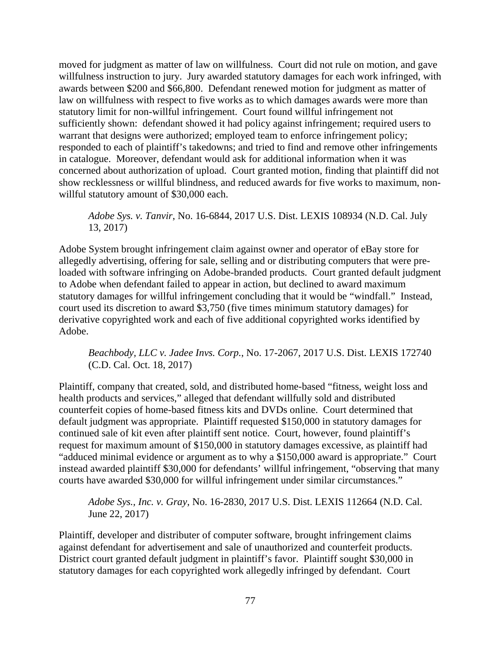moved for judgment as matter of law on willfulness. Court did not rule on motion, and gave willfulness instruction to jury. Jury awarded statutory damages for each work infringed, with awards between \$200 and \$66,800. Defendant renewed motion for judgment as matter of law on willfulness with respect to five works as to which damages awards were more than statutory limit for non-willful infringement. Court found willful infringement not sufficiently shown: defendant showed it had policy against infringement; required users to warrant that designs were authorized; employed team to enforce infringement policy; responded to each of plaintiff's takedowns; and tried to find and remove other infringements in catalogue. Moreover, defendant would ask for additional information when it was concerned about authorization of upload. Court granted motion, finding that plaintiff did not show recklessness or willful blindness, and reduced awards for five works to maximum, nonwillful statutory amount of \$30,000 each.

*Adobe Sys. v. Tanvir*, No. 16-6844, 2017 U.S. Dist. LEXIS 108934 (N.D. Cal. July 13, 2017)

Adobe System brought infringement claim against owner and operator of eBay store for allegedly advertising, offering for sale, selling and or distributing computers that were preloaded with software infringing on Adobe-branded products. Court granted default judgment to Adobe when defendant failed to appear in action, but declined to award maximum statutory damages for willful infringement concluding that it would be "windfall." Instead, court used its discretion to award \$3,750 (five times minimum statutory damages) for derivative copyrighted work and each of five additional copyrighted works identified by Adobe.

# *Beachbody, LLC v. Jadee Invs. Corp.*, No. 17-2067, 2017 U.S. Dist. LEXIS 172740 (C.D. Cal. Oct. 18, 2017)

Plaintiff, company that created, sold, and distributed home-based "fitness, weight loss and health products and services," alleged that defendant willfully sold and distributed counterfeit copies of home-based fitness kits and DVDs online. Court determined that default judgment was appropriate. Plaintiff requested \$150,000 in statutory damages for continued sale of kit even after plaintiff sent notice. Court, however, found plaintiff's request for maximum amount of \$150,000 in statutory damages excessive, as plaintiff had "adduced minimal evidence or argument as to why a \$150,000 award is appropriate." Court instead awarded plaintiff \$30,000 for defendants' willful infringement, "observing that many courts have awarded \$30,000 for willful infringement under similar circumstances."

*Adobe Sys., Inc. v. Gray*, No. 16-2830, 2017 U.S. Dist. LEXIS 112664 (N.D. Cal. June 22, 2017)

Plaintiff, developer and distributer of computer software, brought infringement claims against defendant for advertisement and sale of unauthorized and counterfeit products. District court granted default judgment in plaintiff's favor. Plaintiff sought \$30,000 in statutory damages for each copyrighted work allegedly infringed by defendant. Court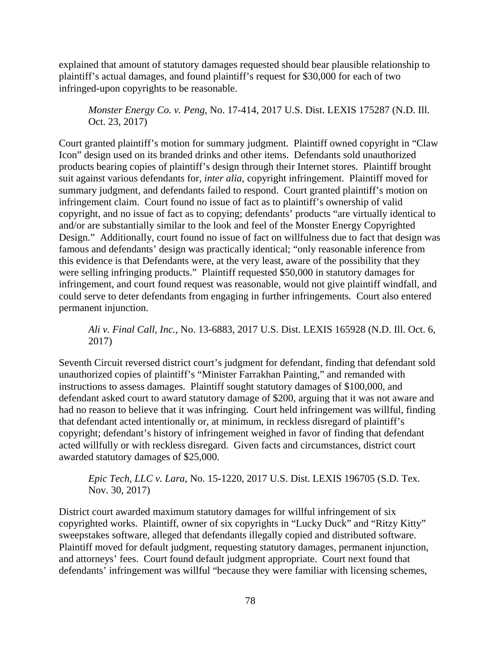explained that amount of statutory damages requested should bear plausible relationship to plaintiff's actual damages, and found plaintiff's request for \$30,000 for each of two infringed-upon copyrights to be reasonable.

*Monster Energy Co. v. Peng*, No. 17-414, 2017 U.S. Dist. LEXIS 175287 (N.D. Ill. Oct. 23, 2017)

Court granted plaintiff's motion for summary judgment. Plaintiff owned copyright in "Claw Icon" design used on its branded drinks and other items. Defendants sold unauthorized products bearing copies of plaintiff's design through their Internet stores. Plaintiff brought suit against various defendants for, *inter alia*, copyright infringement. Plaintiff moved for summary judgment, and defendants failed to respond. Court granted plaintiff's motion on infringement claim. Court found no issue of fact as to plaintiff's ownership of valid copyright, and no issue of fact as to copying; defendants' products "are virtually identical to and/or are substantially similar to the look and feel of the Monster Energy Copyrighted Design." Additionally, court found no issue of fact on willfulness due to fact that design was famous and defendants' design was practically identical; "only reasonable inference from this evidence is that Defendants were, at the very least, aware of the possibility that they were selling infringing products." Plaintiff requested \$50,000 in statutory damages for infringement, and court found request was reasonable, would not give plaintiff windfall, and could serve to deter defendants from engaging in further infringements. Court also entered permanent injunction.

*Ali v. Final Call, Inc.*, No. 13-6883, 2017 U.S. Dist. LEXIS 165928 (N.D. Ill. Oct. 6, 2017)

Seventh Circuit reversed district court's judgment for defendant, finding that defendant sold unauthorized copies of plaintiff's "Minister Farrakhan Painting," and remanded with instructions to assess damages. Plaintiff sought statutory damages of \$100,000, and defendant asked court to award statutory damage of \$200, arguing that it was not aware and had no reason to believe that it was infringing. Court held infringement was willful, finding that defendant acted intentionally or, at minimum, in reckless disregard of plaintiff's copyright; defendant's history of infringement weighed in favor of finding that defendant acted willfully or with reckless disregard. Given facts and circumstances, district court awarded statutory damages of \$25,000.

*Epic Tech, LLC v. Lara*, No. 15-1220, 2017 U.S. Dist. LEXIS 196705 (S.D. Tex. Nov. 30, 2017)

District court awarded maximum statutory damages for willful infringement of six copyrighted works. Plaintiff, owner of six copyrights in "Lucky Duck" and "Ritzy Kitty" sweepstakes software, alleged that defendants illegally copied and distributed software. Plaintiff moved for default judgment, requesting statutory damages, permanent injunction, and attorneys' fees. Court found default judgment appropriate. Court next found that defendants' infringement was willful "because they were familiar with licensing schemes,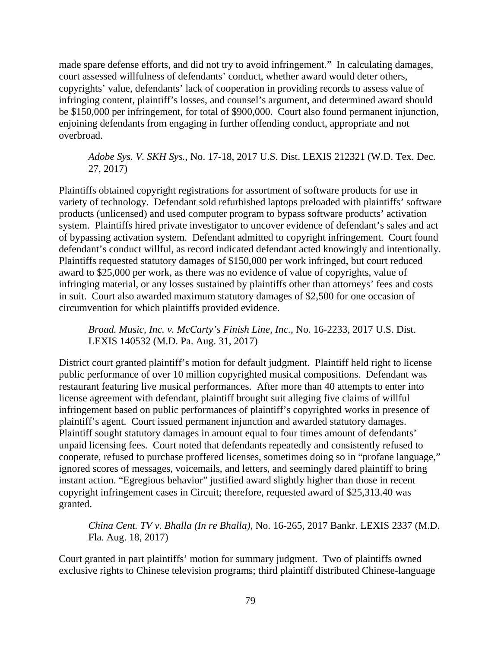made spare defense efforts, and did not try to avoid infringement." In calculating damages, court assessed willfulness of defendants' conduct, whether award would deter others, copyrights' value, defendants' lack of cooperation in providing records to assess value of infringing content, plaintiff's losses, and counsel's argument, and determined award should be \$150,000 per infringement, for total of \$900,000. Court also found permanent injunction, enjoining defendants from engaging in further offending conduct, appropriate and not overbroad.

*Adobe Sys. V. SKH Sys.*, No. 17-18, 2017 U.S. Dist. LEXIS 212321 (W.D. Tex. Dec. 27, 2017)

Plaintiffs obtained copyright registrations for assortment of software products for use in variety of technology. Defendant sold refurbished laptops preloaded with plaintiffs' software products (unlicensed) and used computer program to bypass software products' activation system. Plaintiffs hired private investigator to uncover evidence of defendant's sales and act of bypassing activation system. Defendant admitted to copyright infringement. Court found defendant's conduct willful, as record indicated defendant acted knowingly and intentionally. Plaintiffs requested statutory damages of \$150,000 per work infringed, but court reduced award to \$25,000 per work, as there was no evidence of value of copyrights, value of infringing material, or any losses sustained by plaintiffs other than attorneys' fees and costs in suit. Court also awarded maximum statutory damages of \$2,500 for one occasion of circumvention for which plaintiffs provided evidence.

*Broad. Music, Inc. v. McCarty's Finish Line, Inc.*, No. 16-2233, 2017 U.S. Dist. LEXIS 140532 (M.D. Pa. Aug. 31, 2017)

District court granted plaintiff's motion for default judgment. Plaintiff held right to license public performance of over 10 million copyrighted musical compositions. Defendant was restaurant featuring live musical performances. After more than 40 attempts to enter into license agreement with defendant, plaintiff brought suit alleging five claims of willful infringement based on public performances of plaintiff's copyrighted works in presence of plaintiff's agent. Court issued permanent injunction and awarded statutory damages. Plaintiff sought statutory damages in amount equal to four times amount of defendants' unpaid licensing fees. Court noted that defendants repeatedly and consistently refused to cooperate, refused to purchase proffered licenses, sometimes doing so in "profane language," ignored scores of messages, voicemails, and letters, and seemingly dared plaintiff to bring instant action. "Egregious behavior" justified award slightly higher than those in recent copyright infringement cases in Circuit; therefore, requested award of \$25,313.40 was granted.

*China Cent. TV v. Bhalla (In re Bhalla)*, No. 16-265, 2017 Bankr. LEXIS 2337 (M.D. Fla. Aug. 18, 2017)

Court granted in part plaintiffs' motion for summary judgment. Two of plaintiffs owned exclusive rights to Chinese television programs; third plaintiff distributed Chinese-language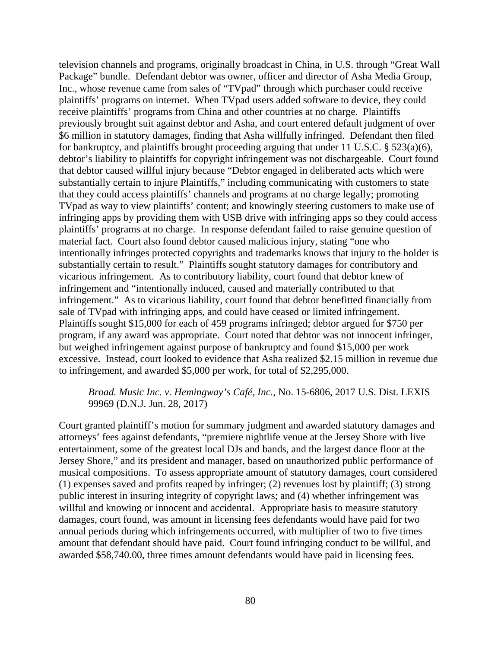television channels and programs, originally broadcast in China, in U.S. through "Great Wall Package" bundle. Defendant debtor was owner, officer and director of Asha Media Group, Inc., whose revenue came from sales of "TVpad" through which purchaser could receive plaintiffs' programs on internet. When TVpad users added software to device, they could receive plaintiffs' programs from China and other countries at no charge. Plaintiffs previously brought suit against debtor and Asha, and court entered default judgment of over \$6 million in statutory damages, finding that Asha willfully infringed. Defendant then filed for bankruptcy, and plaintiffs brought proceeding arguing that under 11 U.S.C. § 523(a)(6), debtor's liability to plaintiffs for copyright infringement was not dischargeable. Court found that debtor caused willful injury because "Debtor engaged in deliberated acts which were substantially certain to injure Plaintiffs," including communicating with customers to state that they could access plaintiffs' channels and programs at no charge legally; promoting TVpad as way to view plaintiffs' content; and knowingly steering customers to make use of infringing apps by providing them with USB drive with infringing apps so they could access plaintiffs' programs at no charge. In response defendant failed to raise genuine question of material fact. Court also found debtor caused malicious injury, stating "one who intentionally infringes protected copyrights and trademarks knows that injury to the holder is substantially certain to result." Plaintiffs sought statutory damages for contributory and vicarious infringement. As to contributory liability, court found that debtor knew of infringement and "intentionally induced, caused and materially contributed to that infringement." As to vicarious liability, court found that debtor benefitted financially from sale of TVpad with infringing apps, and could have ceased or limited infringement. Plaintiffs sought \$15,000 for each of 459 programs infringed; debtor argued for \$750 per program, if any award was appropriate. Court noted that debtor was not innocent infringer, but weighed infringement against purpose of bankruptcy and found \$15,000 per work excessive. Instead, court looked to evidence that Asha realized \$2.15 million in revenue due to infringement, and awarded \$5,000 per work, for total of \$2,295,000.

# *Broad. Music Inc. v. Hemingway's Café, Inc.*, No. 15-6806, 2017 U.S. Dist. LEXIS 99969 (D.N.J. Jun. 28, 2017)

Court granted plaintiff's motion for summary judgment and awarded statutory damages and attorneys' fees against defendants, "premiere nightlife venue at the Jersey Shore with live entertainment, some of the greatest local DJs and bands, and the largest dance floor at the Jersey Shore," and its president and manager, based on unauthorized public performance of musical compositions. To assess appropriate amount of statutory damages, court considered (1) expenses saved and profits reaped by infringer; (2) revenues lost by plaintiff; (3) strong public interest in insuring integrity of copyright laws; and (4) whether infringement was willful and knowing or innocent and accidental. Appropriate basis to measure statutory damages, court found, was amount in licensing fees defendants would have paid for two annual periods during which infringements occurred, with multiplier of two to five times amount that defendant should have paid. Court found infringing conduct to be willful, and awarded \$58,740.00, three times amount defendants would have paid in licensing fees.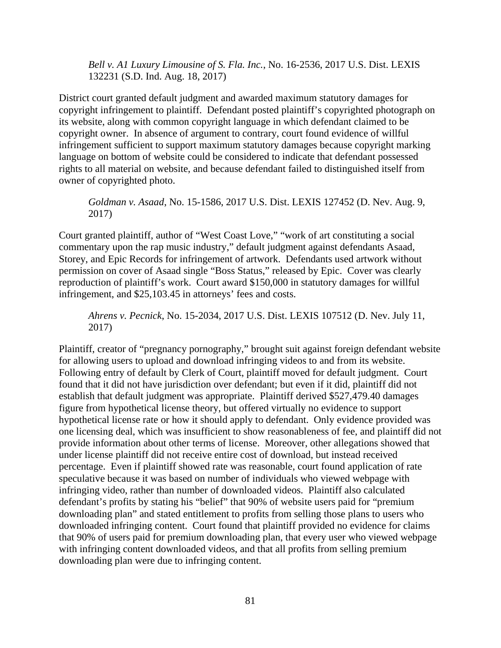*Bell v. A1 Luxury Limousine of S. Fla. Inc.*, No. 16-2536, 2017 U.S. Dist. LEXIS 132231 (S.D. Ind. Aug. 18, 2017)

District court granted default judgment and awarded maximum statutory damages for copyright infringement to plaintiff. Defendant posted plaintiff's copyrighted photograph on its website, along with common copyright language in which defendant claimed to be copyright owner. In absence of argument to contrary, court found evidence of willful infringement sufficient to support maximum statutory damages because copyright marking language on bottom of website could be considered to indicate that defendant possessed rights to all material on website, and because defendant failed to distinguished itself from owner of copyrighted photo.

*Goldman v. Asaad*, No. 15-1586, 2017 U.S. Dist. LEXIS 127452 (D. Nev. Aug. 9, 2017)

Court granted plaintiff, author of "West Coast Love," "work of art constituting a social commentary upon the rap music industry," default judgment against defendants Asaad, Storey, and Epic Records for infringement of artwork. Defendants used artwork without permission on cover of Asaad single "Boss Status," released by Epic. Cover was clearly reproduction of plaintiff's work. Court award \$150,000 in statutory damages for willful infringement, and \$25,103.45 in attorneys' fees and costs.

*Ahrens v. Pecnick*, No. 15-2034, 2017 U.S. Dist. LEXIS 107512 (D. Nev. July 11, 2017)

Plaintiff, creator of "pregnancy pornography," brought suit against foreign defendant website for allowing users to upload and download infringing videos to and from its website. Following entry of default by Clerk of Court, plaintiff moved for default judgment. Court found that it did not have jurisdiction over defendant; but even if it did, plaintiff did not establish that default judgment was appropriate. Plaintiff derived \$527,479.40 damages figure from hypothetical license theory, but offered virtually no evidence to support hypothetical license rate or how it should apply to defendant. Only evidence provided was one licensing deal, which was insufficient to show reasonableness of fee, and plaintiff did not provide information about other terms of license. Moreover, other allegations showed that under license plaintiff did not receive entire cost of download, but instead received percentage. Even if plaintiff showed rate was reasonable, court found application of rate speculative because it was based on number of individuals who viewed webpage with infringing video, rather than number of downloaded videos. Plaintiff also calculated defendant's profits by stating his "belief" that 90% of website users paid for "premium downloading plan" and stated entitlement to profits from selling those plans to users who downloaded infringing content. Court found that plaintiff provided no evidence for claims that 90% of users paid for premium downloading plan, that every user who viewed webpage with infringing content downloaded videos, and that all profits from selling premium downloading plan were due to infringing content.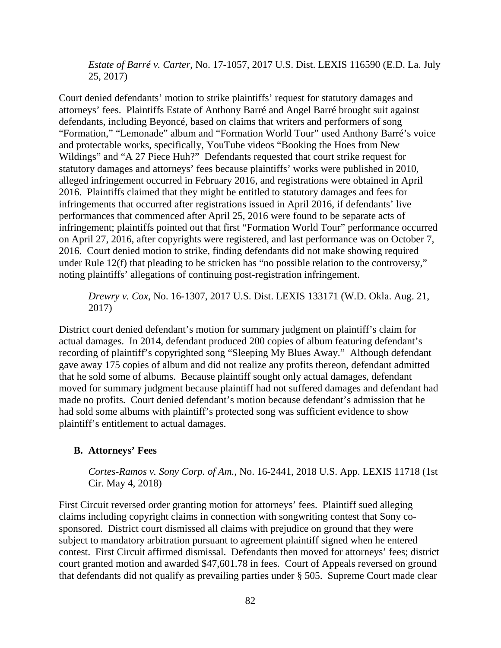*Estate of Barré v. Carter*, No. 17-1057, 2017 U.S. Dist. LEXIS 116590 (E.D. La. July 25, 2017)

Court denied defendants' motion to strike plaintiffs' request for statutory damages and attorneys' fees. Plaintiffs Estate of Anthony Barré and Angel Barré brought suit against defendants, including Beyoncé, based on claims that writers and performers of song "Formation," "Lemonade" album and "Formation World Tour" used Anthony Barré's voice and protectable works, specifically, YouTube videos "Booking the Hoes from New Wildings" and "A 27 Piece Huh?" Defendants requested that court strike request for statutory damages and attorneys' fees because plaintiffs' works were published in 2010, alleged infringement occurred in February 2016, and registrations were obtained in April 2016. Plaintiffs claimed that they might be entitled to statutory damages and fees for infringements that occurred after registrations issued in April 2016, if defendants' live performances that commenced after April 25, 2016 were found to be separate acts of infringement; plaintiffs pointed out that first "Formation World Tour" performance occurred on April 27, 2016, after copyrights were registered, and last performance was on October 7, 2016. Court denied motion to strike, finding defendants did not make showing required under Rule 12(f) that pleading to be stricken has "no possible relation to the controversy," noting plaintiffs' allegations of continuing post-registration infringement.

*Drewry v. Cox*, No. 16-1307, 2017 U.S. Dist. LEXIS 133171 (W.D. Okla. Aug. 21, 2017)

District court denied defendant's motion for summary judgment on plaintiff's claim for actual damages. In 2014, defendant produced 200 copies of album featuring defendant's recording of plaintiff's copyrighted song "Sleeping My Blues Away." Although defendant gave away 175 copies of album and did not realize any profits thereon, defendant admitted that he sold some of albums. Because plaintiff sought only actual damages, defendant moved for summary judgment because plaintiff had not suffered damages and defendant had made no profits. Court denied defendant's motion because defendant's admission that he had sold some albums with plaintiff's protected song was sufficient evidence to show plaintiff's entitlement to actual damages.

# **B. Attorneys' Fees**

*Cortes-Ramos v. Sony Corp. of Am.*, No. 16-2441, 2018 U.S. App. LEXIS 11718 (1st Cir. May 4, 2018)

First Circuit reversed order granting motion for attorneys' fees. Plaintiff sued alleging claims including copyright claims in connection with songwriting contest that Sony cosponsored. District court dismissed all claims with prejudice on ground that they were subject to mandatory arbitration pursuant to agreement plaintiff signed when he entered contest. First Circuit affirmed dismissal. Defendants then moved for attorneys' fees; district court granted motion and awarded \$47,601.78 in fees. Court of Appeals reversed on ground that defendants did not qualify as prevailing parties under § 505. Supreme Court made clear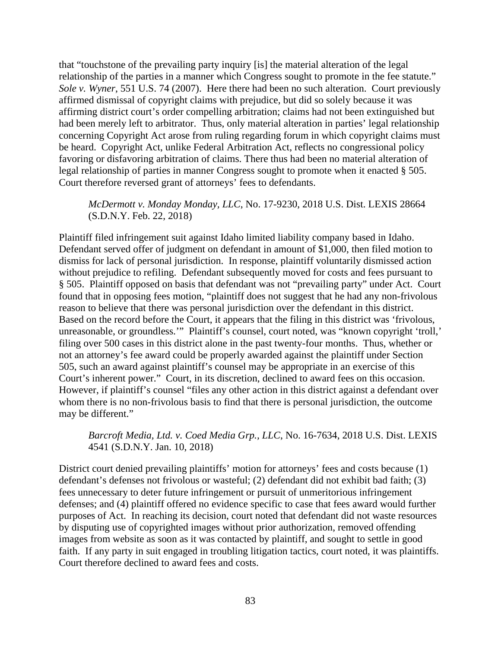that "touchstone of the prevailing party inquiry [is] the material alteration of the legal relationship of the parties in a manner which Congress sought to promote in the fee statute." *Sole v. Wyner*, 551 U.S. 74 (2007). Here there had been no such alteration. Court previously affirmed dismissal of copyright claims with prejudice, but did so solely because it was affirming district court's order compelling arbitration; claims had not been extinguished but had been merely left to arbitrator. Thus, only material alteration in parties' legal relationship concerning Copyright Act arose from ruling regarding forum in which copyright claims must be heard. Copyright Act, unlike Federal Arbitration Act, reflects no congressional policy favoring or disfavoring arbitration of claims. There thus had been no material alteration of legal relationship of parties in manner Congress sought to promote when it enacted § 505. Court therefore reversed grant of attorneys' fees to defendants.

# *McDermott v. Monday Monday, LLC*, No. 17-9230, 2018 U.S. Dist. LEXIS 28664 (S.D.N.Y. Feb. 22, 2018)

Plaintiff filed infringement suit against Idaho limited liability company based in Idaho. Defendant served offer of judgment on defendant in amount of \$1,000, then filed motion to dismiss for lack of personal jurisdiction. In response, plaintiff voluntarily dismissed action without prejudice to refiling. Defendant subsequently moved for costs and fees pursuant to § 505. Plaintiff opposed on basis that defendant was not "prevailing party" under Act. Court found that in opposing fees motion, "plaintiff does not suggest that he had any non-frivolous reason to believe that there was personal jurisdiction over the defendant in this district. Based on the record before the Court, it appears that the filing in this district was 'frivolous, unreasonable, or groundless.'" Plaintiff's counsel, court noted, was "known copyright 'troll,' filing over 500 cases in this district alone in the past twenty-four months. Thus, whether or not an attorney's fee award could be properly awarded against the plaintiff under Section 505, such an award against plaintiff's counsel may be appropriate in an exercise of this Court's inherent power." Court, in its discretion, declined to award fees on this occasion. However, if plaintiff's counsel "files any other action in this district against a defendant over whom there is no non-frivolous basis to find that there is personal jurisdiction, the outcome may be different."

# *Barcroft Media, Ltd. v. Coed Media Grp., LLC*, No. 16-7634, 2018 U.S. Dist. LEXIS 4541 (S.D.N.Y. Jan. 10, 2018)

District court denied prevailing plaintiffs' motion for attorneys' fees and costs because (1) defendant's defenses not frivolous or wasteful; (2) defendant did not exhibit bad faith; (3) fees unnecessary to deter future infringement or pursuit of unmeritorious infringement defenses; and (4) plaintiff offered no evidence specific to case that fees award would further purposes of Act. In reaching its decision, court noted that defendant did not waste resources by disputing use of copyrighted images without prior authorization, removed offending images from website as soon as it was contacted by plaintiff, and sought to settle in good faith. If any party in suit engaged in troubling litigation tactics, court noted, it was plaintiffs. Court therefore declined to award fees and costs.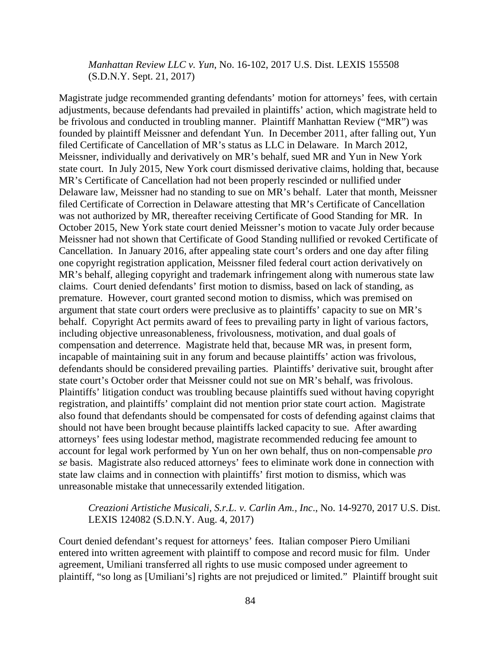# *Manhattan Review LLC v. Yun*, No. 16-102, 2017 U.S. Dist. LEXIS 155508 (S.D.N.Y. Sept. 21, 2017)

Magistrate judge recommended granting defendants' motion for attorneys' fees, with certain adjustments, because defendants had prevailed in plaintiffs' action, which magistrate held to be frivolous and conducted in troubling manner. Plaintiff Manhattan Review ("MR") was founded by plaintiff Meissner and defendant Yun. In December 2011, after falling out, Yun filed Certificate of Cancellation of MR's status as LLC in Delaware. In March 2012, Meissner, individually and derivatively on MR's behalf, sued MR and Yun in New York state court. In July 2015, New York court dismissed derivative claims, holding that, because MR's Certificate of Cancellation had not been properly rescinded or nullified under Delaware law, Meissner had no standing to sue on MR's behalf. Later that month, Meissner filed Certificate of Correction in Delaware attesting that MR's Certificate of Cancellation was not authorized by MR, thereafter receiving Certificate of Good Standing for MR. In October 2015, New York state court denied Meissner's motion to vacate July order because Meissner had not shown that Certificate of Good Standing nullified or revoked Certificate of Cancellation. In January 2016, after appealing state court's orders and one day after filing one copyright registration application, Meissner filed federal court action derivatively on MR's behalf, alleging copyright and trademark infringement along with numerous state law claims. Court denied defendants' first motion to dismiss, based on lack of standing, as premature. However, court granted second motion to dismiss, which was premised on argument that state court orders were preclusive as to plaintiffs' capacity to sue on MR's behalf. Copyright Act permits award of fees to prevailing party in light of various factors, including objective unreasonableness, frivolousness, motivation, and dual goals of compensation and deterrence. Magistrate held that, because MR was, in present form, incapable of maintaining suit in any forum and because plaintiffs' action was frivolous, defendants should be considered prevailing parties. Plaintiffs' derivative suit, brought after state court's October order that Meissner could not sue on MR's behalf, was frivolous. Plaintiffs' litigation conduct was troubling because plaintiffs sued without having copyright registration, and plaintiffs' complaint did not mention prior state court action. Magistrate also found that defendants should be compensated for costs of defending against claims that should not have been brought because plaintiffs lacked capacity to sue. After awarding attorneys' fees using lodestar method, magistrate recommended reducing fee amount to account for legal work performed by Yun on her own behalf, thus on non-compensable *pro se* basis. Magistrate also reduced attorneys' fees to eliminate work done in connection with state law claims and in connection with plaintiffs' first motion to dismiss, which was unreasonable mistake that unnecessarily extended litigation.

### *Creazioni Artistiche Musicali, S.r.L. v. Carlin Am., Inc*., No. 14-9270, 2017 U.S. Dist. LEXIS 124082 (S.D.N.Y. Aug. 4, 2017)

Court denied defendant's request for attorneys' fees. Italian composer Piero Umiliani entered into written agreement with plaintiff to compose and record music for film. Under agreement, Umiliani transferred all rights to use music composed under agreement to plaintiff, "so long as [Umiliani's] rights are not prejudiced or limited." Plaintiff brought suit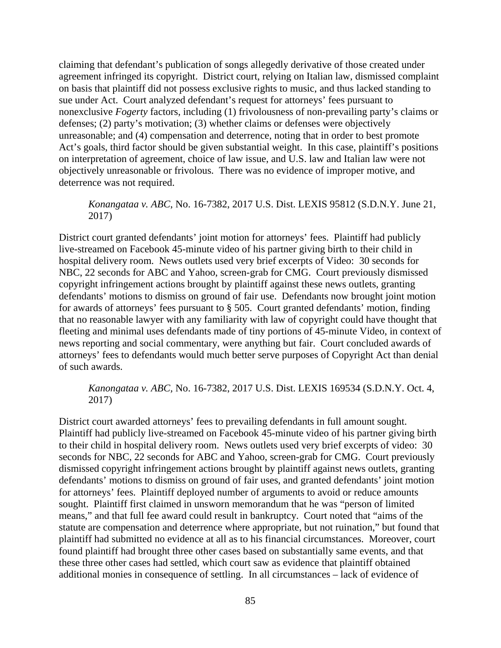claiming that defendant's publication of songs allegedly derivative of those created under agreement infringed its copyright. District court, relying on Italian law, dismissed complaint on basis that plaintiff did not possess exclusive rights to music, and thus lacked standing to sue under Act. Court analyzed defendant's request for attorneys' fees pursuant to nonexclusive *Fogerty* factors, including (1) frivolousness of non-prevailing party's claims or defenses; (2) party's motivation; (3) whether claims or defenses were objectively unreasonable; and (4) compensation and deterrence, noting that in order to best promote Act's goals, third factor should be given substantial weight. In this case, plaintiff's positions on interpretation of agreement, choice of law issue, and U.S. law and Italian law were not objectively unreasonable or frivolous. There was no evidence of improper motive, and deterrence was not required.

# *Konangataa v. ABC*, No. 16-7382, 2017 U.S. Dist. LEXIS 95812 (S.D.N.Y. June 21, 2017)

District court granted defendants' joint motion for attorneys' fees. Plaintiff had publicly live-streamed on Facebook 45-minute video of his partner giving birth to their child in hospital delivery room. News outlets used very brief excerpts of Video: 30 seconds for NBC, 22 seconds for ABC and Yahoo, screen-grab for CMG. Court previously dismissed copyright infringement actions brought by plaintiff against these news outlets, granting defendants' motions to dismiss on ground of fair use. Defendants now brought joint motion for awards of attorneys' fees pursuant to § 505. Court granted defendants' motion, finding that no reasonable lawyer with any familiarity with law of copyright could have thought that fleeting and minimal uses defendants made of tiny portions of 45-minute Video, in context of news reporting and social commentary, were anything but fair. Court concluded awards of attorneys' fees to defendants would much better serve purposes of Copyright Act than denial of such awards.

# *Kanongataa v. ABC,* No. 16-7382, 2017 U.S. Dist. LEXIS 169534 (S.D.N.Y. Oct. 4, 2017)

District court awarded attorneys' fees to prevailing defendants in full amount sought. Plaintiff had publicly live-streamed on Facebook 45-minute video of his partner giving birth to their child in hospital delivery room. News outlets used very brief excerpts of video: 30 seconds for NBC, 22 seconds for ABC and Yahoo, screen-grab for CMG. Court previously dismissed copyright infringement actions brought by plaintiff against news outlets, granting defendants' motions to dismiss on ground of fair uses, and granted defendants' joint motion for attorneys' fees. Plaintiff deployed number of arguments to avoid or reduce amounts sought. Plaintiff first claimed in unsworn memorandum that he was "person of limited means," and that full fee award could result in bankruptcy. Court noted that "aims of the statute are compensation and deterrence where appropriate, but not ruination," but found that plaintiff had submitted no evidence at all as to his financial circumstances. Moreover, court found plaintiff had brought three other cases based on substantially same events, and that these three other cases had settled, which court saw as evidence that plaintiff obtained additional monies in consequence of settling. In all circumstances – lack of evidence of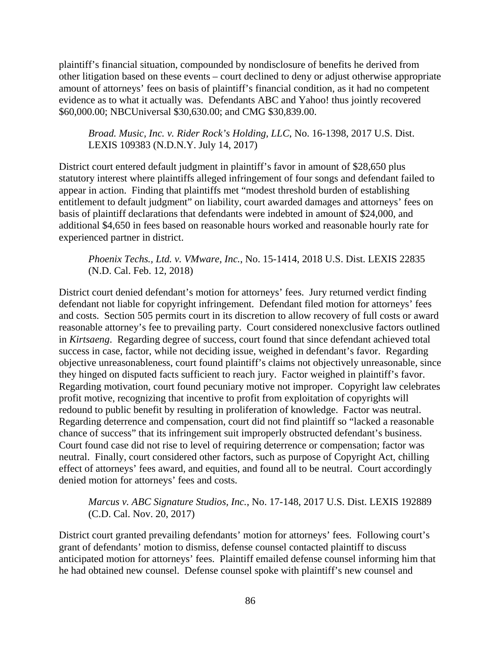plaintiff's financial situation, compounded by nondisclosure of benefits he derived from other litigation based on these events – court declined to deny or adjust otherwise appropriate amount of attorneys' fees on basis of plaintiff's financial condition, as it had no competent evidence as to what it actually was. Defendants ABC and Yahoo! thus jointly recovered \$60,000.00; NBCUniversal \$30,630.00; and CMG \$30,839.00.

*Broad. Music, Inc. v. Rider Rock's Holding, LLC*, No. 16-1398, 2017 U.S. Dist. LEXIS 109383 (N.D.N.Y. July 14, 2017)

District court entered default judgment in plaintiff's favor in amount of \$28,650 plus statutory interest where plaintiffs alleged infringement of four songs and defendant failed to appear in action. Finding that plaintiffs met "modest threshold burden of establishing entitlement to default judgment" on liability, court awarded damages and attorneys' fees on basis of plaintiff declarations that defendants were indebted in amount of \$24,000, and additional \$4,650 in fees based on reasonable hours worked and reasonable hourly rate for experienced partner in district.

*Phoenix Techs., Ltd. v. VMware, Inc.*, No. 15-1414, 2018 U.S. Dist. LEXIS 22835 (N.D. Cal. Feb. 12, 2018)

District court denied defendant's motion for attorneys' fees. Jury returned verdict finding defendant not liable for copyright infringement. Defendant filed motion for attorneys' fees and costs. Section 505 permits court in its discretion to allow recovery of full costs or award reasonable attorney's fee to prevailing party. Court considered nonexclusive factors outlined in *Kirtsaeng*. Regarding degree of success, court found that since defendant achieved total success in case, factor, while not deciding issue, weighed in defendant's favor. Regarding objective unreasonableness, court found plaintiff's claims not objectively unreasonable, since they hinged on disputed facts sufficient to reach jury. Factor weighed in plaintiff's favor. Regarding motivation, court found pecuniary motive not improper. Copyright law celebrates profit motive, recognizing that incentive to profit from exploitation of copyrights will redound to public benefit by resulting in proliferation of knowledge. Factor was neutral. Regarding deterrence and compensation, court did not find plaintiff so "lacked a reasonable chance of success" that its infringement suit improperly obstructed defendant's business. Court found case did not rise to level of requiring deterrence or compensation; factor was neutral. Finally, court considered other factors, such as purpose of Copyright Act, chilling effect of attorneys' fees award, and equities, and found all to be neutral. Court accordingly denied motion for attorneys' fees and costs.

*Marcus v. ABC Signature Studios, Inc.*, No. 17-148, 2017 U.S. Dist. LEXIS 192889 (C.D. Cal. Nov. 20, 2017)

District court granted prevailing defendants' motion for attorneys' fees. Following court's grant of defendants' motion to dismiss, defense counsel contacted plaintiff to discuss anticipated motion for attorneys' fees. Plaintiff emailed defense counsel informing him that he had obtained new counsel. Defense counsel spoke with plaintiff's new counsel and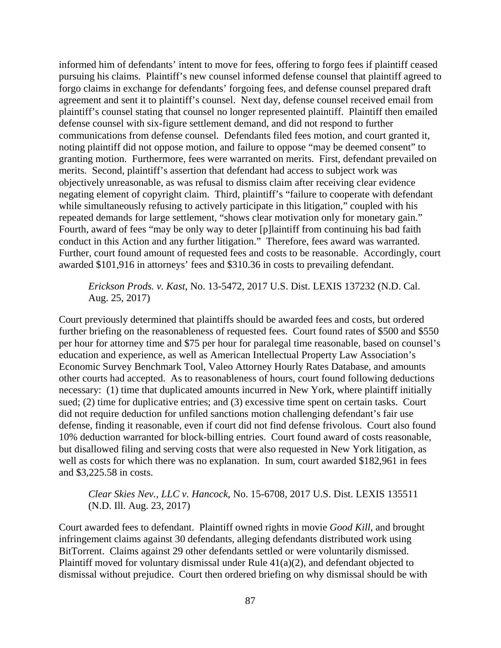informed him of defendants' intent to move for fees, offering to forgo fees if plaintiff ceased pursuing his claims. Plaintiff's new counsel informed defense counsel that plaintiff agreed to forgo claims in exchange for defendants' forgoing fees, and defense counsel prepared draft agreement and sent it to plaintiff's counsel. Next day, defense counsel received email from plaintiff's counsel stating that counsel no longer represented plaintiff. Plaintiff then emailed defense counsel with six-figure settlement demand, and did not respond to further communications from defense counsel. Defendants filed fees motion, and court granted it, noting plaintiff did not oppose motion, and failure to oppose "may be deemed consent" to granting motion. Furthermore, fees were warranted on merits. First, defendant prevailed on merits. Second, plaintiff's assertion that defendant had access to subject work was objectively unreasonable, as was refusal to dismiss claim after receiving clear evidence negating element of copyright claim. Third, plaintiff's "failure to cooperate with defendant while simultaneously refusing to actively participate in this litigation," coupled with his repeated demands for large settlement, "shows clear motivation only for monetary gain." Fourth, award of fees "may be only way to deter [p]laintiff from continuing his bad faith conduct in this Action and any further litigation." Therefore, fees award was warranted. Further, court found amount of requested fees and costs to be reasonable. Accordingly, court awarded \$101,916 in attorneys' fees and \$310.36 in costs to prevailing defendant.

*Erickson Prods. v. Kast*, No. 13-5472, 2017 U.S. Dist. LEXIS 137232 (N.D. Cal. Aug. 25, 2017)

Court previously determined that plaintiffs should be awarded fees and costs, but ordered further briefing on the reasonableness of requested fees. Court found rates of \$500 and \$550 per hour for attorney time and \$75 per hour for paralegal time reasonable, based on counsel's education and experience, as well as American Intellectual Property Law Association's Economic Survey Benchmark Tool, Valeo Attorney Hourly Rates Database, and amounts other courts had accepted. As to reasonableness of hours, court found following deductions necessary: (1) time that duplicated amounts incurred in New York, where plaintiff initially sued; (2) time for duplicative entries; and (3) excessive time spent on certain tasks. Court did not require deduction for unfiled sanctions motion challenging defendant's fair use defense, finding it reasonable, even if court did not find defense frivolous. Court also found 10% deduction warranted for block-billing entries. Court found award of costs reasonable, but disallowed filing and serving costs that were also requested in New York litigation, as well as costs for which there was no explanation. In sum, court awarded \$182,961 in fees and \$3,225.58 in costs.

# *Clear Skies Nev., LLC v. Hancock*, No. 15-6708, 2017 U.S. Dist. LEXIS 135511 (N.D. Ill. Aug. 23, 2017)

Court awarded fees to defendant. Plaintiff owned rights in movie *Good Kill*, and brought infringement claims against 30 defendants, alleging defendants distributed work using BitTorrent. Claims against 29 other defendants settled or were voluntarily dismissed. Plaintiff moved for voluntary dismissal under Rule 41(a)(2), and defendant objected to dismissal without prejudice. Court then ordered briefing on why dismissal should be with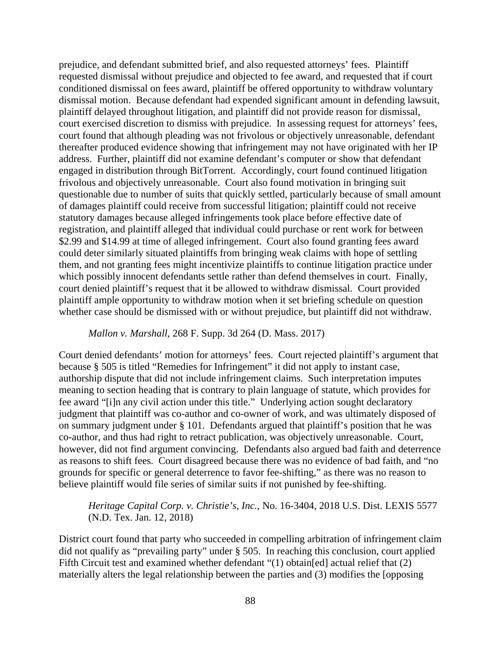prejudice, and defendant submitted brief, and also requested attorneys' fees. Plaintiff requested dismissal without prejudice and objected to fee award, and requested that if court conditioned dismissal on fees award, plaintiff be offered opportunity to withdraw voluntary dismissal motion. Because defendant had expended significant amount in defending lawsuit, plaintiff delayed throughout litigation, and plaintiff did not provide reason for dismissal, court exercised discretion to dismiss with prejudice. In assessing request for attorneys' fees, court found that although pleading was not frivolous or objectively unreasonable, defendant thereafter produced evidence showing that infringement may not have originated with her IP address. Further, plaintiff did not examine defendant's computer or show that defendant engaged in distribution through BitTorrent. Accordingly, court found continued litigation frivolous and objectively unreasonable. Court also found motivation in bringing suit questionable due to number of suits that quickly settled, particularly because of small amount of damages plaintiff could receive from successful litigation; plaintiff could not receive statutory damages because alleged infringements took place before effective date of registration, and plaintiff alleged that individual could purchase or rent work for between \$2.99 and \$14.99 at time of alleged infringement. Court also found granting fees award could deter similarly situated plaintiffs from bringing weak claims with hope of settling them, and not granting fees might incentivize plaintiffs to continue litigation practice under which possibly innocent defendants settle rather than defend themselves in court. Finally, court denied plaintiff's request that it be allowed to withdraw dismissal. Court provided plaintiff ample opportunity to withdraw motion when it set briefing schedule on question whether case should be dismissed with or without prejudice, but plaintiff did not withdraw.

# *Mallon v. Marshall*, 268 F. Supp. 3d 264 (D. Mass. 2017)

Court denied defendants' motion for attorneys' fees. Court rejected plaintiff's argument that because § 505 is titled "Remedies for Infringement" it did not apply to instant case, authorship dispute that did not include infringement claims. Such interpretation imputes meaning to section heading that is contrary to plain language of statute, which provides for fee award "[i]n any civil action under this title." Underlying action sought declaratory judgment that plaintiff was co-author and co-owner of work, and was ultimately disposed of on summary judgment under § 101. Defendants argued that plaintiff's position that he was co-author, and thus had right to retract publication, was objectively unreasonable. Court, however, did not find argument convincing. Defendants also argued bad faith and deterrence as reasons to shift fees. Court disagreed because there was no evidence of bad faith, and "no grounds for specific or general deterrence to favor fee-shifting," as there was no reason to believe plaintiff would file series of similar suits if not punished by fee-shifting.

# *Heritage Capital Corp. v. Christie's, Inc.*, No. 16-3404, 2018 U.S. Dist. LEXIS 5577 (N.D. Tex. Jan. 12, 2018)

District court found that party who succeeded in compelling arbitration of infringement claim did not qualify as "prevailing party" under § 505. In reaching this conclusion, court applied Fifth Circuit test and examined whether defendant "(1) obtain[ed] actual relief that (2) materially alters the legal relationship between the parties and (3) modifies the [opposing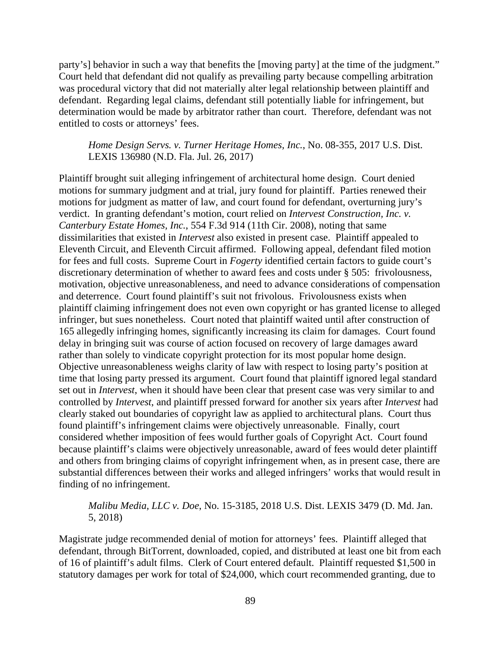party's] behavior in such a way that benefits the [moving party] at the time of the judgment." Court held that defendant did not qualify as prevailing party because compelling arbitration was procedural victory that did not materially alter legal relationship between plaintiff and defendant. Regarding legal claims, defendant still potentially liable for infringement, but determination would be made by arbitrator rather than court. Therefore, defendant was not entitled to costs or attorneys' fees.

*Home Design Servs. v. Turner Heritage Homes, Inc.*, No. 08-355, 2017 U.S. Dist. LEXIS 136980 (N.D. Fla. Jul. 26, 2017)

Plaintiff brought suit alleging infringement of architectural home design. Court denied motions for summary judgment and at trial, jury found for plaintiff. Parties renewed their motions for judgment as matter of law, and court found for defendant, overturning jury's verdict. In granting defendant's motion, court relied on *Intervest Construction, Inc. v. Canterbury Estate Homes, Inc.*, 554 F.3d 914 (11th Cir. 2008), noting that same dissimilarities that existed in *Intervest* also existed in present case. Plaintiff appealed to Eleventh Circuit, and Eleventh Circuit affirmed. Following appeal, defendant filed motion for fees and full costs. Supreme Court in *Fogerty* identified certain factors to guide court's discretionary determination of whether to award fees and costs under § 505: frivolousness, motivation, objective unreasonableness, and need to advance considerations of compensation and deterrence. Court found plaintiff's suit not frivolous. Frivolousness exists when plaintiff claiming infringement does not even own copyright or has granted license to alleged infringer, but sues nonetheless. Court noted that plaintiff waited until after construction of 165 allegedly infringing homes, significantly increasing its claim for damages. Court found delay in bringing suit was course of action focused on recovery of large damages award rather than solely to vindicate copyright protection for its most popular home design. Objective unreasonableness weighs clarity of law with respect to losing party's position at time that losing party pressed its argument. Court found that plaintiff ignored legal standard set out in *Intervest*, when it should have been clear that present case was very similar to and controlled by *Intervest*, and plaintiff pressed forward for another six years after *Intervest* had clearly staked out boundaries of copyright law as applied to architectural plans. Court thus found plaintiff's infringement claims were objectively unreasonable. Finally, court considered whether imposition of fees would further goals of Copyright Act. Court found because plaintiff's claims were objectively unreasonable, award of fees would deter plaintiff and others from bringing claims of copyright infringement when, as in present case, there are substantial differences between their works and alleged infringers' works that would result in finding of no infringement.

# *Malibu Media, LLC v. Doe*, No. 15-3185, 2018 U.S. Dist. LEXIS 3479 (D. Md. Jan. 5, 2018)

Magistrate judge recommended denial of motion for attorneys' fees. Plaintiff alleged that defendant, through BitTorrent, downloaded, copied, and distributed at least one bit from each of 16 of plaintiff's adult films. Clerk of Court entered default. Plaintiff requested \$1,500 in statutory damages per work for total of \$24,000, which court recommended granting, due to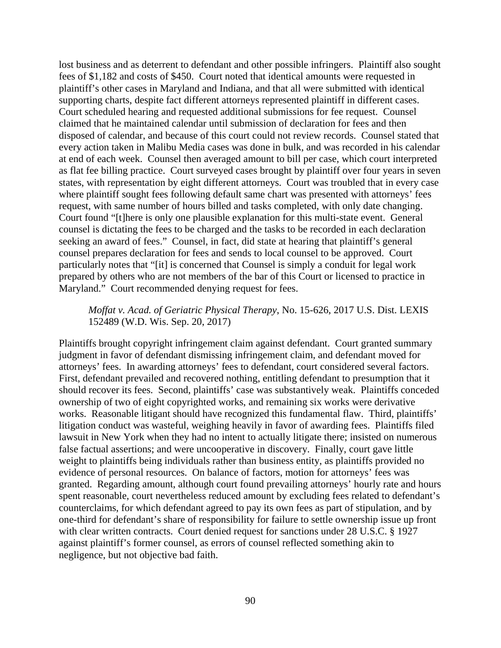lost business and as deterrent to defendant and other possible infringers. Plaintiff also sought fees of \$1,182 and costs of \$450. Court noted that identical amounts were requested in plaintiff's other cases in Maryland and Indiana, and that all were submitted with identical supporting charts, despite fact different attorneys represented plaintiff in different cases. Court scheduled hearing and requested additional submissions for fee request. Counsel claimed that he maintained calendar until submission of declaration for fees and then disposed of calendar, and because of this court could not review records. Counsel stated that every action taken in Malibu Media cases was done in bulk, and was recorded in his calendar at end of each week. Counsel then averaged amount to bill per case, which court interpreted as flat fee billing practice. Court surveyed cases brought by plaintiff over four years in seven states, with representation by eight different attorneys. Court was troubled that in every case where plaintiff sought fees following default same chart was presented with attorneys' fees request, with same number of hours billed and tasks completed, with only date changing. Court found "[t]here is only one plausible explanation for this multi-state event. General counsel is dictating the fees to be charged and the tasks to be recorded in each declaration seeking an award of fees." Counsel, in fact, did state at hearing that plaintiff's general counsel prepares declaration for fees and sends to local counsel to be approved. Court particularly notes that "[it] is concerned that Counsel is simply a conduit for legal work prepared by others who are not members of the bar of this Court or licensed to practice in Maryland." Court recommended denying request for fees.

# *Moffat v. Acad. of Geriatric Physical Therapy*, No. 15-626, 2017 U.S. Dist. LEXIS 152489 (W.D. Wis. Sep. 20, 2017)

Plaintiffs brought copyright infringement claim against defendant. Court granted summary judgment in favor of defendant dismissing infringement claim, and defendant moved for attorneys' fees. In awarding attorneys' fees to defendant, court considered several factors. First, defendant prevailed and recovered nothing, entitling defendant to presumption that it should recover its fees. Second, plaintiffs' case was substantively weak. Plaintiffs conceded ownership of two of eight copyrighted works, and remaining six works were derivative works. Reasonable litigant should have recognized this fundamental flaw. Third, plaintiffs' litigation conduct was wasteful, weighing heavily in favor of awarding fees. Plaintiffs filed lawsuit in New York when they had no intent to actually litigate there; insisted on numerous false factual assertions; and were uncooperative in discovery. Finally, court gave little weight to plaintiffs being individuals rather than business entity, as plaintiffs provided no evidence of personal resources. On balance of factors, motion for attorneys' fees was granted. Regarding amount, although court found prevailing attorneys' hourly rate and hours spent reasonable, court nevertheless reduced amount by excluding fees related to defendant's counterclaims, for which defendant agreed to pay its own fees as part of stipulation, and by one-third for defendant's share of responsibility for failure to settle ownership issue up front with clear written contracts. Court denied request for sanctions under 28 U.S.C. § 1927 against plaintiff's former counsel, as errors of counsel reflected something akin to negligence, but not objective bad faith.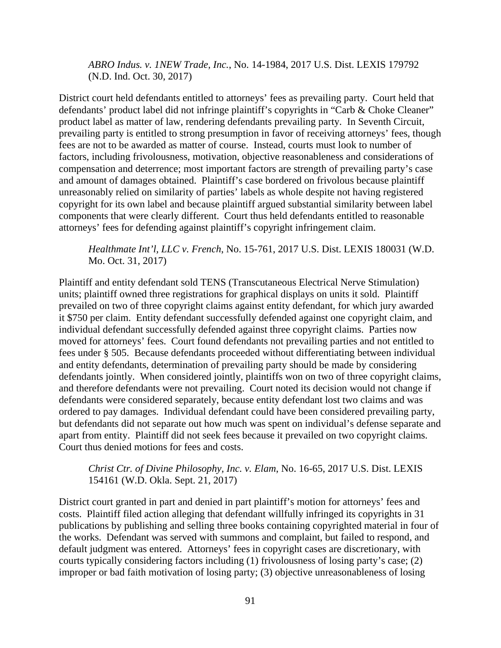*ABRO Indus. v. 1NEW Trade, Inc.*, No. 14-1984, 2017 U.S. Dist. LEXIS 179792 (N.D. Ind. Oct. 30, 2017)

District court held defendants entitled to attorneys' fees as prevailing party. Court held that defendants' product label did not infringe plaintiff's copyrights in "Carb & Choke Cleaner" product label as matter of law, rendering defendants prevailing party. In Seventh Circuit, prevailing party is entitled to strong presumption in favor of receiving attorneys' fees, though fees are not to be awarded as matter of course. Instead, courts must look to number of factors, including frivolousness, motivation, objective reasonableness and considerations of compensation and deterrence; most important factors are strength of prevailing party's case and amount of damages obtained. Plaintiff's case bordered on frivolous because plaintiff unreasonably relied on similarity of parties' labels as whole despite not having registered copyright for its own label and because plaintiff argued substantial similarity between label components that were clearly different. Court thus held defendants entitled to reasonable attorneys' fees for defending against plaintiff's copyright infringement claim.

*Healthmate Int'l, LLC v. French*, No. 15-761, 2017 U.S. Dist. LEXIS 180031 (W.D. Mo. Oct. 31, 2017)

Plaintiff and entity defendant sold TENS (Transcutaneous Electrical Nerve Stimulation) units; plaintiff owned three registrations for graphical displays on units it sold. Plaintiff prevailed on two of three copyright claims against entity defendant, for which jury awarded it \$750 per claim. Entity defendant successfully defended against one copyright claim, and individual defendant successfully defended against three copyright claims. Parties now moved for attorneys' fees. Court found defendants not prevailing parties and not entitled to fees under § 505. Because defendants proceeded without differentiating between individual and entity defendants, determination of prevailing party should be made by considering defendants jointly. When considered jointly, plaintiffs won on two of three copyright claims, and therefore defendants were not prevailing. Court noted its decision would not change if defendants were considered separately, because entity defendant lost two claims and was ordered to pay damages. Individual defendant could have been considered prevailing party, but defendants did not separate out how much was spent on individual's defense separate and apart from entity. Plaintiff did not seek fees because it prevailed on two copyright claims. Court thus denied motions for fees and costs.

# *Christ Ctr. of Divine Philosophy, Inc. v. Elam*, No. 16-65, 2017 U.S. Dist. LEXIS 154161 (W.D. Okla. Sept. 21, 2017)

District court granted in part and denied in part plaintiff's motion for attorneys' fees and costs. Plaintiff filed action alleging that defendant willfully infringed its copyrights in 31 publications by publishing and selling three books containing copyrighted material in four of the works. Defendant was served with summons and complaint, but failed to respond, and default judgment was entered. Attorneys' fees in copyright cases are discretionary, with courts typically considering factors including (1) frivolousness of losing party's case; (2) improper or bad faith motivation of losing party; (3) objective unreasonableness of losing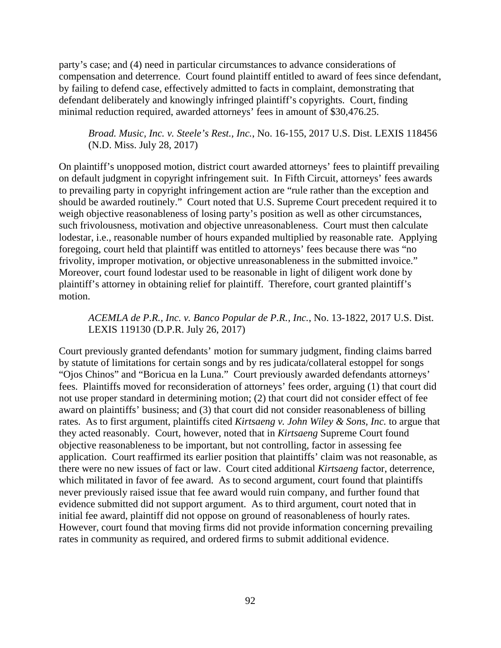party's case; and (4) need in particular circumstances to advance considerations of compensation and deterrence. Court found plaintiff entitled to award of fees since defendant, by failing to defend case, effectively admitted to facts in complaint, demonstrating that defendant deliberately and knowingly infringed plaintiff's copyrights. Court, finding minimal reduction required, awarded attorneys' fees in amount of \$30,476.25.

*Broad. Music, Inc. v. Steele's Rest., Inc.*, No. 16-155, 2017 U.S. Dist. LEXIS 118456 (N.D. Miss. July 28, 2017)

On plaintiff's unopposed motion, district court awarded attorneys' fees to plaintiff prevailing on default judgment in copyright infringement suit. In Fifth Circuit, attorneys' fees awards to prevailing party in copyright infringement action are "rule rather than the exception and should be awarded routinely." Court noted that U.S. Supreme Court precedent required it to weigh objective reasonableness of losing party's position as well as other circumstances, such frivolousness, motivation and objective unreasonableness. Court must then calculate lodestar, i.e., reasonable number of hours expanded multiplied by reasonable rate. Applying foregoing, court held that plaintiff was entitled to attorneys' fees because there was "no frivolity, improper motivation, or objective unreasonableness in the submitted invoice." Moreover, court found lodestar used to be reasonable in light of diligent work done by plaintiff's attorney in obtaining relief for plaintiff. Therefore, court granted plaintiff's motion.

*ACEMLA de P.R., Inc. v. Banco Popular de P.R., Inc.*, No. 13-1822, 2017 U.S. Dist. LEXIS 119130 (D.P.R. July 26, 2017)

Court previously granted defendants' motion for summary judgment, finding claims barred by statute of limitations for certain songs and by res judicata/collateral estoppel for songs "Ojos Chinos" and "Boricua en la Luna." Court previously awarded defendants attorneys' fees. Plaintiffs moved for reconsideration of attorneys' fees order, arguing (1) that court did not use proper standard in determining motion; (2) that court did not consider effect of fee award on plaintiffs' business; and (3) that court did not consider reasonableness of billing rates. As to first argument, plaintiffs cited *Kirtsaeng v. John Wiley & Sons, Inc.* to argue that they acted reasonably. Court, however, noted that in *Kirtsaeng* Supreme Court found objective reasonableness to be important, but not controlling, factor in assessing fee application. Court reaffirmed its earlier position that plaintiffs' claim was not reasonable, as there were no new issues of fact or law. Court cited additional *Kirtsaeng* factor, deterrence, which militated in favor of fee award. As to second argument, court found that plaintiffs never previously raised issue that fee award would ruin company, and further found that evidence submitted did not support argument. As to third argument, court noted that in initial fee award, plaintiff did not oppose on ground of reasonableness of hourly rates. However, court found that moving firms did not provide information concerning prevailing rates in community as required, and ordered firms to submit additional evidence.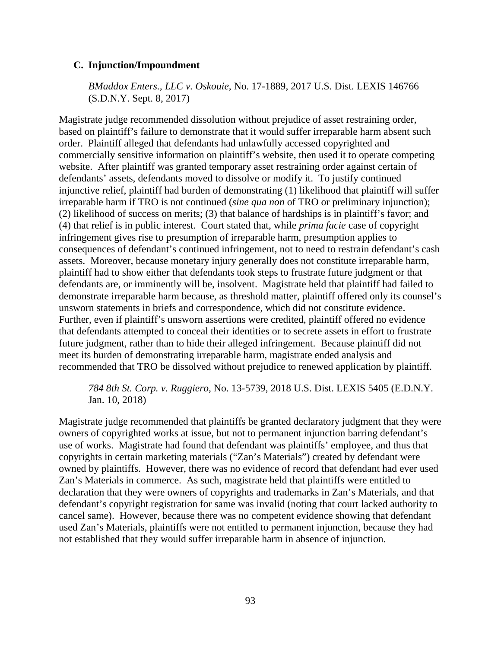## **C. Injunction/Impoundment**

*BMaddox Enters., LLC v. Oskouie*, No. 17-1889, 2017 U.S. Dist. LEXIS 146766 (S.D.N.Y. Sept. 8, 2017)

Magistrate judge recommended dissolution without prejudice of asset restraining order, based on plaintiff's failure to demonstrate that it would suffer irreparable harm absent such order. Plaintiff alleged that defendants had unlawfully accessed copyrighted and commercially sensitive information on plaintiff's website, then used it to operate competing website. After plaintiff was granted temporary asset restraining order against certain of defendants' assets, defendants moved to dissolve or modify it. To justify continued injunctive relief, plaintiff had burden of demonstrating (1) likelihood that plaintiff will suffer irreparable harm if TRO is not continued (*sine qua non* of TRO or preliminary injunction); (2) likelihood of success on merits; (3) that balance of hardships is in plaintiff's favor; and (4) that relief is in public interest. Court stated that, while *prima facie* case of copyright infringement gives rise to presumption of irreparable harm, presumption applies to consequences of defendant's continued infringement, not to need to restrain defendant's cash assets. Moreover, because monetary injury generally does not constitute irreparable harm, plaintiff had to show either that defendants took steps to frustrate future judgment or that defendants are, or imminently will be, insolvent. Magistrate held that plaintiff had failed to demonstrate irreparable harm because, as threshold matter, plaintiff offered only its counsel's unsworn statements in briefs and correspondence, which did not constitute evidence. Further, even if plaintiff's unsworn assertions were credited, plaintiff offered no evidence that defendants attempted to conceal their identities or to secrete assets in effort to frustrate future judgment, rather than to hide their alleged infringement. Because plaintiff did not meet its burden of demonstrating irreparable harm, magistrate ended analysis and recommended that TRO be dissolved without prejudice to renewed application by plaintiff.

*784 8th St. Corp. v. Ruggiero*, No. 13-5739, 2018 U.S. Dist. LEXIS 5405 (E.D.N.Y. Jan. 10, 2018)

Magistrate judge recommended that plaintiffs be granted declaratory judgment that they were owners of copyrighted works at issue, but not to permanent injunction barring defendant's use of works. Magistrate had found that defendant was plaintiffs' employee, and thus that copyrights in certain marketing materials ("Zan's Materials") created by defendant were owned by plaintiffs. However, there was no evidence of record that defendant had ever used Zan's Materials in commerce. As such, magistrate held that plaintiffs were entitled to declaration that they were owners of copyrights and trademarks in Zan's Materials, and that defendant's copyright registration for same was invalid (noting that court lacked authority to cancel same). However, because there was no competent evidence showing that defendant used Zan's Materials, plaintiffs were not entitled to permanent injunction, because they had not established that they would suffer irreparable harm in absence of injunction.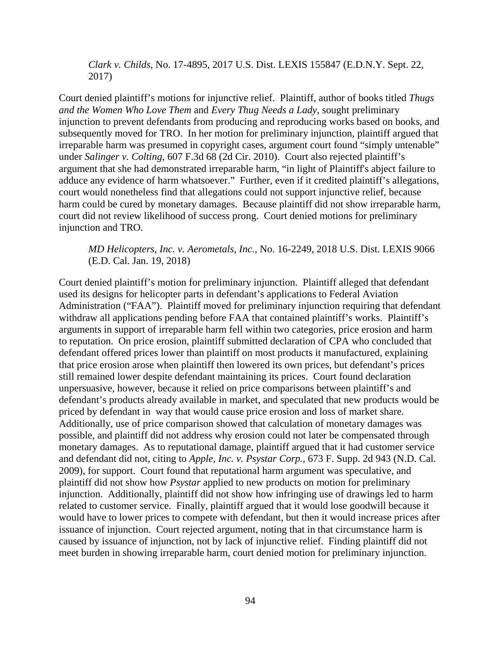*Clark v. Childs*, No. 17-4895, 2017 U.S. Dist. LEXIS 155847 (E.D.N.Y. Sept. 22, 2017)

Court denied plaintiff's motions for injunctive relief. Plaintiff, author of books titled *Thugs and the Women Who Love Them* and *Every Thug Needs a Lady*, sought preliminary injunction to prevent defendants from producing and reproducing works based on books, and subsequently moved for TRO. In her motion for preliminary injunction, plaintiff argued that irreparable harm was presumed in copyright cases, argument court found "simply untenable" under *Salinger v. Colting*, 607 F.3d 68 (2d Cir. 2010). Court also rejected plaintiff's argument that she had demonstrated irreparable harm, "in light of Plaintiff's abject failure to adduce any evidence of harm whatsoever." Further, even if it credited plaintiff's allegations, court would nonetheless find that allegations could not support injunctive relief, because harm could be cured by monetary damages. Because plaintiff did not show irreparable harm, court did not review likelihood of success prong. Court denied motions for preliminary injunction and TRO.

*MD Helicopters, Inc. v. Aerometals, Inc.*, No. 16-2249, 2018 U.S. Dist. LEXIS 9066 (E.D. Cal. Jan. 19, 2018)

Court denied plaintiff's motion for preliminary injunction. Plaintiff alleged that defendant used its designs for helicopter parts in defendant's applications to Federal Aviation Administration ("FAA"). Plaintiff moved for preliminary injunction requiring that defendant withdraw all applications pending before FAA that contained plaintiff's works. Plaintiff's arguments in support of irreparable harm fell within two categories, price erosion and harm to reputation. On price erosion, plaintiff submitted declaration of CPA who concluded that defendant offered prices lower than plaintiff on most products it manufactured, explaining that price erosion arose when plaintiff then lowered its own prices, but defendant's prices still remained lower despite defendant maintaining its prices. Court found declaration unpersuasive, however, because it relied on price comparisons between plaintiff's and defendant's products already available in market, and speculated that new products would be priced by defendant in way that would cause price erosion and loss of market share. Additionally, use of price comparison showed that calculation of monetary damages was possible, and plaintiff did not address why erosion could not later be compensated through monetary damages. As to reputational damage, plaintiff argued that it had customer service and defendant did not, citing to *Apple, Inc. v. Psystar Corp.*, 673 F. Supp. 2d 943 (N.D. Cal. 2009), for support. Court found that reputational harm argument was speculative, and plaintiff did not show how *Psystar* applied to new products on motion for preliminary injunction. Additionally, plaintiff did not show how infringing use of drawings led to harm related to customer service. Finally, plaintiff argued that it would lose goodwill because it would have to lower prices to compete with defendant, but then it would increase prices after issuance of injunction. Court rejected argument, noting that in that circumstance harm is caused by issuance of injunction, not by lack of injunctive relief. Finding plaintiff did not meet burden in showing irreparable harm, court denied motion for preliminary injunction.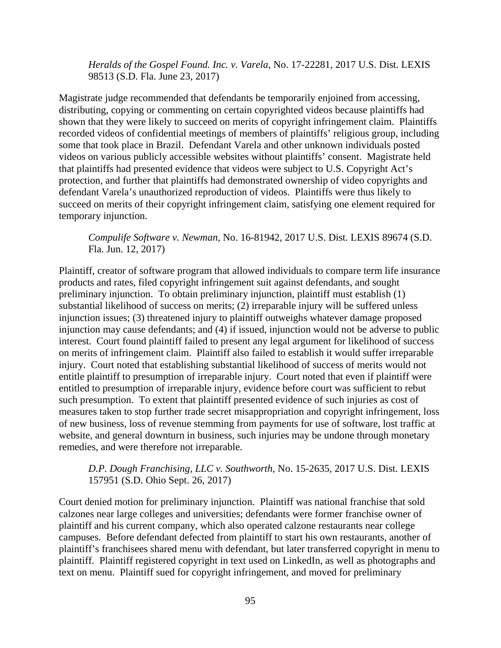*Heralds of the Gospel Found. Inc. v. Varela*, No. 17-22281, 2017 U.S. Dist. LEXIS 98513 (S.D. Fla. June 23, 2017)

Magistrate judge recommended that defendants be temporarily enjoined from accessing, distributing, copying or commenting on certain copyrighted videos because plaintiffs had shown that they were likely to succeed on merits of copyright infringement claim. Plaintiffs recorded videos of confidential meetings of members of plaintiffs' religious group, including some that took place in Brazil. Defendant Varela and other unknown individuals posted videos on various publicly accessible websites without plaintiffs' consent. Magistrate held that plaintiffs had presented evidence that videos were subject to U.S. Copyright Act's protection, and further that plaintiffs had demonstrated ownership of video copyrights and defendant Varela's unauthorized reproduction of videos. Plaintiffs were thus likely to succeed on merits of their copyright infringement claim, satisfying one element required for temporary injunction.

*Compulife Software v. Newman*, No. 16-81942, 2017 U.S. Dist. LEXIS 89674 (S.D. Fla. Jun. 12, 2017)

Plaintiff, creator of software program that allowed individuals to compare term life insurance products and rates, filed copyright infringement suit against defendants, and sought preliminary injunction. To obtain preliminary injunction, plaintiff must establish (1) substantial likelihood of success on merits; (2) irreparable injury will be suffered unless injunction issues; (3) threatened injury to plaintiff outweighs whatever damage proposed injunction may cause defendants; and (4) if issued, injunction would not be adverse to public interest. Court found plaintiff failed to present any legal argument for likelihood of success on merits of infringement claim. Plaintiff also failed to establish it would suffer irreparable injury. Court noted that establishing substantial likelihood of success of merits would not entitle plaintiff to presumption of irreparable injury. Court noted that even if plaintiff were entitled to presumption of irreparable injury, evidence before court was sufficient to rebut such presumption. To extent that plaintiff presented evidence of such injuries as cost of measures taken to stop further trade secret misappropriation and copyright infringement, loss of new business, loss of revenue stemming from payments for use of software, lost traffic at website, and general downturn in business, such injuries may be undone through monetary remedies, and were therefore not irreparable.

# *D.P. Dough Franchising, LLC v. Southworth*, No. 15-2635, 2017 U.S. Dist. LEXIS 157951 (S.D. Ohio Sept. 26, 2017)

Court denied motion for preliminary injunction. Plaintiff was national franchise that sold calzones near large colleges and universities; defendants were former franchise owner of plaintiff and his current company, which also operated calzone restaurants near college campuses. Before defendant defected from plaintiff to start his own restaurants, another of plaintiff's franchisees shared menu with defendant, but later transferred copyright in menu to plaintiff. Plaintiff registered copyright in text used on LinkedIn, as well as photographs and text on menu. Plaintiff sued for copyright infringement, and moved for preliminary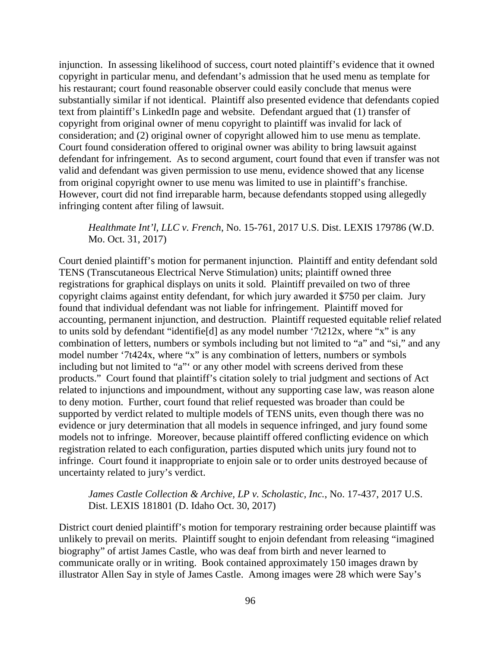injunction. In assessing likelihood of success, court noted plaintiff's evidence that it owned copyright in particular menu, and defendant's admission that he used menu as template for his restaurant; court found reasonable observer could easily conclude that menus were substantially similar if not identical. Plaintiff also presented evidence that defendants copied text from plaintiff's LinkedIn page and website. Defendant argued that (1) transfer of copyright from original owner of menu copyright to plaintiff was invalid for lack of consideration; and (2) original owner of copyright allowed him to use menu as template. Court found consideration offered to original owner was ability to bring lawsuit against defendant for infringement. As to second argument, court found that even if transfer was not valid and defendant was given permission to use menu, evidence showed that any license from original copyright owner to use menu was limited to use in plaintiff's franchise. However, court did not find irreparable harm, because defendants stopped using allegedly infringing content after filing of lawsuit.

# *Healthmate Int'l, LLC v. French*, No. 15-761, 2017 U.S. Dist. LEXIS 179786 (W.D. Mo. Oct. 31, 2017)

Court denied plaintiff's motion for permanent injunction. Plaintiff and entity defendant sold TENS (Transcutaneous Electrical Nerve Stimulation) units; plaintiff owned three registrations for graphical displays on units it sold. Plaintiff prevailed on two of three copyright claims against entity defendant, for which jury awarded it \$750 per claim. Jury found that individual defendant was not liable for infringement. Plaintiff moved for accounting, permanent injunction, and destruction. Plaintiff requested equitable relief related to units sold by defendant "identifie[d] as any model number '7t212x, where "x" is any combination of letters, numbers or symbols including but not limited to "a" and "si," and any model number '7t424x, where "x" is any combination of letters, numbers or symbols including but not limited to "a"' or any other model with screens derived from these products." Court found that plaintiff's citation solely to trial judgment and sections of Act related to injunctions and impoundment, without any supporting case law, was reason alone to deny motion. Further, court found that relief requested was broader than could be supported by verdict related to multiple models of TENS units, even though there was no evidence or jury determination that all models in sequence infringed, and jury found some models not to infringe. Moreover, because plaintiff offered conflicting evidence on which registration related to each configuration, parties disputed which units jury found not to infringe. Court found it inappropriate to enjoin sale or to order units destroyed because of uncertainty related to jury's verdict.

# *James Castle Collection & Archive, LP v. Scholastic, Inc.*, No. 17-437, 2017 U.S. Dist. LEXIS 181801 (D. Idaho Oct. 30, 2017)

District court denied plaintiff's motion for temporary restraining order because plaintiff was unlikely to prevail on merits. Plaintiff sought to enjoin defendant from releasing "imagined biography" of artist James Castle, who was deaf from birth and never learned to communicate orally or in writing. Book contained approximately 150 images drawn by illustrator Allen Say in style of James Castle. Among images were 28 which were Say's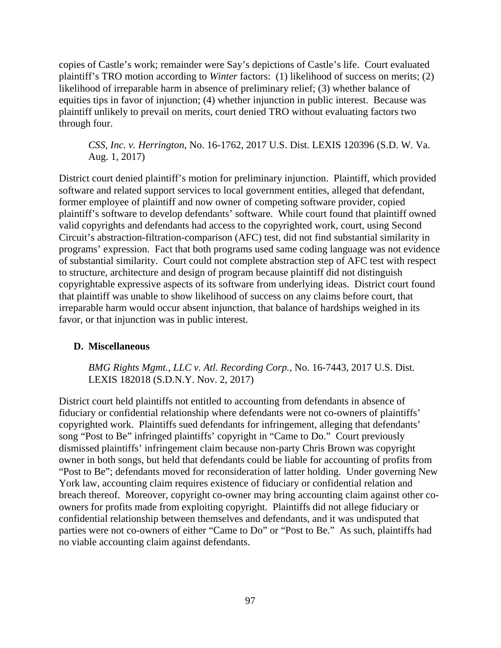copies of Castle's work; remainder were Say's depictions of Castle's life. Court evaluated plaintiff's TRO motion according to *Winter* factors: (1) likelihood of success on merits; (2) likelihood of irreparable harm in absence of preliminary relief; (3) whether balance of equities tips in favor of injunction; (4) whether injunction in public interest. Because was plaintiff unlikely to prevail on merits, court denied TRO without evaluating factors two through four.

*CSS, Inc. v. Herrington*, No. 16-1762, 2017 U.S. Dist. LEXIS 120396 (S.D. W. Va. Aug. 1, 2017)

District court denied plaintiff's motion for preliminary injunction. Plaintiff, which provided software and related support services to local government entities, alleged that defendant, former employee of plaintiff and now owner of competing software provider, copied plaintiff's software to develop defendants' software. While court found that plaintiff owned valid copyrights and defendants had access to the copyrighted work, court, using Second Circuit's abstraction-filtration-comparison (AFC) test, did not find substantial similarity in programs' expression. Fact that both programs used same coding language was not evidence of substantial similarity. Court could not complete abstraction step of AFC test with respect to structure, architecture and design of program because plaintiff did not distinguish copyrightable expressive aspects of its software from underlying ideas. District court found that plaintiff was unable to show likelihood of success on any claims before court, that irreparable harm would occur absent injunction, that balance of hardships weighed in its favor, or that injunction was in public interest.

# **D. Miscellaneous**

*BMG Rights Mgmt., LLC v. Atl. Recording Corp.*, No. 16-7443, 2017 U.S. Dist. LEXIS 182018 (S.D.N.Y. Nov. 2, 2017)

District court held plaintiffs not entitled to accounting from defendants in absence of fiduciary or confidential relationship where defendants were not co-owners of plaintiffs' copyrighted work. Plaintiffs sued defendants for infringement, alleging that defendants' song "Post to Be" infringed plaintiffs' copyright in "Came to Do." Court previously dismissed plaintiffs' infringement claim because non-party Chris Brown was copyright owner in both songs, but held that defendants could be liable for accounting of profits from "Post to Be"; defendants moved for reconsideration of latter holding. Under governing New York law, accounting claim requires existence of fiduciary or confidential relation and breach thereof. Moreover, copyright co-owner may bring accounting claim against other coowners for profits made from exploiting copyright. Plaintiffs did not allege fiduciary or confidential relationship between themselves and defendants, and it was undisputed that parties were not co-owners of either "Came to Do" or "Post to Be." As such, plaintiffs had no viable accounting claim against defendants.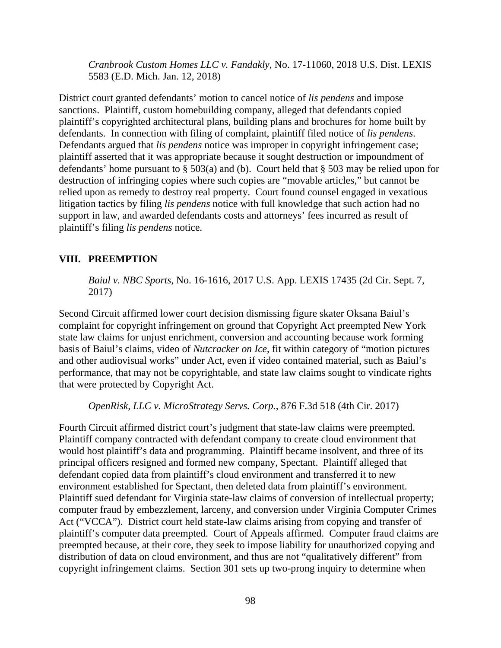*Cranbrook Custom Homes LLC v. Fandakly*, No. 17-11060, 2018 U.S. Dist. LEXIS 5583 (E.D. Mich. Jan. 12, 2018)

District court granted defendants' motion to cancel notice of *lis pendens* and impose sanctions. Plaintiff, custom homebuilding company, alleged that defendants copied plaintiff's copyrighted architectural plans, building plans and brochures for home built by defendants. In connection with filing of complaint, plaintiff filed notice of *lis pendens*. Defendants argued that *lis pendens* notice was improper in copyright infringement case; plaintiff asserted that it was appropriate because it sought destruction or impoundment of defendants' home pursuant to  $\S$  503(a) and (b). Court held that  $\S$  503 may be relied upon for destruction of infringing copies where such copies are "movable articles," but cannot be relied upon as remedy to destroy real property. Court found counsel engaged in vexatious litigation tactics by filing *lis pendens* notice with full knowledge that such action had no support in law, and awarded defendants costs and attorneys' fees incurred as result of plaintiff's filing *lis pendens* notice.

### **VIII. PREEMPTION**

*Baiul v. NBC Sports*, No. 16-1616, 2017 U.S. App. LEXIS 17435 (2d Cir. Sept. 7, 2017)

Second Circuit affirmed lower court decision dismissing figure skater Oksana Baiul's complaint for copyright infringement on ground that Copyright Act preempted New York state law claims for unjust enrichment, conversion and accounting because work forming basis of Baiul's claims, video of *Nutcracker on Ice*, fit within category of "motion pictures and other audiovisual works" under Act, even if video contained material, such as Baiul's performance, that may not be copyrightable, and state law claims sought to vindicate rights that were protected by Copyright Act.

*OpenRisk, LLC v. MicroStrategy Servs. Corp.*, 876 F.3d 518 (4th Cir. 2017)

Fourth Circuit affirmed district court's judgment that state-law claims were preempted. Plaintiff company contracted with defendant company to create cloud environment that would host plaintiff's data and programming. Plaintiff became insolvent, and three of its principal officers resigned and formed new company, Spectant. Plaintiff alleged that defendant copied data from plaintiff's cloud environment and transferred it to new environment established for Spectant, then deleted data from plaintiff's environment. Plaintiff sued defendant for Virginia state-law claims of conversion of intellectual property; computer fraud by embezzlement, larceny, and conversion under Virginia Computer Crimes Act ("VCCA"). District court held state-law claims arising from copying and transfer of plaintiff's computer data preempted. Court of Appeals affirmed. Computer fraud claims are preempted because, at their core, they seek to impose liability for unauthorized copying and distribution of data on cloud environment, and thus are not "qualitatively different" from copyright infringement claims. Section 301 sets up two-prong inquiry to determine when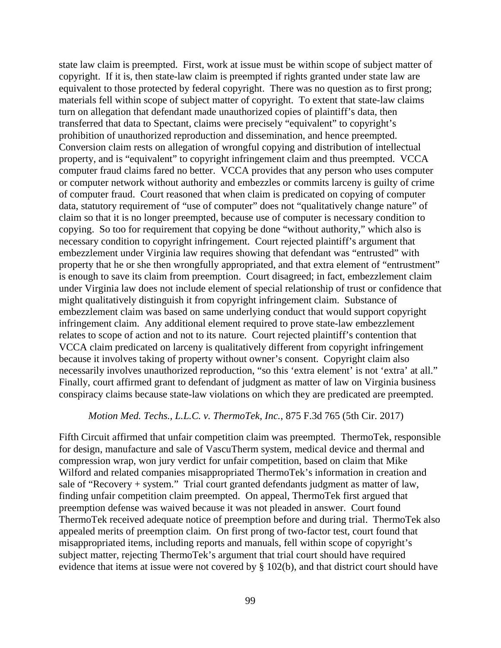state law claim is preempted. First, work at issue must be within scope of subject matter of copyright. If it is, then state-law claim is preempted if rights granted under state law are equivalent to those protected by federal copyright. There was no question as to first prong; materials fell within scope of subject matter of copyright. To extent that state-law claims turn on allegation that defendant made unauthorized copies of plaintiff's data, then transferred that data to Spectant, claims were precisely "equivalent" to copyright's prohibition of unauthorized reproduction and dissemination, and hence preempted. Conversion claim rests on allegation of wrongful copying and distribution of intellectual property, and is "equivalent" to copyright infringement claim and thus preempted. VCCA computer fraud claims fared no better. VCCA provides that any person who uses computer or computer network without authority and embezzles or commits larceny is guilty of crime of computer fraud. Court reasoned that when claim is predicated on copying of computer data, statutory requirement of "use of computer" does not "qualitatively change nature" of claim so that it is no longer preempted, because use of computer is necessary condition to copying. So too for requirement that copying be done "without authority," which also is necessary condition to copyright infringement. Court rejected plaintiff's argument that embezzlement under Virginia law requires showing that defendant was "entrusted" with property that he or she then wrongfully appropriated, and that extra element of "entrustment" is enough to save its claim from preemption. Court disagreed; in fact, embezzlement claim under Virginia law does not include element of special relationship of trust or confidence that might qualitatively distinguish it from copyright infringement claim. Substance of embezzlement claim was based on same underlying conduct that would support copyright infringement claim. Any additional element required to prove state-law embezzlement relates to scope of action and not to its nature. Court rejected plaintiff's contention that VCCA claim predicated on larceny is qualitatively different from copyright infringement because it involves taking of property without owner's consent. Copyright claim also necessarily involves unauthorized reproduction, "so this 'extra element' is not 'extra' at all." Finally, court affirmed grant to defendant of judgment as matter of law on Virginia business conspiracy claims because state-law violations on which they are predicated are preempted.

#### *Motion Med. Techs., L.L.C. v. ThermoTek, Inc.*, 875 F.3d 765 (5th Cir. 2017)

Fifth Circuit affirmed that unfair competition claim was preempted. ThermoTek, responsible for design, manufacture and sale of VascuTherm system, medical device and thermal and compression wrap, won jury verdict for unfair competition, based on claim that Mike Wilford and related companies misappropriated ThermoTek's information in creation and sale of "Recovery + system." Trial court granted defendants judgment as matter of law, finding unfair competition claim preempted. On appeal, ThermoTek first argued that preemption defense was waived because it was not pleaded in answer. Court found ThermoTek received adequate notice of preemption before and during trial. ThermoTek also appealed merits of preemption claim. On first prong of two-factor test, court found that misappropriated items, including reports and manuals, fell within scope of copyright's subject matter, rejecting ThermoTek's argument that trial court should have required evidence that items at issue were not covered by § 102(b), and that district court should have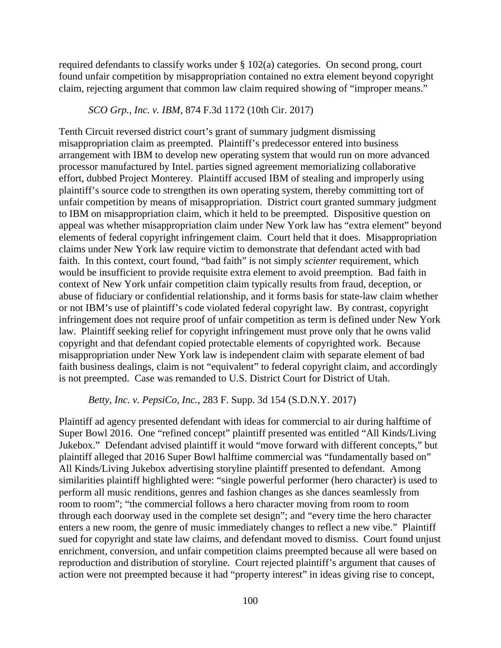required defendants to classify works under § 102(a) categories. On second prong, court found unfair competition by misappropriation contained no extra element beyond copyright claim, rejecting argument that common law claim required showing of "improper means."

#### *SCO Grp., Inc. v. IBM*, 874 F.3d 1172 (10th Cir. 2017)

Tenth Circuit reversed district court's grant of summary judgment dismissing misappropriation claim as preempted. Plaintiff's predecessor entered into business arrangement with IBM to develop new operating system that would run on more advanced processor manufactured by Intel. parties signed agreement memorializing collaborative effort, dubbed Project Monterey. Plaintiff accused IBM of stealing and improperly using plaintiff's source code to strengthen its own operating system, thereby committing tort of unfair competition by means of misappropriation. District court granted summary judgment to IBM on misappropriation claim, which it held to be preempted. Dispositive question on appeal was whether misappropriation claim under New York law has "extra element" beyond elements of federal copyright infringement claim. Court held that it does. Misappropriation claims under New York law require victim to demonstrate that defendant acted with bad faith. In this context, court found, "bad faith" is not simply *scienter* requirement, which would be insufficient to provide requisite extra element to avoid preemption. Bad faith in context of New York unfair competition claim typically results from fraud, deception, or abuse of fiduciary or confidential relationship, and it forms basis for state-law claim whether or not IBM's use of plaintiff's code violated federal copyright law. By contrast, copyright infringement does not require proof of unfair competition as term is defined under New York law. Plaintiff seeking relief for copyright infringement must prove only that he owns valid copyright and that defendant copied protectable elements of copyrighted work. Because misappropriation under New York law is independent claim with separate element of bad faith business dealings, claim is not "equivalent" to federal copyright claim, and accordingly is not preempted. Case was remanded to U.S. District Court for District of Utah.

#### *Betty, Inc. v. PepsiCo, Inc.*, 283 F. Supp. 3d 154 (S.D.N.Y. 2017)

Plaintiff ad agency presented defendant with ideas for commercial to air during halftime of Super Bowl 2016. One "refined concept" plaintiff presented was entitled "All Kinds/Living Jukebox." Defendant advised plaintiff it would "move forward with different concepts," but plaintiff alleged that 2016 Super Bowl halftime commercial was "fundamentally based on" All Kinds/Living Jukebox advertising storyline plaintiff presented to defendant. Among similarities plaintiff highlighted were: "single powerful performer (hero character) is used to perform all music renditions, genres and fashion changes as she dances seamlessly from room to room"; "the commercial follows a hero character moving from room to room through each doorway used in the complete set design"; and "every time the hero character enters a new room, the genre of music immediately changes to reflect a new vibe." Plaintiff sued for copyright and state law claims, and defendant moved to dismiss. Court found unjust enrichment, conversion, and unfair competition claims preempted because all were based on reproduction and distribution of storyline. Court rejected plaintiff's argument that causes of action were not preempted because it had "property interest" in ideas giving rise to concept,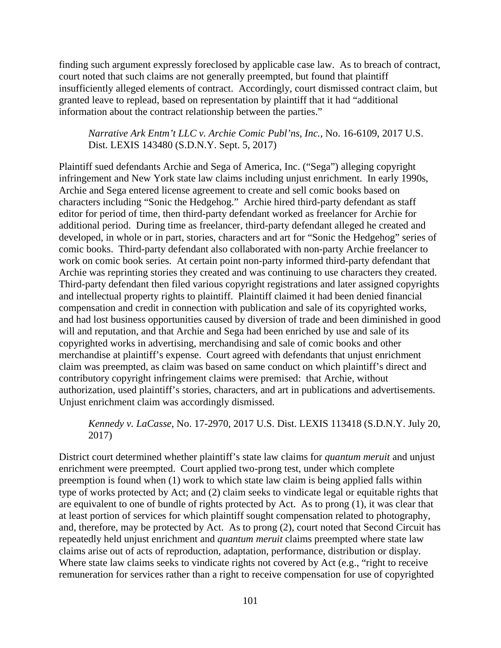finding such argument expressly foreclosed by applicable case law. As to breach of contract, court noted that such claims are not generally preempted, but found that plaintiff insufficiently alleged elements of contract. Accordingly, court dismissed contract claim, but granted leave to replead, based on representation by plaintiff that it had "additional information about the contract relationship between the parties."

*Narrative Ark Entm't LLC v. Archie Comic Publ'ns, Inc.*, No. 16-6109, 2017 U.S. Dist. LEXIS 143480 (S.D.N.Y. Sept. 5, 2017)

Plaintiff sued defendants Archie and Sega of America, Inc. ("Sega") alleging copyright infringement and New York state law claims including unjust enrichment. In early 1990s, Archie and Sega entered license agreement to create and sell comic books based on characters including "Sonic the Hedgehog." Archie hired third-party defendant as staff editor for period of time, then third-party defendant worked as freelancer for Archie for additional period. During time as freelancer, third-party defendant alleged he created and developed, in whole or in part, stories, characters and art for "Sonic the Hedgehog" series of comic books. Third-party defendant also collaborated with non-party Archie freelancer to work on comic book series. At certain point non-party informed third-party defendant that Archie was reprinting stories they created and was continuing to use characters they created. Third-party defendant then filed various copyright registrations and later assigned copyrights and intellectual property rights to plaintiff. Plaintiff claimed it had been denied financial compensation and credit in connection with publication and sale of its copyrighted works, and had lost business opportunities caused by diversion of trade and been diminished in good will and reputation, and that Archie and Sega had been enriched by use and sale of its copyrighted works in advertising, merchandising and sale of comic books and other merchandise at plaintiff's expense. Court agreed with defendants that unjust enrichment claim was preempted, as claim was based on same conduct on which plaintiff's direct and contributory copyright infringement claims were premised: that Archie, without authorization, used plaintiff's stories, characters, and art in publications and advertisements. Unjust enrichment claim was accordingly dismissed.

*Kennedy v. LaCasse*, No. 17-2970, 2017 U.S. Dist. LEXIS 113418 (S.D.N.Y. July 20, 2017)

District court determined whether plaintiff's state law claims for *quantum meruit* and unjust enrichment were preempted. Court applied two-prong test, under which complete preemption is found when (1) work to which state law claim is being applied falls within type of works protected by Act; and (2) claim seeks to vindicate legal or equitable rights that are equivalent to one of bundle of rights protected by Act. As to prong (1), it was clear that at least portion of services for which plaintiff sought compensation related to photography, and, therefore, may be protected by Act. As to prong (2), court noted that Second Circuit has repeatedly held unjust enrichment and *quantum meruit* claims preempted where state law claims arise out of acts of reproduction, adaptation, performance, distribution or display. Where state law claims seeks to vindicate rights not covered by Act (e.g., "right to receive remuneration for services rather than a right to receive compensation for use of copyrighted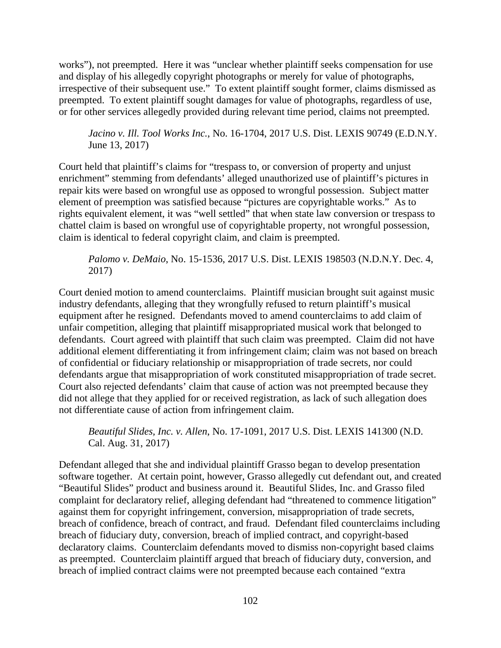works"), not preempted. Here it was "unclear whether plaintiff seeks compensation for use and display of his allegedly copyright photographs or merely for value of photographs, irrespective of their subsequent use." To extent plaintiff sought former, claims dismissed as preempted. To extent plaintiff sought damages for value of photographs, regardless of use, or for other services allegedly provided during relevant time period, claims not preempted.

*Jacino v. Ill. Tool Works Inc.*, No. 16-1704, 2017 U.S. Dist. LEXIS 90749 (E.D.N.Y. June 13, 2017)

Court held that plaintiff's claims for "trespass to, or conversion of property and unjust enrichment" stemming from defendants' alleged unauthorized use of plaintiff's pictures in repair kits were based on wrongful use as opposed to wrongful possession. Subject matter element of preemption was satisfied because "pictures are copyrightable works." As to rights equivalent element, it was "well settled" that when state law conversion or trespass to chattel claim is based on wrongful use of copyrightable property, not wrongful possession, claim is identical to federal copyright claim, and claim is preempted.

*Palomo v. DeMaio*, No. 15-1536, 2017 U.S. Dist. LEXIS 198503 (N.D.N.Y. Dec. 4, 2017)

Court denied motion to amend counterclaims. Plaintiff musician brought suit against music industry defendants, alleging that they wrongfully refused to return plaintiff's musical equipment after he resigned. Defendants moved to amend counterclaims to add claim of unfair competition, alleging that plaintiff misappropriated musical work that belonged to defendants. Court agreed with plaintiff that such claim was preempted. Claim did not have additional element differentiating it from infringement claim; claim was not based on breach of confidential or fiduciary relationship or misappropriation of trade secrets, nor could defendants argue that misappropriation of work constituted misappropriation of trade secret. Court also rejected defendants' claim that cause of action was not preempted because they did not allege that they applied for or received registration, as lack of such allegation does not differentiate cause of action from infringement claim.

*Beautiful Slides, Inc. v. Allen*, No. 17-1091, 2017 U.S. Dist. LEXIS 141300 (N.D. Cal. Aug. 31, 2017)

Defendant alleged that she and individual plaintiff Grasso began to develop presentation software together. At certain point, however, Grasso allegedly cut defendant out, and created "Beautiful Slides" product and business around it. Beautiful Slides, Inc. and Grasso filed complaint for declaratory relief, alleging defendant had "threatened to commence litigation" against them for copyright infringement, conversion, misappropriation of trade secrets, breach of confidence, breach of contract, and fraud. Defendant filed counterclaims including breach of fiduciary duty, conversion, breach of implied contract, and copyright-based declaratory claims. Counterclaim defendants moved to dismiss non-copyright based claims as preempted. Counterclaim plaintiff argued that breach of fiduciary duty, conversion, and breach of implied contract claims were not preempted because each contained "extra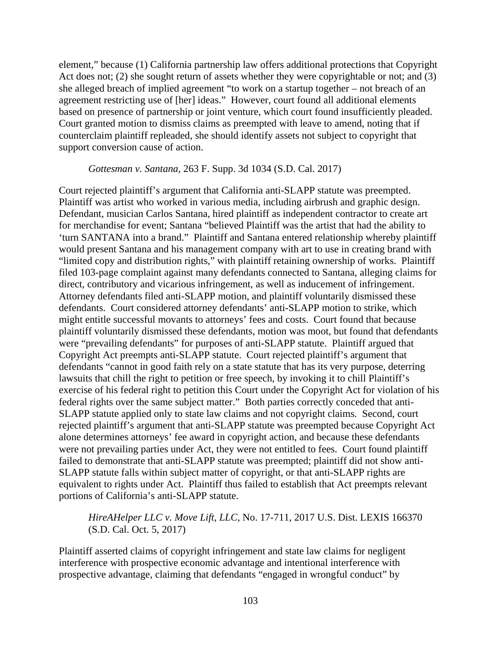element," because (1) California partnership law offers additional protections that Copyright Act does not; (2) she sought return of assets whether they were copyrightable or not; and (3) she alleged breach of implied agreement "to work on a startup together – not breach of an agreement restricting use of [her] ideas." However, court found all additional elements based on presence of partnership or joint venture, which court found insufficiently pleaded. Court granted motion to dismiss claims as preempted with leave to amend, noting that if counterclaim plaintiff repleaded, she should identify assets not subject to copyright that support conversion cause of action.

### *Gottesman v. Santana*, 263 F. Supp. 3d 1034 (S.D. Cal. 2017)

Court rejected plaintiff's argument that California anti-SLAPP statute was preempted. Plaintiff was artist who worked in various media, including airbrush and graphic design. Defendant, musician Carlos Santana, hired plaintiff as independent contractor to create art for merchandise for event; Santana "believed Plaintiff was the artist that had the ability to 'turn SANTANA into a brand." Plaintiff and Santana entered relationship whereby plaintiff would present Santana and his management company with art to use in creating brand with "limited copy and distribution rights," with plaintiff retaining ownership of works. Plaintiff filed 103-page complaint against many defendants connected to Santana, alleging claims for direct, contributory and vicarious infringement, as well as inducement of infringement. Attorney defendants filed anti-SLAPP motion, and plaintiff voluntarily dismissed these defendants. Court considered attorney defendants' anti-SLAPP motion to strike, which might entitle successful movants to attorneys' fees and costs. Court found that because plaintiff voluntarily dismissed these defendants, motion was moot, but found that defendants were "prevailing defendants" for purposes of anti-SLAPP statute. Plaintiff argued that Copyright Act preempts anti-SLAPP statute. Court rejected plaintiff's argument that defendants "cannot in good faith rely on a state statute that has its very purpose, deterring lawsuits that chill the right to petition or free speech, by invoking it to chill Plaintiff's exercise of his federal right to petition this Court under the Copyright Act for violation of his federal rights over the same subject matter." Both parties correctly conceded that anti-SLAPP statute applied only to state law claims and not copyright claims. Second, court rejected plaintiff's argument that anti-SLAPP statute was preempted because Copyright Act alone determines attorneys' fee award in copyright action, and because these defendants were not prevailing parties under Act, they were not entitled to fees. Court found plaintiff failed to demonstrate that anti-SLAPP statute was preempted; plaintiff did not show anti-SLAPP statute falls within subject matter of copyright, or that anti-SLAPP rights are equivalent to rights under Act. Plaintiff thus failed to establish that Act preempts relevant portions of California's anti-SLAPP statute.

# *HireAHelper LLC v. Move Lift, LLC*, No. 17-711, 2017 U.S. Dist. LEXIS 166370 (S.D. Cal. Oct. 5, 2017)

Plaintiff asserted claims of copyright infringement and state law claims for negligent interference with prospective economic advantage and intentional interference with prospective advantage, claiming that defendants "engaged in wrongful conduct" by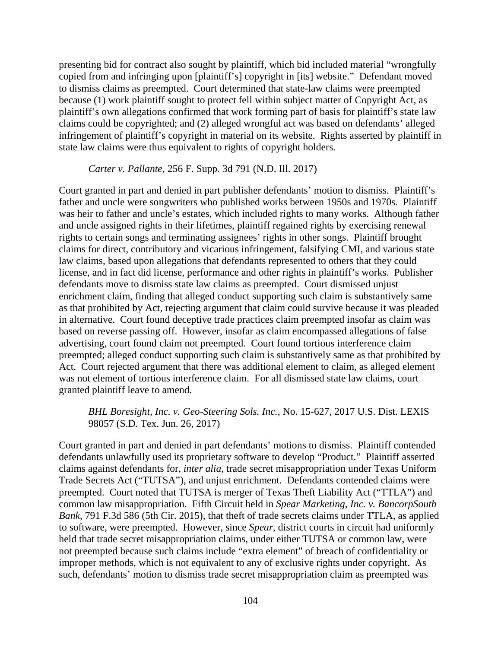presenting bid for contract also sought by plaintiff, which bid included material "wrongfully copied from and infringing upon [plaintiff's] copyright in [its] website." Defendant moved to dismiss claims as preempted. Court determined that state-law claims were preempted because (1) work plaintiff sought to protect fell within subject matter of Copyright Act, as plaintiff's own allegations confirmed that work forming part of basis for plaintiff's state law claims could be copyrighted; and (2) alleged wrongful act was based on defendants' alleged infringement of plaintiff's copyright in material on its website. Rights asserted by plaintiff in state law claims were thus equivalent to rights of copyright holders.

### *Carter v. Pallante*, 256 F. Supp. 3d 791 (N.D. Ill. 2017)

Court granted in part and denied in part publisher defendants' motion to dismiss. Plaintiff's father and uncle were songwriters who published works between 1950s and 1970s. Plaintiff was heir to father and uncle's estates, which included rights to many works. Although father and uncle assigned rights in their lifetimes, plaintiff regained rights by exercising renewal rights to certain songs and terminating assignees' rights in other songs. Plaintiff brought claims for direct, contributory and vicarious infringement, falsifying CMI, and various state law claims, based upon allegations that defendants represented to others that they could license, and in fact did license, performance and other rights in plaintiff's works. Publisher defendants move to dismiss state law claims as preempted. Court dismissed unjust enrichment claim, finding that alleged conduct supporting such claim is substantively same as that prohibited by Act, rejecting argument that claim could survive because it was pleaded in alternative. Court found deceptive trade practices claim preempted insofar as claim was based on reverse passing off. However, insofar as claim encompassed allegations of false advertising, court found claim not preempted. Court found tortious interference claim preempted; alleged conduct supporting such claim is substantively same as that prohibited by Act. Court rejected argument that there was additional element to claim, as alleged element was not element of tortious interference claim. For all dismissed state law claims, court granted plaintiff leave to amend.

# *BHL Boresight, Inc. v. Geo-Steering Sols. Inc.*, No. 15-627, 2017 U.S. Dist. LEXIS 98057 (S.D. Tex. Jun. 26, 2017)

Court granted in part and denied in part defendants' motions to dismiss. Plaintiff contended defendants unlawfully used its proprietary software to develop "Product." Plaintiff asserted claims against defendants for, *inter alia*, trade secret misappropriation under Texas Uniform Trade Secrets Act ("TUTSA"), and unjust enrichment. Defendants contended claims were preempted. Court noted that TUTSA is merger of Texas Theft Liability Act ("TTLA") and common law misappropriation. Fifth Circuit held in *Spear Marketing, Inc. v. BancorpSouth Bank*, 791 F.3d 586 (5th Cir. 2015), that theft of trade secrets claims under TTLA, as applied to software, were preempted. However, since *Spear*, district courts in circuit had uniformly held that trade secret misappropriation claims, under either TUTSA or common law, were not preempted because such claims include "extra element" of breach of confidentiality or improper methods, which is not equivalent to any of exclusive rights under copyright. As such, defendants' motion to dismiss trade secret misappropriation claim as preempted was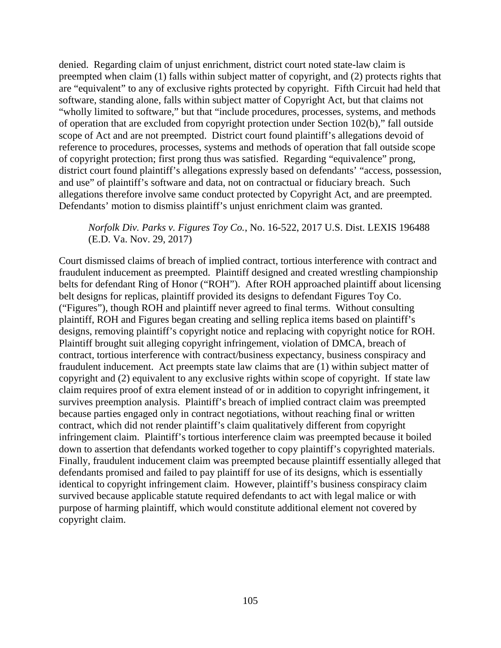denied. Regarding claim of unjust enrichment, district court noted state-law claim is preempted when claim (1) falls within subject matter of copyright, and (2) protects rights that are "equivalent" to any of exclusive rights protected by copyright. Fifth Circuit had held that software, standing alone, falls within subject matter of Copyright Act, but that claims not "wholly limited to software," but that "include procedures, processes, systems, and methods of operation that are excluded from copyright protection under Section 102(b)," fall outside scope of Act and are not preempted. District court found plaintiff's allegations devoid of reference to procedures, processes, systems and methods of operation that fall outside scope of copyright protection; first prong thus was satisfied. Regarding "equivalence" prong, district court found plaintiff's allegations expressly based on defendants' "access, possession, and use" of plaintiff's software and data, not on contractual or fiduciary breach. Such allegations therefore involve same conduct protected by Copyright Act, and are preempted. Defendants' motion to dismiss plaintiff's unjust enrichment claim was granted.

# *Norfolk Div. Parks v. Figures Toy Co.*, No. 16-522, 2017 U.S. Dist. LEXIS 196488 (E.D. Va. Nov. 29, 2017)

Court dismissed claims of breach of implied contract, tortious interference with contract and fraudulent inducement as preempted. Plaintiff designed and created wrestling championship belts for defendant Ring of Honor ("ROH"). After ROH approached plaintiff about licensing belt designs for replicas, plaintiff provided its designs to defendant Figures Toy Co. ("Figures"), though ROH and plaintiff never agreed to final terms. Without consulting plaintiff, ROH and Figures began creating and selling replica items based on plaintiff's designs, removing plaintiff's copyright notice and replacing with copyright notice for ROH. Plaintiff brought suit alleging copyright infringement, violation of DMCA, breach of contract, tortious interference with contract/business expectancy, business conspiracy and fraudulent inducement. Act preempts state law claims that are (1) within subject matter of copyright and (2) equivalent to any exclusive rights within scope of copyright. If state law claim requires proof of extra element instead of or in addition to copyright infringement, it survives preemption analysis. Plaintiff's breach of implied contract claim was preempted because parties engaged only in contract negotiations, without reaching final or written contract, which did not render plaintiff's claim qualitatively different from copyright infringement claim. Plaintiff's tortious interference claim was preempted because it boiled down to assertion that defendants worked together to copy plaintiff's copyrighted materials. Finally, fraudulent inducement claim was preempted because plaintiff essentially alleged that defendants promised and failed to pay plaintiff for use of its designs, which is essentially identical to copyright infringement claim. However, plaintiff's business conspiracy claim survived because applicable statute required defendants to act with legal malice or with purpose of harming plaintiff, which would constitute additional element not covered by copyright claim.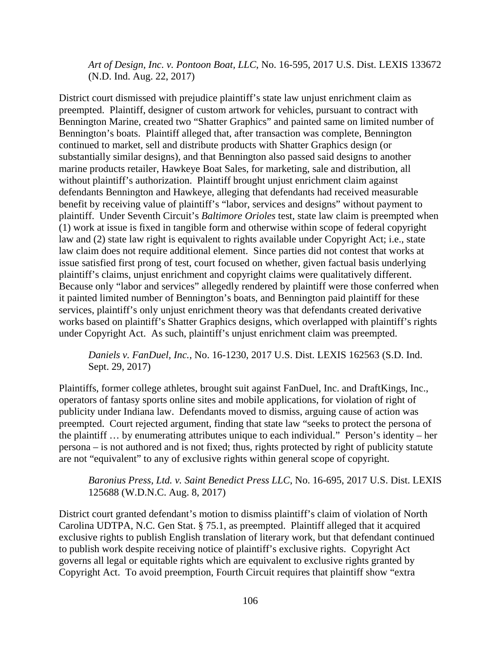*Art of Design, Inc. v. Pontoon Boat, LLC*, No. 16-595, 2017 U.S. Dist. LEXIS 133672 (N.D. Ind. Aug. 22, 2017)

District court dismissed with prejudice plaintiff's state law unjust enrichment claim as preempted. Plaintiff, designer of custom artwork for vehicles, pursuant to contract with Bennington Marine, created two "Shatter Graphics" and painted same on limited number of Bennington's boats. Plaintiff alleged that, after transaction was complete, Bennington continued to market, sell and distribute products with Shatter Graphics design (or substantially similar designs), and that Bennington also passed said designs to another marine products retailer, Hawkeye Boat Sales, for marketing, sale and distribution, all without plaintiff's authorization. Plaintiff brought unjust enrichment claim against defendants Bennington and Hawkeye, alleging that defendants had received measurable benefit by receiving value of plaintiff's "labor, services and designs" without payment to plaintiff. Under Seventh Circuit's *Baltimore Orioles* test, state law claim is preempted when (1) work at issue is fixed in tangible form and otherwise within scope of federal copyright law and (2) state law right is equivalent to rights available under Copyright Act; i.e., state law claim does not require additional element. Since parties did not contest that works at issue satisfied first prong of test, court focused on whether, given factual basis underlying plaintiff's claims, unjust enrichment and copyright claims were qualitatively different. Because only "labor and services" allegedly rendered by plaintiff were those conferred when it painted limited number of Bennington's boats, and Bennington paid plaintiff for these services, plaintiff's only unjust enrichment theory was that defendants created derivative works based on plaintiff's Shatter Graphics designs, which overlapped with plaintiff's rights under Copyright Act. As such, plaintiff's unjust enrichment claim was preempted.

*Daniels v. FanDuel, Inc.*, No. 16-1230, 2017 U.S. Dist. LEXIS 162563 (S.D. Ind. Sept. 29, 2017)

Plaintiffs, former college athletes, brought suit against FanDuel, Inc. and DraftKings, Inc., operators of fantasy sports online sites and mobile applications, for violation of right of publicity under Indiana law. Defendants moved to dismiss, arguing cause of action was preempted. Court rejected argument, finding that state law "seeks to protect the persona of the plaintiff … by enumerating attributes unique to each individual." Person's identity – her persona – is not authored and is not fixed; thus, rights protected by right of publicity statute are not "equivalent" to any of exclusive rights within general scope of copyright.

*Baronius Press, Ltd. v. Saint Benedict Press LLC*, No. 16-695, 2017 U.S. Dist. LEXIS 125688 (W.D.N.C. Aug. 8, 2017)

District court granted defendant's motion to dismiss plaintiff's claim of violation of North Carolina UDTPA, N.C. Gen Stat. § 75.1, as preempted. Plaintiff alleged that it acquired exclusive rights to publish English translation of literary work, but that defendant continued to publish work despite receiving notice of plaintiff's exclusive rights. Copyright Act governs all legal or equitable rights which are equivalent to exclusive rights granted by Copyright Act. To avoid preemption, Fourth Circuit requires that plaintiff show "extra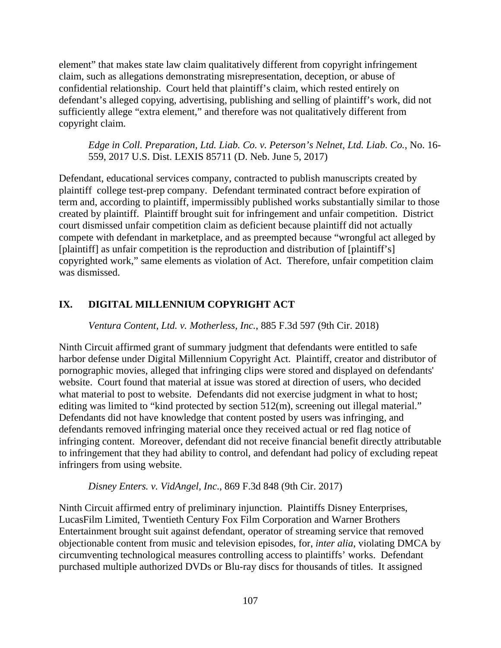element" that makes state law claim qualitatively different from copyright infringement claim, such as allegations demonstrating misrepresentation, deception, or abuse of confidential relationship. Court held that plaintiff's claim, which rested entirely on defendant's alleged copying, advertising, publishing and selling of plaintiff's work, did not sufficiently allege "extra element," and therefore was not qualitatively different from copyright claim.

*Edge in Coll. Preparation, Ltd. Liab. Co. v. Peterson's Nelnet, Ltd. Liab. Co.*, No. 16- 559, 2017 U.S. Dist. LEXIS 85711 (D. Neb. June 5, 2017)

Defendant, educational services company, contracted to publish manuscripts created by plaintiff college test-prep company. Defendant terminated contract before expiration of term and, according to plaintiff, impermissibly published works substantially similar to those created by plaintiff. Plaintiff brought suit for infringement and unfair competition. District court dismissed unfair competition claim as deficient because plaintiff did not actually compete with defendant in marketplace, and as preempted because "wrongful act alleged by [plaintiff] as unfair competition is the reproduction and distribution of [plaintiff's] copyrighted work," same elements as violation of Act. Therefore, unfair competition claim was dismissed.

# **IX. DIGITAL MILLENNIUM COPYRIGHT ACT**

*Ventura Content, Ltd. v. Motherless, Inc.*, 885 F.3d 597 (9th Cir. 2018)

Ninth Circuit affirmed grant of summary judgment that defendants were entitled to safe harbor defense under Digital Millennium Copyright Act. Plaintiff, creator and distributor of pornographic movies, alleged that infringing clips were stored and displayed on defendants' website. Court found that material at issue was stored at direction of users, who decided what material to post to website. Defendants did not exercise judgment in what to host; editing was limited to "kind protected by section 512(m), screening out illegal material." Defendants did not have knowledge that content posted by users was infringing, and defendants removed infringing material once they received actual or red flag notice of infringing content. Moreover, defendant did not receive financial benefit directly attributable to infringement that they had ability to control, and defendant had policy of excluding repeat infringers from using website.

*Disney Enters. v. VidAngel, Inc*., 869 F.3d 848 (9th Cir. 2017)

Ninth Circuit affirmed entry of preliminary injunction. Plaintiffs Disney Enterprises, LucasFilm Limited, Twentieth Century Fox Film Corporation and Warner Brothers Entertainment brought suit against defendant, operator of streaming service that removed objectionable content from music and television episodes, for, *inter alia*, violating DMCA by circumventing technological measures controlling access to plaintiffs' works. Defendant purchased multiple authorized DVDs or Blu-ray discs for thousands of titles. It assigned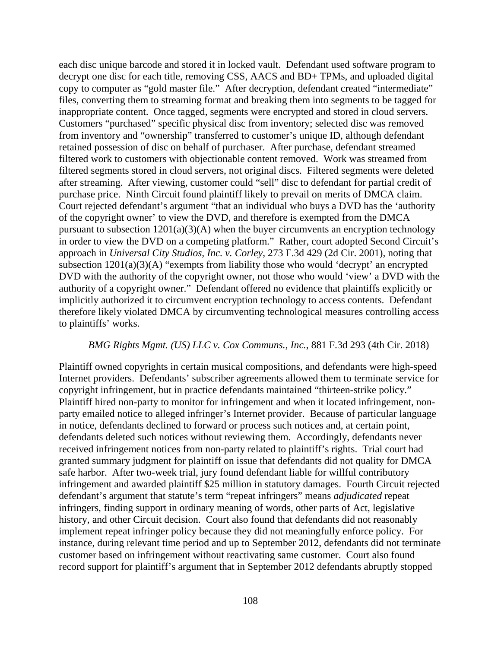each disc unique barcode and stored it in locked vault. Defendant used software program to decrypt one disc for each title, removing CSS, AACS and BD+ TPMs, and uploaded digital copy to computer as "gold master file." After decryption, defendant created "intermediate" files, converting them to streaming format and breaking them into segments to be tagged for inappropriate content. Once tagged, segments were encrypted and stored in cloud servers. Customers "purchased" specific physical disc from inventory; selected disc was removed from inventory and "ownership" transferred to customer's unique ID, although defendant retained possession of disc on behalf of purchaser. After purchase, defendant streamed filtered work to customers with objectionable content removed. Work was streamed from filtered segments stored in cloud servers, not original discs. Filtered segments were deleted after streaming. After viewing, customer could "sell" disc to defendant for partial credit of purchase price. Ninth Circuit found plaintiff likely to prevail on merits of DMCA claim. Court rejected defendant's argument "that an individual who buys a DVD has the 'authority of the copyright owner' to view the DVD, and therefore is exempted from the DMCA pursuant to subsection  $1201(a)(3)(A)$  when the buyer circumvents an encryption technology in order to view the DVD on a competing platform." Rather, court adopted Second Circuit's approach in *Universal City Studios, Inc. v. Corley*, 273 F.3d 429 (2d Cir. 2001), noting that subsection  $1201(a)(3)(A)$  "exempts from liability those who would 'decrypt' an encrypted DVD with the authority of the copyright owner, not those who would 'view' a DVD with the authority of a copyright owner." Defendant offered no evidence that plaintiffs explicitly or implicitly authorized it to circumvent encryption technology to access contents. Defendant therefore likely violated DMCA by circumventing technological measures controlling access to plaintiffs' works.

#### *BMG Rights Mgmt. (US) LLC v. Cox Communs., Inc.*, 881 F.3d 293 (4th Cir. 2018)

Plaintiff owned copyrights in certain musical compositions, and defendants were high-speed Internet providers. Defendants' subscriber agreements allowed them to terminate service for copyright infringement, but in practice defendants maintained "thirteen-strike policy." Plaintiff hired non-party to monitor for infringement and when it located infringement, nonparty emailed notice to alleged infringer's Internet provider. Because of particular language in notice, defendants declined to forward or process such notices and, at certain point, defendants deleted such notices without reviewing them. Accordingly, defendants never received infringement notices from non-party related to plaintiff's rights. Trial court had granted summary judgment for plaintiff on issue that defendants did not quality for DMCA safe harbor. After two-week trial, jury found defendant liable for willful contributory infringement and awarded plaintiff \$25 million in statutory damages. Fourth Circuit rejected defendant's argument that statute's term "repeat infringers" means *adjudicated* repeat infringers, finding support in ordinary meaning of words, other parts of Act, legislative history, and other Circuit decision. Court also found that defendants did not reasonably implement repeat infringer policy because they did not meaningfully enforce policy. For instance, during relevant time period and up to September 2012, defendants did not terminate customer based on infringement without reactivating same customer. Court also found record support for plaintiff's argument that in September 2012 defendants abruptly stopped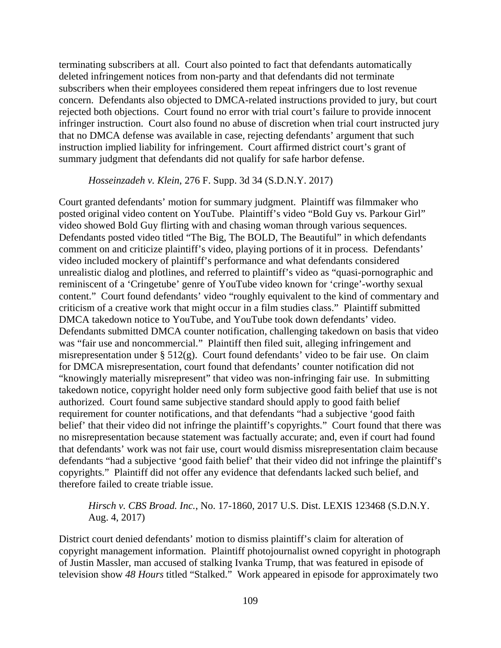terminating subscribers at all. Court also pointed to fact that defendants automatically deleted infringement notices from non-party and that defendants did not terminate subscribers when their employees considered them repeat infringers due to lost revenue concern. Defendants also objected to DMCA-related instructions provided to jury, but court rejected both objections. Court found no error with trial court's failure to provide innocent infringer instruction. Court also found no abuse of discretion when trial court instructed jury that no DMCA defense was available in case, rejecting defendants' argument that such instruction implied liability for infringement. Court affirmed district court's grant of summary judgment that defendants did not qualify for safe harbor defense.

#### *Hosseinzadeh v. Klein*, 276 F. Supp. 3d 34 (S.D.N.Y. 2017)

Court granted defendants' motion for summary judgment. Plaintiff was filmmaker who posted original video content on YouTube. Plaintiff's video "Bold Guy vs. Parkour Girl" video showed Bold Guy flirting with and chasing woman through various sequences. Defendants posted video titled "The Big, The BOLD, The Beautiful" in which defendants comment on and criticize plaintiff's video, playing portions of it in process. Defendants' video included mockery of plaintiff's performance and what defendants considered unrealistic dialog and plotlines, and referred to plaintiff's video as "quasi-pornographic and reminiscent of a 'Cringetube' genre of YouTube video known for 'cringe'-worthy sexual content." Court found defendants' video "roughly equivalent to the kind of commentary and criticism of a creative work that might occur in a film studies class." Plaintiff submitted DMCA takedown notice to YouTube, and YouTube took down defendants' video. Defendants submitted DMCA counter notification, challenging takedown on basis that video was "fair use and noncommercial." Plaintiff then filed suit, alleging infringement and misrepresentation under  $\S 512(g)$ . Court found defendants' video to be fair use. On claim for DMCA misrepresentation, court found that defendants' counter notification did not "knowingly materially misrepresent" that video was non-infringing fair use. In submitting takedown notice, copyright holder need only form subjective good faith belief that use is not authorized. Court found same subjective standard should apply to good faith belief requirement for counter notifications, and that defendants "had a subjective 'good faith belief' that their video did not infringe the plaintiff's copyrights." Court found that there was no misrepresentation because statement was factually accurate; and, even if court had found that defendants' work was not fair use, court would dismiss misrepresentation claim because defendants "had a subjective 'good faith belief' that their video did not infringe the plaintiff's copyrights." Plaintiff did not offer any evidence that defendants lacked such belief, and therefore failed to create triable issue.

### *Hirsch v. CBS Broad. Inc.*, No. 17-1860, 2017 U.S. Dist. LEXIS 123468 (S.D.N.Y. Aug. 4, 2017)

District court denied defendants' motion to dismiss plaintiff's claim for alteration of copyright management information. Plaintiff photojournalist owned copyright in photograph of Justin Massler, man accused of stalking Ivanka Trump, that was featured in episode of television show *48 Hours* titled "Stalked." Work appeared in episode for approximately two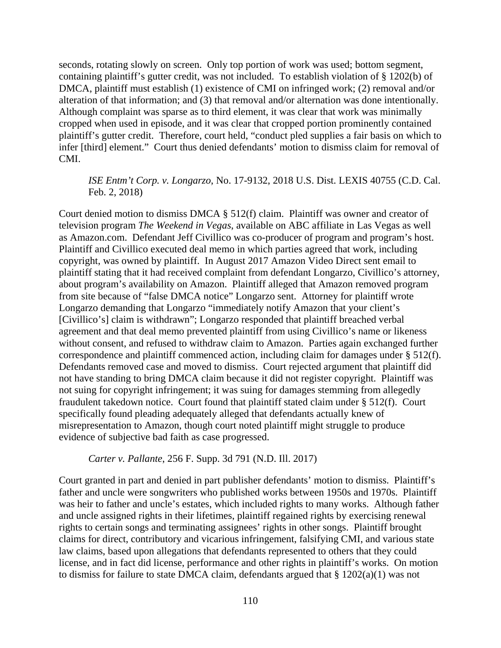seconds, rotating slowly on screen. Only top portion of work was used; bottom segment, containing plaintiff's gutter credit, was not included. To establish violation of § 1202(b) of DMCA, plaintiff must establish (1) existence of CMI on infringed work; (2) removal and/or alteration of that information; and (3) that removal and/or alternation was done intentionally. Although complaint was sparse as to third element, it was clear that work was minimally cropped when used in episode, and it was clear that cropped portion prominently contained plaintiff's gutter credit. Therefore, court held, "conduct pled supplies a fair basis on which to infer [third] element." Court thus denied defendants' motion to dismiss claim for removal of CMI.

# *ISE Entm't Corp. v. Longarzo*, No. 17-9132, 2018 U.S. Dist. LEXIS 40755 (C.D. Cal. Feb. 2, 2018)

Court denied motion to dismiss DMCA  $\S$  512(f) claim. Plaintiff was owner and creator of television program *The Weekend in Vegas*, available on ABC affiliate in Las Vegas as well as Amazon.com. Defendant Jeff Civillico was co-producer of program and program's host. Plaintiff and Civillico executed deal memo in which parties agreed that work, including copyright, was owned by plaintiff. In August 2017 Amazon Video Direct sent email to plaintiff stating that it had received complaint from defendant Longarzo, Civillico's attorney, about program's availability on Amazon. Plaintiff alleged that Amazon removed program from site because of "false DMCA notice" Longarzo sent. Attorney for plaintiff wrote Longarzo demanding that Longarzo "immediately notify Amazon that your client's [Civillico's] claim is withdrawn"; Longarzo responded that plaintiff breached verbal agreement and that deal memo prevented plaintiff from using Civillico's name or likeness without consent, and refused to withdraw claim to Amazon. Parties again exchanged further correspondence and plaintiff commenced action, including claim for damages under § 512(f). Defendants removed case and moved to dismiss. Court rejected argument that plaintiff did not have standing to bring DMCA claim because it did not register copyright. Plaintiff was not suing for copyright infringement; it was suing for damages stemming from allegedly fraudulent takedown notice. Court found that plaintiff stated claim under § 512(f). Court specifically found pleading adequately alleged that defendants actually knew of misrepresentation to Amazon, though court noted plaintiff might struggle to produce evidence of subjective bad faith as case progressed.

### *Carter v. Pallante*, 256 F. Supp. 3d 791 (N.D. Ill. 2017)

Court granted in part and denied in part publisher defendants' motion to dismiss. Plaintiff's father and uncle were songwriters who published works between 1950s and 1970s. Plaintiff was heir to father and uncle's estates, which included rights to many works. Although father and uncle assigned rights in their lifetimes, plaintiff regained rights by exercising renewal rights to certain songs and terminating assignees' rights in other songs. Plaintiff brought claims for direct, contributory and vicarious infringement, falsifying CMI, and various state law claims, based upon allegations that defendants represented to others that they could license, and in fact did license, performance and other rights in plaintiff's works. On motion to dismiss for failure to state DMCA claim, defendants argued that § 1202(a)(1) was not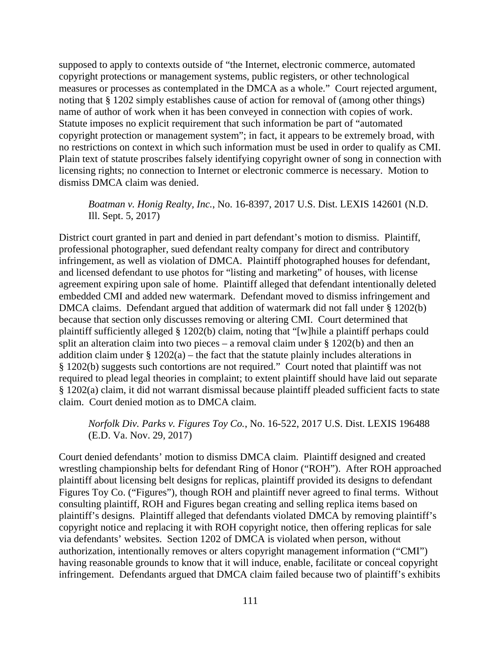supposed to apply to contexts outside of "the Internet, electronic commerce, automated copyright protections or management systems, public registers, or other technological measures or processes as contemplated in the DMCA as a whole." Court rejected argument, noting that § 1202 simply establishes cause of action for removal of (among other things) name of author of work when it has been conveyed in connection with copies of work. Statute imposes no explicit requirement that such information be part of "automated copyright protection or management system"; in fact, it appears to be extremely broad, with no restrictions on context in which such information must be used in order to qualify as CMI. Plain text of statute proscribes falsely identifying copyright owner of song in connection with licensing rights; no connection to Internet or electronic commerce is necessary. Motion to dismiss DMCA claim was denied.

## *Boatman v. Honig Realty, Inc.*, No. 16-8397, 2017 U.S. Dist. LEXIS 142601 (N.D. Ill. Sept. 5, 2017)

District court granted in part and denied in part defendant's motion to dismiss. Plaintiff, professional photographer, sued defendant realty company for direct and contributory infringement, as well as violation of DMCA. Plaintiff photographed houses for defendant, and licensed defendant to use photos for "listing and marketing" of houses, with license agreement expiring upon sale of home. Plaintiff alleged that defendant intentionally deleted embedded CMI and added new watermark. Defendant moved to dismiss infringement and DMCA claims. Defendant argued that addition of watermark did not fall under § 1202(b) because that section only discusses removing or altering CMI. Court determined that plaintiff sufficiently alleged § 1202(b) claim, noting that "[w]hile a plaintiff perhaps could split an alteration claim into two pieces – a removal claim under  $\S$  1202(b) and then an addition claim under  $\S 1202(a)$  – the fact that the statute plainly includes alterations in § 1202(b) suggests such contortions are not required." Court noted that plaintiff was not required to plead legal theories in complaint; to extent plaintiff should have laid out separate § 1202(a) claim, it did not warrant dismissal because plaintiff pleaded sufficient facts to state claim. Court denied motion as to DMCA claim.

# *Norfolk Div. Parks v. Figures Toy Co.*, No. 16-522, 2017 U.S. Dist. LEXIS 196488 (E.D. Va. Nov. 29, 2017)

Court denied defendants' motion to dismiss DMCA claim. Plaintiff designed and created wrestling championship belts for defendant Ring of Honor ("ROH"). After ROH approached plaintiff about licensing belt designs for replicas, plaintiff provided its designs to defendant Figures Toy Co. ("Figures"), though ROH and plaintiff never agreed to final terms. Without consulting plaintiff, ROH and Figures began creating and selling replica items based on plaintiff's designs. Plaintiff alleged that defendants violated DMCA by removing plaintiff's copyright notice and replacing it with ROH copyright notice, then offering replicas for sale via defendants' websites. Section 1202 of DMCA is violated when person, without authorization, intentionally removes or alters copyright management information ("CMI") having reasonable grounds to know that it will induce, enable, facilitate or conceal copyright infringement. Defendants argued that DMCA claim failed because two of plaintiff's exhibits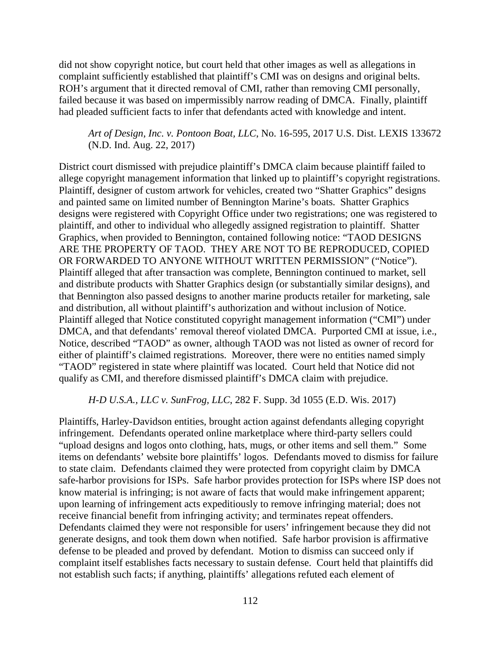did not show copyright notice, but court held that other images as well as allegations in complaint sufficiently established that plaintiff's CMI was on designs and original belts. ROH's argument that it directed removal of CMI, rather than removing CMI personally, failed because it was based on impermissibly narrow reading of DMCA. Finally, plaintiff had pleaded sufficient facts to infer that defendants acted with knowledge and intent.

*Art of Design, Inc. v. Pontoon Boat, LLC*, No. 16-595, 2017 U.S. Dist. LEXIS 133672 (N.D. Ind. Aug. 22, 2017)

District court dismissed with prejudice plaintiff's DMCA claim because plaintiff failed to allege copyright management information that linked up to plaintiff's copyright registrations. Plaintiff, designer of custom artwork for vehicles, created two "Shatter Graphics" designs and painted same on limited number of Bennington Marine's boats. Shatter Graphics designs were registered with Copyright Office under two registrations; one was registered to plaintiff, and other to individual who allegedly assigned registration to plaintiff. Shatter Graphics, when provided to Bennington, contained following notice: "TAOD DESIGNS ARE THE PROPERTY OF TAOD. THEY ARE NOT TO BE REPRODUCED, COPIED OR FORWARDED TO ANYONE WITHOUT WRITTEN PERMISSION" ("Notice"). Plaintiff alleged that after transaction was complete, Bennington continued to market, sell and distribute products with Shatter Graphics design (or substantially similar designs), and that Bennington also passed designs to another marine products retailer for marketing, sale and distribution, all without plaintiff's authorization and without inclusion of Notice. Plaintiff alleged that Notice constituted copyright management information ("CMI") under DMCA, and that defendants' removal thereof violated DMCA. Purported CMI at issue, i.e., Notice, described "TAOD" as owner, although TAOD was not listed as owner of record for either of plaintiff's claimed registrations. Moreover, there were no entities named simply "TAOD" registered in state where plaintiff was located. Court held that Notice did not qualify as CMI, and therefore dismissed plaintiff's DMCA claim with prejudice.

*H-D U.S.A., LLC v. SunFrog, LLC*, 282 F. Supp. 3d 1055 (E.D. Wis. 2017)

Plaintiffs, Harley-Davidson entities, brought action against defendants alleging copyright infringement. Defendants operated online marketplace where third-party sellers could "upload designs and logos onto clothing, hats, mugs, or other items and sell them." Some items on defendants' website bore plaintiffs' logos. Defendants moved to dismiss for failure to state claim. Defendants claimed they were protected from copyright claim by DMCA safe-harbor provisions for ISPs. Safe harbor provides protection for ISPs where ISP does not know material is infringing; is not aware of facts that would make infringement apparent; upon learning of infringement acts expeditiously to remove infringing material; does not receive financial benefit from infringing activity; and terminates repeat offenders. Defendants claimed they were not responsible for users' infringement because they did not generate designs, and took them down when notified. Safe harbor provision is affirmative defense to be pleaded and proved by defendant. Motion to dismiss can succeed only if complaint itself establishes facts necessary to sustain defense. Court held that plaintiffs did not establish such facts; if anything, plaintiffs' allegations refuted each element of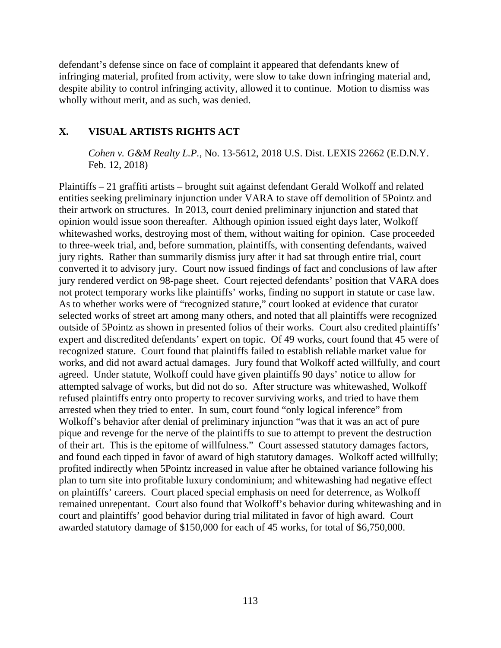defendant's defense since on face of complaint it appeared that defendants knew of infringing material, profited from activity, were slow to take down infringing material and, despite ability to control infringing activity, allowed it to continue. Motion to dismiss was wholly without merit, and as such, was denied.

# **X. VISUAL ARTISTS RIGHTS ACT**

*Cohen v. G&M Realty L.P.*, No. 13-5612, 2018 U.S. Dist. LEXIS 22662 (E.D.N.Y. Feb. 12, 2018)

Plaintiffs – 21 graffiti artists – brought suit against defendant Gerald Wolkoff and related entities seeking preliminary injunction under VARA to stave off demolition of 5Pointz and their artwork on structures. In 2013, court denied preliminary injunction and stated that opinion would issue soon thereafter. Although opinion issued eight days later, Wolkoff whitewashed works, destroying most of them, without waiting for opinion. Case proceeded to three-week trial, and, before summation, plaintiffs, with consenting defendants, waived jury rights. Rather than summarily dismiss jury after it had sat through entire trial, court converted it to advisory jury. Court now issued findings of fact and conclusions of law after jury rendered verdict on 98-page sheet. Court rejected defendants' position that VARA does not protect temporary works like plaintiffs' works, finding no support in statute or case law. As to whether works were of "recognized stature," court looked at evidence that curator selected works of street art among many others, and noted that all plaintiffs were recognized outside of 5Pointz as shown in presented folios of their works. Court also credited plaintiffs' expert and discredited defendants' expert on topic. Of 49 works, court found that 45 were of recognized stature. Court found that plaintiffs failed to establish reliable market value for works, and did not award actual damages. Jury found that Wolkoff acted willfully, and court agreed. Under statute, Wolkoff could have given plaintiffs 90 days' notice to allow for attempted salvage of works, but did not do so. After structure was whitewashed, Wolkoff refused plaintiffs entry onto property to recover surviving works, and tried to have them arrested when they tried to enter. In sum, court found "only logical inference" from Wolkoff's behavior after denial of preliminary injunction "was that it was an act of pure pique and revenge for the nerve of the plaintiffs to sue to attempt to prevent the destruction of their art. This is the epitome of willfulness." Court assessed statutory damages factors, and found each tipped in favor of award of high statutory damages. Wolkoff acted willfully; profited indirectly when 5Pointz increased in value after he obtained variance following his plan to turn site into profitable luxury condominium; and whitewashing had negative effect on plaintiffs' careers. Court placed special emphasis on need for deterrence, as Wolkoff remained unrepentant. Court also found that Wolkoff's behavior during whitewashing and in court and plaintiffs' good behavior during trial militated in favor of high award. Court awarded statutory damage of \$150,000 for each of 45 works, for total of \$6,750,000.